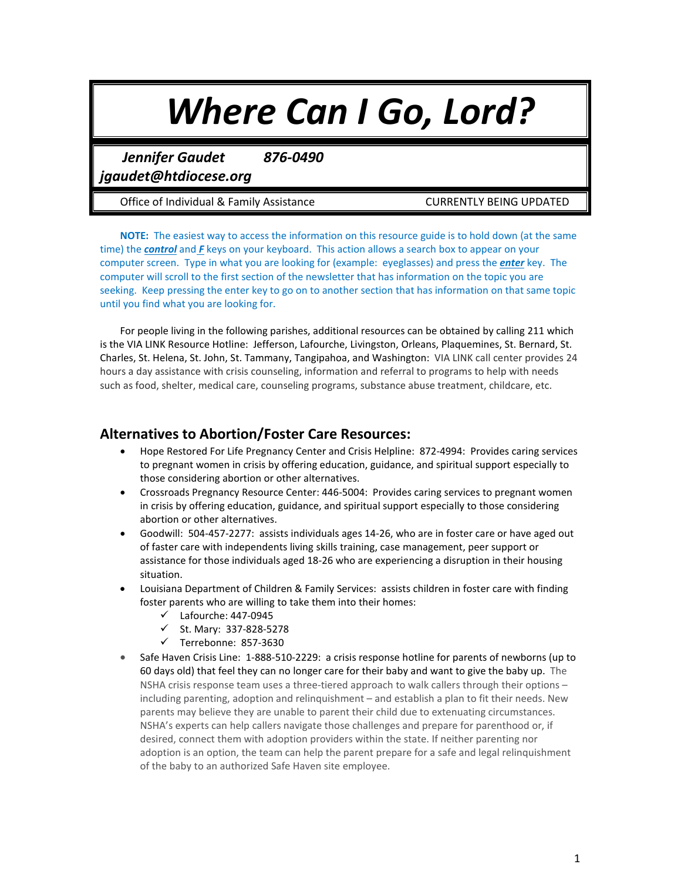# *Where Can I Go, Lord?*

*Jennifer Gaudet 876-0490* 

*jgaudet@htdiocese.org*

Office of Individual & Family Assistance **CURRENTLY BEING UPDATED** 

**NOTE:** The easiest way to access the information on this resource guide is to hold down (at the same time) the *control* and *F* keys on your keyboard. This action allows a search box to appear on your computer screen. Type in what you are looking for (example: eyeglasses) and press the *enter* key. The computer will scroll to the first section of the newsletter that has information on the topic you are seeking. Keep pressing the enter key to go on to another section that has information on that same topic until you find what you are looking for.

For people living in the following parishes, additional resources can be obtained by calling 211 which is the VIA LINK Resource Hotline: Jefferson, Lafourche, Livingston, Orleans, Plaquemines, St. Bernard, St. Charles, St. Helena, St. John, St. Tammany, Tangipahoa, and Washington: VIA LINK call center provides 24 hours a day assistance with crisis counseling, information and referral to programs to help with needs such as food, shelter, medical care, counseling programs, substance abuse treatment, childcare, etc.

## **Alternatives to Abortion/Foster Care Resources:**

- Hope Restored For Life Pregnancy Center and Crisis Helpline: 872-4994: Provides caring services to pregnant women in crisis by offering education, guidance, and spiritual support especially to those considering abortion or other alternatives.
- Crossroads Pregnancy Resource Center: 446-5004: Provides caring services to pregnant women in crisis by offering education, guidance, and spiritual support especially to those considering abortion or other alternatives.
- Goodwill: 504-457-2277: assists individuals ages 14-26, who are in foster care or have aged out of faster care with independents living skills training, case management, peer support or assistance for those individuals aged 18-26 who are experiencing a disruption in their housing situation.
- Louisiana Department of Children & Family Services: assists children in foster care with finding foster parents who are willing to take them into their homes:
	- $\checkmark$  Lafourche: 447-0945
	- St. Mary: 337-828-5278
	- $\checkmark$  Terrebonne: 857-3630
- Safe Haven Crisis Line: 1-888-510-2229: a crisis response hotline for parents of newborns (up to 60 days old) that feel they can no longer care for their baby and want to give the baby up. The NSHA crisis response team uses a three-tiered approach to walk callers through their options – including parenting, adoption and relinquishment – and establish a plan to fit their needs. New parents may believe they are unable to parent their child due to extenuating circumstances. NSHA's experts can help callers navigate those challenges and prepare for parenthood or, if desired, connect them with adoption providers within the state. If neither parenting nor adoption is an option, the team can help the parent prepare for a safe and legal relinquishment of the baby to an authorized Safe Haven site employee.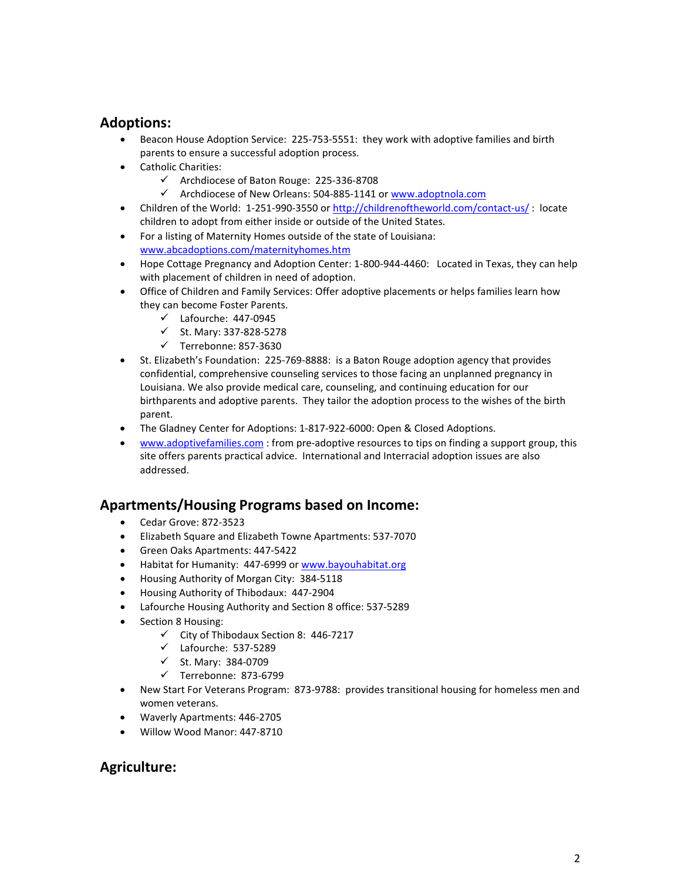## **Adoptions:**

- Beacon House Adoption Service: 225-753-5551: they work with adoptive families and birth parents to ensure a successful adoption process.
- Catholic Charities:
	- $\checkmark$  Archdiocese of Baton Rouge: 225-336-8708
	- $\checkmark$  Archdiocese of New Orleans: 504-885-1141 o[r www.adoptnola.com](http://www.adoptnola.com/)
- Children of the World: 1-251-990-3550 or <http://childrenoftheworld.com/contact-us/> : locate children to adopt from either inside or outside of the United States.
- For a listing of Maternity Homes outside of the state of Louisiana: [www.abcadoptions.com/maternityhomes.htm](http://www.abcadoptions.com/maternityhomes.htm)
- Hope Cottage Pregnancy and Adoption Center: 1-800-944-4460: Located in Texas, they can help with placement of children in need of adoption.
- Office of Children and Family Services: Offer adoptive placements or helps families learn how they can become Foster Parents.
	- $\checkmark$  Lafourche: 447-0945
	- $\checkmark$  St. Mary: 337-828-5278
	- $\checkmark$  Terrebonne: 857-3630
- St. Elizabeth's Foundation: 225-769-8888: is a Baton Rouge adoption agency that provides confidential, comprehensive counseling services to those facing an unplanned pregnancy in Louisiana. We also provide medical care, counseling, and continuing education for our birthparents and adoptive parents. They tailor the adoption process to the wishes of the birth parent.
- The Gladney Center for Adoptions: 1-817-922-6000: Open & Closed Adoptions.
- [www.adoptivefamilies.com](http://www.adoptivefamilies.com/) : from pre-adoptive resources to tips on finding a support group, this site offers parents practical advice. International and Interracial adoption issues are also addressed.

## **Apartments/Housing Programs based on Income:**

- Cedar Grove: 872-3523
- Elizabeth Square and Elizabeth Towne Apartments: 537-7070
- Green Oaks Apartments: 447-5422
- Habitat for Humanity: 447-6999 or [www.bayouhabitat.org](http://www.bayouhabitat.org/)
- Housing Authority of Morgan City: 384-5118
- Housing Authority of Thibodaux: 447-2904
- Lafourche Housing Authority and Section 8 office: 537-5289
- Section 8 Housing:
	- $\checkmark$  City of Thibodaux Section 8: 446-7217
	- Lafourche: 537-5289
	- $\checkmark$  St. Mary: 384-0709
	- $\checkmark$  Terrebonne: 873-6799
- New Start For Veterans Program: 873-9788: provides transitional housing for homeless men and women veterans.
- Waverly Apartments: 446-2705
- Willow Wood Manor: 447-8710

## **Agriculture:**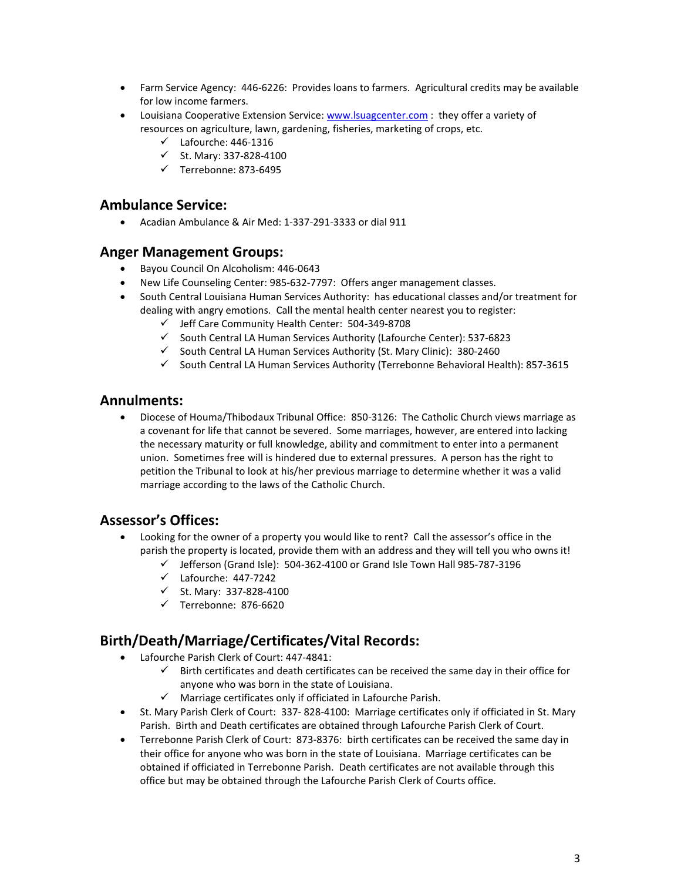- Farm Service Agency: 446-6226: Provides loans to farmers. Agricultural credits may be available for low income farmers.
- Louisiana Cooperative Extension Service: [www.lsuagcenter.com](http://www.lsuagcenter.com/) : they offer a variety of resources on agriculture, lawn, gardening, fisheries, marketing of crops, etc.
	- $\checkmark$  Lafourche: 446-1316
	- $\checkmark$  St. Mary: 337-828-4100
	- $\checkmark$  Terrebonne: 873-6495

#### **Ambulance Service:**

• Acadian Ambulance & Air Med: 1-337-291-3333 or dial 911

#### **Anger Management Groups:**

- Bayou Council On Alcoholism: 446-0643
- New Life Counseling Center: 985-632-7797: Offers anger management classes.
- South Central Louisiana Human Services Authority: has educational classes and/or treatment for dealing with angry emotions. Call the mental health center nearest you to register:
	- $\checkmark$  Jeff Care Community Health Center: 504-349-8708
	- $\checkmark$  South Central LA Human Services Authority (Lafourche Center): 537-6823
	- $\checkmark$  South Central LA Human Services Authority (St. Mary Clinic): 380-2460
	- $\checkmark$  South Central LA Human Services Authority (Terrebonne Behavioral Health): 857-3615

## **Annulments:**

• Diocese of Houma/Thibodaux Tribunal Office: 850-3126: The Catholic Church views marriage as a covenant for life that cannot be severed. Some marriages, however, are entered into lacking the necessary maturity or full knowledge, ability and commitment to enter into a permanent union. Sometimes free will is hindered due to external pressures. A person has the right to petition the Tribunal to look at his/her previous marriage to determine whether it was a valid marriage according to the laws of the Catholic Church.

## **Assessor's Offices:**

- Looking for the owner of a property you would like to rent? Call the assessor's office in the parish the property is located, provide them with an address and they will tell you who owns it!
	- $\checkmark$  Jefferson (Grand Isle): 504-362-4100 or Grand Isle Town Hall 985-787-3196
	- $\checkmark$  Lafourche: 447-7242
	- $\checkmark$  St. Mary: 337-828-4100
	- $\checkmark$  Terrebonne: 876-6620

## **Birth/Death/Marriage/Certificates/Vital Records:**

- Lafourche Parish Clerk of Court: 447-4841:
	- $\checkmark$  Birth certificates and death certificates can be received the same day in their office for anyone who was born in the state of Louisiana.
	- $\checkmark$  Marriage certificates only if officiated in Lafourche Parish.
- St. Mary Parish Clerk of Court: 337- 828-4100: Marriage certificates only if officiated in St. Mary Parish. Birth and Death certificates are obtained through Lafourche Parish Clerk of Court.
- Terrebonne Parish Clerk of Court: 873-8376: birth certificates can be received the same day in their office for anyone who was born in the state of Louisiana. Marriage certificates can be obtained if officiated in Terrebonne Parish. Death certificates are not available through this office but may be obtained through the Lafourche Parish Clerk of Courts office.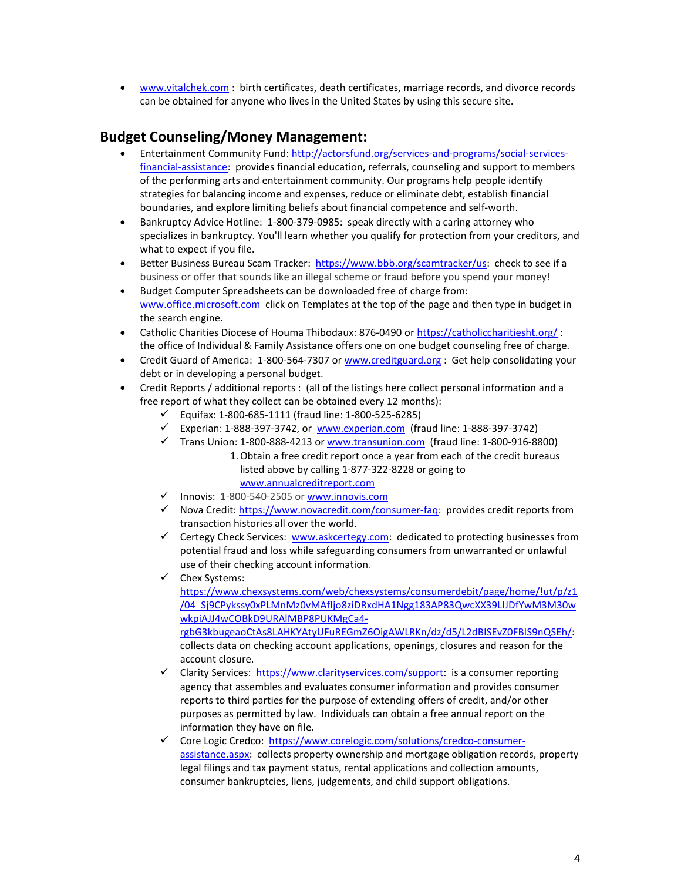• [www.vitalchek.com](http://www.vitalchek.com/) : birth certificates, death certificates, marriage records, and divorce records can be obtained for anyone who lives in the United States by using this secure site.

# **Budget Counseling/Money Management:**

- Entertainment Community Fund[: http://actorsfund.org/services-and-programs/social-services](http://actorsfund.org/services-and-programs/social-services-financial-assistance)[financial-assistance:](http://actorsfund.org/services-and-programs/social-services-financial-assistance) provides financial education, referrals, counseling and support to members of the performing arts and entertainment community. Our programs help people identify strategies for balancing income and expenses, reduce or eliminate debt, establish financial boundaries, and explore limiting beliefs about financial competence and self-worth.
- Bankruptcy Advice Hotline: 1-800-379-0985: speak directly with a caring attorney who specializes in bankruptcy. You'll learn whether you qualify for protection from your creditors, and what to expect if you file.
- Better Business Bureau Scam Tracker: [https://www.bbb.org/scamtracker/us:](https://www.bbb.org/scamtracker/us) check to see if a business or offer that sounds like an illegal scheme or fraud before you spend your money!
- Budget Computer Spreadsheets can be downloaded free of charge from: [www.office.microsoft.com](http://www.office.microsoft.com/) click on Templates at the top of the page and then type in budget in the search engine.
- Catholic Charities Diocese of Houma Thibodaux: 876-0490 or <https://catholiccharitiesht.org/>: the office of Individual & Family Assistance offers one on one budget counseling free of charge.
- Credit Guard of America: 1-800-564-7307 or [www.creditguard.org](http://www.creditguard.org/) : Get help consolidating your debt or in developing a personal budget.
- Credit Reports / additional reports : (all of the listings here collect personal information and a free report of what they collect can be obtained every 12 months):
	- $\checkmark$  Equifax: 1-800-685-1111 (fraud line: 1-800-525-6285)
	- Experian: 1-888-397-3742, or  $www. experiment.com$  (fraud line: 1-888-397-3742)
	- $\checkmark$  Trans Union: 1-800-888-4213 or [www.transunion.com](http://www.transunion.com/) (fraud line: 1-800-916-8800)
		- 1.Obtain a free credit report once a year from each of the credit bureaus listed above by calling 1-877-322-8228 or going to [www.annualcreditreport.com](http://www.annualcreditreport.com/)
	- $\checkmark$  Innovis: 1-800-540-2505 o[r www.innovis.com](http://www.innovis.com/)
	- $\checkmark$  Nova Credit: [https://www.novacredit.com/consumer-faq:](https://www.novacredit.com/consumer-faq) provides credit reports from transaction histories all over the world.
	- $\checkmark$  Certegy Check Services: [www.askcertegy.com:](http://www.askcertegy.com/) dedicated to protecting businesses from potential fraud and loss while safeguarding consumers from unwarranted or unlawful use of their checking account information.
	- $\checkmark$  Chex Systems:

[https://www.chexsystems.com/web/chexsystems/consumerdebit/page/home/!ut/p/z1](https://www.chexsystems.com/web/chexsystems/consumerdebit/page/home/!ut/p/z1/04_Sj9CPykssy0xPLMnMz0vMAfIjo8ziDRxdHA1Ngg183AP83QwcXX39LIJDfYwM3M30wwkpiAJJ4wCOBkD9URAlMBP8PUKMgCa4-rgbG3kbugeaoCtAs8LAHKYAtyUFuREGmZ6OigAWLRKn/dz/d5/L2dBISEvZ0FBIS9nQSEh/) [/04\\_Sj9CPykssy0xPLMnMz0vMAfIjo8ziDRxdHA1Ngg183AP83QwcXX39LIJDfYwM3M30w](https://www.chexsystems.com/web/chexsystems/consumerdebit/page/home/!ut/p/z1/04_Sj9CPykssy0xPLMnMz0vMAfIjo8ziDRxdHA1Ngg183AP83QwcXX39LIJDfYwM3M30wwkpiAJJ4wCOBkD9URAlMBP8PUKMgCa4-rgbG3kbugeaoCtAs8LAHKYAtyUFuREGmZ6OigAWLRKn/dz/d5/L2dBISEvZ0FBIS9nQSEh/) [wkpiAJJ4wCOBkD9URAlMBP8PUKMgCa4](https://www.chexsystems.com/web/chexsystems/consumerdebit/page/home/!ut/p/z1/04_Sj9CPykssy0xPLMnMz0vMAfIjo8ziDRxdHA1Ngg183AP83QwcXX39LIJDfYwM3M30wwkpiAJJ4wCOBkD9URAlMBP8PUKMgCa4-rgbG3kbugeaoCtAs8LAHKYAtyUFuREGmZ6OigAWLRKn/dz/d5/L2dBISEvZ0FBIS9nQSEh/) [rgbG3kbugeaoCtAs8LAHKYAtyUFuREGmZ6OigAWLRKn/dz/d5/L2dBISEvZ0FBIS9nQSEh/:](https://www.chexsystems.com/web/chexsystems/consumerdebit/page/home/!ut/p/z1/04_Sj9CPykssy0xPLMnMz0vMAfIjo8ziDRxdHA1Ngg183AP83QwcXX39LIJDfYwM3M30wwkpiAJJ4wCOBkD9URAlMBP8PUKMgCa4-rgbG3kbugeaoCtAs8LAHKYAtyUFuREGmZ6OigAWLRKn/dz/d5/L2dBISEvZ0FBIS9nQSEh/) collects data on checking account applications, openings, closures and reason for the account closure.

- $\checkmark$  Clarity Services: [https://www.clarityservices.com/support:](https://www.clarityservices.com/support) is a consumer reporting agency that assembles and evaluates consumer information and provides consumer reports to third parties for the purpose of extending offers of credit, and/or other purposes as permitted by law. Individuals can obtain a free annual report on the information they have on file.
- ← Core Logic Credco: [https://www.corelogic.com/solutions/credco-consumer](https://www.corelogic.com/solutions/credco-consumer-assistance.aspx)[assistance.aspx:](https://www.corelogic.com/solutions/credco-consumer-assistance.aspx) collects property ownership and mortgage obligation records, property legal filings and tax payment status, rental applications and collection amounts, consumer bankruptcies, liens, judgements, and child support obligations.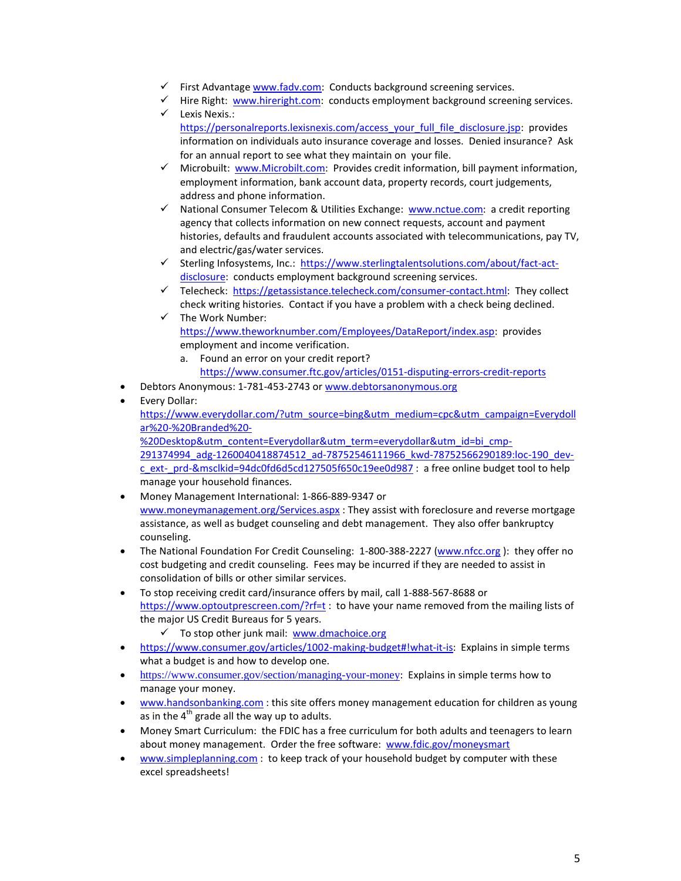- $\checkmark$  First Advantag[e www.fadv.com:](http://www.fadv.com/) Conducts background screening services.
- $\checkmark$  Hire Right: [www.hireright.com:](http://www.hireright.com/) conducts employment background screening services.
- $\checkmark$  Lexis Nexis.: [https://personalreports.lexisnexis.com/access\\_your\\_full\\_file\\_disclosure.jsp:](https://personalreports.lexisnexis.com/access_your_full_file_disclosure.jsp) provides information on individuals auto insurance coverage and losses. Denied insurance? Ask for an annual report to see what they maintain on your file.
- Microbuilt: [www.Microbilt.com:](http://www.microbilt.com/) Provides credit information, bill payment information, employment information, bank account data, property records, court judgements, address and phone information.
- $\checkmark$  National Consumer Telecom & Utilities Exchange: [www.nctue.com:](http://www.nctue.com/) a credit reporting agency that collects information on new connect requests, account and payment histories, defaults and fraudulent accounts associated with telecommunications, pay TV, and electric/gas/water services.
- Sterling Infosystems, Inc.: [https://www.sterlingtalentsolutions.com/about/fact-act](https://www.sterlingtalentsolutions.com/about/fact-act-disclosure)[disclosure:](https://www.sterlingtalentsolutions.com/about/fact-act-disclosure) conducts employment background screening services.
- $\checkmark$  Telecheck: [https://getassistance.telecheck.com/consumer-contact.html:](https://getassistance.telecheck.com/consumer-contact.html) They collect check writing histories. Contact if you have a problem with a check being declined.
- $\checkmark$  The Work Number: [https://www.theworknumber.com/Employees/DataReport/index.asp:](https://www.theworknumber.com/Employees/DataReport/index.asp) provides employment and income verification.
	- a. Found an error on your credit report? <https://www.consumer.ftc.gov/articles/0151-disputing-errors-credit-reports>
- Debtors Anonymous: 1-781-453-2743 o[r www.debtorsanonymous.org](http://www.debtorsanonymous.org/)
- Every Dollar:

[https://www.everydollar.com/?utm\\_source=bing&utm\\_medium=cpc&utm\\_campaign=Everydoll](https://www.everydollar.com/?utm_source=bing&utm_medium=cpc&utm_campaign=Everydollar%20-%20Branded%20-%20Desktop&utm_content=Everydollar&utm_term=everydollar&utm_id=bi_cmp-291374994_adg-1260040418874512_ad-78752546111966_kwd-78752566290189:loc-190_dev-c_ext-_prd-&msclkid=94dc0fd6d5cd127505f650c19ee0d987) [ar%20-%20Branded%20-](https://www.everydollar.com/?utm_source=bing&utm_medium=cpc&utm_campaign=Everydollar%20-%20Branded%20-%20Desktop&utm_content=Everydollar&utm_term=everydollar&utm_id=bi_cmp-291374994_adg-1260040418874512_ad-78752546111966_kwd-78752566290189:loc-190_dev-c_ext-_prd-&msclkid=94dc0fd6d5cd127505f650c19ee0d987)

[%20Desktop&utm\\_content=Everydollar&utm\\_term=everydollar&utm\\_id=bi\\_cmp-](https://www.everydollar.com/?utm_source=bing&utm_medium=cpc&utm_campaign=Everydollar%20-%20Branded%20-%20Desktop&utm_content=Everydollar&utm_term=everydollar&utm_id=bi_cmp-291374994_adg-1260040418874512_ad-78752546111966_kwd-78752566290189:loc-190_dev-c_ext-_prd-&msclkid=94dc0fd6d5cd127505f650c19ee0d987)[291374994\\_adg-1260040418874512\\_ad-78752546111966\\_kwd-78752566290189:loc-190\\_dev](https://www.everydollar.com/?utm_source=bing&utm_medium=cpc&utm_campaign=Everydollar%20-%20Branded%20-%20Desktop&utm_content=Everydollar&utm_term=everydollar&utm_id=bi_cmp-291374994_adg-1260040418874512_ad-78752546111966_kwd-78752566290189:loc-190_dev-c_ext-_prd-&msclkid=94dc0fd6d5cd127505f650c19ee0d987)[c\\_ext-\\_prd-&msclkid=94dc0fd6d5cd127505f650c19ee0d987](https://www.everydollar.com/?utm_source=bing&utm_medium=cpc&utm_campaign=Everydollar%20-%20Branded%20-%20Desktop&utm_content=Everydollar&utm_term=everydollar&utm_id=bi_cmp-291374994_adg-1260040418874512_ad-78752546111966_kwd-78752566290189:loc-190_dev-c_ext-_prd-&msclkid=94dc0fd6d5cd127505f650c19ee0d987) : a free online budget tool to help manage your household finances.

- Money Management International: 1-866-889-9347 or [www.moneymanagement.org/Services.aspx](http://www.moneymanagement.org/Services.aspx) : They assist with foreclosure and reverse mortgage assistance, as well as budget counseling and debt management. They also offer bankruptcy counseling.
- The National Foundation For Credit Counseling: 1-800-388-2227 [\(www.nfcc.org](http://www.nfcc.org/)): they offer no cost budgeting and credit counseling. Fees may be incurred if they are needed to assist in consolidation of bills or other similar services.
- To stop receiving credit card/insurance offers by mail, call 1-888-567-8688 or <https://www.optoutprescreen.com/?rf=t> : to have your name removed from the mailing lists of the major US Credit Bureaus for 5 years.
	- $\checkmark$  To stop other junk mail: [www.dmachoice.org](http://www.dmachoice.org/)
- [https://www.consumer.gov/articles/1002-making-budget#!what-it-is:](https://www.consumer.gov/articles/1002-making-budget#!what-it-is) Explains in simple terms what a budget is and how to develop one.
- <https://www.consumer.gov/section/managing-your-money>: Explains in simple terms how to manage your money.
- [www.handsonbanking.com](http://www.handsonbanking.com/) : this site offers money management education for children as young as in the  $4<sup>th</sup>$  grade all the way up to adults.
- Money Smart Curriculum: the FDIC has a free curriculum for both adults and teenagers to learn about money management. Order the free software: [www.fdic.gov/moneysmart](http://www.fdic.gov/moneysmart)
- [www.simpleplanning.com](http://www.simpleplanning.com/): to keep track of your household budget by computer with these excel spreadsheets!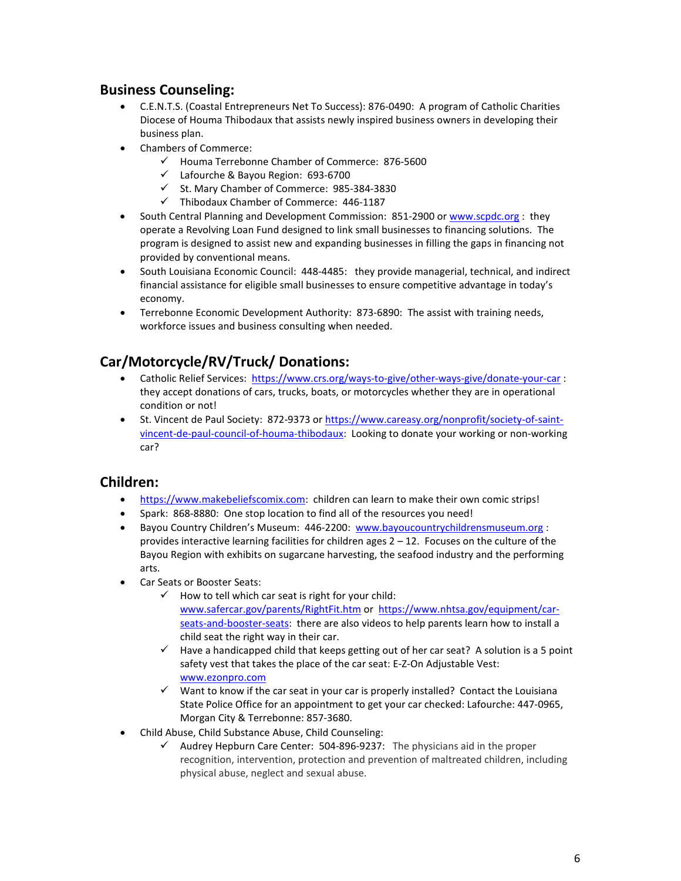## **Business Counseling:**

- C.E.N.T.S. (Coastal Entrepreneurs Net To Success): 876-0490: A program of Catholic Charities Diocese of Houma Thibodaux that assists newly inspired business owners in developing their business plan.
- Chambers of Commerce:
	- $\checkmark$  Houma Terrebonne Chamber of Commerce: 876-5600
	- Lafourche & Bayou Region: 693-6700
	- $\checkmark$  St. Mary Chamber of Commerce: 985-384-3830
	- $\checkmark$  Thibodaux Chamber of Commerce: 446-1187
- South Central Planning and Development Commission: 851-2900 or [www.scpdc.org](http://www.scpdc.org/) : they operate a Revolving Loan Fund designed to link small businesses to financing solutions. The program is designed to assist new and expanding businesses in filling the gaps in financing not provided by conventional means.
- South Louisiana Economic Council: 448-4485: they provide managerial, technical, and indirect financial assistance for eligible small businesses to ensure competitive advantage in today's economy.
- Terrebonne Economic Development Authority: 873-6890: The assist with training needs, workforce issues and business consulting when needed.

# **Car/Motorcycle/RV/Truck/ Donations:**

- Catholic Relief Services:<https://www.crs.org/ways-to-give/other-ways-give/donate-your-car> : they accept donations of cars, trucks, boats, or motorcycles whether they are in operational condition or not!
- St. Vincent de Paul Society: 872-9373 o[r https://www.careasy.org/nonprofit/society-of-saint](https://www.careasy.org/nonprofit/society-of-saint-vincent-de-paul-council-of-houma-thibodaux)[vincent-de-paul-council-of-houma-thibodaux:](https://www.careasy.org/nonprofit/society-of-saint-vincent-de-paul-council-of-houma-thibodaux) Looking to donate your working or non-working car?

## **Children:**

- [https://www.makebeliefscomix.com:](https://www.makebeliefscomix.com/) children can learn to make their own comic strips!
- Spark: 868-8880: One stop location to find all of the resources you need!
- Bayou Country Children's Museum: 446-2200: [www.bayoucountrychildrensmuseum.org](http://www.bayoucountrychildrensmuseum.org/) : provides interactive learning facilities for children ages  $2 - 12$ . Focuses on the culture of the Bayou Region with exhibits on sugarcane harvesting, the seafood industry and the performing arts.
- Car Seats or Booster Seats:
	- $\checkmark$  How to tell which car seat is right for your child: [www.safercar.gov/parents/RightFit.htm](http://www.safercar.gov/parents/RightFit.htm) or [https://www.nhtsa.gov/equipment/car](https://www.nhtsa.gov/equipment/car-seats-and-booster-seats)[seats-and-booster-seats:](https://www.nhtsa.gov/equipment/car-seats-and-booster-seats) there are also videos to help parents learn how to install a child seat the right way in their car.
	- $\checkmark$  Have a handicapped child that keeps getting out of her car seat? A solution is a 5 point safety vest that takes the place of the car seat: E-Z-On Adjustable Vest: [www.ezonpro.com](http://www.ezonpro.com/)
	- $\checkmark$  Want to know if the car seat in your car is properly installed? Contact the Louisiana State Police Office for an appointment to get your car checked: Lafourche: 447-0965, Morgan City & Terrebonne: 857-3680.
- Child Abuse, Child Substance Abuse, Child Counseling:
	- $\checkmark$  Audrey Hepburn Care Center: 504-896-9237: The physicians aid in the proper recognition, intervention, protection and prevention of maltreated children, including physical abuse, neglect and sexual abuse.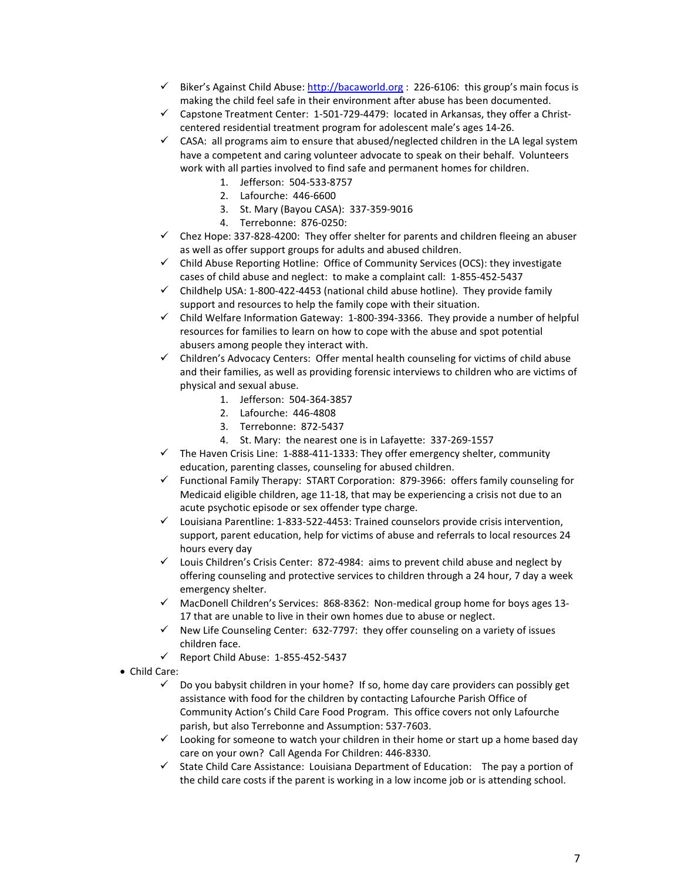- $\checkmark$  Biker's Against Child Abuse[: http://bacaworld.org](http://bacaworld.org/) : 226-6106: this group's main focus is making the child feel safe in their environment after abuse has been documented.
- $\checkmark$  Capstone Treatment Center: 1-501-729-4479: located in Arkansas, they offer a Christcentered residential treatment program for adolescent male's ages 14-26.
- $\checkmark$  CASA: all programs aim to ensure that abused/neglected children in the LA legal system have a competent and caring volunteer advocate to speak on their behalf. Volunteers work with all parties involved to find safe and permanent homes for children.
	- 1. Jefferson: 504-533-8757
	- 2. Lafourche: 446-6600
	- 3. St. Mary (Bayou CASA): 337-359-9016
	- 4. Terrebonne: 876-0250:
- $\checkmark$  Chez Hope: 337-828-4200: They offer shelter for parents and children fleeing an abuser as well as offer support groups for adults and abused children.
- $\checkmark$  Child Abuse Reporting Hotline: Office of Community Services (OCS): they investigate cases of child abuse and neglect: to make a complaint call: 1-855-452-5437
- $\checkmark$  Childhelp USA: 1-800-422-4453 (national child abuse hotline). They provide family support and resources to help the family cope with their situation.
- $\checkmark$  Child Welfare Information Gateway: 1-800-394-3366. They provide a number of helpful resources for families to learn on how to cope with the abuse and spot potential abusers among people they interact with.
- $\checkmark$  Children's Advocacy Centers: Offer mental health counseling for victims of child abuse and their families, as well as providing forensic interviews to children who are victims of physical and sexual abuse.
	- 1. Jefferson: 504-364-3857
	- 2. Lafourche: 446-4808
	- 3. Terrebonne: 872-5437
	- 4. St. Mary: the nearest one is in Lafayette: 337-269-1557
- $\checkmark$  The Haven Crisis Line: 1-888-411-1333: They offer emergency shelter, community education, parenting classes, counseling for abused children.
- $\checkmark$  Functional Family Therapy: START Corporation: 879-3966: offers family counseling for Medicaid eligible children, age 11-18, that may be experiencing a crisis not due to an acute psychotic episode or sex offender type charge.
- $\checkmark$  Louisiana Parentline: 1-833-522-4453: Trained counselors provide crisis intervention, support, parent education, help for victims of abuse and referrals to local resources 24 hours every day
- $\checkmark$  Louis Children's Crisis Center: 872-4984: aims to prevent child abuse and neglect by offering counseling and protective services to children through a 24 hour, 7 day a week emergency shelter.
- $\checkmark$  MacDonell Children's Services: 868-8362: Non-medical group home for boys ages 13-17 that are unable to live in their own homes due to abuse or neglect.
- $\checkmark$  New Life Counseling Center: 632-7797: they offer counseling on a variety of issues children face.
- $\checkmark$  Report Child Abuse: 1-855-452-5437
- Child Care:
	- $\checkmark$  Do you babysit children in your home? If so, home day care providers can possibly get assistance with food for the children by contacting Lafourche Parish Office of Community Action's Child Care Food Program. This office covers not only Lafourche parish, but also Terrebonne and Assumption: 537-7603.
	- $\checkmark$  Looking for someone to watch your children in their home or start up a home based day care on your own? Call Agenda For Children: 446-8330.
	- $\checkmark$  State Child Care Assistance: Louisiana Department of Education: The pay a portion of the child care costs if the parent is working in a low income job or is attending school.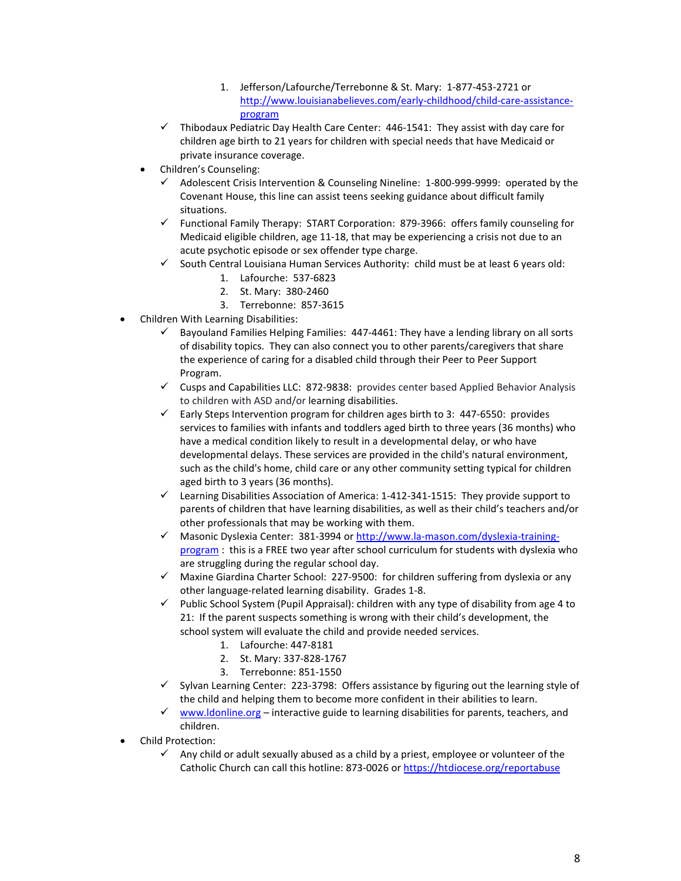- 1. Jefferson/Lafourche/Terrebonne & St. Mary: 1-877-453-2721 or [http://www.louisianabelieves.com/early-childhood/child-care-assistance](http://www.louisianabelieves.com/early-childhood/child-care-assistance-program)[program](http://www.louisianabelieves.com/early-childhood/child-care-assistance-program)
- $\checkmark$  Thibodaux Pediatric Day Health Care Center: 446-1541: They assist with day care for children age birth to 21 years for children with special needs that have Medicaid or private insurance coverage.
- Children's Counseling:
	- $\checkmark$  Adolescent Crisis Intervention & Counseling Nineline: 1-800-999-9999: operated by the Covenant House, this line can assist teens seeking guidance about difficult family situations.
	- $\checkmark$  Functional Family Therapy: START Corporation: 879-3966: offers family counseling for Medicaid eligible children, age 11-18, that may be experiencing a crisis not due to an acute psychotic episode or sex offender type charge.
	- $\checkmark$  South Central Louisiana Human Services Authority: child must be at least 6 years old:
		- 1. Lafourche: 537-6823
		- 2. St. Mary: 380-2460
		- 3. Terrebonne: 857-3615
- Children With Learning Disabilities:
	- $\checkmark$  Bayouland Families Helping Families: 447-4461: They have a lending library on all sorts of disability topics. They can also connect you to other parents/caregivers that share the experience of caring for a disabled child through their Peer to Peer Support Program.
	- $\checkmark$  Cusps and Capabilities LLC: 872-9838: provides center based Applied Behavior Analysis to children with ASD and/or learning disabilities.
	- $\checkmark$  Early Steps Intervention program for children ages birth to 3: 447-6550: provides services to families with infants and toddlers aged birth to three years (36 months) who have a medical condition likely to result in a developmental delay, or who have developmental delays. These services are provided in the child's natural environment, such as the child's home, child care or any other community setting typical for children aged birth to 3 years (36 months).
	- $\checkmark$  Learning Disabilities Association of America: 1-412-341-1515: They provide support to parents of children that have learning disabilities, as well as their child's teachers and/or other professionals that may be working with them.
	- $\checkmark$  Masonic Dyslexia Center: 381-3994 o[r http://www.la-mason.com/dyslexia-training](http://www.la-mason.com/dyslexia-training-program)[program](http://www.la-mason.com/dyslexia-training-program): this is a FREE two year after school curriculum for students with dyslexia who are struggling during the regular school day.
	- $\checkmark$  Maxine Giardina Charter School: 227-9500: for children suffering from dyslexia or any other language-related learning disability. Grades 1-8.
	- $\checkmark$  Public School System (Pupil Appraisal): children with any type of disability from age 4 to 21: If the parent suspects something is wrong with their child's development, the school system will evaluate the child and provide needed services.
		- 1. Lafourche: 447-8181
		- 2. St. Mary: 337-828-1767
		- 3. Terrebonne: 851-1550
	- $\checkmark$  Sylvan Learning Center: 223-3798: Offers assistance by figuring out the learning style of the child and helping them to become more confident in their abilities to learn.
	- $\checkmark$  [www.ldonline.org](http://www.ldonline.org/) interactive guide to learning disabilities for parents, teachers, and children.
- Child Protection:
	- $\checkmark$  Any child or adult sexually abused as a child by a priest, employee or volunteer of the Catholic Church can call this hotline: 873-0026 or<https://htdiocese.org/reportabuse>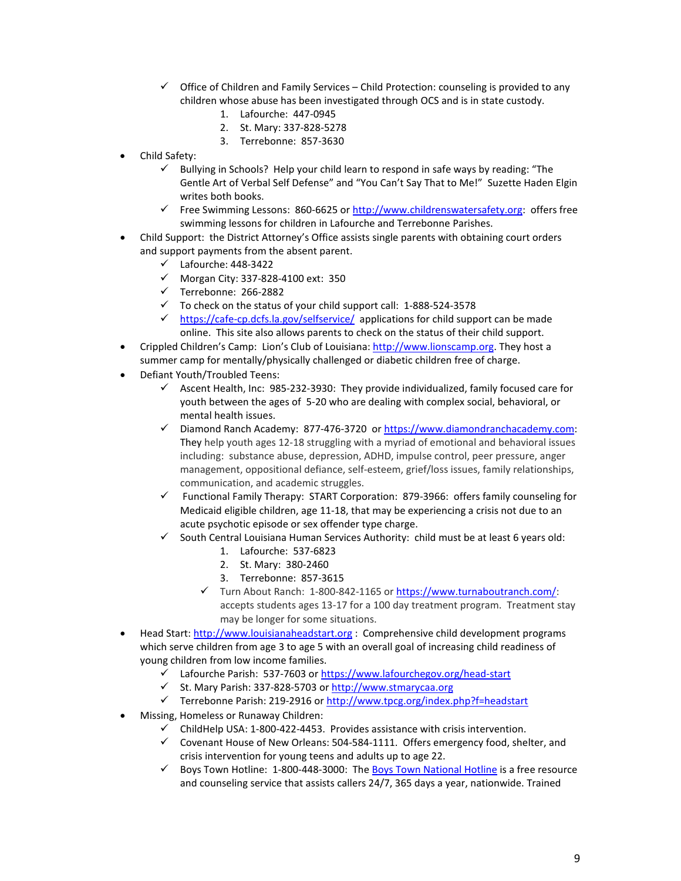- $\checkmark$  Office of Children and Family Services Child Protection: counseling is provided to any children whose abuse has been investigated through OCS and is in state custody.
	- 1. Lafourche: 447-0945
	- 2. St. Mary: 337-828-5278
	- 3. Terrebonne: 857-3630
- Child Safety:
	- $\checkmark$  Bullying in Schools? Help your child learn to respond in safe ways by reading: "The Gentle Art of Verbal Self Defense" and "You Can't Say That to Me!" Suzette Haden Elgin writes both books.
	- Free Swimming Lessons: 860-6625 or [http://www.childrenswatersafety.org:](http://www.childrenswatersafety.org/) offers free swimming lessons for children in Lafourche and Terrebonne Parishes.
- Child Support: the District Attorney's Office assists single parents with obtaining court orders and support payments from the absent parent.
	- $\checkmark$  Lafourche: 448-3422
	- $\checkmark$  Morgan City: 337-828-4100 ext: 350
	- $\checkmark$  Terrebonne: 266-2882
	- $\checkmark$  To check on the status of your child support call: 1-888-524-3578
	- $\checkmark$  <https://cafe-cp.dcfs.la.gov/selfservice/> applications for child support can be made online. This site also allows parents to check on the status of their child support.
- Crippled Children's Camp: Lion's Club of Louisiana: [http://www.lionscamp.org.](http://www.lionscamp.org/) They host a summer camp for mentally/physically challenged or diabetic children free of charge.
- Defiant Youth/Troubled Teens:
	- Ascent Health, Inc: 985-232-3930: They provide individualized, family focused care for youth between the ages of 5-20 who are dealing with complex social, behavioral, or mental health issues.
	- Diamond Ranch Academy: 877-476-3720 or [https://www.diamondranchacademy.com:](https://www.diamondranchacademy.com/) They help youth ages 12-18 struggling with a myriad of emotional and behavioral issues including: substance abuse, depression, ADHD, impulse control, peer pressure, anger management, oppositional defiance, self-esteem, grief/loss issues, family relationships, communication, and academic struggles.
	- $\checkmark$  Functional Family Therapy: START Corporation: 879-3966: offers family counseling for Medicaid eligible children, age 11-18, that may be experiencing a crisis not due to an acute psychotic episode or sex offender type charge.
	- South Central Louisiana Human Services Authority: child must be at least 6 years old:
		- 1. Lafourche: 537-6823
		- 2. St. Mary: 380-2460
		- 3. Terrebonne: 857-3615
		- $\checkmark$  Turn About Ranch: 1-800-842-1165 or https://www.turnaboutranch.com/: accepts students ages 13-17 for a 100 day treatment program. Treatment stay may be longer for some situations.
- Head Start: [http://www.louisianaheadstart.org](http://www.louisianaheadstart.org/) : Comprehensive child development programs which serve children from age 3 to age 5 with an overall goal of increasing child readiness of young children from low income families.
	- Lafourche Parish: 537-7603 o[r https://www.lafourchegov.org/head-start](https://www.lafourchegov.org/head-start)
	- St. Mary Parish: 337-828-5703 o[r http://www.stmarycaa.org](http://www.stmarycaa.org/)
	- Terrebonne Parish: 219-2916 o[r http://www.tpcg.org/index.php?f=headstart](http://www.tpcg.org/index.php?f=headstart)
- Missing, Homeless or Runaway Children:
	- $\checkmark$  ChildHelp USA: 1-800-422-4453. Provides assistance with crisis intervention.
	- $\checkmark$  Covenant House of New Orleans: 504-584-1111. Offers emergency food, shelter, and crisis intervention for young teens and adults up to age 22.
	- $\checkmark$  Boys Town Hotline: 1-800-448-3000: Th[e Boys Town National Hotline](http://www.boystown.org/national-hotline) is a free resource and counseling service that assists callers 24/7, 365 days a year, nationwide. Trained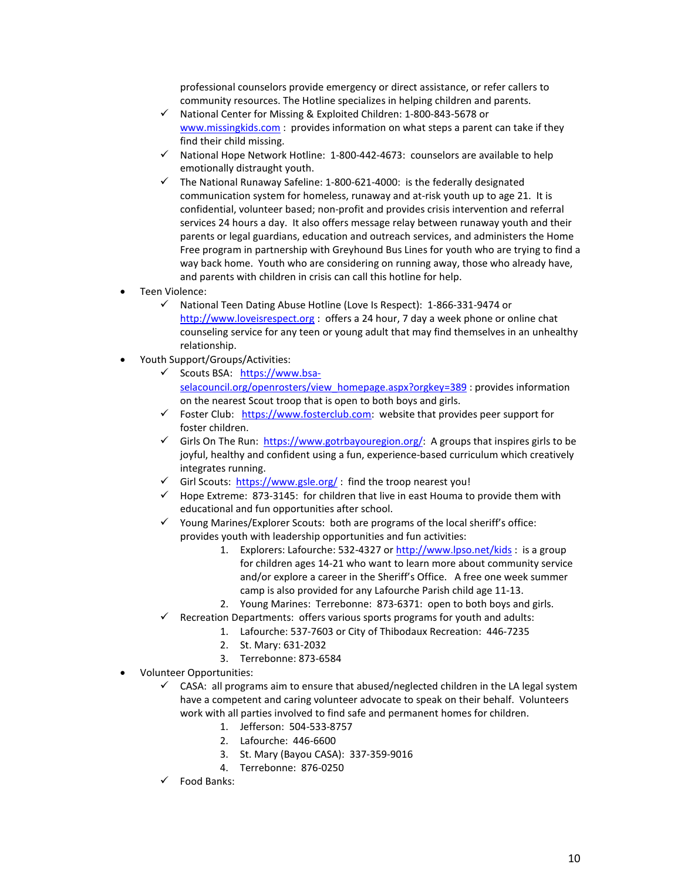professional counselors provide emergency or direct assistance, or refer callers to community resources. The Hotline specializes in helping children and parents.

- $\checkmark$  National Center for Missing & Exploited Children: 1-800-843-5678 or [www.missingkids.com](http://www.missingkids.com/) : provides information on what steps a parent can take if they find their child missing.
- $\checkmark$  National Hope Network Hotline: 1-800-442-4673: counselors are available to help emotionally distraught youth.
- $\checkmark$  The National Runaway Safeline: 1-800-621-4000: is the federally designated communication system for homeless, runaway and at-risk youth up to age 21. It is confidential, volunteer based; non-profit and provides crisis intervention and referral services 24 hours a day. It also offers message relay between runaway youth and their parents or legal guardians, education and outreach services, and administers the Home Free program in partnership with Greyhound Bus Lines for youth who are trying to find a way back home. Youth who are considering on running away, those who already have, and parents with children in crisis can call this hotline for help.
- Teen Violence:
	- $\checkmark$  National Teen Dating Abuse Hotline (Love Is Respect): 1-866-331-9474 or [http://www.loveisrespect.org](http://www.loveisrespect.org/) : offers a 24 hour, 7 day a week phone or online chat counseling service for any teen or young adult that may find themselves in an unhealthy relationship.
- Youth Support/Groups/Activities:
	- Scouts BSA: [https://www.bsa](https://www.bsa-selacouncil.org/openrosters/view_homepage.aspx?orgkey=389)[selacouncil.org/openrosters/view\\_homepage.aspx?orgkey=389](https://www.bsa-selacouncil.org/openrosters/view_homepage.aspx?orgkey=389) : provides information on the nearest Scout troop that is open to both boys and girls.
	- $\checkmark$  Foster Club: [https://www.fosterclub.com:](https://www.fosterclub.com/) website that provides peer support for foster children.
	- Girls On The Run: [https://www.gotrbayouregion.org/:](https://www.gotrbayouregion.org/) A groups that inspires girls to be joyful, healthy and confident using a fun, experience-based curriculum which creatively integrates running.
	- Girl Scouts:<https://www.gsle.org/>: find the troop nearest you!
	- $\checkmark$  Hope Extreme: 873-3145: for children that live in east Houma to provide them with educational and fun opportunities after school.
	- $\checkmark$  Young Marines/Explorer Scouts: both are programs of the local sheriff's office: provides youth with leadership opportunities and fun activities:
		- 1. Explorers: Lafourche: 532-4327 or<http://www.lpso.net/kids> : is a group for children ages 14-21 who want to learn more about community service and/or explore a career in the Sheriff's Office. A free one week summer camp is also provided for any Lafourche Parish child age 11-13.
		- 2. Young Marines: Terrebonne: 873-6371: open to both boys and girls.
	- $\checkmark$  Recreation Departments: offers various sports programs for youth and adults:
		- 1. Lafourche: 537-7603 or City of Thibodaux Recreation: 446-7235
		- 2. St. Mary: 631-2032
		- 3. Terrebonne: 873-6584
- Volunteer Opportunities:
	- $\checkmark$  CASA: all programs aim to ensure that abused/neglected children in the LA legal system have a competent and caring volunteer advocate to speak on their behalf. Volunteers work with all parties involved to find safe and permanent homes for children.
		- 1. Jefferson: 504-533-8757
		- 2. Lafourche: 446-6600
		- 3. St. Mary (Bayou CASA): 337-359-9016
		- 4. Terrebonne: 876-0250
	- Food Banks: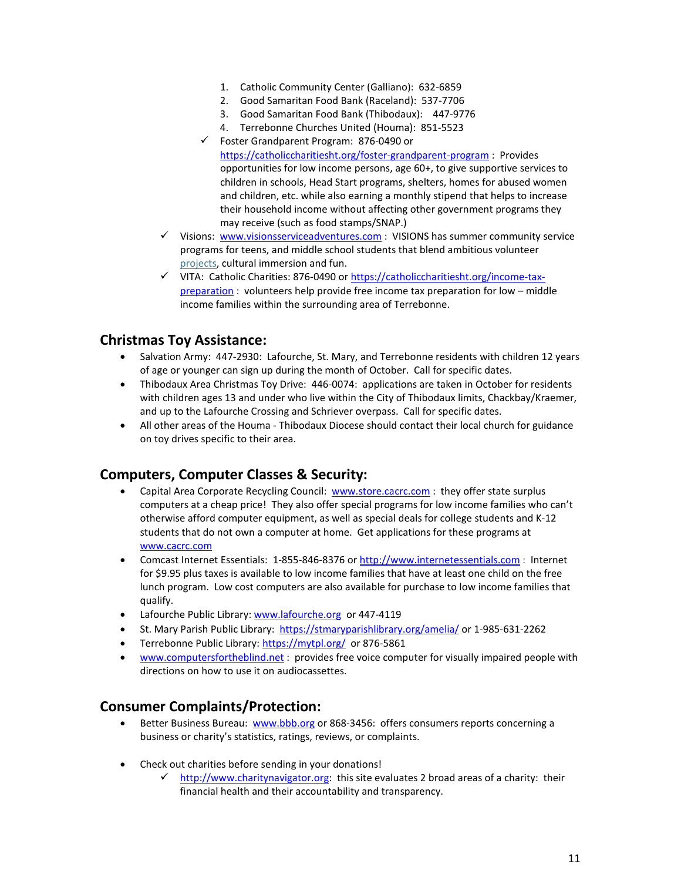- 1. Catholic Community Center (Galliano): 632-6859
- 2. Good Samaritan Food Bank (Raceland): 537-7706
- 3. Good Samaritan Food Bank (Thibodaux): 447-9776
- 4. Terrebonne Churches United (Houma): 851-5523
- Foster Grandparent Program: 876-0490 or <https://catholiccharitiesht.org/foster-grandparent-program> : Provides opportunities for low income persons, age 60+, to give supportive services to children in schools, Head Start programs, shelters, homes for abused women and children, etc. while also earning a monthly stipend that helps to increase their household income without affecting other government programs they may receive (such as food stamps/SNAP.)
- $\checkmark$  Visions: [www.visionsserviceadventures.com](http://www.visionsserviceadventures.com/): VISIONS has summer community service [programs for teens,](http://www.visionsserviceadventures.com/teen-summer-camp-programs.html) and [middle school students](http://www.visionsserviceadventures.com/teen-summer-camp-programs.html#middle-school) that blend ambitious volunteer [projects,](http://www.visionsserviceadventures.com/program-details/projects.html) cultural immersion and fun.
- VITA: Catholic Charities: 876-0490 or [https://catholiccharitiesht.org/income-tax](https://catholiccharitiesht.org/income-tax-preparation)[preparation](https://catholiccharitiesht.org/income-tax-preparation) : volunteers help provide free income tax preparation for low – middle income families within the surrounding area of Terrebonne.

## **Christmas Toy Assistance:**

- Salvation Army: 447-2930: Lafourche, St. Mary, and Terrebonne residents with children 12 years of age or younger can sign up during the month of October. Call for specific dates.
- Thibodaux Area Christmas Toy Drive: 446-0074: applications are taken in October for residents with children ages 13 and under who live within the City of Thibodaux limits, Chackbay/Kraemer, and up to the Lafourche Crossing and Schriever overpass. Call for specific dates.
- All other areas of the Houma Thibodaux Diocese should contact their local church for guidance on toy drives specific to their area.

## **Computers, Computer Classes & Security:**

- Capital Area Corporate Recycling Council: [www.store.cacrc.com](http://www.store.cacrc.com/) : they offer state surplus computers at a cheap price! They also offer special programs for low income families who can't otherwise afford computer equipment, as well as special deals for college students and K-12 students that do not own a computer at home. Get applications for these programs at [www.cacrc.com](http://www.cacrc.com/)
- Comcast Internet Essentials: 1-855-846-8376 o[r http://www.internetessentials.com](http://www.internetessentials.com/) : Internet for \$9.95 plus taxes is available to low income families that have at least one child on the free lunch program. Low cost computers are also available for purchase to low income families that qualify.
- Lafourche Public Library[: www.lafourche.org](http://www.lafourche.org/) or 447-4119
- St. Mary Parish Public Library:<https://stmaryparishlibrary.org/amelia/> or 1-985-631-2262
- Terrebonne Public Library: <https://mytpl.org/> or 876-5861
- [www.computersfortheblind.net](http://www.computersfortheblind.net/) : provides free voice computer for visually impaired people with directions on how to use it on audiocassettes.

## **Consumer Complaints/Protection:**

- Better Business Bureau: [www.bbb.org](http://www.bbb.org/) or 868-3456: offers consumers reports concerning a business or charity's statistics, ratings, reviews, or complaints.
- Check out charities before sending in your donations!
	- $\checkmark$  [http://www.charitynavigator.org:](http://www.charitynavigator.org/) this site evaluates 2 broad areas of a charity: their financial health and their accountability and transparency.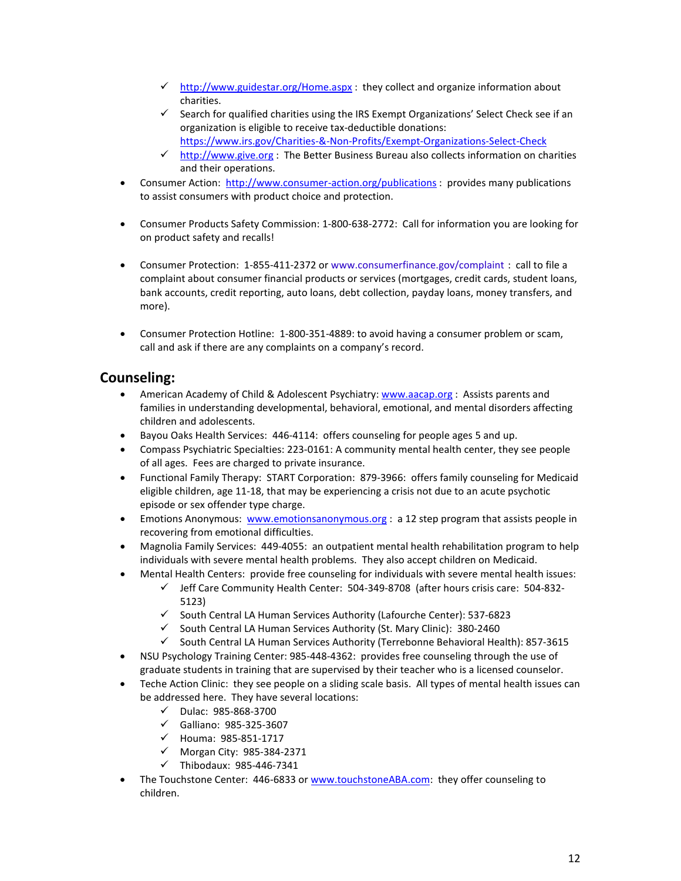- $\checkmark$  <http://www.guidestar.org/Home.aspx> : they collect and organize information about charities.
- $\checkmark$  Search for qualified charities using the IRS Exempt Organizations' Select Check see if an organization is eligible to receive tax-deductible donations: <https://www.irs.gov/Charities-&-Non-Profits/Exempt-Organizations-Select-Check>
- $\checkmark$  [http://www.give.org](http://www.give.org/) : The Better Business Bureau also collects information on charities and their operations.
- Consumer Action: <http://www.consumer-action.org/publications> : provides many publications to assist consumers with product choice and protection.
- Consumer Products Safety Commission: 1-800-638-2772: Call for information you are looking for on product safety and recalls!
- Consumer Protection: 1-855-411-2372 or [www.consumerfinance.gov/complaint](http://www.consumerfinance.gov/complaint) : call to file a complaint about consumer financial products or services (mortgages, credit cards, student loans, bank accounts, credit reporting, auto loans, debt collection, payday loans, money transfers, and more).
- Consumer Protection Hotline: 1-800-351-4889: to avoid having a consumer problem or scam, call and ask if there are any complaints on a company's record.

## **Counseling:**

- American Academy of Child & Adolescent Psychiatry: [www.aacap.org](http://www.aacap.org/) : Assists parents and families in understanding developmental, behavioral, emotional, and mental disorders affecting children and adolescents.
- Bayou Oaks Health Services: 446-4114: offers counseling for people ages 5 and up.
- Compass Psychiatric Specialties: 223-0161: A community mental health center, they see people of all ages. Fees are charged to private insurance.
- Functional Family Therapy: START Corporation: 879-3966: offers family counseling for Medicaid eligible children, age 11-18, that may be experiencing a crisis not due to an acute psychotic episode or sex offender type charge.
- Emotions Anonymous: [www.emotionsanonymous.org](http://www.emotionsanonymous.org/) : a 12 step program that assists people in recovering from emotional difficulties.
- Magnolia Family Services: 449-4055: an outpatient mental health rehabilitation program to help individuals with severe mental health problems. They also accept children on Medicaid.
- Mental Health Centers: provide free counseling for individuals with severe mental health issues:
	- $\checkmark$  Jeff Care Community Health Center: 504-349-8708 (after hours crisis care: 504-832-5123)
	- $\checkmark$  South Central LA Human Services Authority (Lafourche Center): 537-6823
	- $\checkmark$  South Central LA Human Services Authority (St. Mary Clinic): 380-2460
	- $\checkmark$  South Central LA Human Services Authority (Terrebonne Behavioral Health): 857-3615
- NSU Psychology Training Center: 985-448-4362: provides free counseling through the use of graduate students in training that are supervised by their teacher who is a licensed counselor.
- Teche Action Clinic: they see people on a sliding scale basis. All types of mental health issues can be addressed here. They have several locations:
	- $\nu$  Dulac: 985-868-3700
	- $\checkmark$  Galliano: 985-325-3607
	- $V$  Houma: 985-851-1717
	- $\checkmark$  Morgan City: 985-384-2371
	- $\checkmark$  Thibodaux: 985-446-7341
- The Touchstone Center: 446-6833 o[r www.touchstoneABA.com:](http://www.touchstoneaba.com/) they offer counseling to children.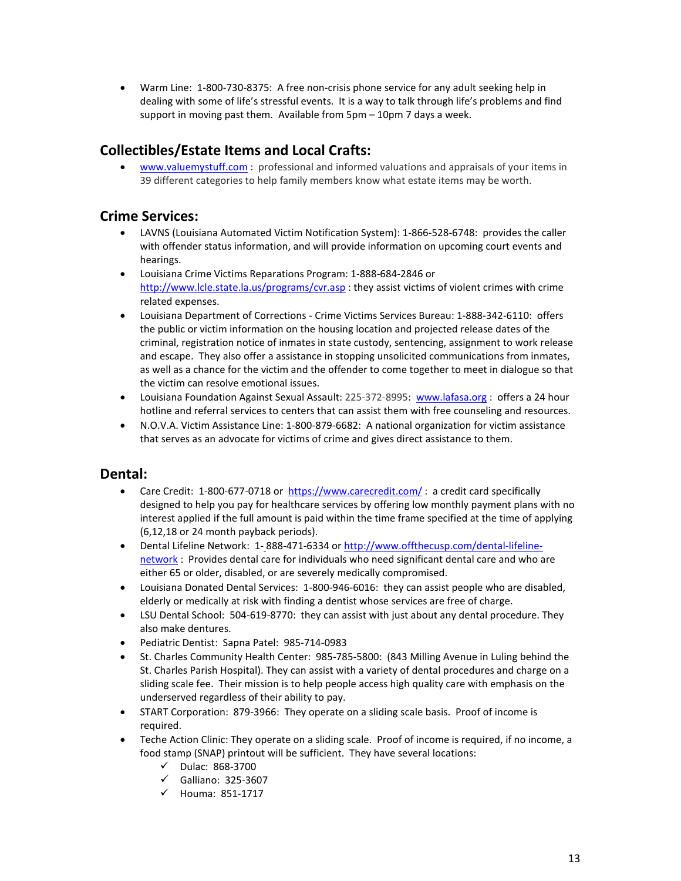• Warm Line: 1-800-730-8375: A free non-crisis phone service for any adult seeking help in dealing with some of life's stressful events. It is a way to talk through life's problems and find support in moving past them. Available from 5pm – 10pm 7 days a week.

# **Collectibles/Estate Items and Local Crafts:**

• [www.valuemystuff.com](http://www.valuemystuff.com/) : professional and informed valuations and appraisals of your items in 39 different categories to help family members know what estate items may be worth.

## **Crime Services:**

- LAVNS (Louisiana Automated Victim Notification System): 1-866-528-6748: provides the caller with offender status information, and will provide information on upcoming court events and hearings.
- Louisiana Crime Victims Reparations Program: 1-888-684-2846 or <http://www.lcle.state.la.us/programs/cvr.asp> : they assist victims of violent crimes with crime related expenses.
- Louisiana Department of Corrections Crime Victims Services Bureau: 1-888-342-6110: offers the public or victim information on the housing location and projected release dates of the criminal, registration notice of inmates in state custody, sentencing, assignment to work release and escape. They also offer a assistance in stopping unsolicited communications from inmates, as well as a chance for the victim and the offender to come together to meet in dialogue so that the victim can resolve emotional issues.
- Louisiana Foundation Against Sexual Assault: 225-372-8995: [www.lafasa.org](http://www.lafasa.org/) : offers a 24 hour hotline and referral services to centers that can assist them with free counseling and resources.
- N.O.V.A. Victim Assistance Line: 1-800-879-6682: A national organization for victim assistance that serves as an advocate for victims of crime and gives direct assistance to them.

## **Dental:**

- Care Credit: 1-800-677-0718 or<https://www.carecredit.com/>: a credit card specifically designed to help you pay for healthcare services by offering low monthly payment plans with no interest applied if the full amount is paid within the time frame specified at the time of applying (6,12,18 or 24 month payback periods).
- Dental Lifeline Network: 1- 888-471-6334 or [http://www.offthecusp.com/dental-lifeline](http://www.offthecusp.com/dental-lifeline-network)[network](http://www.offthecusp.com/dental-lifeline-network) : Provides dental care for individuals who need significant dental care and who are either 65 or older, disabled, or are severely medically compromised.
- Louisiana Donated Dental Services: 1-800-946-6016: they can assist people who are disabled, elderly or medically at risk with finding a dentist whose services are free of charge.
- LSU Dental School: 504-619-8770: they can assist with just about any dental procedure. They also make dentures.
- Pediatric Dentist: Sapna Patel: 985-714-0983
- St. Charles Community Health Center: 985-785-5800: (843 Milling Avenue in Luling behind the St. Charles Parish Hospital). They can assist with a variety of dental procedures and charge on a sliding scale fee. Their mission is to help people access high quality care with emphasis on the underserved regardless of their ability to pay.
- START Corporation: 879-3966: They operate on a sliding scale basis. Proof of income is required.
- Teche Action Clinic: They operate on a sliding scale. Proof of income is required, if no income, a food stamp (SNAP) printout will be sufficient. They have several locations:
	- $\checkmark$  Dulac: 868-3700
	- $\checkmark$  Galliano: 325-3607
	- $\checkmark$  Houma: 851-1717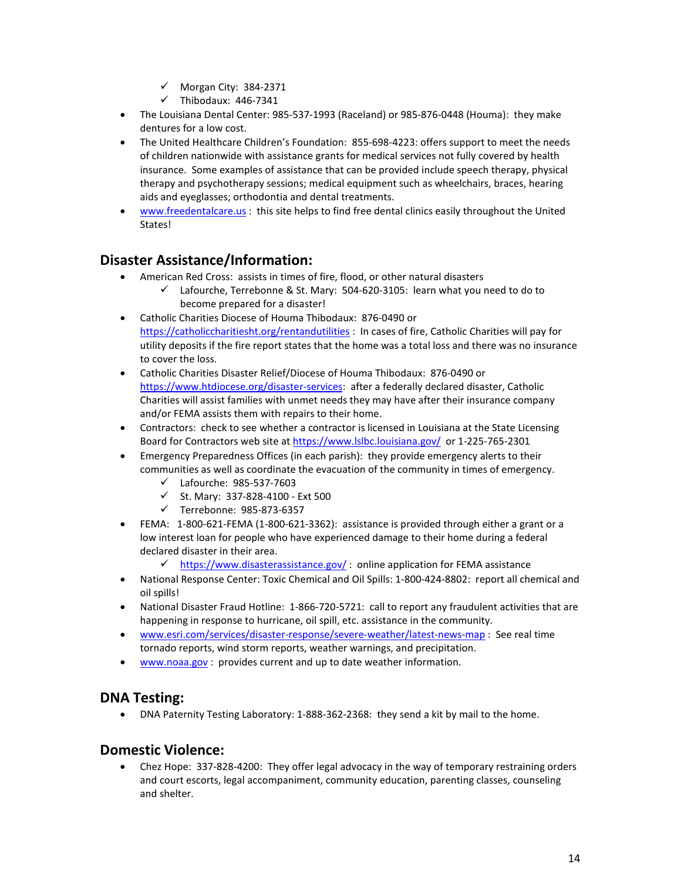- $\checkmark$  Morgan City: 384-2371
- $\checkmark$  Thibodaux: 446-7341
- The Louisiana Dental Center: 985-537-1993 (Raceland) or 985-876-0448 (Houma): they make dentures for a low cost.
- The United Healthcare Children's Foundation: 855-698-4223: offers support to meet the needs of children nationwide with assistance grants for medical services not fully covered by health insurance. Some examples of assistance that can be provided include speech therapy, physical therapy and psychotherapy sessions; medical equipment such as wheelchairs, braces, hearing aids and eyeglasses; orthodontia and dental treatments.
- [www.freedentalcare.us](http://www.freedentalcare.us/) : this site helps to find free dental clinics easily throughout the United States!

## **Disaster Assistance/Information:**

- American Red Cross: assists in times of fire, flood, or other natural disasters
	- $\checkmark$  Lafourche, Terrebonne & St. Mary: 504-620-3105: learn what you need to do to become prepared for a disaster!
- Catholic Charities Diocese of Houma Thibodaux: 876-0490 or <https://catholiccharitiesht.org/rentandutilities> : In cases of fire, Catholic Charities will pay for utility deposits if the fire report states that the home was a total loss and there was no insurance to cover the loss.
- Catholic Charities Disaster Relief/Diocese of Houma Thibodaux: 876-0490 or [https://www.htdiocese.org/disaster-services:](https://www.htdiocese.org/disaster-services) after a federally declared disaster, Catholic Charities will assist families with unmet needs they may have after their insurance company and/or FEMA assists them with repairs to their home.
- Contractors: check to see whether a contractor is licensed in Louisiana at the State Licensing Board for Contractors web site at <https://www.lslbc.louisiana.gov/> or 1-225-765-2301
- Emergency Preparedness Offices (in each parish): they provide emergency alerts to their communities as well as coordinate the evacuation of the community in times of emergency.
	- Lafourche: 985-537-7603
	- $\checkmark$  St. Mary: 337-828-4100 Ext 500
	- $\checkmark$  Terrebonne: 985-873-6357
- FEMA: 1-800-621-FEMA (1-800-621-3362): assistance is provided through either a grant or a low interest loan for people who have experienced damage to their home during a federal declared disaster in their area.
	- $\checkmark$  <https://www.disasterassistance.gov/>: online application for FEMA assistance
- National Response Center: Toxic Chemical and Oil Spills: 1-800-424-8802: report all chemical and oil spills!
- National Disaster Fraud Hotline: 1-866-720-5721: call to report any fraudulent activities that are happening in response to hurricane, oil spill, etc. assistance in the community.
- [www.esri.com/services/disaster-response/severe-weather/latest-news-map](http://www.esri.com/services/disaster-response/severe-weather/latest-news-map) : See real time tornado reports, wind storm reports, weather warnings, and precipitation.
- [www.noaa.gov](http://www.noaa.gov/) : provides current and up to date weather information.

## **DNA Testing:**

• DNA Paternity Testing Laboratory: 1-888-362-2368: they send a kit by mail to the home.

## **Domestic Violence:**

• Chez Hope: 337-828-4200: They offer legal advocacy in the way of temporary restraining orders and court escorts, legal accompaniment, community education, parenting classes, counseling and shelter.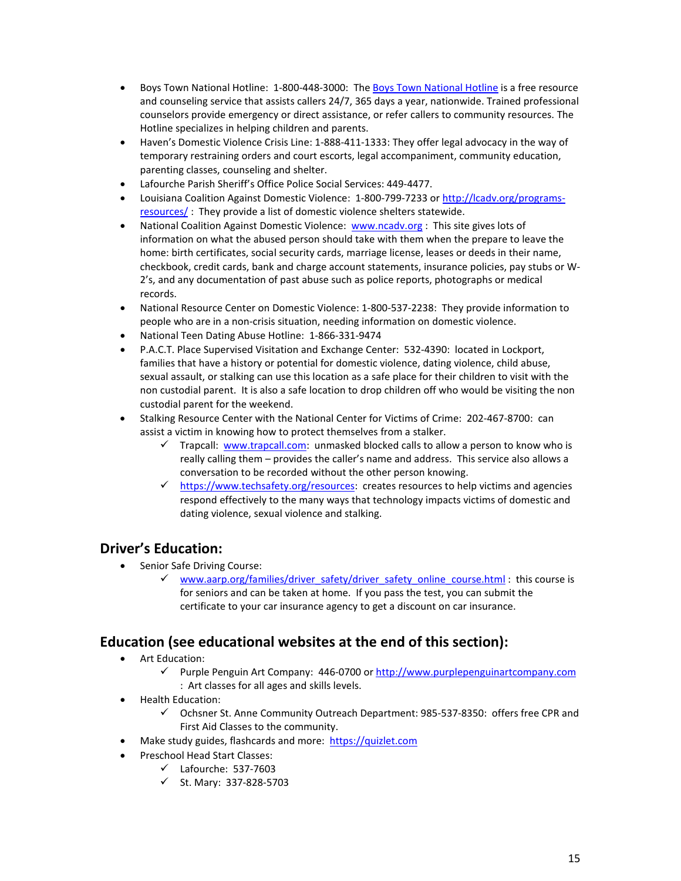- Boys Town National Hotline: 1-800-448-3000: Th[e Boys Town National Hotline](http://www.boystown.org/national-hotline) is a free resource and counseling service that assists callers 24/7, 365 days a year, nationwide. Trained professional counselors provide emergency or direct assistance, or refer callers to community resources. The Hotline specializes in helping children and parents.
- Haven's Domestic Violence Crisis Line: 1-888-411-1333: They offer legal advocacy in the way of temporary restraining orders and court escorts, legal accompaniment, community education, parenting classes, counseling and shelter.
- Lafourche Parish Sheriff's Office Police Social Services: 449-4477.
- Louisiana Coalition Against Domestic Violence: 1-800-799-7233 or [http://lcadv.org/programs](http://lcadv.org/programs-resources/)[resources/](http://lcadv.org/programs-resources/) : They provide a list of domestic violence shelters statewide.
- National Coalition Against Domestic Violence: [www.ncadv.org](http://www.ncadv.org/) : This site gives lots of information on what the abused person should take with them when the prepare to leave the home: birth certificates, social security cards, marriage license, leases or deeds in their name, checkbook, credit cards, bank and charge account statements, insurance policies, pay stubs or W-2's, and any documentation of past abuse such as police reports, photographs or medical records.
- National Resource Center on Domestic Violence: 1-800-537-2238: They provide information to people who are in a non-crisis situation, needing information on domestic violence.
- National Teen Dating Abuse Hotline: 1-866-331-9474
- P.A.C.T. Place Supervised Visitation and Exchange Center: 532-4390: located in Lockport, families that have a history or potential for domestic violence, dating violence, child abuse, sexual assault, or stalking can use this location as a safe place for their children to visit with the non custodial parent. It is also a safe location to drop children off who would be visiting the non custodial parent for the weekend.
- Stalking Resource Center with the National Center for Victims of Crime: 202-467-8700: can assist a victim in knowing how to protect themselves from a stalker.
	- Trapcall: [www.trapcall.com:](http://www.trapcall.com/) unmasked blocked calls to allow a person to know who is really calling them – provides the caller's name and address. This service also allows a conversation to be recorded without the other person knowing.
	- $\checkmark$  [https://www.techsafety.org/resources:](https://www.techsafety.org/resources) creates resources to help victims and agencies respond effectively to the many ways that technology impacts victims of domestic and dating violence, sexual violence and stalking.

## **Driver's Education:**

- Senior Safe Driving Course:
	- [www.aarp.org/families/driver\\_safety/driver\\_safety\\_online\\_course.html](http://www.aarp.org/families/driver_safety/driver_safety_online_course.html) :\_ this course is for seniors and can be taken at home. If you pass the test, you can submit the certificate to your car insurance agency to get a discount on car insurance.

## **Education (see educational websites at the end of this section):**

- Art Education:
	- $\checkmark$  Purple Penguin Art Company: 446-0700 or [http://www.purplepenguinartcompany.com](http://www.purplepenguinartcompany.com/) : Art classes for all ages and skills levels.
- Health Education:
	- $\checkmark$  Ochsner St. Anne Community Outreach Department: 985-537-8350: offers free CPR and First Aid Classes to the community.
- Make study guides, flashcards and more: [https://quizlet.com](https://quizlet.com/)
- Preschool Head Start Classes:
	- $\checkmark$  Lafourche: 537-7603
	- $\checkmark$  St. Mary: 337-828-5703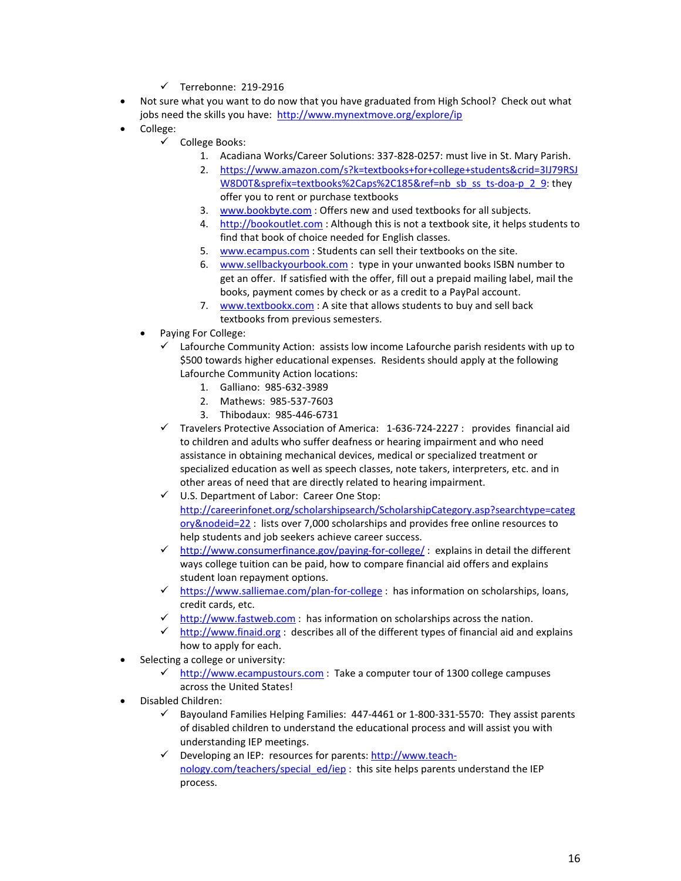- $\checkmark$  Terrebonne: 219-2916
- Not sure what you want to do now that you have graduated from High School? Check out what jobs need the skills you have: <http://www.mynextmove.org/explore/ip>
- College:
	- $\checkmark$  College Books:
		- 1. Acadiana Works/Career Solutions: 337-828-0257: must live in St. Mary Parish.
		- 2. [https://www.amazon.com/s?k=textbooks+for+college+students&crid=3IJ79RSJ](https://www.amazon.com/s?k=textbooks+for+college+students&crid=3IJ79RSJW8D0T&sprefix=textbooks%2Caps%2C185&ref=nb_sb_ss_ts-doa-p_2_9) [W8D0T&sprefix=textbooks%2Caps%2C185&ref=nb\\_sb\\_ss\\_ts-doa-p\\_2\\_9:](https://www.amazon.com/s?k=textbooks+for+college+students&crid=3IJ79RSJW8D0T&sprefix=textbooks%2Caps%2C185&ref=nb_sb_ss_ts-doa-p_2_9) they offer you to rent or purchase textbooks
		- 3. [www.bookbyte.com](http://www.bookbyte.com/) : Offers new and used textbooks for all subjects.
		- 4. [http://bookoutlet.com](http://bookoutlet.com/) : Although this is not a textbook site, it helps students to find that book of choice needed for English classes.
		- 5. [www.ecampus.com](http://www.ecampus.com/) : Students can sell their textbooks on the site.
		- 6. [www.sellbackyourbook.com](http://www.sellbackyourbook.com/) : type in your unwanted books ISBN number to get an offer. If satisfied with the offer, fill out a prepaid mailing label, mail the books, payment comes by check or as a credit to a PayPal account.
		- 7. [www.textbookx.com](http://www.textbookx.com/) : A site that allows students to buy and sell back textbooks from previous semesters.
	- Paying For College:
		- $\checkmark$  Lafourche Community Action: assists low income Lafourche parish residents with up to \$500 towards higher educational expenses. Residents should apply at the following Lafourche Community Action locations:
			- 1. Galliano: 985-632-3989
			- 2. Mathews: 985-537-7603
			- 3. Thibodaux: 985-446-6731
		- $\checkmark$  Travelers Protective Association of America: 1-636-724-2227 : provides financial aid to children and adults who suffer deafness or hearing impairment and who need assistance in obtaining mechanical devices, medical or specialized treatment or specialized education as well as speech classes, note takers, interpreters, etc. and in other areas of need that are directly related to hearing impairment.
		- U.S. Department of Labor: Career One Stop: [http://careerinfonet.org/scholarshipsearch/ScholarshipCategory.asp?searchtype=categ](http://careerinfonet.org/scholarshipsearch/ScholarshipCategory.asp?searchtype=category&nodeid=22) [ory&nodeid=22](http://careerinfonet.org/scholarshipsearch/ScholarshipCategory.asp?searchtype=category&nodeid=22) : lists over 7,000 scholarships and provides free online resources to help students and job seekers achieve career success.
		- $\checkmark$  <http://www.consumerfinance.gov/paying-for-college/>: explains in detail the different ways college tuition can be paid, how to compare financial aid offers and explains student loan repayment options.
		- $\checkmark$  <https://www.salliemae.com/plan-for-college> : has information on scholarships, loans, credit cards, etc.
		- $\checkmark$  [http://www.fastweb.com](http://www.fastweb.com/) : has information on scholarships across the nation.
		- $\checkmark$  [http://www.finaid.org](http://www.finaid.org/) : describes all of the different types of financial aid and explains how to apply for each.
- Selecting a college or university:
	- $\checkmark$  [http://www.ecampustours.com](http://www.ecampustours.com/) : Take a computer tour of 1300 college campuses across the United States!
- Disabled Children:
	- Bayouland Families Helping Families: 447-4461 or 1-800-331-5570: They assist parents of disabled children to understand the educational process and will assist you with understanding IEP meetings.
	- $\checkmark$  Developing an IEP: resources for parents: [http://www.teach](http://www.teach-nology.com/teachers/special_ed/iep)nology.com/teachers/special ed/iep : this site helps parents understand the IEP process.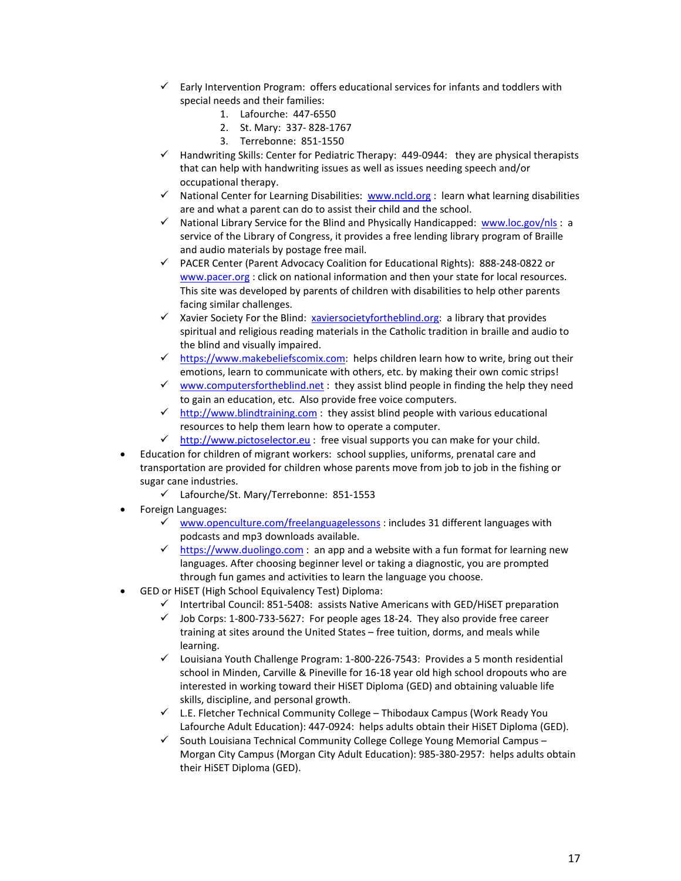- $\checkmark$  Early Intervention Program: offers educational services for infants and toddlers with special needs and their families:
	- 1. Lafourche: 447-6550
	- 2. St. Mary: 337- 828-1767
	- 3. Terrebonne: 851-1550
- $\checkmark$  Handwriting Skills: Center for Pediatric Therapy: 449-0944: they are physical therapists that can help with handwriting issues as well as issues needing speech and/or occupational therapy.
- $\checkmark$  National Center for Learning Disabilities: [www.ncld.org](http://www.ncld.org/) : learn what learning disabilities are and what a parent can do to assist their child and the school.
- $\checkmark$  National Library Service for the Blind and Physically Handicapped: [www.loc.gov/nls](http://www.loc.gov/nls): a service of the Library of Congress, it provides a free lending library program of Braille and audio materials by postage free mail.
- PACER Center (Parent Advocacy Coalition for Educational Rights): 888-248-0822 or [www.pacer.org](http://www.pacer.org/) : click on national information and then your state for local resources. This site was developed by parents of children with disabilities to help other parents facing similar challenges.
- $\checkmark$  Xavier Society For the Blind: [xaviersocietyfortheblind.org:](http://xaviersocietyfortheblind.org/) a library that provides spiritual and religious reading materials in the Catholic tradition in braille and audio to the blind and visually impaired.
- $\checkmark$  [https://www.makebeliefscomix.com:](https://www.makebeliefscomix.com/) helps children learn how to write, bring out their emotions, learn to communicate with others, etc. by making their own comic strips!
- $\checkmark$  [www.computersfortheblind.net](http://www.computersfortheblind.net/): they assist blind people in finding the help they need to gain an education, etc. Also provide free voice computers.
- $\checkmark$  [http://www.blindtraining.com](http://www.blindtraining.com/) : they assist blind people with various educational resources to help them learn how to operate a computer.
- $\checkmark$  [http://www.pictoselector.eu](http://www.pictoselector.eu/)</mark>: free visual supports you can make for your child.
- Education for children of migrant workers: school supplies, uniforms, prenatal care and transportation are provided for children whose parents move from job to job in the fishing or sugar cane industries.
	- Lafourche/St. Mary/Terrebonne: 851-1553
- Foreign Languages:
	- $\checkmark$  [www.openculture.com/freelanguagelessons](http://www.openculture.com/freelanguagelessons) : includes 31 different languages with podcasts and mp3 downloads available.
	- $\checkmark$  [https://www.duolingo.com](https://www.duolingo.com/) : an app and a website with a fun format for learning new languages. After choosing beginner level or taking a diagnostic, you are prompted through fun games and activities to learn the language you choose.
- GED or HiSET (High School Equivalency Test) Diploma:
	- $\checkmark$  Intertribal Council: 851-5408: assists Native Americans with GED/HiSET preparation
	- $\checkmark$  Job Corps: 1-800-733-5627: For people ages 18-24. They also provide free career training at sites around the United States – free tuition, dorms, and meals while learning.
	- $\checkmark$  Louisiana Youth Challenge Program: 1-800-226-7543: Provides a 5 month residential school in Minden, Carville & Pineville for 16-18 year old high school dropouts who are interested in working toward their HiSET Diploma (GED) and obtaining valuable life skills, discipline, and personal growth.
	- $\checkmark$  L.E. Fletcher Technical Community College Thibodaux Campus (Work Ready You Lafourche Adult Education): 447-0924: helps adults obtain their HiSET Diploma (GED).
	- $\checkmark$  South Louisiana Technical Community College College Young Memorial Campus Morgan City Campus (Morgan City Adult Education): 985-380-2957: helps adults obtain their HiSET Diploma (GED).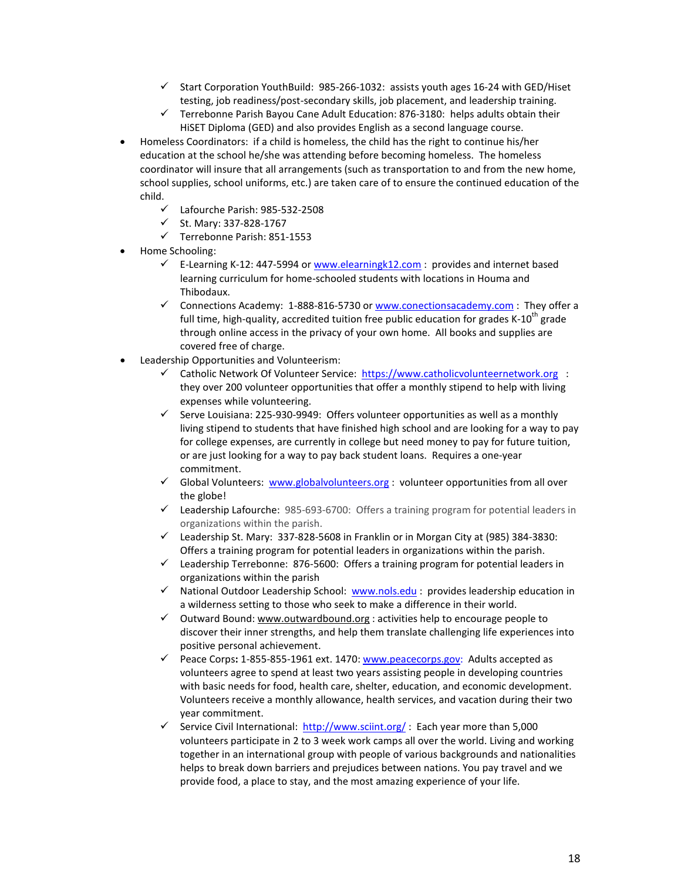- $\checkmark$  Start Corporation YouthBuild: 985-266-1032: assists youth ages 16-24 with GED/Hiset testing, job readiness/post-secondary skills, job placement, and leadership training.
- $\checkmark$  Terrebonne Parish Bayou Cane Adult Education: 876-3180: helps adults obtain their HiSET Diploma (GED) and also provides English as a second language course.
- Homeless Coordinators: if a child is homeless, the child has the right to continue his/her education at the school he/she was attending before becoming homeless. The homeless coordinator will insure that all arrangements (such as transportation to and from the new home, school supplies, school uniforms, etc.) are taken care of to ensure the continued education of the child.
	- Lafourche Parish: 985-532-2508
	- $\checkmark$  St. Mary: 337-828-1767
	- $\checkmark$  Terrebonne Parish: 851-1553
- Home Schooling:
	- E-Learning K-12: 447-5994 or [www.elearningk12.com](http://www.elearningk12.com/) : provides and internet based learning curriculum for home-schooled students with locations in Houma and Thibodaux.
	- $\checkmark$  Connections Academy: 1-888-816-5730 o[r www.conectionsacademy.com](http://www.conectionsacademy.com/) : They offer a full time, high-quality, accredited tuition free public education for grades  $K-10^{th}$  grade through online access in the privacy of your own home. All books and supplies are covered free of charge.
- Leadership Opportunities and Volunteerism:
	- Catholic Network Of Volunteer Service: [https://www.catholicvolunteernetwork.org](https://www.catholicvolunteernetwork.org/) : they over 200 volunteer opportunities that offer a monthly stipend to help with living expenses while volunteering.
	- $\checkmark$  Serve Louisiana: 225-930-9949: Offers volunteer opportunities as well as a monthly living stipend to students that have finished high school and are looking for a way to pay for college expenses, are currently in college but need money to pay for future tuition, or are just looking for a way to pay back student loans. Requires a one-year commitment.
	- $\checkmark$  Global Volunteers: [www.globalvolunteers.org](http://www.globalvolunteers.org/) : volunteer opportunities from all over the globe!
	- $\checkmark$  Leadership Lafourche: 985-693-6700: Offers a training program for potential leaders in organizations within the parish.
	- $\checkmark$  Leadership St. Mary: 337-828-5608 in Franklin or in Morgan City at (985) 384-3830: Offers a training program for potential leaders in organizations within the parish.
	- Leadership Terrebonne:876-5600: Offers a training program for potential leaders in organizations within the parish
	- $\checkmark$  National Outdoor Leadership School: [www.nols.edu](http://www.nols.edu/): provides leadership education in a wilderness setting to those who seek to make a difference in their world.
	- $\checkmark$  Outward Bound[: www.outwardbound.org](http://www.outwardbound.org/) : activities help to encourage people to discover their inner strengths, and help them translate challenging life experiences into positive personal achievement.
	- Peace Corps**:** 1-855-855-1961 ext. 1470[: www.peacecorps.gov:](http://www.peacecorps.gov/) Adults accepted as volunteers agree to spend at least two years assisting people in developing countries with basic needs for food, health care, shelter, education, and economic development. Volunteers receive a monthly allowance, health services, and vacation during their two year commitment.
	- √ Service Civil International:<http://www.sciint.org/> : Each year more than 5,000 volunteers participate in 2 to 3 week work camps all over the world. Living and working together in an international group with people of various backgrounds and nationalities helps to break down barriers and prejudices between nations. You pay travel and we provide food, a place to stay, and the most amazing experience of your life.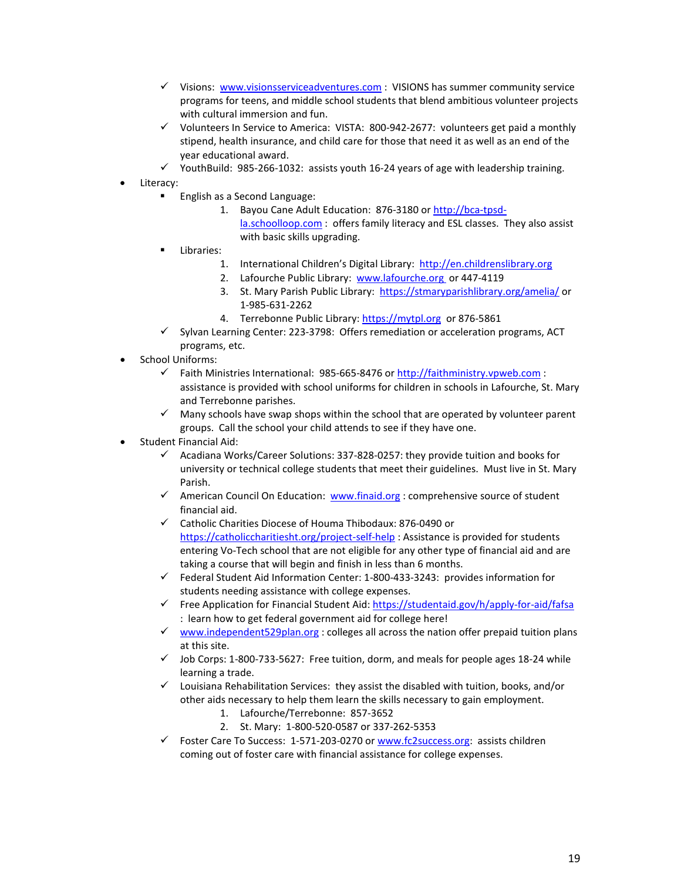- $\checkmark$  Visions: [www.visionsserviceadventures.com](http://www.visionsserviceadventures.com/) : VISIONS has summer community service [programs for teens,](http://www.visionsserviceadventures.com/teen-summer-camp-programs.html) and [middle school students](http://www.visionsserviceadventures.com/teen-summer-camp-programs.html#middle-school) that blend ambitious volunteer projects with cultural immersion and fun.
- $\checkmark$  Volunteers In Service to America: VISTA: 800-942-2677: volunteers get paid a monthly stipend, health insurance, and child care for those that need it as well as an end of the year educational award.
- $\checkmark$  YouthBuild: 985-266-1032: assists youth 16-24 years of age with leadership training.
- Literacy:
	- **English as a Second Language:** 
		- 1. Bayou Cane Adult Education: 876-3180 or [http://bca-tpsd](http://bca-tpsd-la.schoolloop.com/)[la.schoolloop.com](http://bca-tpsd-la.schoolloop.com/) : offers family literacy and ESL classes. They also assist with basic skills upgrading.
	- Libraries:
		- 1. International Children's Digital Library: [http://en.childrenslibrary.org](http://en.childrenslibrary.org/)
		- 2. Lafourche Public Library: [www.lafourche.org](http://www.lafourche.org/) or 447-4119
		- 3. St. Mary Parish Public Library:<https://stmaryparishlibrary.org/amelia/> or 1-985-631-2262
		- 4. Terrebonne Public Library: [https://mytpl.org](https://mytpl.org/) or 876-5861
	- $\checkmark$  Sylvan Learning Center: 223-3798: Offers remediation or acceleration programs, ACT programs, etc.
- School Uniforms:
	- Faith Ministries International: 985-665-8476 or [http://faithministry.vpweb.com](http://faithministry.vpweb.com/) : assistance is provided with school uniforms for children in schools in Lafourche, St. Mary and Terrebonne parishes.
	- $\checkmark$  Many schools have swap shops within the school that are operated by volunteer parent groups. Call the school your child attends to see if they have one.
- Student Financial Aid:
	- $\checkmark$  Acadiana Works/Career Solutions: 337-828-0257: they provide tuition and books for university or technical college students that meet their guidelines. Must live in St. Mary Parish.
	- American Council On Education: [www.finaid.org](http://www.finaid.org/) : comprehensive source of student financial aid.
	- Catholic Charities Diocese of Houma Thibodaux: 876-0490 or <https://catholiccharitiesht.org/project-self-help> : Assistance is provided for students entering Vo-Tech school that are not eligible for any other type of financial aid and are taking a course that will begin and finish in less than 6 months.
	- $\checkmark$  Federal Student Aid Information Center: 1-800-433-3243: provides information for students needing assistance with college expenses.
	- Free Application for Financial Student Aid: https://studentaid.gov/h/apply-for-aid/fafsa : learn how to get federal government aid for college here!
	- $\checkmark$  [www.independent529plan.org](http://www.independent529plan.org/) : colleges all across the nation offer prepaid tuition plans at this site.
	- $\checkmark$  Job Corps: 1-800-733-5627: Free tuition, dorm, and meals for people ages 18-24 while learning a trade.
	- $\checkmark$  Louisiana Rehabilitation Services: they assist the disabled with tuition, books, and/or other aids necessary to help them learn the skills necessary to gain employment.
		- 1. Lafourche/Terrebonne: 857-3652
		- 2. St. Mary: 1-800-520-0587 or 337-262-5353
	- Foster Care To Success: 1-571-203-0270 o[r www.fc2success.org:](http://www.fc2success.org/) assists children coming out of foster care with financial assistance for college expenses.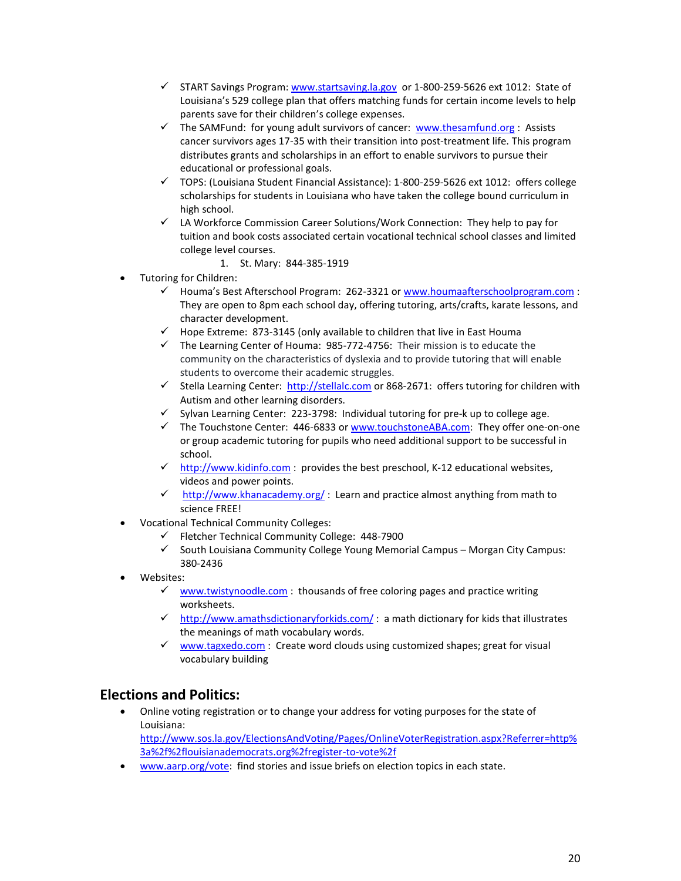- $\checkmark$  START Savings Program: [www.startsaving.la.gov](http://www.startsaving.la.gov/) or 1-800-259-5626 ext 1012: State of Louisiana's 529 college plan that offers matching funds for certain income levels to help parents save for their children's college expenses.
- The SAMFund: for young adult survivors of cancer: [www.thesamfund.org](http://www.thesamfund.org/): Assists cancer survivors ages 17-35 with their transition into post-treatment life. This program distributes grants and scholarships in an effort to enable survivors to pursue their educational or professional goals.
- $\checkmark$  TOPS: (Louisiana Student Financial Assistance): 1-800-259-5626 ext 1012: offers college scholarships for students in Louisiana who have taken the college bound curriculum in high school.
- LA Workforce Commission Career Solutions/Work Connection: They help to pay for tuition and book costs associated certain vocational technical school classes and limited college level courses.
	- 1. St. Mary: 844-385-1919
- Tutoring for Children:
	- Houma's Best Afterschool Program: 262-3321 or [www.houmaafterschoolprogram.com](http://www.houmaafterschoolprogram.com/) : They are open to 8pm each school day, offering tutoring, arts/crafts, karate lessons, and character development.
	- $\checkmark$  Hope Extreme: 873-3145 (only available to children that live in East Houma
	- $\checkmark$  The Learning Center of Houma: 985-772-4756: Their mission is to educate the community on the characteristics of dyslexia and to provide tutoring that will enable students to overcome their academic struggles.
	- Stella Learning Center: [http://stellalc.com](http://stellalc.com/) or 868-2671: offers tutoring for children with Autism and other learning disorders.
	- $\checkmark$  Sylvan Learning Center: 223-3798: Individual tutoring for pre-k up to college age.
	- The Touchstone Center:  $446-6833$  or [www.touchstoneABA.com:](http://www.touchstoneaba.com/) They offer one-on-one or group academic tutoring for pupils who need additional support to be successful in school.
	- $\checkmark$  [http://www.kidinfo.com](http://www.kidinfo.com/) : provides the best preschool, K-12 educational websites, videos and power points.
	- $\checkmark$  <http://www.khanacademy.org/>: Learn and practice almost anything from math to science FREE!
- Vocational Technical Community Colleges:
	- $\checkmark$  Fletcher Technical Community College: 448-7900
	- $\checkmark$  South Louisiana Community College Young Memorial Campus Morgan City Campus: 380-2436
- Websites:
	- $\checkmark$  [www.twistynoodle.com](http://www.twistynoodle.com/): thousands of free coloring pages and practice writing worksheets.
	- $\checkmark$  <http://www.amathsdictionaryforkids.com/>: a math dictionary for kids that illustrates the meanings of math vocabulary words.
	- $\checkmark$  [www.tagxedo.com](http://www.tagxedo.com/) : Create word clouds using customized shapes; great for visual vocabulary building

## **Elections and Politics:**

- Online voting registration or to change your address for voting purposes for the state of Louisiana: [http://www.sos.la.gov/ElectionsAndVoting/Pages/OnlineVoterRegistration.aspx?Referrer=http%](http://www.sos.la.gov/ElectionsAndVoting/Pages/OnlineVoterRegistration.aspx?Referrer=http%3a%2f%2flouisianademocrats.org%2fregister-to-vote%2f) [3a%2f%2flouisianademocrats.org%2fregister-to-vote%2f](http://www.sos.la.gov/ElectionsAndVoting/Pages/OnlineVoterRegistration.aspx?Referrer=http%3a%2f%2flouisianademocrats.org%2fregister-to-vote%2f)
- [www.aarp.org/vote:](http://www.aarp.org/vote) find stories and issue briefs on election topics in each state.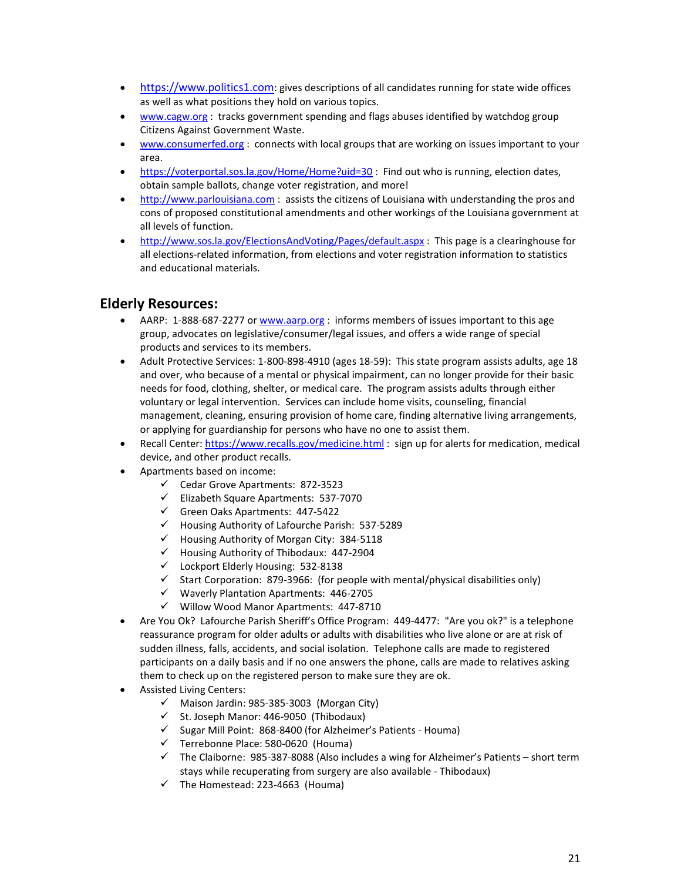- [https://www.politics1.com:](https://www.politics1.com/) gives descriptions of all candidates running for state wide offices as well as what positions they hold on various topics.
- [www.cagw.org](http://www.cagw.org/): tracks government spending and flags abuses identified by watchdog group Citizens Against Government Waste.
- [www.consumerfed.org](http://www.consumerfed.org/) : connects with local groups that are working on issues important to your area.
- <https://voterportal.sos.la.gov/Home/Home?uid=30> : Find out who is running, election dates, obtain sample ballots, change voter registration, and more!
- [http://www.parlouisiana.com](http://www.parlouisiana.com/) : assists the citizens of Louisiana with understanding the pros and cons of proposed constitutional amendments and other workings of the Louisiana government at all levels of function.
- <http://www.sos.la.gov/ElectionsAndVoting/Pages/default.aspx> : This page is a clearinghouse for all elections-related information, from elections and voter registration information to statistics and educational materials.

## **Elderly Resources:**

- AARP: 1-888-687-2277 o[r www.aarp.org](http://www.aarp.org/) : informs members of issues important to this age group, advocates on legislative/consumer/legal issues, and offers a wide range of special products and services to its members.
- Adult Protective Services: 1-800-898-4910 (ages 18-59): This state program assists adults, age 18 and over, who because of a mental or physical impairment, can no longer provide for their basic needs for food, clothing, shelter, or medical care. The program assists adults through either voluntary or legal intervention. Services can include home visits, counseling, financial management, cleaning, ensuring provision of home care, finding alternative living arrangements, or applying for guardianship for persons who have no one to assist them.
- Recall Center: <https://www.recalls.gov/medicine.html> : sign up for alerts for medication, medical device, and other product recalls.
- Apartments based on income:
	- $\checkmark$  Cedar Grove Apartments: 872-3523
	- $\checkmark$  Elizabeth Square Apartments: 537-7070
	- $\checkmark$  Green Oaks Apartments: 447-5422
	- $\checkmark$  Housing Authority of Lafourche Parish: 537-5289
	- $\checkmark$  Housing Authority of Morgan City: 384-5118
	- $\checkmark$  Housing Authority of Thibodaux: 447-2904
	- $\checkmark$  Lockport Elderly Housing: 532-8138
	- $\checkmark$  Start Corporation: 879-3966: (for people with mental/physical disabilities only)
	- $\checkmark$  Waverly Plantation Apartments: 446-2705
	- $\checkmark$  Willow Wood Manor Apartments: 447-8710
- Are You Ok? Lafourche Parish Sheriff's Office Program: 449-4477: "Are you ok?" is a telephone reassurance program for older adults or adults with disabilities who live alone or are at risk of sudden illness, falls, accidents, and social isolation. Telephone calls are made to registered participants on a daily basis and if no one answers the phone, calls are made to relatives asking them to check up on the registered person to make sure they are ok.
- Assisted Living Centers:
	- $\checkmark$  Maison Jardin: 985-385-3003 (Morgan City)
	- $\checkmark$  St. Joseph Manor: 446-9050 (Thibodaux)
	- $\checkmark$  Sugar Mill Point: 868-8400 (for Alzheimer's Patients Houma)
	- $\checkmark$  Terrebonne Place: 580-0620 (Houma)
	- $\checkmark$  The Claiborne: 985-387-8088 (Also includes a wing for Alzheimer's Patients short term stays while recuperating from surgery are also available - Thibodaux)
	- $\checkmark$  The Homestead: 223-4663 (Houma)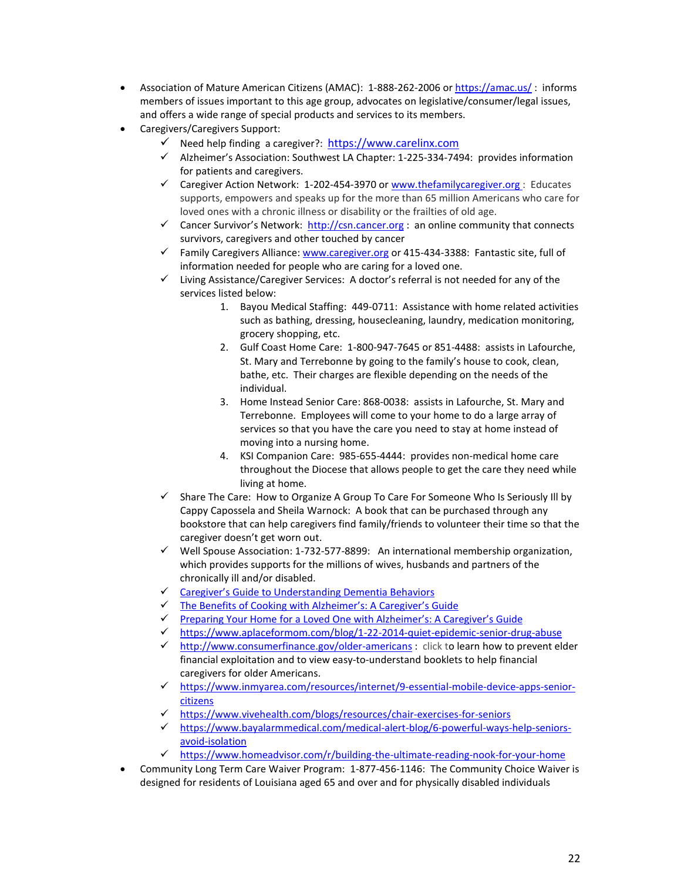- Association of Mature American Citizens (AMAC): 1-888-262-2006 or <https://amac.us/>: informs members of issues important to this age group, advocates on legislative/consumer/legal issues, and offers a wide range of special products and services to its members.
- Caregivers/Caregivers Support:
	- $\checkmark$  Need help finding a caregiver?: [https://www.carelinx.com](https://www.carelinx.com/)
	- $\checkmark$  Alzheimer's Association: Southwest LA Chapter: 1-225-334-7494: provides information for patients and caregivers.
	- $\checkmark$  Caregiver Action Network: 1-202-454-3970 or [www.thefamilycaregiver.org](http://www.thefamilycaregiver.org/) : Educates supports, empowers and speaks up for the more than 65 million Americans who care for loved ones with a chronic illness or disability or the frailties of old age.
	- Cancer Survivor's Network: [http://csn.cancer.org](http://csn.cancer.org/) : an online community that connects survivors, caregivers and other touched by cancer
	- $\checkmark$  Family Caregivers Alliance[: www.caregiver.org](http://www.caregiver.org/) or 415-434-3388: Fantastic site, full of information needed for people who are caring for a loved one.
	- $\checkmark$  Living Assistance/Caregiver Services: A doctor's referral is not needed for any of the services listed below:
		- 1. Bayou Medical Staffing: 449-0711: Assistance with home related activities such as bathing, dressing, housecleaning, laundry, medication monitoring, grocery shopping, etc.
		- 2. Gulf Coast Home Care: 1-800-947-7645 or 851-4488: assists in Lafourche, St. Mary and Terrebonne by going to the family's house to cook, clean, bathe, etc. Their charges are flexible depending on the needs of the individual.
		- 3. Home Instead Senior Care: 868-0038: assists in Lafourche, St. Mary and Terrebonne. Employees will come to your home to do a large array of services so that you have the care you need to stay at home instead of moving into a nursing home.
		- 4. KSI Companion Care: 985-655-4444: provides non-medical home care throughout the Diocese that allows people to get the care they need while living at home.
	- $\checkmark$  Share The Care: How to Organize A Group To Care For Someone Who Is Seriously III by Cappy Capossela and Sheila Warnock: A book that can be purchased through any bookstore that can help caregivers find family/friends to volunteer their time so that the caregiver doesn't get worn out.
	- $\checkmark$  Well Spouse Association: 1-732-577-8899: An international membership organization, which provides supports for the millions of wives, husbands and partners of the chronically ill and/or disabled.
	- $\checkmark$  [Caregiver's Guide to Understanding Dementia Behaviors](https://www.caregiver.org/caregivers-guide-understanding-dementia-behaviors)<br> $\checkmark$  The Benefits of Cooking with Alzheimer's: A Caregiver's G
	- [The Benefits of Cooking with Alzheimer's: A Caregiver's Guide](http://www.culinaryschools.org/blog/cooking-with-alzheimers/)
	- $\checkmark$  [Preparing Your Home for a Loved One with Alzheimer's: A Caregiver's Guide](https://www.redfin.com/blog/2016/09/preparing-your-home-for-a-loved-one-with-alzheimers-a-caregivers-guide.html)
	- <https://www.aplaceformom.com/blog/1-22-2014-quiet-epidemic-senior-drug-abuse>
	- $\checkmark$  <http://www.consumerfinance.gov/older-americans> : click to learn how to prevent elder financial exploitation and to view easy-to-understand booklets to help financial caregivers for older Americans.
	- [https://www.inmyarea.com/resources/internet/9-essential-mobile-device-apps-senior](https://www.inmyarea.com/resources/internet/9-essential-mobile-device-apps-senior-citizens)[citizens](https://www.inmyarea.com/resources/internet/9-essential-mobile-device-apps-senior-citizens)
	- <https://www.vivehealth.com/blogs/resources/chair-exercises-for-seniors>
	- [https://www.bayalarmmedical.com/medical-alert-blog/6-powerful-ways-help-seniors](https://www.bayalarmmedical.com/medical-alert-blog/6-powerful-ways-help-seniors-avoid-isolation)[avoid-isolation](https://www.bayalarmmedical.com/medical-alert-blog/6-powerful-ways-help-seniors-avoid-isolation)
	- $\checkmark$  <https://www.homeadvisor.com/r/building-the-ultimate-reading-nook-for-your-home>
- Community Long Term Care Waiver Program: 1-877-456-1146: The Community Choice Waiver is designed for residents of Louisiana aged 65 and over and for physically disabled individuals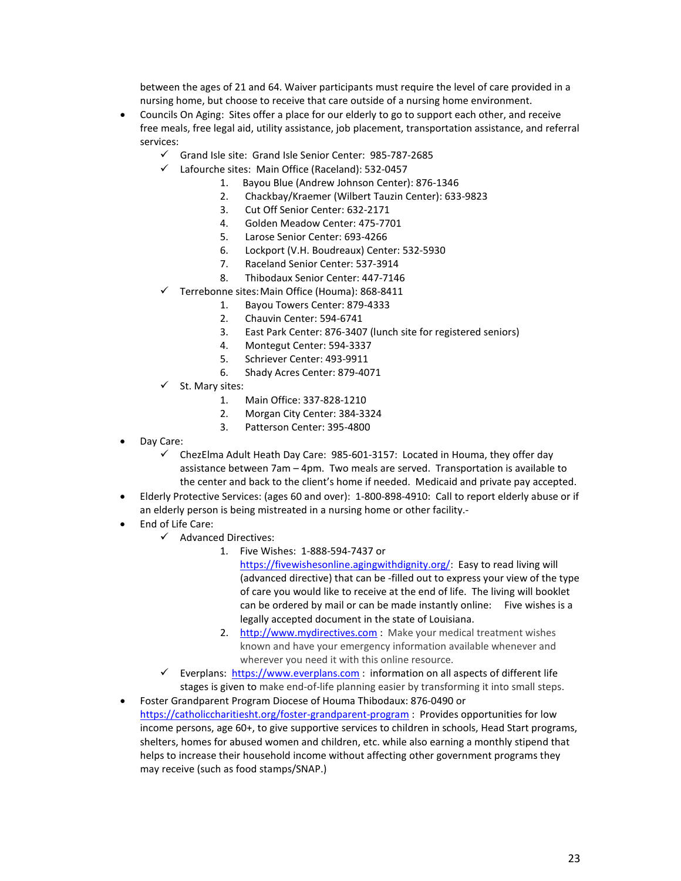between the ages of 21 and 64. Waiver participants must require the level of care provided in a nursing home, but choose to receive that care outside of a nursing home environment.

- Councils On Aging: Sites offer a place for our elderly to go to support each other, and receive free meals, free legal aid, utility assistance, job placement, transportation assistance, and referral services:
	- $\checkmark$  Grand Isle site: Grand Isle Senior Center: 985-787-2685
	- Lafourche sites: Main Office (Raceland): 532-0457
		- 1. Bayou Blue (Andrew Johnson Center): 876-1346
		- 2. Chackbay/Kraemer (Wilbert Tauzin Center): 633-9823
		- 3. Cut Off Senior Center: 632-2171
		- 4. Golden Meadow Center: 475-7701
		- 5. Larose Senior Center: 693-4266
		- 6. Lockport (V.H. Boudreaux) Center: 532-5930
		- 7. Raceland Senior Center: 537-3914
		- 8. Thibodaux Senior Center: 447-7146
	- Terrebonne sites:Main Office (Houma): 868-8411
		- 1. Bayou Towers Center: 879-4333
		- 2. Chauvin Center: 594-6741
		- 3. East Park Center: 876-3407 (lunch site for registered seniors)
		- 4. Montegut Center: 594-3337
		- 5. Schriever Center: 493-9911
		- 6. Shady Acres Center: 879-4071
	- St. Mary sites:
		- 1. Main Office: 337-828-1210
		- 2. Morgan City Center: 384-3324
		- 3. Patterson Center: 395-4800
- Day Care:
	- $\checkmark$  ChezElma Adult Heath Day Care: 985-601-3157: Located in Houma, they offer day assistance between 7am – 4pm. Two meals are served. Transportation is available to the center and back to the client's home if needed. Medicaid and private pay accepted.
- Elderly Protective Services: (ages 60 and over): 1-800-898-4910: Call to report elderly abuse or if an elderly person is being mistreated in a nursing home or other facility.-
- End of Life Care:
	- Advanced Directives:
		- 1. Five Wishes: 1-888-594-7437 or
			- [https://fivewishesonline.agingwithdignity.org/:](https://fivewishesonline.agingwithdignity.org/) Easy to read living will (advanced directive) that can be -filled out to express your view of the type of care you would like to receive at the end of life. The living will booklet can be ordered by mail or can be made instantly online: Five wishes is a legally accepted document in the state of Louisiana.
		- 2. [http://www.mydirectives.com](http://www.mydirectives.com/) : Make your medical treatment wishes known and have your emergency information available whenever and wherever you need it with this online resource.
	- Everplans: [https://www.everplans.com](https://www.everplans.com/) : information on all aspects of different life stages is given to make end-of-life planning easier by transforming it into small steps.
- Foster Grandparent Program Diocese of Houma Thibodaux: 876-0490 or <https://catholiccharitiesht.org/foster-grandparent-program> : Provides opportunities for low income persons, age 60+, to give supportive services to children in schools, Head Start programs, shelters, homes for abused women and children, etc. while also earning a monthly stipend that helps to increase their household income without affecting other government programs they may receive (such as food stamps/SNAP.)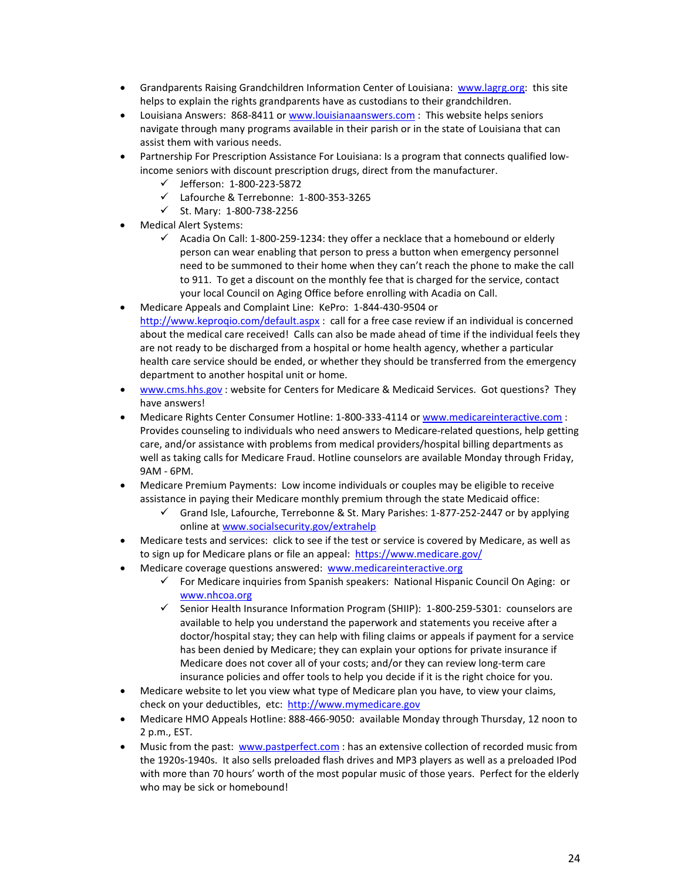- Grandparents Raising Grandchildren Information Center of Louisiana: [www.lagrg.org:](http://www.lagrg.org/) this site helps to explain the rights grandparents have as custodians to their grandchildren.
- Louisiana Answers: 868-8411 or [www.louisianaanswers.com](http://www.louisianaanswers.com/) : This website helps seniors navigate through many programs available in their parish or in the state of Louisiana that can assist them with various needs.
- Partnership For Prescription Assistance For Louisiana: Is a program that connects qualified lowincome seniors with discount prescription drugs, direct from the manufacturer.
	- Jefferson: 1-800-223-5872
	- Lafourche & Terrebonne: 1-800-353-3265
	- $\checkmark$  St. Mary: 1-800-738-2256
- Medical Alert Systems:
	- $\checkmark$  Acadia On Call: 1-800-259-1234: they offer a necklace that a homebound or elderly person can wear enabling that person to press a button when emergency personnel need to be summoned to their home when they can't reach the phone to make the call to 911. To get a discount on the monthly fee that is charged for the service, contact your local Council on Aging Office before enrolling with Acadia on Call.
- Medicare Appeals and Complaint Line: KePro: 1-844-430-9504 or http://www.keprogio.com/default.aspx : call for a free case review if an individual is concerned about the medical care received! Calls can also be made ahead of time if the individual feels they are not ready to be discharged from a hospital or home health agency, whether a particular health care service should be ended, or whether they should be transferred from the emergency department to another hospital unit or home.
- [www.cms.hhs.gov](http://www.cms.hhs.gov/) : website for Centers for Medicare & Medicaid Services. Got questions? They have answers!
- Medicare Rights Center Consumer Hotline: 1-800-333-4114 or [www.medicareinteractive.com](http://www.medicareinteractive.com/) : Provides counseling to individuals who need answers to Medicare-related questions, help getting care, and/or assistance with problems from medical providers/hospital billing departments as well as taking calls for Medicare Fraud. Hotline counselors are available Monday through Friday, 9AM - 6PM.
- Medicare Premium Payments: Low income individuals or couples may be eligible to receive assistance in paying their Medicare monthly premium through the state Medicaid office:
	- $\checkmark$  Grand Isle, Lafourche, Terrebonne & St. Mary Parishes: 1-877-252-2447 or by applying online at [www.socialsecurity.gov/extrahelp](http://www.socialsecurity.gov/extrahelp)
- Medicare tests and services: click to see if the test or service is covered by Medicare, as well as to sign up for Medicare plans or file an appeal:<https://www.medicare.gov/>
- Medicare coverage questions answered: [www.medicareinteractive.org](http://www.medicareinteractive.org/)
	- $\checkmark$  For Medicare inquiries from Spanish speakers: National Hispanic Council On Aging: or [www.nhcoa.org](http://www.nhcoa.org/)
	- $\checkmark$  Senior Health Insurance Information Program (SHIIP): 1-800-259-5301: counselors are available to help you understand the paperwork and statements you receive after a doctor/hospital stay; they can help with filing claims or appeals if payment for a service has been denied by Medicare; they can explain your options for private insurance if Medicare does not cover all of your costs; and/or they can review long-term care insurance policies and offer tools to help you decide if it is the right choice for you.
- Medicare website to let you view what type of Medicare plan you have, to view your claims, check on your deductibles, etc: [http://www.mymedicare.gov](http://www.mymedicare.gov/)
- Medicare HMO Appeals Hotline: 888-466-9050: available Monday through Thursday, 12 noon to 2 p.m., EST.
- Music from the past: [www.pastperfect.com](http://www.pastperfect.com/) : has an extensive collection of recorded music from the 1920s-1940s. It also sells preloaded flash drives and MP3 players as well as a preloaded IPod with more than 70 hours' worth of the most popular music of those years. Perfect for the elderly who may be sick or homebound!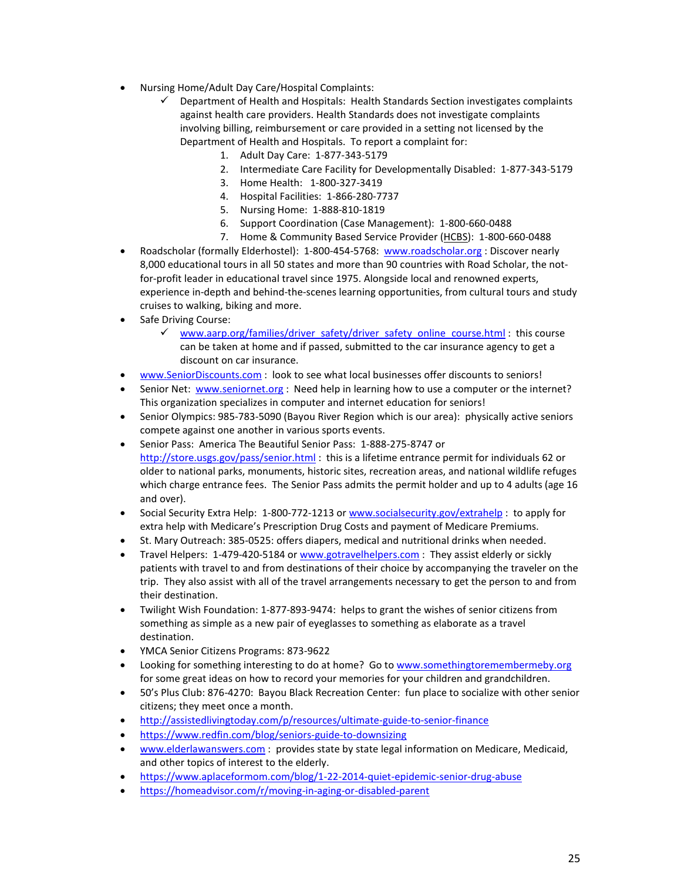- Nursing Home/Adult Day Care/Hospital Complaints:
	- $\checkmark$  Department of Health and Hospitals: Health Standards Section investigates complaints against health care providers. Health Standards does not investigate complaints involving billing, reimbursement or care provided in a setting not licensed by the Department of Health and Hospitals. To report a complaint for:
		- 1. Adult Day Care: 1-877-343-5179
		- 2. Intermediate Care Facility for Developmentally Disabled: 1-877-343-5179
		- 3. Home Health: 1-800-327-3419
		- 4. Hospital Facilities: 1-866-280-7737
		- 5. Nursing Home: 1-888-810-1819
		- 6. Support Coordination (Case Management): 1-800-660-0488
		- 7. Home & Community Based Service Provider [\(HCBS\)](http://new.dhh.louisiana.gov/index.cfm/directory/detail/719): 1-800-660-0488
- Roadscholar (formally Elderhostel): 1-800-454-5768: [www.roadscholar.org](http://www.roadscholar.org/) : Discover nearly 8,000 educational tours in all 50 states and more than 90 countries with Road Scholar, the notfor-profit leader in educational travel since 1975. Alongside local and renowned experts, experience in-depth and behind-the-scenes learning opportunities, from cultural tours and study cruises to walking, biking and more.
- Safe Driving Course:
	- [www.aarp.org/families/driver\\_safety/driver\\_safety\\_online\\_course.html](http://www.aarp.org/families/driver_safety/driver_safety_online_course.html) : this course can be taken at home and if passed, submitted to the car insurance agency to get a discount on car insurance.
- [www.SeniorDiscounts.com](http://www.seniordiscounts.com/) : look to see what local businesses offer discounts to seniors!
- Senior Net: [www.seniornet.org](http://www.seniornet.org/) : Need help in learning how to use a computer or the internet? This organization specializes in computer and internet education for seniors!
- Senior Olympics: 985-783-5090 (Bayou River Region which is our area): physically active seniors compete against one another in various sports events.
- Senior Pass: America The Beautiful Senior Pass: 1-888-275-8747 or <http://store.usgs.gov/pass/senior.html> : this is a lifetime entrance permit for individuals 62 or older to national parks, monuments, historic sites, recreation areas, and national wildlife refuges which charge entrance fees. The Senior Pass admits the permit holder and up to 4 adults (age 16 and over).
- Social Security Extra Help: 1-800-772-1213 or [www.socialsecurity.gov/extrahelp](http://www.socialsecurity.gov/extrahelp): to apply for extra help with Medicare's Prescription Drug Costs and payment of Medicare Premiums.
- St. Mary Outreach: 385-0525: offers diapers, medical and nutritional drinks when needed.
- Travel Helpers: 1-479-420-5184 o[r www.gotravelhelpers.com](http://www.gotravelhelpers.com/) : They assist elderly or sickly patients with travel to and from destinations of their choice by accompanying the traveler on the trip. They also assist with all of the travel arrangements necessary to get the person to and from their destination.
- Twilight Wish Foundation: 1-877-893-9474: helps to grant the wishes of senior citizens from something as simple as a new pair of eyeglasses to something as elaborate as a travel destination.
- YMCA Senior Citizens Programs: 873-9622
- Looking for something interesting to do at home? Go to www.somethingtoremembermeby.org for some great ideas on how to record your memories for your children and grandchildren.
- 50's Plus Club: 876-4270: Bayou Black Recreation Center: fun place to socialize with other senior citizens; they meet once a month.
- <http://assistedlivingtoday.com/p/resources/ultimate-guide-to-senior-finance>
- <https://www.redfin.com/blog/seniors-guide-to-downsizing>
- [www.elderlawanswers.com](http://www.elderlawanswers.com/) : provides state by state legal information on Medicare, Medicaid, and other topics of interest to the elderly.
- <https://www.aplaceformom.com/blog/1-22-2014-quiet-epidemic-senior-drug-abuse>
- <https://homeadvisor.com/r/moving-in-aging-or-disabled-parent>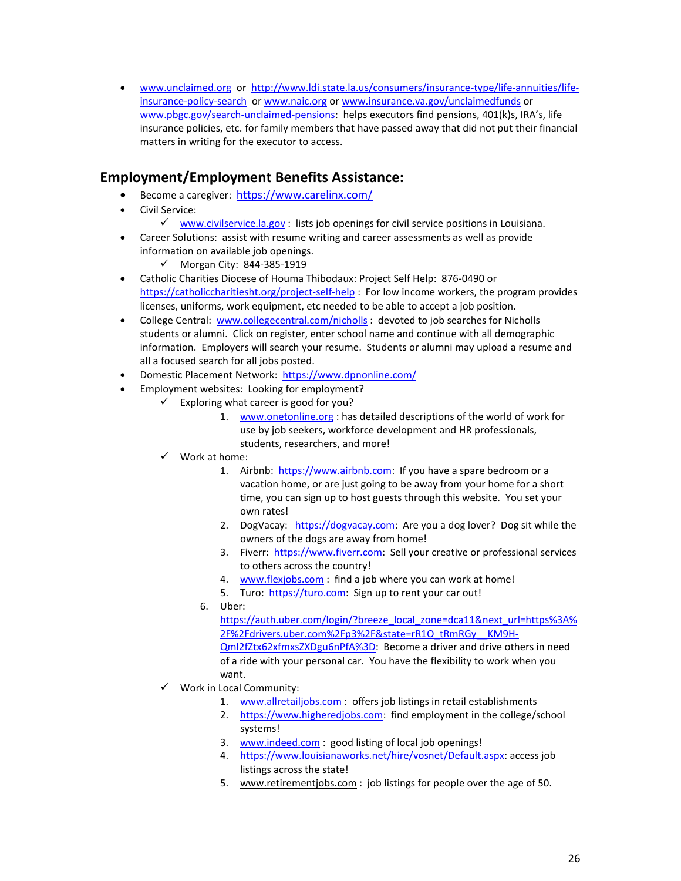• [www.unclaimed.org](http://www.unclaimed.org/) or [http://www.ldi.state.la.us/consumers/insurance-type/life-annuities/life](http://www.ldi.state.la.us/consumers/insurance-type/life-annuities/life-insurance-policy-search)[insurance-policy-search](http://www.ldi.state.la.us/consumers/insurance-type/life-annuities/life-insurance-policy-search) o[r www.naic.org](http://www.naic.org/) o[r www.insurance.va.gov/unclaimedfunds](http://www.insurance.va.gov/unclaimedfunds) or [www.pbgc.gov/search-unclaimed-pensions:](http://www.pbgc.gov/search-unclaimed-pensions) helps executors find pensions, 401(k)s, IRA's, life insurance policies, etc. for family members that have passed away that did not put their financial matters in writing for the executor to access.

## **Employment/Employment Benefits Assistance:**

- Become a caregiver: <https://www.carelinx.com/>
- Civil Service:
	- $\checkmark$  [www.civilservice.la.gov](http://www.civilservice.la.gov/) : lists job openings for civil service positions in Louisiana.
- Career Solutions: assist with resume writing and career assessments as well as provide information on available job openings.
	- $\checkmark$  Morgan City: 844-385-1919
- Catholic Charities Diocese of Houma Thibodaux: Project Self Help: 876-0490 or <https://catholiccharitiesht.org/project-self-help> : For low income workers, the program provides licenses, uniforms, work equipment, etc needed to be able to accept a job position.
- College Central: [www.collegecentral.com/nicholls](http://www.collegecentral.com/nicholls) : devoted to job searches for Nicholls students or alumni. Click on register, enter school name and continue with all demographic information. Employers will search your resume. Students or alumni may upload a resume and all a focused search for all jobs posted.
- Domestic Placement Network: <https://www.dpnonline.com/>
- Employment websites: Looking for employment?
	- $\checkmark$  Exploring what career is good for you?
		- 1. [www.onetonline.org](http://www.onetonline.org/) : has detailed descriptions of the world of work for use by job seekers, workforce development and HR professionals, students, researchers, and more!
	- $\checkmark$  Work at home:
		- 1. Airbnb: [https://www.airbnb.com:](https://www.airbnb.com/) If you have a spare bedroom or a vacation home, or are just going to be away from your home for a short time, you can sign up to host guests through this website. You set your own rates!
		- 2. DogVacay: [https://dogvacay.com:](https://dogvacay.com/) Are you a dog lover? Dog sit while the owners of the dogs are away from home!
		- 3. Fiverr: [https://www.fiverr.com:](https://www.fiverr.com/) Sell your creative or professional services to others across the country!
		- 4. [www.flexjobs.com](http://www.flexjobs.com/): find a job where you can work at home!
		- 5. Turo: [https://turo.com:](https://turo.com/) Sign up to rent your car out!
		- 6. Uber:

[https://auth.uber.com/login/?breeze\\_local\\_zone=dca11&next\\_url=https%3A%](https://auth.uber.com/login/?breeze_local_zone=dca11&next_url=https%3A%2F%2Fdrivers.uber.com%2Fp3%2F&state=rR1O_tRmRGy__KM9H-Qml2fZtx62xfmxsZXDgu6nPfA%3D) [2F%2Fdrivers.uber.com%2Fp3%2F&state=rR1O\\_tRmRGy\\_\\_KM9H-](https://auth.uber.com/login/?breeze_local_zone=dca11&next_url=https%3A%2F%2Fdrivers.uber.com%2Fp3%2F&state=rR1O_tRmRGy__KM9H-Qml2fZtx62xfmxsZXDgu6nPfA%3D)[Qml2fZtx62xfmxsZXDgu6nPfA%3D:](https://auth.uber.com/login/?breeze_local_zone=dca11&next_url=https%3A%2F%2Fdrivers.uber.com%2Fp3%2F&state=rR1O_tRmRGy__KM9H-Qml2fZtx62xfmxsZXDgu6nPfA%3D) Become a driver and drive others in need of a ride with your personal car. You have the flexibility to work when you want.

- $\checkmark$  Work in Local Community:
	- 1. [www.allretailjobs.com](http://www.allretailjobs.com/) : offers job listings in retail establishments
	- 2. [https://www.higheredjobs.com:](https://www.higheredjobs.com/) find employment in the college/school systems!
	- 3. [www.indeed.com](http://www.indeed.com/) : good listing of local job openings!
	- 4. [https://www.louisianaworks.net/hire/vosnet/Default.aspx:](https://www.louisianaworks.net/hire/vosnet/Default.aspx) access job listings across the state!
	- 5. [www.retirementjobs.com](http://www.retirementjobs.com/): job listings for people over the age of 50.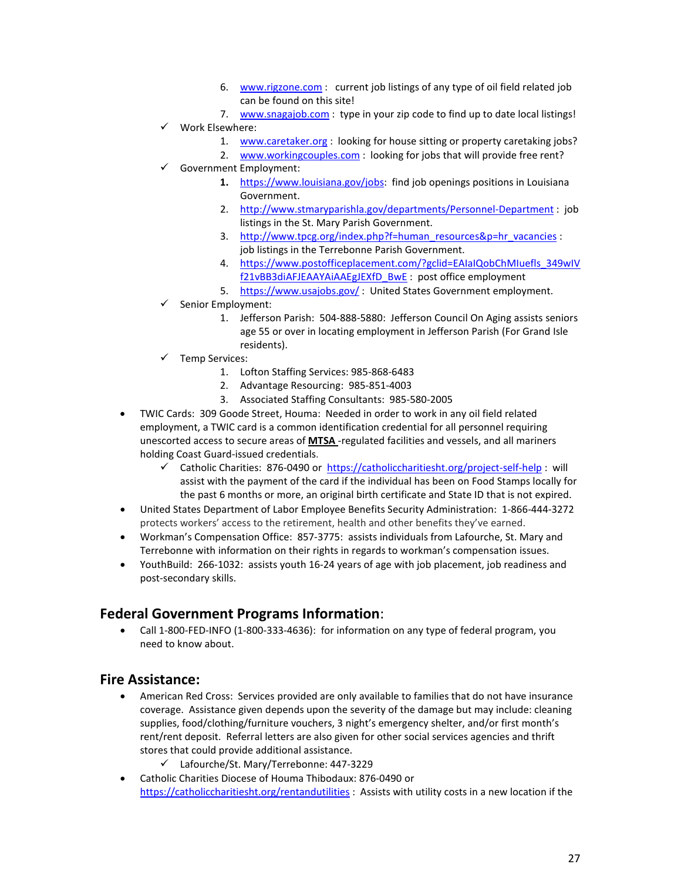- 6. [www.rigzone.com](http://www.rigzone.com/) : current job listings of any type of oil field related job can be found on this site!
- 7. [www.snagajob.com](http://www.snagajob.com/) : type in your zip code to find up to date local listings!
- Work Elsewhere:
	- 1. [www.caretaker.org](http://www.caretaker.org/) : looking for house sitting or property caretaking jobs?
	- 2. [www.workingcouples.com](http://www.workingcouples.com/) : looking for jobs that will provide free rent?
- Government Employment:
	- **1.** [https://www.louisiana.gov/jobs:](https://www.louisiana.gov/jobs) find job openings positions in Louisiana Government.
	- 2. <http://www.stmaryparishla.gov/departments/Personnel-Department> : job listings in the St. Mary Parish Government.
	- 3. [http://www.tpcg.org/index.php?f=human\\_resources&p=hr\\_vacancies](http://www.tpcg.org/index.php?f=human_resources&p=hr_vacancies) : job listings in the Terrebonne Parish Government.
	- 4. [https://www.postofficeplacement.com/?gclid=EAIaIQobChMIuefls\\_349wIV](https://www.postofficeplacement.com/?gclid=EAIaIQobChMIuefls_349wIVf21vBB3diAFJEAAYAiAAEgJEXfD_BwE) [f21vBB3diAFJEAAYAiAAEgJEXfD\\_BwE](https://www.postofficeplacement.com/?gclid=EAIaIQobChMIuefls_349wIVf21vBB3diAFJEAAYAiAAEgJEXfD_BwE) : post office employment
	- 5. <https://www.usajobs.gov/> : United States Government employment.
- $\checkmark$  Senior Employment:
	- 1. Jefferson Parish: 504-888-5880: Jefferson Council On Aging assists seniors age 55 or over in locating employment in Jefferson Parish (For Grand Isle residents).
- Temp Services:
	- 1. [Lofton Staffing Services:](http://www.bing.com/local?lid=YN873x16500574502501015142&id=YN873x16500574502501015142&q=Lofton+Staffing+Services+Houma+LA&name=Lofton+Staffing+Services&cp=29.60342~-90.7655&qpvt=temp+services+near+houma) 985-868-6483
	- 2. [Advantage R](http://www.advantageresourcing.com/)esourcing: 985-851-4003
	- 3. Associated Staffing Consultants: 985-580-2005
- TWIC Cards: 309 Goode Street, Houma: Needed in order to work in any oil field related employment, a TWIC card is a common identification credential for all personnel requiring unescorted access to secure areas of **[MTSA](https://homeport.uscg.mil/mtsa)** -regulated facilities and vessels, and all mariners holding Coast Guard-issued credentials.
	- Catholic Charities: 876-0490 or <https://catholiccharitiesht.org/project-self-help> : will assist with the payment of the card if the individual has been on Food Stamps locally for the past 6 months or more, an original birth certificate and State ID that is not expired.
- United States Department of Labor Employee Benefits Security Administration: 1-866-444-3272 protects workers' access to the retirement, health and other benefits they've earned.
- Workman's Compensation Office: 857-3775: assists individuals from Lafourche, St. Mary and Terrebonne with information on their rights in regards to workman's compensation issues.
- YouthBuild: 266-1032: assists youth 16-24 years of age with job placement, job readiness and post-secondary skills.

## **Federal Government Programs Information**:

• Call 1-800-FED-INFO (1-800-333-4636): for information on any type of federal program, you need to know about.

## **Fire Assistance:**

- American Red Cross: Services provided are only available to families that do not have insurance coverage. Assistance given depends upon the severity of the damage but may include: cleaning supplies, food/clothing/furniture vouchers, 3 night's emergency shelter, and/or first month's rent/rent deposit. Referral letters are also given for other social services agencies and thrift stores that could provide additional assistance.
	- Lafourche/St. Mary/Terrebonne: 447-3229
- Catholic Charities Diocese of Houma Thibodaux: 876-0490 or <https://catholiccharitiesht.org/rentandutilities> : Assists with utility costs in a new location if the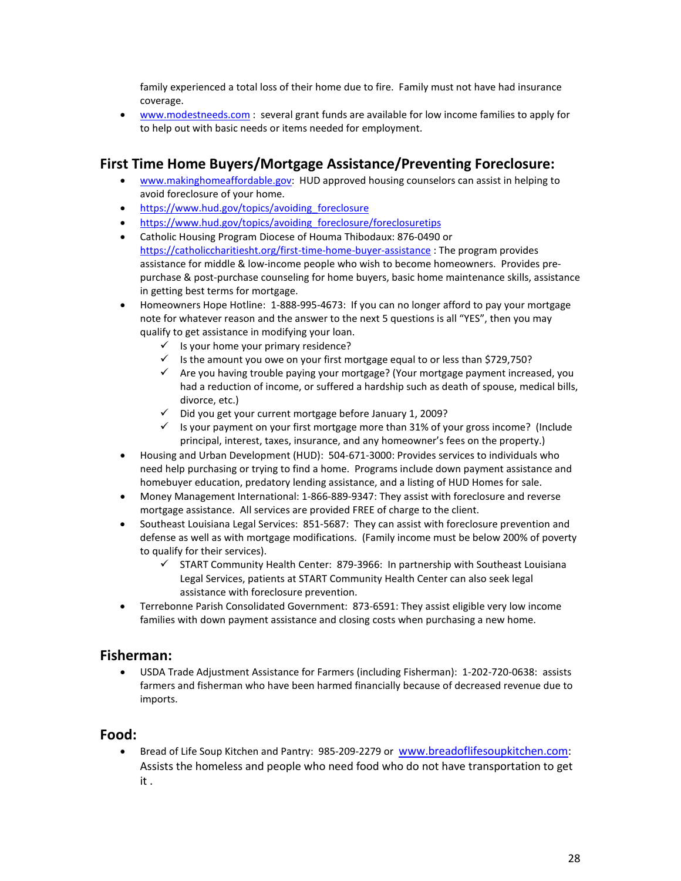family experienced a total loss of their home due to fire. Family must not have had insurance coverage.

• [www.modestneeds.com](http://www.modestneeds.com/) : several grant funds are available for low income families to apply for to help out with basic needs or items needed for employment.

# **First Time Home Buyers/Mortgage Assistance/Preventing Foreclosure:**

- [www.makinghomeaffordable.gov:](http://www.makinghomeaffordable.gov/) HUD approved housing counselors can assist in helping to avoid foreclosure of your home.
- https://www.hud.gov/topics/avoiding foreclosure
- [https://www.hud.gov/topics/avoiding\\_foreclosure/foreclosuretips](https://www.hud.gov/topics/avoiding_foreclosure/foreclosuretips)
- Catholic Housing Program Diocese of Houma Thibodaux: 876-0490 or <https://catholiccharitiesht.org/first-time-home-buyer-assistance> : The program provides assistance for middle & low-income people who wish to become homeowners. Provides prepurchase & post-purchase counseling for home buyers, basic home maintenance skills, assistance in getting best terms for mortgage.
- Homeowners Hope Hotline: 1-888-995-4673: If you can no longer afford to pay your mortgage note for whatever reason and the answer to the next 5 questions is all "YES", then you may qualify to get assistance in modifying your loan.
	- $\checkmark$  Is your home your primary residence?
	- $\checkmark$  Is the amount you owe on your first mortgage equal to or less than \$729,750?
	- $\checkmark$  Are you having trouble paying your mortgage? (Your mortgage payment increased, you had a reduction of income, or suffered a hardship such as death of spouse, medical bills, divorce, etc.)
	- $\checkmark$  Did you get your current mortgage before January 1, 2009?
	- $\checkmark$  Is your payment on your first mortgage more than 31% of your gross income? (Include principal, interest, taxes, insurance, and any homeowner's fees on the property.)
- Housing and Urban Development (HUD): 504-671-3000: Provides services to individuals who need help purchasing or trying to find a home. Programs include down payment assistance and homebuyer education, predatory lending assistance, and a listing of HUD Homes for sale.
- Money Management International: 1-866-889-9347: They assist with foreclosure and reverse mortgage assistance. All services are provided FREE of charge to the client.
- Southeast Louisiana Legal Services: 851-5687: They can assist with foreclosure prevention and defense as well as with mortgage modifications. (Family income must be below 200% of poverty to qualify for their services).
	- $\checkmark$  START Community Health Center: 879-3966: In partnership with Southeast Louisiana Legal Services, patients at START Community Health Center can also seek legal assistance with foreclosure prevention.
- Terrebonne Parish Consolidated Government: 873-6591: They assist eligible very low income families with down payment assistance and closing costs when purchasing a new home.

## **Fisherman:**

• USDA Trade Adjustment Assistance for Farmers (including Fisherman): 1-202-720-0638: assists farmers and fisherman who have been harmed financially because of decreased revenue due to imports.

#### **Food:**

• Bread of Life Soup Kitchen and Pantry: 985-209-2279 or [www.breadoflifesoupkitchen.com:](http://www.breadoflifesoupkitchen.com/) Assists the homeless and people who need food who do not have transportation to get it .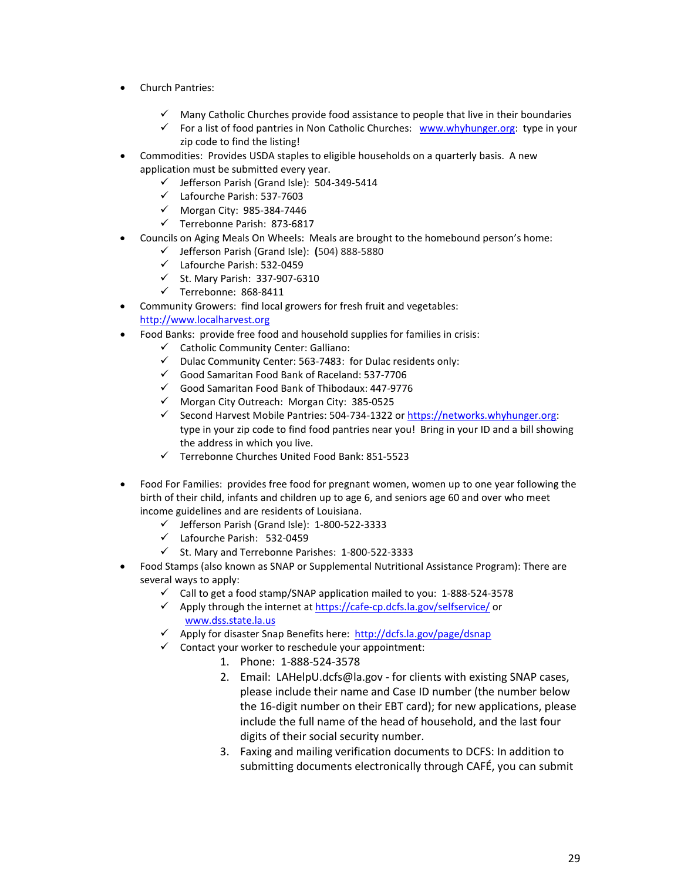- Church Pantries:
	- Many Catholic Churches provide food assistance to people that live in their boundaries
	- For a list of food pantries in Non Catholic Churches: [www.whyhunger.org:](http://www.whyhunger.org/) type in your zip code to find the listing!
- Commodities: Provides USDA staples to eligible households on a quarterly basis. A new application must be submitted every year.
	- $\checkmark$  Jefferson Parish (Grand Isle): 504-349-5414
	- Lafourche Parish: 537-7603
	- $\checkmark$  Morgan City: 985-384-7446
	- Terrebonne Parish: 873-6817
- Councils on Aging Meals On Wheels: Meals are brought to the homebound person's home:
	- Jefferson Parish (Grand Isle): **(**504) 888-5880
		- Lafourche Parish: 532-0459
		- $\checkmark$  St. Mary Parish: 337-907-6310
		- $\checkmark$  Terrebonne: 868-8411
- Community Growers: find local growers for fresh fruit and vegetables: [http://www.localharvest.org](http://www.localharvest.org/)
- Food Banks: provide free food and household supplies for families in crisis:
	- $\checkmark$  Catholic Community Center: Galliano:
	- $\checkmark$  Dulac Community Center: 563-7483: for Dulac residents only:
	- Good Samaritan Food Bank of Raceland: 537-7706
	- $\checkmark$  Good Samaritan Food Bank of Thibodaux: 447-9776
	- $\checkmark$  Morgan City Outreach: Morgan City: 385-0525
	- Second Harvest Mobile Pantries: 504-734-1322 or https://networks.whyhunger.org: type in your zip code to find food pantries near you! Bring in your ID and a bill showing the address in which you live.
	- $\checkmark$  Terrebonne Churches United Food Bank: 851-5523
- Food For Families: provides free food for pregnant women, women up to one year following the birth of their child, infants and children up to age 6, and seniors age 60 and over who meet income guidelines and are residents of Louisiana.
	- $\checkmark$  Jefferson Parish (Grand Isle): 1-800-522-3333
	- Lafourche Parish: 532-0459
	- $\checkmark$  St. Mary and Terrebonne Parishes: 1-800-522-3333
- Food Stamps (also known as SNAP or Supplemental Nutritional Assistance Program): There are several ways to apply:
	- $\checkmark$  Call to get a food stamp/SNAP application mailed to you: 1-888-524-3578
	- $\checkmark$  Apply through the internet a[t https://cafe-cp.dcfs.la.gov/selfservice/](https://cafe-cp.dcfs.la.gov/selfservice/) or [www.dss.state.la.us](http://www.dss.state.la.us/)
	- $\checkmark$  Apply for disaster Snap Benefits here: <http://dcfs.la.gov/page/dsnap>
	- $\checkmark$  Contact your worker to reschedule your appointment:
		- 1. Phone: 1-888-524-3578
		- 2. Email: [LAHelpU.dcfs@la.gov](mailto:LAHelpU.dcfs@la.gov) for clients with existing SNAP cases, please include their name and Case ID number (the number below the 16-digit number on their EBT card); for new applications, please include the full name of the head of household, and the last four digits of their social security number.
		- 3. Faxing and mailing verification documents to DCFS: In addition to submitting documents electronically through CAFÉ, you can submit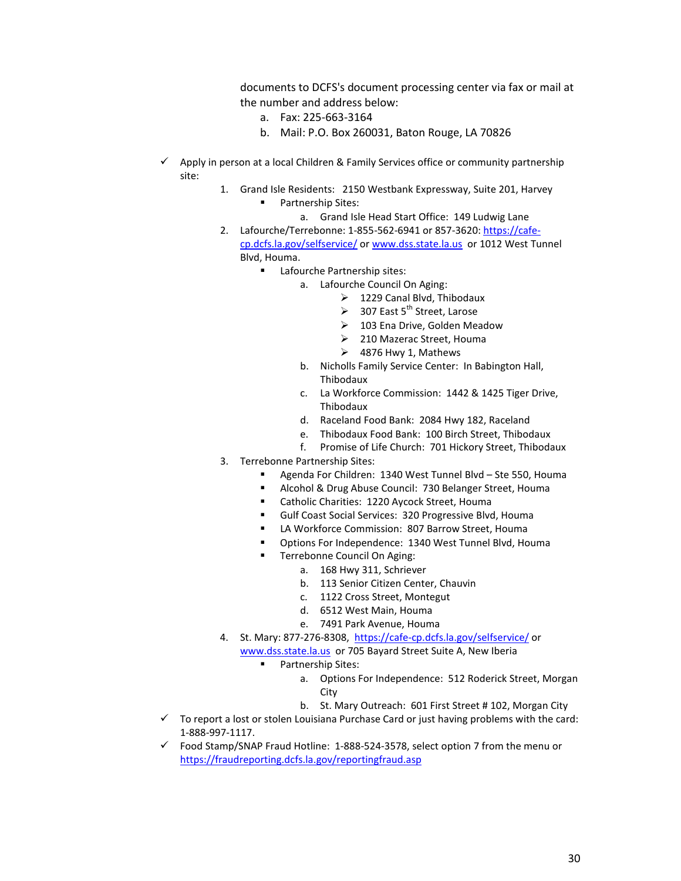documents to DCFS's document processing center via fax or mail at the number and address below:

- a. Fax: 225-663-3164
- b. Mail: P.O. Box 260031, Baton Rouge, LA 70826
- $\checkmark$  Apply in person at a local Children & Family Services office or community partnership site:
	- 1. Grand Isle Residents: 2150 Westbank Expressway, Suite 201, Harvey Partnership Sites:
		- a. Grand Isle Head Start Office: 149 Ludwig Lane
	- 2. Lafourche/Terrebonne: 1-855-562-6941 or 857-3620: [https://cafe](https://cafe-cp.dcfs.la.gov/selfservice/)[cp.dcfs.la.gov/selfservice/](https://cafe-cp.dcfs.la.gov/selfservice/) o[r www.dss.state.la.us](http://www.dss.state.la.us/) or 1012 West Tunnel Blvd, Houma.
		- **EXECUTE:** Lafourche Partnership sites:
			- a. Lafourche Council On Aging:
				- ▶ 1229 Canal Blvd, Thibodaux
				- $\geq$  307 East 5<sup>th</sup> Street, Larose
				- > 103 Ena Drive, Golden Meadow
				- 210 Mazerac Street, Houma
				- $\geq$  4876 Hwy 1, Mathews
			- b. Nicholls Family Service Center: In Babington Hall, Thibodaux
			- c. La Workforce Commission: 1442 & 1425 Tiger Drive, Thibodaux
			- d. Raceland Food Bank: 2084 Hwy 182, Raceland
			- e. Thibodaux Food Bank: 100 Birch Street, Thibodaux
			- f. Promise of Life Church: 701 Hickory Street, Thibodaux
	- 3. Terrebonne Partnership Sites:
		- Agenda For Children: 1340 West Tunnel Blvd Ste 550, Houma
		- Alcohol & Drug Abuse Council: 730 Belanger Street, Houma
		- **EXEC** Catholic Charities: 1220 Aycock Street, Houma
		- Gulf Coast Social Services: 320 Progressive Blvd, Houma
		- LA Workforce Commission: 807 Barrow Street, Houma
		- Options For Independence: 1340 West Tunnel Blvd, Houma
		- Terrebonne Council On Aging:
			- a. 168 Hwy 311, Schriever
			- b. 113 Senior Citizen Center, Chauvin
			- c. 1122 Cross Street, Montegut
			- d. 6512 West Main, Houma
			- e. 7491 Park Avenue, Houma
	- 4. St. Mary: 877-276-8308, <https://cafe-cp.dcfs.la.gov/selfservice/> or [www.dss.state.la.us](http://www.dss.state.la.us/) or 705 Bayard Street Suite A, New Iberia
		- Partnership Sites:
			- a. Options For Independence: 512 Roderick Street, Morgan **City**
			- b. St. Mary Outreach: 601 First Street # 102, Morgan City
- $\checkmark$  To report a lost or stolen Louisiana Purchase Card or just having problems with the card: 1-888-997-1117.
- $\checkmark$  Food Stamp/SNAP Fraud Hotline: 1-888-524-3578, select option 7 from the menu or <https://fraudreporting.dcfs.la.gov/reportingfraud.asp>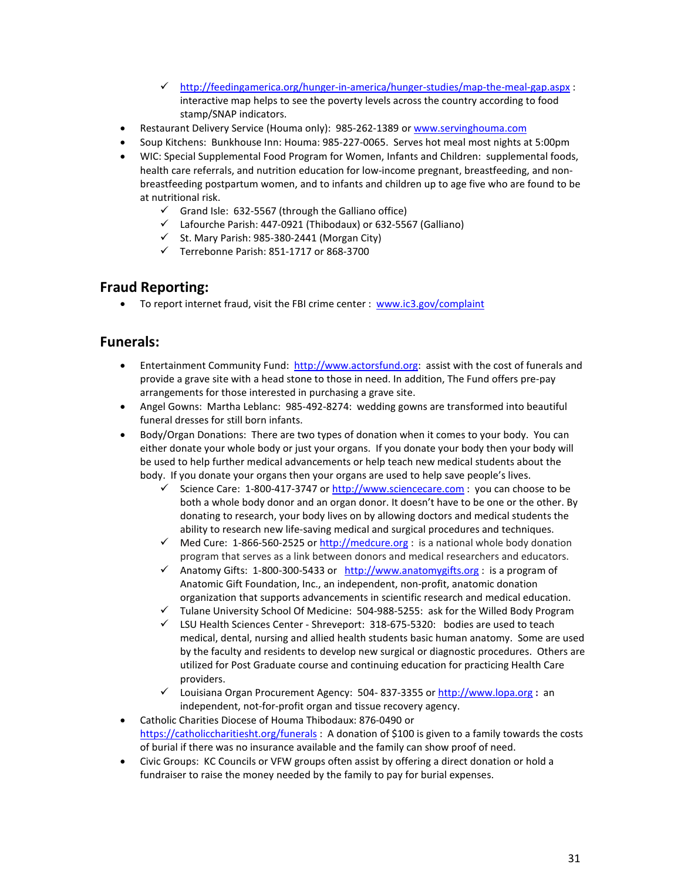- $\checkmark$  <http://feedingamerica.org/hunger-in-america/hunger-studies/map-the-meal-gap.aspx> : interactive map helps to see the poverty levels across the country according to food stamp/SNAP indicators.
- Restaurant Delivery Service (Houma only): 985-262-1389 or [www.servinghouma.com](http://www.servinghouma.com/)
- Soup Kitchens: Bunkhouse Inn: Houma: 985-227-0065. Serves hot meal most nights at 5:00pm
- WIC: Special Supplemental Food Program for Women, Infants and Children: supplemental foods, health care referrals, and nutrition education for low-income pregnant, breastfeeding, and nonbreastfeeding postpartum women, and to infants and children up to age five who are found to be at nutritional risk.
	- $\checkmark$  Grand Isle: 632-5567 (through the Galliano office)
	- $\checkmark$  Lafourche Parish: 447-0921 (Thibodaux) or 632-5567 (Galliano)
	- $\checkmark$  St. Mary Parish: 985-380-2441 (Morgan City)
	- $\checkmark$  Terrebonne Parish: 851-1717 or 868-3700

# **Fraud Reporting:**

• To report internet fraud, visit the FBI crime center : [www.ic3.gov/complaint](http://www.ic3.gov/complaint)

## **Funerals:**

- Entertainment Community Fund: [http://www.actorsfund.org:](http://www.actorsfund.org/) assist with the cost of funerals and provide a grave site with a head stone to those in need. In addition, The Fund offers pre-pay arrangements for those interested in purchasing a grave site.
- Angel Gowns: Martha Leblanc: 985-492-8274: wedding gowns are transformed into beautiful funeral dresses for still born infants.
- Body/Organ Donations: There are two types of donation when it comes to your body. You can either donate your whole body or just your organs. If you donate your body then your body will be used to help further medical advancements or help teach new medical students about the body. If you donate your organs then your organs are used to help save people's lives.
	- Science Care: 1-800-417-3747 or  $\frac{http://www.sciencecare.com: you can choose to be}$ both a whole body donor and an organ donor. It doesn't have to be one or the other. By donating to research, your body lives on by allowing doctors and medical students the ability to research new life-saving medical and surgical procedures and techniques.
	- $\checkmark$  Med Cure: 1-866-560-2525 o[r http://medcure.org](http://medcure.org/) : is a national whole body donation program that serves as a link between donors and medical researchers and educators.
	- Anatomy Gifts: 1-800-300-5433 or [http://www.anatomygifts.org](http://www.anatomygifts.org/) : is a program of Anatomic Gift Foundation, Inc., an independent, non-profit, anatomic donation organization that supports advancements in scientific research and medical education.
	- $\checkmark$  Tulane University School Of Medicine: 504-988-5255: ask for the Willed Body Program
	- $\checkmark$  LSU Health Sciences Center Shreveport: 318-675-5320: bodies are used to teach medical, dental, nursing and allied health students basic human anatomy. Some are used by the faculty and residents to develop new surgical or diagnostic procedures. Others are utilized for Post Graduate course and continuing education for practicing Health Care providers.
	- Louisiana Organ Procurement Agency: 504- 837-3355 or [http://www.lopa.org](http://www.lopa.org/) **:** an independent, not-for-profit organ and tissue recovery agency.
- Catholic Charities Diocese of Houma Thibodaux: 876-0490 or <https://catholiccharitiesht.org/funerals> : A donation of \$100 is given to a family towards the costs of burial if there was no insurance available and the family can show proof of need.
- Civic Groups: KC Councils or VFW groups often assist by offering a direct donation or hold a fundraiser to raise the money needed by the family to pay for burial expenses.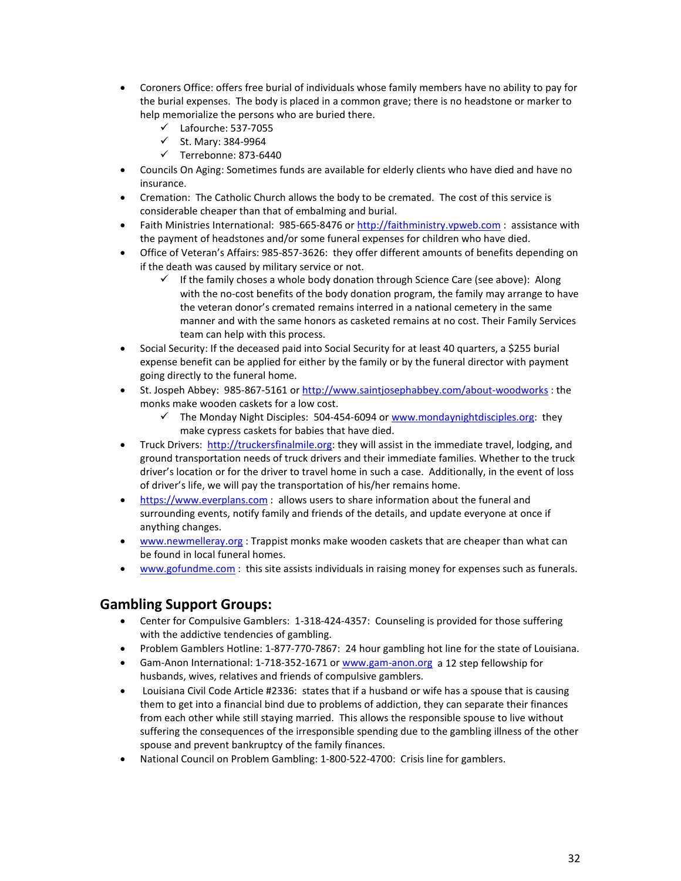- Coroners Office: offers free burial of individuals whose family members have no ability to pay for the burial expenses. The body is placed in a common grave; there is no headstone or marker to help memorialize the persons who are buried there.
	- $\checkmark$  Lafourche: 537-7055
	- $\checkmark$  St. Mary: 384-9964
	- $\checkmark$  Terrebonne: 873-6440
- Councils On Aging: Sometimes funds are available for elderly clients who have died and have no insurance.
- Cremation: The Catholic Church allows the body to be cremated. The cost of this service is considerable cheaper than that of embalming and burial.
- Faith Ministries International: 985-665-8476 or [http://faithministry.vpweb.com](http://faithministry.vpweb.com/): assistance with the payment of headstones and/or some funeral expenses for children who have died.
- Office of Veteran's Affairs: 985-857-3626: they offer different amounts of benefits depending on if the death was caused by military service or not.
	- If the family choses a whole body donation through Science Care (see above): Along with the no-cost benefits of the body donation program, the family may arrange to have the veteran donor's cremated remains interred in a national cemetery in the same manner and with the same honors as casketed remains at no cost. Their Family Services team can help with this process.
- Social Security: If the deceased paid into Social Security for at least 40 quarters, a \$255 burial expense benefit can be applied for either by the family or by the funeral director with payment going directly to the funeral home.
- St. Jospeh Abbey: 985-867-5161 or<http://www.saintjosephabbey.com/about-woodworks> : the monks make wooden caskets for a low cost.
	- $\checkmark$  The Monday Night Disciples: 504-454-6094 or [www.mondaynightdisciples.org:](http://www.mondaynightdisciples.org/) they make cypress caskets for babies that have died.
- Truck Drivers: [http://truckersfinalmile.org:](http://truckersfinalmile.org/) they will assist in the immediate travel, lodging, and ground transportation needs of truck drivers and their immediate families. Whether to the truck driver's location or for the driver to travel home in such a case. Additionally, in the event of loss of driver's life, we will pay the transportation of his/her remains home.
- [https://www.everplans.com](https://www.everplans.com/) : allows users to share information about the funeral and surrounding events, notify family and friends of the details, and update everyone at once if anything changes.
- [www.newmelleray.org](http://www.newmelleray.org/) : Trappist monks make wooden caskets that are cheaper than what can be found in local funeral homes.
- [www.gofundme.com](http://www.gofundme.com/): this site assists individuals in raising money for expenses such as funerals.

## **Gambling Support Groups:**

- Center for Compulsive Gamblers: 1-318-424-4357: Counseling is provided for those suffering with the addictive tendencies of gambling.
- Problem Gamblers Hotline: 1-877-770-7867: 24 hour gambling hot line for the state of Louisiana.
- Gam-Anon International: 1-718-352-1671 or [www.gam-anon.org](http://www.gam-anon.org/) a 12 step fellowship for husbands, wives, relatives and friends of compulsive gamblers.
- Louisiana Civil Code Article #2336: states that if a husband or wife has a spouse that is causing them to get into a financial bind due to problems of addiction, they can separate their finances from each other while still staying married. This allows the responsible spouse to live without suffering the consequences of the irresponsible spending due to the gambling illness of the other spouse and prevent bankruptcy of the family finances.
- National Council on Problem Gambling: 1-800-522-4700: Crisis line for gamblers.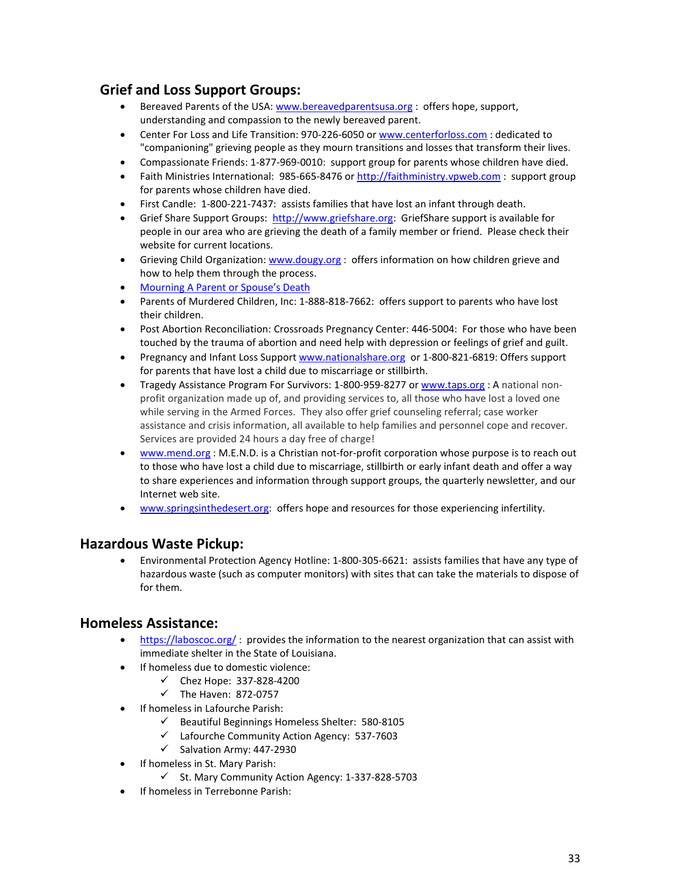# **Grief and Loss Support Groups:**

- Bereaved Parents of the USA: [www.bereavedparentsusa.org](http://www.bereavedparentsusa.org/) : offers hope, support, understanding and compassion to the newly bereaved parent.
- Center For Loss and Life Transition: 970-226-6050 or [www.centerforloss.com](http://www.centerforloss.com/) : dedicated to "companioning" grieving people as they mourn transitions and losses that transform their lives.
- Compassionate Friends: 1-877-969-0010: support group for parents whose children have died.
- Faith Ministries International: 985-665-8476 or [http://faithministry.vpweb.com](http://faithministry.vpweb.com/) : support group for parents whose children have died.
- First Candle: 1-800-221-7437: assists families that have lost an infant through death.
- Grief Share Support Groups: [http://www.griefshare.org:](http://www.griefshare.org/) GriefShare support is available for people in our area who are grieving the death of a family member or friend. Please check their website for current locations.
- Grieving Child Organization: [www.dougy.org](http://www.dougy.org/) : offers information on how children grieve and how to help them through the process.
- [Mourning A Parent or Spouse's Death](https://www.agingcare.com/articles/mourning-spouse-s-death-133316.htm)
- Parents of Murdered Children, Inc: 1-888-818-7662: offers support to parents who have lost their children.
- Post Abortion Reconciliation: Crossroads Pregnancy Center: 446-5004: For those who have been touched by the trauma of abortion and need help with depression or feelings of grief and guilt.
- Pregnancy and Infant Loss Support [www.nationalshare.org](http://www.nationalshare.org/) or 1-800-821-6819: Offers support for parents that have lost a child due to miscarriage or stillbirth.
- Tragedy Assistance Program For Survivors: 1-800-959-8277 or [www.taps.org](http://www.taps.org/) : A national nonprofit organization made up of, and providing services to, all those who have lost a loved one while serving in the Armed Forces. They also offer grief counseling referral; case worker assistance and crisis information, all available to help families and personnel cope and recover. Services are provided 24 hours a day free of charge!
- [www.mend.org](http://www.mend.org/) : M.E.N.D. is a Christian not-for-profit corporation whose purpose is to reach out to those who have lost a child due to miscarriage, stillbirth or early infant death and offer a way to share experiences and information through support groups, the quarterly newsletter, and our Internet web site.
- [www.springsinthedesert.org:](http://www.springsinthedesert.org/) offers hope and resources for those experiencing infertility.

## **Hazardous Waste Pickup:**

• Environmental Protection Agency Hotline: 1-800-305-6621: assists families that have any type of hazardous waste (such as computer monitors) with sites that can take the materials to dispose of for them.

## **Homeless Assistance:**

- <https://laboscoc.org/> : provides the information to the nearest organization that can assist with immediate shelter in the State of Louisiana.
- If homeless due to domestic violence:
	- $\checkmark$  Chez Hope: 337-828-4200
	- $\checkmark$  The Haven: 872-0757
- If homeless in Lafourche Parish:
	- $\checkmark$  Beautiful Beginnings Homeless Shelter: 580-8105
	- Lafourche Community Action Agency: 537-7603
	- $\checkmark$  Salvation Army: 447-2930
- If homeless in St. Mary Parish:
	- $\checkmark$  St. Mary Community Action Agency: 1-337-828-5703
- If homeless in Terrebonne Parish: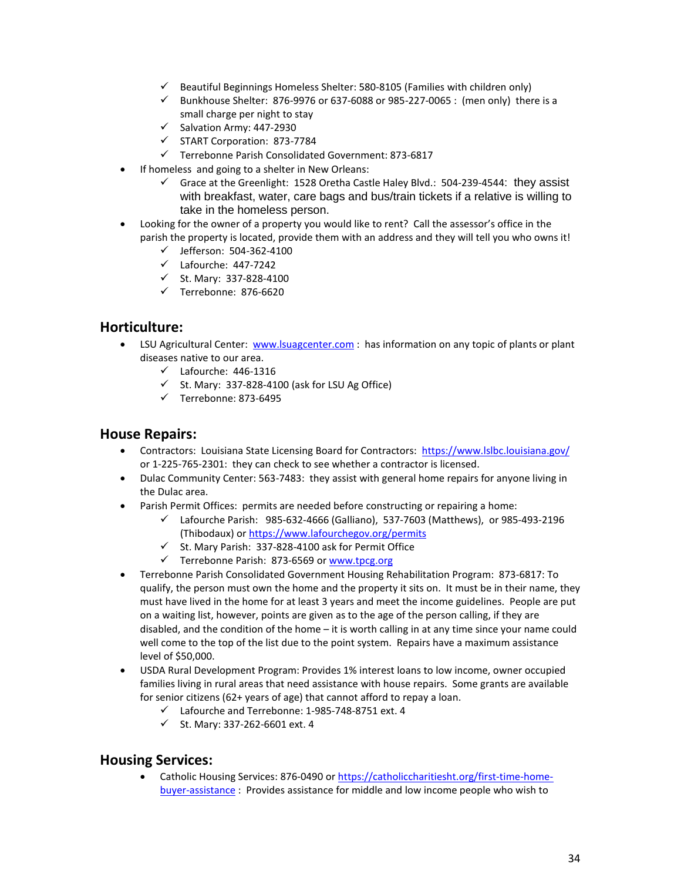- $\checkmark$  Beautiful Beginnings Homeless Shelter: 580-8105 (Families with children only)
- $\checkmark$  Bunkhouse Shelter: 876-9976 or 637-6088 or 985-227-0065 : (men only) there is a small charge per night to stay
- $\checkmark$  Salvation Army: 447-2930
- START Corporation: 873-7784
- Terrebonne Parish Consolidated Government: 873-6817
- If homeless and going to a shelter in New Orleans:
	- $\checkmark$  Grace at the Greenlight: 1528 Oretha Castle Haley Blvd.: 504-239-4544: they assist with breakfast, water, care bags and bus/train tickets if a relative is willing to take in the homeless person.
- Looking for the owner of a property you would like to rent? Call the assessor's office in the parish the property is located, provide them with an address and they will tell you who owns it!
	- $\checkmark$  Jefferson: 504-362-4100
	- $\checkmark$  Lafourche: 447-7242
	- $\checkmark$  St. Mary: 337-828-4100
	- $\checkmark$  Terrebonne: 876-6620

## **Horticulture:**

- LSU Agricultural Center: [www.lsuagcenter.com](http://www.lsuagcenter.com/) : has information on any topic of plants or plant diseases native to our area.
	- $\checkmark$  Lafourche: 446-1316
	- $\checkmark$  St. Mary: 337-828-4100 (ask for LSU Ag Office)
	- $\checkmark$  Terrebonne: 873-6495

#### **House Repairs:**

- Contractors: Louisiana State Licensing Board for Contractors:<https://www.lslbc.louisiana.gov/> or 1-225-765-2301: they can check to see whether a contractor is licensed.
- Dulac Community Center: 563-7483: they assist with general home repairs for anyone living in the Dulac area.
- Parish Permit Offices: permits are needed before constructing or repairing a home:
	- $\checkmark$  Lafourche Parish: 985-632-4666 (Galliano), 537-7603 (Matthews), or 985-493-2196 (Thibodaux) or<https://www.lafourchegov.org/permits>
	- $\checkmark$  St. Mary Parish: 337-828-4100 ask for Permit Office
	- Terrebonne Parish: 873-6569 or [www.tpcg.org](http://www.tpcg.org/)
- Terrebonne Parish Consolidated Government Housing Rehabilitation Program: 873-6817: To qualify, the person must own the home and the property it sits on. It must be in their name, they must have lived in the home for at least 3 years and meet the income guidelines. People are put on a waiting list, however, points are given as to the age of the person calling, if they are disabled, and the condition of the home – it is worth calling in at any time since your name could well come to the top of the list due to the point system. Repairs have a maximum assistance level of \$50,000.
- USDA Rural Development Program: Provides 1% interest loans to low income, owner occupied families living in rural areas that need assistance with house repairs. Some grants are available for senior citizens (62+ years of age) that cannot afford to repay a loan.
	- Lafourche and Terrebonne: 1-985-748-8751 ext. 4
	- $\checkmark$  St. Mary: 337-262-6601 ext. 4

## **Housing Services:**

• Catholic Housing Services: 876-0490 or [https://catholiccharitiesht.org/first-time-home](https://catholiccharitiesht.org/first-time-home-buyer-assistance)[buyer-assistance](https://catholiccharitiesht.org/first-time-home-buyer-assistance) : Provides assistance for middle and low income people who wish to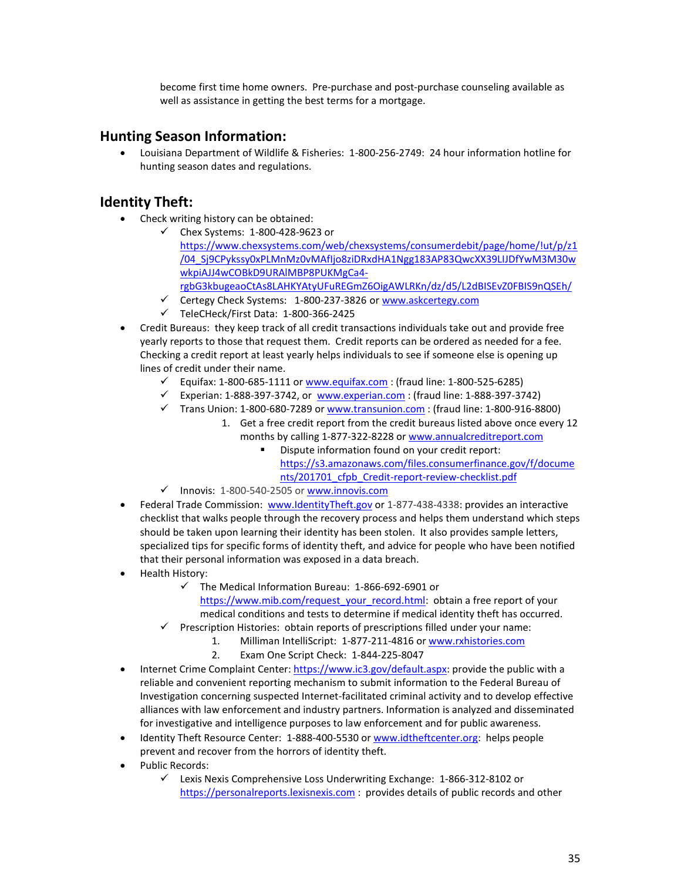become first time home owners. Pre-purchase and post-purchase counseling available as well as assistance in getting the best terms for a mortgage.

## **Hunting Season Information:**

• Louisiana Department of Wildlife & Fisheries: 1-800-256-2749: 24 hour information hotline for hunting season dates and regulations.

## **Identity Theft:**

- Check writing history can be obtained:
	- Chex Systems: 1-800-428-9623 or [https://www.chexsystems.com/web/chexsystems/consumerdebit/page/home/!ut/p/z1](https://www.chexsystems.com/web/chexsystems/consumerdebit/page/home/!ut/p/z1/04_Sj9CPykssy0xPLMnMz0vMAfIjo8ziDRxdHA1Ngg183AP83QwcXX39LIJDfYwM3M30wwkpiAJJ4wCOBkD9URAlMBP8PUKMgCa4-rgbG3kbugeaoCtAs8LAHKYAtyUFuREGmZ6OigAWLRKn/dz/d5/L2dBISEvZ0FBIS9nQSEh/) [/04\\_Sj9CPykssy0xPLMnMz0vMAfIjo8ziDRxdHA1Ngg183AP83QwcXX39LIJDfYwM3M30w](https://www.chexsystems.com/web/chexsystems/consumerdebit/page/home/!ut/p/z1/04_Sj9CPykssy0xPLMnMz0vMAfIjo8ziDRxdHA1Ngg183AP83QwcXX39LIJDfYwM3M30wwkpiAJJ4wCOBkD9URAlMBP8PUKMgCa4-rgbG3kbugeaoCtAs8LAHKYAtyUFuREGmZ6OigAWLRKn/dz/d5/L2dBISEvZ0FBIS9nQSEh/) [wkpiAJJ4wCOBkD9URAlMBP8PUKMgCa4](https://www.chexsystems.com/web/chexsystems/consumerdebit/page/home/!ut/p/z1/04_Sj9CPykssy0xPLMnMz0vMAfIjo8ziDRxdHA1Ngg183AP83QwcXX39LIJDfYwM3M30wwkpiAJJ4wCOBkD9URAlMBP8PUKMgCa4-rgbG3kbugeaoCtAs8LAHKYAtyUFuREGmZ6OigAWLRKn/dz/d5/L2dBISEvZ0FBIS9nQSEh/) [rgbG3kbugeaoCtAs8LAHKYAtyUFuREGmZ6OigAWLRKn/dz/d5/L2dBISEvZ0FBIS9nQSEh/](https://www.chexsystems.com/web/chexsystems/consumerdebit/page/home/!ut/p/z1/04_Sj9CPykssy0xPLMnMz0vMAfIjo8ziDRxdHA1Ngg183AP83QwcXX39LIJDfYwM3M30wwkpiAJJ4wCOBkD9URAlMBP8PUKMgCa4-rgbG3kbugeaoCtAs8LAHKYAtyUFuREGmZ6OigAWLRKn/dz/d5/L2dBISEvZ0FBIS9nQSEh/)
	- Certegy Check Systems: 1-800-237-3826 o[r www.askcertegy.com](http://www.askcertegy.com/)
	- $\checkmark$  TeleCHeck/First Data: 1-800-366-2425
- Credit Bureaus: they keep track of all credit transactions individuals take out and provide free yearly reports to those that request them. Credit reports can be ordered as needed for a fee. Checking a credit report at least yearly helps individuals to see if someone else is opening up lines of credit under their name.
	- $\checkmark$  Equifax: 1-800-685-1111 or [www.equifax.com](http://www.equifax.com/) : (fraud line: 1-800-525-6285)
	- $\checkmark$  Experian: 1-888-397-3742, or [www.experian.com](http://www.experian.com/) : (fraud line: 1-888-397-3742)
	- $\checkmark$  Trans Union: 1-800-680-7289 or [www.transunion.com](http://www.transunion.com/) : (fraud line: 1-800-916-8800)
		- 1. Get a free credit report from the credit bureaus listed above once every 12 months by calling 1-877-322-8228 o[r www.annualcreditreport.com](http://www.annualcreditreport.com/)
			- Dispute information found on your credit report: [https://s3.amazonaws.com/files.consumerfinance.gov/f/docume](https://s3.amazonaws.com/files.consumerfinance.gov/f/documents/201701_cfpb_Credit-report-review-checklist.pdf) [nts/201701\\_cfpb\\_Credit-report-review-checklist.pdf](https://s3.amazonaws.com/files.consumerfinance.gov/f/documents/201701_cfpb_Credit-report-review-checklist.pdf)
	- $\checkmark$  Innovis: 1-800-540-2505 o[r www.innovis.com](http://www.innovis.com/)
- Federal Trade Commission: [www.IdentityTheft.gov](http://www.identitytheft.gov/) or 1-877-438-4338: provides an interactive checklist that walks people through the recovery process and helps them understand which steps should be taken upon learning their identity has been stolen. It also provides sample letters, specialized tips for specific forms of identity theft, and advice for people who have been notified that their personal information was exposed in a data breach.
- Health History:
	- $\checkmark$  The Medical Information Bureau: 1-866-692-6901 or
		- [https://www.mib.com/request\\_your\\_record.html:](https://www.mib.com/request_your_record.html) obtain a free report of your medical conditions and tests to determine if medical identity theft has occurred.
	- $\checkmark$  Prescription Histories: obtain reports of prescriptions filled under your name:
		- 1. Milliman IntelliScript: 1-877-211-4816 o[r www.rxhistories.com](http://www.rxhistories.com/) 
			- 2. Exam One Script Check: 1-844-225-8047
- Internet Crime Complaint Center: [https://www.ic3.gov/default.aspx:](https://www.ic3.gov/default.aspx) provide the public with a reliable and convenient reporting mechanism to submit information to the Federal Bureau of Investigation concerning suspected Internet-facilitated criminal activity and to develop effective alliances with law enforcement and industry partners. Information is analyzed and disseminated for investigative and intelligence purposes to law enforcement and for public awareness.
- Identity Theft Resource Center: 1-888-400-5530 or [www.idtheftcenter.org:](http://www.idtheftcenter.org/) helps people prevent and recover from the horrors of identity theft.
- Public Records:
	- Lexis Nexis Comprehensive Loss Underwriting Exchange: 1-866-312-8102 or [https://personalreports.lexisnexis.com](https://personalreports.lexisnexis.com/) : provides details of public records and other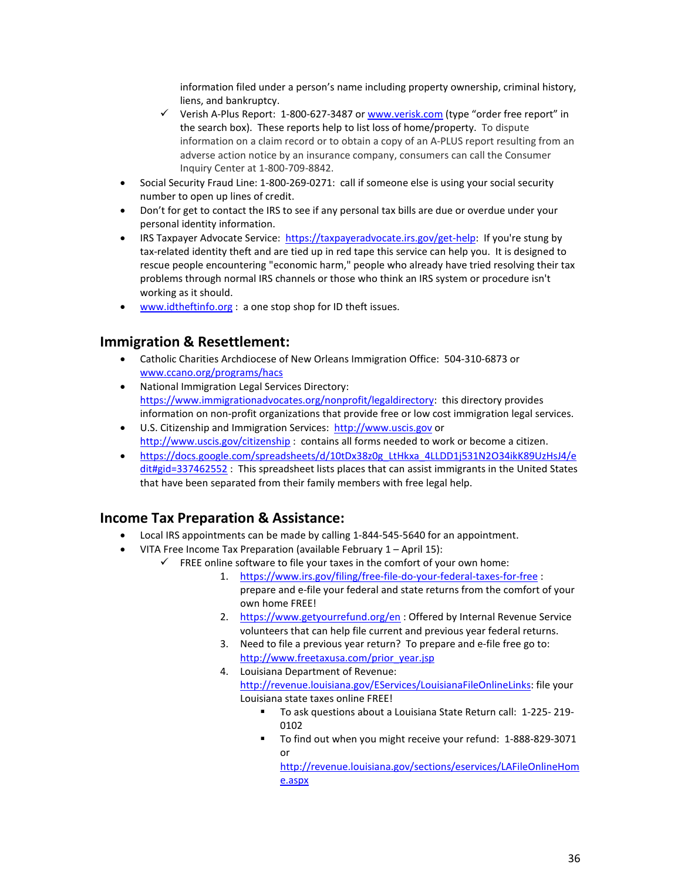information filed under a person's name including property ownership, criminal history, liens, and bankruptcy.

- $\checkmark$  Verish A-Plus Report: 1-800-627-3487 or [www.verisk.com](http://www.verisk.com/) (type "order free report" in the search box). These reports help to list loss of home/property. To dispute information on a claim record or to obtain a copy of an A-PLUS report resulting from an adverse action notice by an insurance company, consumers can call the Consumer Inquiry Center at 1-800-709-8842.
- Social Security Fraud Line: 1-800-269-0271: call if someone else is using your social security number to open up lines of credit.
- Don't for get to contact the IRS to see if any personal tax bills are due or overdue under your personal identity information.
- IRS Taxpayer Advocate Service: [https://taxpayeradvocate.irs.gov/get-help:](https://taxpayeradvocate.irs.gov/get-help) If you're stung by tax-related identity theft and are tied up in red tape this service can help you. It is designed to rescue people encountering "economic harm," people who already have tried resolving their tax problems through normal IRS channels or those who think an IRS system or procedure isn't working as it should.
- [www.idtheftinfo.org](http://www.idtheftinfo.org/) : a one stop shop for ID theft issues.

## **Immigration & Resettlement:**

- Catholic Charities Archdiocese of New Orleans Immigration Office: 504-310-6873 or [www.ccano.org/programs/hacs](http://www.ccano.org/programs/hacs)
- National Immigration Legal Services Directory: [https://www.immigrationadvocates.org/nonprofit/legaldirectory:](https://www.immigrationadvocates.org/nonprofit/legaldirectory) this directory provides information on non-profit organizations that provide free or low cost immigration legal services.
- U.S. Citizenship and Immigration Services: [http://www.uscis.gov](http://www.uscis.gov/) or <http://www.uscis.gov/citizenship> : contains all forms needed to work or become a citizen.
- [https://docs.google.com/spreadsheets/d/10tDx38z0g\\_LtHkxa\\_4LLDD1j531N2O34ikK89UzHsJ4/e](https://docs.google.com/spreadsheets/d/10tDx38z0g_LtHkxa_4LLDD1j531N2O34ikK89UzHsJ4/edit#gid=337462552) [dit#gid=337462552](https://docs.google.com/spreadsheets/d/10tDx38z0g_LtHkxa_4LLDD1j531N2O34ikK89UzHsJ4/edit#gid=337462552) : This spreadsheet lists places that can assist immigrants in the United States that have been separated from their family members with free legal help.

## **Income Tax Preparation & Assistance:**

- Local IRS appointments can be made by calling 1-844-545-5640 for an appointment.
- VITA Free Income Tax Preparation (available February 1 April 15):
	- $\checkmark$  FREE online software to file your taxes in the comfort of your own home:
		- 1. <https://www.irs.gov/filing/free-file-do-your-federal-taxes-for-free> : prepare and e-file your federal and state returns from the comfort of your own home FREE!
		- 2. <https://www.getyourrefund.org/en>: Offered by Internal Revenue Service volunteers that can help file current and previous year federal returns.
		- 3. Need to file a previous year return? To prepare and e-file free go to: [http://www.freetaxusa.com/prior\\_year.jsp](http://www.freetaxusa.com/prior_year.jsp)
		- 4. Louisiana Department of Revenue: [http://revenue.louisiana.gov/EServices/LouisianaFileOnlineLinks:](http://revenue.louisiana.gov/EServices/LouisianaFileOnlineLinks) file your Louisiana state taxes online FREE!
			- To ask questions about a Louisiana State Return call: 1-225- 219- 010<sub>2</sub>
			- To find out when you might receive your refund: 1-888-829-3071 or

[http://revenue.louisiana.gov/sections/eservices/LAFileOnlineHom](http://revenue.louisiana.gov/sections/eservices/LAFileOnlineHome.aspx) [e.aspx](http://revenue.louisiana.gov/sections/eservices/LAFileOnlineHome.aspx)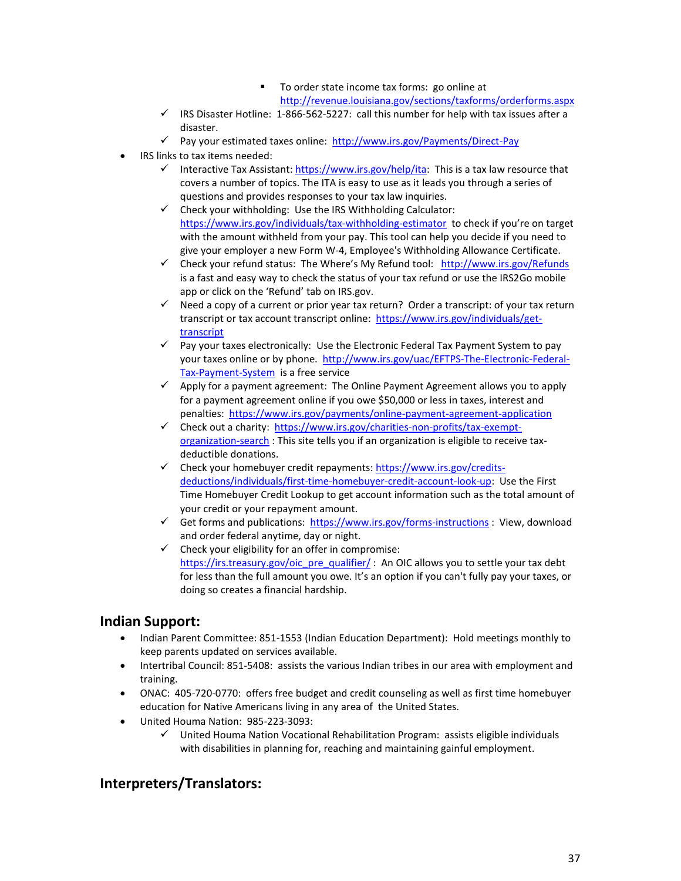- To order state income tax forms: go online at <http://revenue.louisiana.gov/sections/taxforms/orderforms.aspx>
- $\checkmark$  IRS Disaster Hotline: 1-866-562-5227: call this number for help with tax issues after a disaster.
- $\checkmark$  Pay your estimated taxes online: <http://www.irs.gov/Payments/Direct-Pay>
- IRS links to tax items needed:
	- Interactive Tax Assistant: [https://www.irs.gov/help/ita:](https://www.irs.gov/help/ita) This is a tax law resource that covers a number of topics. The ITA is easy to use as it leads you through a series of questions and provides responses to your tax law inquiries.
	- $\checkmark$  Check your withholding: Use the IRS Withholding Calculator: <https://www.irs.gov/individuals/tax-withholding-estimator> to check if you're on target with the amount withheld from your pay. This tool can help you decide if you need to give your employer a new Form W-4, Employee's Withholding Allowance Certificate.
	- Check your refund status: The Where's My Refund tool: <http://www.irs.gov/Refunds> is a fast and easy way to check the status of your tax refund or use the IRS2Go mobile app or click on the 'Refund' tab on IRS.gov.
	- $\checkmark$  Need a copy of a current or prior year tax return? Order a transcript: of your tax return transcript or tax account transcript online: [https://www.irs.gov/individuals/get](https://www.irs.gov/individuals/get-transcript)[transcript](https://www.irs.gov/individuals/get-transcript)
	- $\checkmark$  Pay your taxes electronically: Use the Electronic Federal Tax Payment System to pay your taxes online or by phone. [http://www.irs.gov/uac/EFTPS-The-Electronic-Federal-](http://www.irs.gov/uac/EFTPS-The-Electronic-Federal-Tax-Payment-System)[Tax-Payment-System](http://www.irs.gov/uac/EFTPS-The-Electronic-Federal-Tax-Payment-System) is a free service
	- $\checkmark$  Apply for a payment agreement: The Online Payment Agreement allows you to apply for a payment agreement online if you owe \$50,000 or less in taxes, interest and penalties: <https://www.irs.gov/payments/online-payment-agreement-application>
	- $\checkmark$  Check out a charity: [https://www.irs.gov/charities-non-profits/tax-exempt](https://www.irs.gov/charities-non-profits/tax-exempt-organization-search)[organization-search](https://www.irs.gov/charities-non-profits/tax-exempt-organization-search) : This site tells you if an organization is eligible to receive taxdeductible donations.
	- $\checkmark$  Check your homebuyer credit repayments: [https://www.irs.gov/credits](https://www.irs.gov/credits-deductions/individuals/first-time-homebuyer-credit-account-look-up)[deductions/individuals/first-time-homebuyer-credit-account-look-up:](https://www.irs.gov/credits-deductions/individuals/first-time-homebuyer-credit-account-look-up) Use the First Time Homebuyer Credit Lookup to get account information such as the total amount of your credit or your repayment amount.
	- Get forms and publications: <https://www.irs.gov/forms-instructions> : View, download and order federal anytime, day or night.
	- $\checkmark$  Check your eligibility for an offer in compromise: [https://irs.treasury.gov/oic\\_pre\\_qualifier/](https://irs.treasury.gov/oic_pre_qualifier/): An OIC allows you to settle your tax debt for less than the full amount you owe. It's an option if you can't fully pay your taxes, or doing so creates a financial hardship.

## **Indian Support:**

- Indian Parent Committee: 851-1553 (Indian Education Department): Hold meetings monthly to keep parents updated on services available.
- Intertribal Council: 851-5408: assists the various Indian tribes in our area with employment and training.
- ONAC: 405-720-0770: offers free budget and credit counseling as well as first time homebuyer education for Native Americans living in any area of the United States.
- United Houma Nation: 985-223-3093:
	- $\checkmark$  United Houma Nation Vocational Rehabilitation Program: assists eligible individuals with disabilities in planning for, reaching and maintaining gainful employment.

# **Interpreters/Translators:**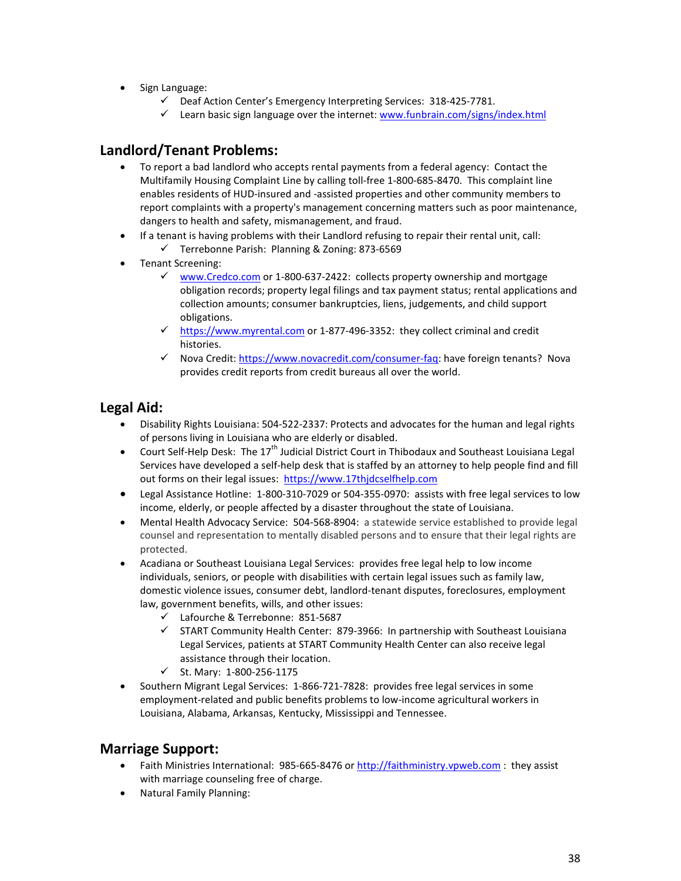- Sign Language:
	- $\checkmark$  Deaf Action Center's Emergency Interpreting Services: 318-425-7781.
	- $\checkmark$  Learn basic sign language over the internet[: www.funbrain.com/signs/index.html](http://www.funbrain.com/signs/index.html)

# **Landlord/Tenant Problems:**

- To report a bad landlord who accepts rental payments from a federal agency: Contact the [Multifamily Housing Complaint Line](http://www.hud.gov/offices/hsg/mfh/hc/complaint.cfm) by calling toll-free 1-800-685-8470. This complaint line enables residents of HUD-insured and -assisted properties and other community members to report complaints with a property's management concerning matters such as poor maintenance, dangers to health and safety, mismanagement, and fraud.
- If a tenant is having problems with their Landlord refusing to repair their rental unit, call:
	- $\checkmark$  Terrebonne Parish: Planning & Zoning: 873-6569
- Tenant Screening:
	- $\checkmark$  [www.Credco.com](http://www.credco.com/) or 1-800-637-2422: collects property ownership and mortgage obligation records; property legal filings and tax payment status; rental applications and collection amounts; consumer bankruptcies, liens, judgements, and child support obligations.
	- $\checkmark$  [https://www.myrental.com](https://www.myrental.com/) or 1-877-496-3352: they collect criminal and credit histories.
	- √ Nova Credit: [https://www.novacredit.com/consumer-faq:](https://www.novacredit.com/consumer-faq) have foreign tenants? Nova provides credit reports from credit bureaus all over the world.

## **Legal Aid:**

- Disability Rights Louisiana: 504-522-2337: Protects and advocates for the human and legal rights of persons living in Louisiana who are elderly or disabled.
- Court Self-Help Desk: The  $17<sup>th</sup>$  Judicial District Court in Thibodaux and Southeast Louisiana Legal Services have developed a self-help desk that is staffed by an attorney to help people find and fill out forms on their legal issues: [https://www.17thjdcselfhelp.com](https://www.17thjdcselfhelp.com/)
- Legal Assistance Hotline: 1-800-310-7029 or 504-355-0970: assists with free legal services to low income, elderly, or people affected by a disaster throughout the state of Louisiana.
- Mental Health Advocacy Service: 504-568-8904: a statewide service established to provide legal counsel and representation to mentally disabled persons and to ensure that their legal rights are protected.
- Acadiana or Southeast Louisiana Legal Services: provides free legal help to low income individuals, seniors, or people with disabilities with certain legal issues such as family law, domestic violence issues, consumer debt, landlord-tenant disputes, foreclosures, employment law, government benefits, wills, and other issues:
	- Lafourche & Terrebonne: 851-5687
	- $\checkmark$  START Community Health Center: 879-3966: In partnership with Southeast Louisiana Legal Services, patients at START Community Health Center can also receive legal assistance through their location.
	- $\checkmark$  St. Mary: 1-800-256-1175
- Southern Migrant Legal Services: 1-866-721-7828: provides free legal services in some employment-related and public benefits problems to low-income agricultural workers in Louisiana, Alabama, Arkansas, Kentucky, Mississippi and Tennessee.

### **Marriage Support:**

- Faith Ministries International: 985-665-8476 or [http://faithministry.vpweb.com](http://faithministry.vpweb.com/) : they assist with marriage counseling free of charge.
- Natural Family Planning: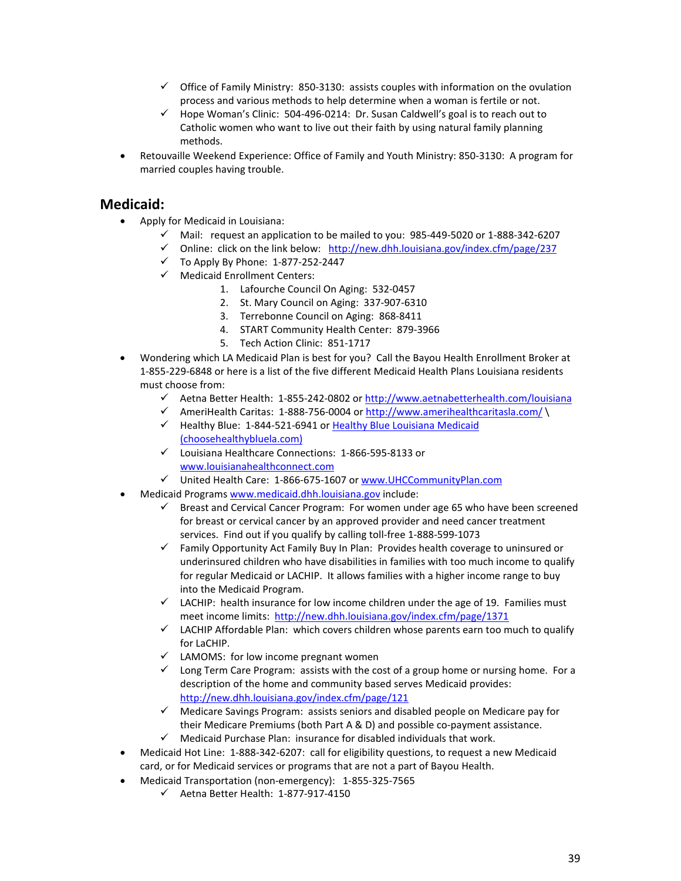- $\checkmark$  Office of Family Ministry: 850-3130: assists couples with information on the ovulation process and various methods to help determine when a woman is fertile or not.
- $\checkmark$  Hope Woman's Clinic: 504-496-0214: Dr. Susan Caldwell's goal is to reach out to Catholic women who want to live out their faith by using natural family planning methods.
- Retouvaille Weekend Experience: Office of Family and Youth Ministry: 850-3130: A program for married couples having trouble.

## **Medicaid:**

- Apply for Medicaid in Louisiana:
	- $\checkmark$  Mail: request an application to be mailed to you: 985-449-5020 or 1-888-342-6207
	- $\checkmark$  Online: click on the link below: <http://new.dhh.louisiana.gov/index.cfm/page/237>
	- $\checkmark$  To Apply By Phone: 1-877-252-2447
	- $\checkmark$  Medicaid Enrollment Centers:
		- 1. Lafourche Council On Aging: 532-0457
		- 2. St. Mary Council on Aging: 337-907-6310
		- 3. Terrebonne Council on Aging: 868-8411
		- 4. START Community Health Center: 879-3966
		- 5. Tech Action Clinic: 851-1717
- Wondering which LA Medicaid Plan is best for you? Call the Bayou Health Enrollment Broker at 1-855-229-6848 or here is a list of the five different Medicaid Health Plans Louisiana residents must choose from:
	- ← Aetna Better Health: 1-855-242-0802 o[r http://www.aetnabetterhealth.com/louisiana](http://www.aetnabetterhealth.com/louisiana)
	- AmeriHealth Caritas: 1-888-756-0004 or<http://www.amerihealthcaritasla.com/> \
	- $\checkmark$  Healthy Blue: 1-844-521-6941 or Healthy Blue Louisiana Medicaid [\(choosehealthybluela.com\)](https://www.choosehealthybluela.com/la/index.html?utm_source=SEM&utm_campaign=LA_BS_BR_General_M_EXACT&utm_content=Core&gclid=887b19777f3f135c13ca79f5945145c1&gclsrc=3p.ds&msclkid=887b19777f3f135c13ca79f5945145c1&utm_medium=cpc&utm_term=lousiana%20BCBS%20Medicaid%20insurance)
	- Louisiana Healthcare Connections: 1-866-595-8133 or [www.louisianahealthconnect.com](http://www.louisianahealthconnect.com/)
	- United Health Care: 1-866-675-1607 or [www.UHCCommunityPlan.com](http://www.uhccommunityplan.com/)
- Medicaid Programs [www.medicaid.dhh.louisiana.gov](http://www.medicaid.dhh.louisiana.gov/) include:
	- $\checkmark$  Breast and Cervical Cancer Program: For women under age 65 who have been screened for breast or cervical cancer by an approved provider and need cancer treatment services. Find out if you qualify by calling toll-free 1-888-599-1073
	- $\checkmark$  Family Opportunity Act Family Buy In Plan: Provides health coverage to uninsured or underinsured children who have disabilities in families with too much income to qualify for regular Medicaid or LACHIP. It allows families with a higher income range to buy into the Medicaid Program.
	- $\checkmark$  LACHIP: health insurance for low income children under the age of 19. Families must meet income limits: <http://new.dhh.louisiana.gov/index.cfm/page/1371>
	- $\checkmark$  LACHIP Affordable Plan: which covers children whose parents earn too much to qualify for LaCHIP.
	- $\checkmark$  LAMOMS: for low income pregnant women
	- $\checkmark$  Long Term Care Program: assists with the cost of a group home or nursing home. For a description of the home and community based serves Medicaid provides: <http://new.dhh.louisiana.gov/index.cfm/page/121>
	- $\checkmark$  Medicare Savings Program: assists seniors and disabled people on Medicare pay for their Medicare Premiums (both Part A & D) and possible co-payment assistance.
	- $\checkmark$  Medicaid Purchase Plan: insurance for disabled individuals that work.
- Medicaid Hot Line: 1-888-342-6207: call for eligibility questions, to request a new Medicaid card, or for Medicaid services or programs that are not a part of Bayou Health.
- Medicaid Transportation (non-emergency): 1-855-325-7565
	- $\checkmark$  Aetna Better Health: 1-877-917-4150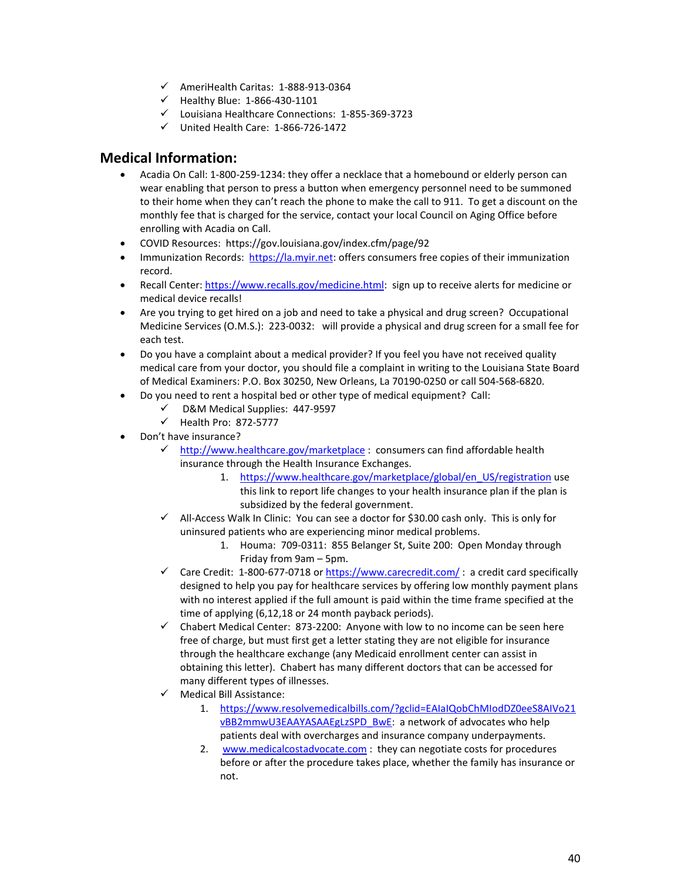- AmeriHealth Caritas: 1-888-913-0364
- $\checkmark$  Healthy Blue: 1-866-430-1101
- Louisiana Healthcare Connections: 1-855-369-3723
- $\checkmark$  United Health Care: 1-866-726-1472

## **Medical Information:**

- Acadia On Call: 1-800-259-1234: they offer a necklace that a homebound or elderly person can wear enabling that person to press a button when emergency personnel need to be summoned to their home when they can't reach the phone to make the call to 911. To get a discount on the monthly fee that is charged for the service, contact your local Council on Aging Office before enrolling with Acadia on Call.
- COVID Resources: https://gov.louisiana.gov/index.cfm/page/92
- Immunization Records: [https://la.myir.net:](https://la.myir.net/) offers consumers free copies of their immunization record.
- Recall Center[: https://www.recalls.gov/medicine.html:](https://www.recalls.gov/medicine.html) sign up to receive alerts for medicine or medical device recalls!
- Are you trying to get hired on a job and need to take a physical and drug screen? Occupational Medicine Services (O.M.S.): 223-0032: will provide a physical and drug screen for a small fee for each test.
- Do you have a complaint about a medical provider? If you feel you have not received quality medical care from your doctor, you should file a complaint in writing to the Louisiana State Board of Medical Examiners: P.O. Box 30250, New Orleans, La 70190-0250 or call 504-568-6820.
- Do you need to rent a hospital bed or other type of medical equipment? Call:
	- D&M Medical Supplies: 447-9597
	- $\checkmark$  Health Pro: 872-5777
- Don't have insurance?
	- $\checkmark$  <http://www.healthcare.gov/marketplace> : consumers can find affordable health insurance through the Health Insurance Exchanges.
		- 1. [https://www.healthcare.gov/marketplace/global/en\\_US/registration](https://www.healthcare.gov/marketplace/global/en_US/registration) use this link to report life changes to your health insurance plan if the plan is subsidized by the federal government.
	- $\checkmark$  All-Access Walk In Clinic: You can see a doctor for \$30.00 cash only. This is only for uninsured patients who are experiencing minor medical problems.
		- 1. Houma: 709-0311: 855 Belanger St, Suite 200: Open Monday through Friday from 9am – 5pm.
	- $\checkmark$  Care Credit: 1-800-677-0718 or <https://www.carecredit.com/>: a credit card specifically designed to help you pay for healthcare services by offering low monthly payment plans with no interest applied if the full amount is paid within the time frame specified at the time of applying (6,12,18 or 24 month payback periods).
	- $\checkmark$  Chabert Medical Center: 873-2200: Anyone with low to no income can be seen here free of charge, but must first get a letter stating they are not eligible for insurance through the healthcare exchange (any Medicaid enrollment center can assist in obtaining this letter). Chabert has many different doctors that can be accessed for many different types of illnesses.
	- $\checkmark$  Medical Bill Assistance:
		- 1. [https://www.resolvemedicalbills.com/?gclid=EAIaIQobChMIodDZ0eeS8AIVo21](https://www.resolvemedicalbills.com/?gclid=EAIaIQobChMIodDZ0eeS8AIVo21vBB2mmwU3EAAYASAAEgLzSPD_BwE) [vBB2mmwU3EAAYASAAEgLzSPD\\_BwE:](https://www.resolvemedicalbills.com/?gclid=EAIaIQobChMIodDZ0eeS8AIVo21vBB2mmwU3EAAYASAAEgLzSPD_BwE) a network of advocates who help patients deal with overcharges and insurance company underpayments.
		- 2. [www.medicalcostadvocate.com](http://www.medicalcostadvocate.com/) : they can negotiate costs for procedures before or after the procedure takes place, whether the family has insurance or not.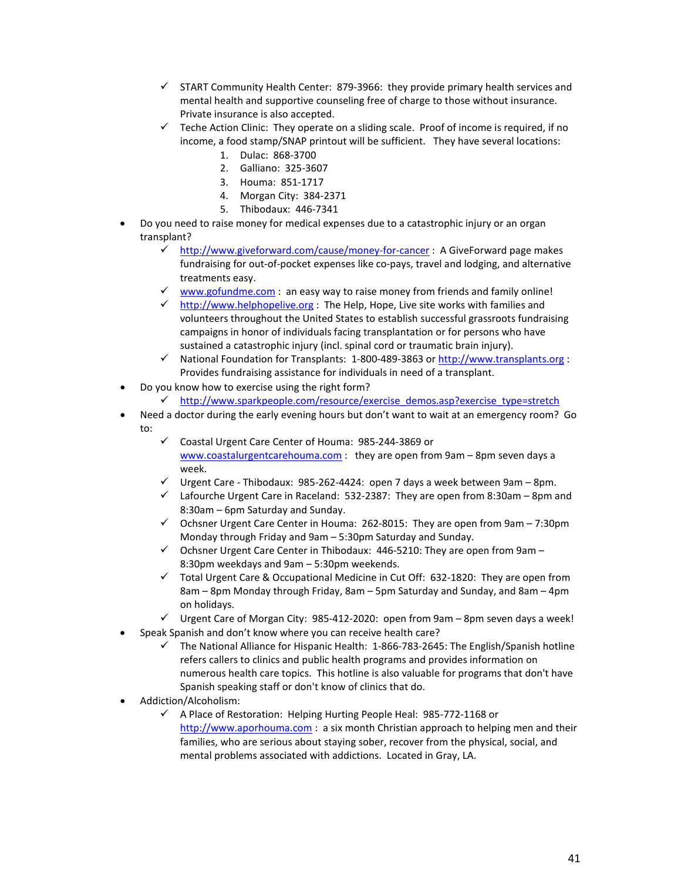- $\checkmark$  START Community Health Center: 879-3966: they provide primary health services and mental health and supportive counseling free of charge to those without insurance. Private insurance is also accepted.
- $\checkmark$  Teche Action Clinic: They operate on a sliding scale. Proof of income is required, if no income, a food stamp/SNAP printout will be sufficient. They have several locations:
	- 1. Dulac: 868-3700
	- 2. Galliano: 325-3607
	- 3. Houma: 851-1717
	- 4. Morgan City: 384-2371
	- 5. Thibodaux: 446-7341
- Do you need to raise money for medical expenses due to a catastrophic injury or an organ transplant?
	- <http://www.giveforward.com/cause/money-for-cancer> : A GiveForward page makes fundraising for out-of-pocket expenses like co-pays, travel and lodging, and alternative treatments easy.
	- $\checkmark$  [www.gofundme.com](http://www.gofundme.com/) : an easy way to raise money from friends and family online!
	- ← [http://www.helphopelive.org](http://www.helphopelive.org/) : The Help, Hope, Live site works with families and volunteers throughout the United States to establish successful grassroots fundraising campaigns in honor of individuals facing transplantation or for persons who have sustained a catastrophic injury (incl. spinal cord or traumatic brain injury).
	- $\checkmark$  National Foundation for Transplants: 1-800-489-3863 or [http://www.transplants.org](http://www.transplants.org/) : Provides fundraising assistance for individuals in need of a transplant.
- Do you know how to exercise using the right form?
	- ← [http://www.sparkpeople.com/resource/exercise\\_demos.asp?exercise\\_type=stretch](http://www.sparkpeople.com/resource/exercise_demos.asp?exercise_type=stretch)
- Need a doctor during the early evening hours but don't want to wait at an emergency room? Go to:
	- Coastal Urgent Care Center of Houma: 985-244-3869 or [www.coastalurgentcarehouma.com](http://www.coastalurgentcarehouma.com/) : they are open from 9am – 8pm seven days a week.
	- $\checkmark$  Urgent Care Thibodaux: 985-262-4424: open 7 days a week between 9am 8pm.
	- $\checkmark$  Lafourche Urgent Care in Raceland: 532-2387: They are open from 8:30am 8pm and 8:30am – 6pm Saturday and Sunday.
	- $\checkmark$  Ochsner Urgent Care Center in Houma: 262-8015: They are open from 9am 7:30pm Monday through Friday and 9am – 5:30pm Saturday and Sunday.
	- $\checkmark$  Ochsner Urgent Care Center in Thibodaux: 446-5210: They are open from 9am 8:30pm weekdays and 9am – 5:30pm weekends.
	- $\checkmark$  Total Urgent Care & Occupational Medicine in Cut Off: 632-1820: They are open from 8am – 8pm Monday through Friday, 8am – 5pm Saturday and Sunday, and 8am – 4pm on holidays.
	- $\checkmark$  Urgent Care of Morgan City: 985-412-2020: open from 9am 8pm seven days a week!
- Speak Spanish and don't know where you can receive health care?
	- The National Alliance for Hispanic Health: 1-866-783-2645: The English/Spanish hotline refers callers to clinics and public health programs and provides information on numerous health care topics. This hotline is also valuable for programs that don't have Spanish speaking staff or don't know of clinics that do.
- Addiction/Alcoholism:
	- A Place of Restoration: Helping Hurting People Heal: 985-772-1168 or [http://www.aporhouma.com](http://www.aporhouma.com/) : a six month Christian approach to helping men and their families, who are serious about staying sober, recover from the physical, social, and mental problems associated with addictions. Located in Gray, LA.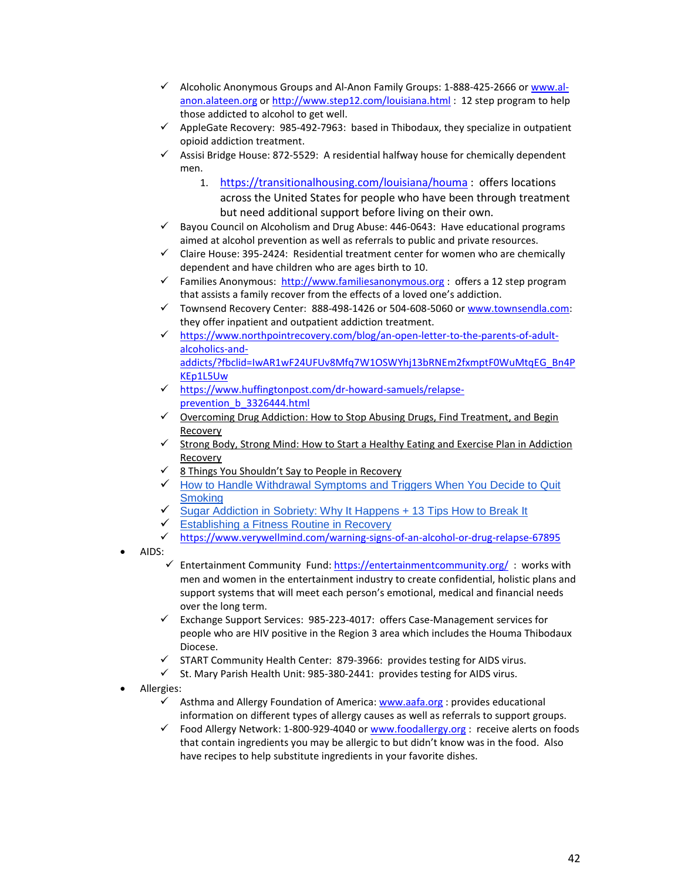- $\checkmark$  Alcoholic Anonymous Groups and Al-Anon Family Groups: 1-888-425-2666 o[r www.al](http://www.al-anon.alateen.org/)[anon.alateen.org](http://www.al-anon.alateen.org/) or<http://www.step12.com/louisiana.html> : 12 step program to help those addicted to alcohol to get well.
- $\checkmark$  AppleGate Recovery: 985-492-7963: based in Thibodaux, they specialize in outpatient opioid addiction treatment.
- $\checkmark$  Assisi Bridge House: 872-5529: A residential halfway house for chemically dependent men.
	- 1. <https://transitionalhousing.com/louisiana/houma> : offers locations across the United States for people who have been through treatment but need additional support before living on their own.
- $\checkmark$  Bayou Council on Alcoholism and Drug Abuse: 446-0643: Have educational programs aimed at alcohol prevention as well as referrals to public and private resources.
- $\checkmark$  Claire House: 395-2424: Residential treatment center for women who are chemically dependent and have children who are ages birth to 10.
- Families Anonymous: [http://www.familiesanonymous.org](http://www.familiesanonymous.org/) : offers a 12 step program that assists a family recover from the effects of a loved one's addiction.
- Townsend Recovery Center: 888-498-1426 or 504-608-5060 o[r www.townsendla.com:](http://www.townsendla.com/) they offer inpatient and outpatient addiction treatment.
- [https://www.northpointrecovery.com/blog/an-open-letter-to-the-parents-of-adult](https://www.northpointrecovery.com/blog/an-open-letter-to-the-parents-of-adult-alcoholics-and-addicts/?fbclid=IwAR1wF24UFUv8Mfq7W1OSWYhj13bRNEm2fxmptF0WuMtqEG_Bn4PKEp1L5Uw)[alcoholics-and](https://www.northpointrecovery.com/blog/an-open-letter-to-the-parents-of-adult-alcoholics-and-addicts/?fbclid=IwAR1wF24UFUv8Mfq7W1OSWYhj13bRNEm2fxmptF0WuMtqEG_Bn4PKEp1L5Uw)[addicts/?fbclid=IwAR1wF24UFUv8Mfq7W1OSWYhj13bRNEm2fxmptF0WuMtqEG\\_Bn4P](https://www.northpointrecovery.com/blog/an-open-letter-to-the-parents-of-adult-alcoholics-and-addicts/?fbclid=IwAR1wF24UFUv8Mfq7W1OSWYhj13bRNEm2fxmptF0WuMtqEG_Bn4PKEp1L5Uw) [KEp1L5Uw](https://www.northpointrecovery.com/blog/an-open-letter-to-the-parents-of-adult-alcoholics-and-addicts/?fbclid=IwAR1wF24UFUv8Mfq7W1OSWYhj13bRNEm2fxmptF0WuMtqEG_Bn4PKEp1L5Uw)
- $\checkmark$  [https://www.huffingtonpost.com/dr-howard-samuels/relapse](https://www.huffingtonpost.com/dr-howard-samuels/relapse-prevention_b_3326444.html)[prevention\\_b\\_3326444.html](https://www.huffingtonpost.com/dr-howard-samuels/relapse-prevention_b_3326444.html)
- [Overcoming Drug Addiction: How to Stop Abusing Drugs, Find Treatment, and Begin](https://www.helpguide.org/articles/addictions/overcoming-drug-addiction.htm)  [Recovery](https://www.helpguide.org/articles/addictions/overcoming-drug-addiction.htm)
- $\checkmark$  Strong Body, Strong Mind: How to Start a Healthy Eating and Exercise Plan in Addiction [Recovery](https://www.adrugrehab.org/strong-body-sound-mind/)
- [8 Things You Shouldn't Say to People in Recovery](https://www.huffingtonpost.com/entry/what-not-to-say-to-people-in-recovery-and-what-to-say-instead_us_560b0d04e4b0768126ffb6bd)
- $\checkmark$  How to Handle Withdrawal Symptoms and Triggers When You Decide to Quit **[Smoking](https://www.cancer.gov/about-cancer/causes-prevention/risk/tobacco/withdrawal-fact-sheet)**
- [Sugar Addiction in Sobriety: Why It Happens + 13 Tips How to Break It](http://www.hipsobriety.com/home/2016/1/2/sugar-addiction-and-booze-why-it-happens-how-to-fix-it)
- $\checkmark$  [Establishing a Fitness Routine in Recovery](https://safeharborhouse.com/establishing-a-fitness-routine-in-recovery/)
- <https://www.verywellmind.com/warning-signs-of-an-alcohol-or-drug-relapse-67895>
- AIDS:
	- Findertainment Community Fund[: https://entertainmentcommunity.org/](https://entertainmentcommunity.org/): works with men and women in the entertainment industry to create confidential, holistic plans and support systems that will meet each person's emotional, medical and financial needs over the long term.
	- $\checkmark$  Exchange Support Services: 985-223-4017: offers Case-Management services for people who are HIV positive in the Region 3 area which includes the Houma Thibodaux Diocese.
	- $\checkmark$  START Community Health Center: 879-3966: provides testing for AIDS virus.
	- $\checkmark$  St. Mary Parish Health Unit: 985-380-2441: provides testing for AIDS virus.
- Allergies:
	- $\checkmark$  Asthma and Allergy Foundation of America: [www.aafa.org](http://www.aafa.org/) : provides educational information on different types of allergy causes as well as referrals to support groups.
	- $\checkmark$  Food Allergy Network: 1-800-929-4040 or  $\underline{www.foodallergy.org}$  $\underline{www.foodallergy.org}$  $\underline{www.foodallergy.org}$ : receive alerts on foods that contain ingredients you may be allergic to but didn't know was in the food. Also have recipes to help substitute ingredients in your favorite dishes.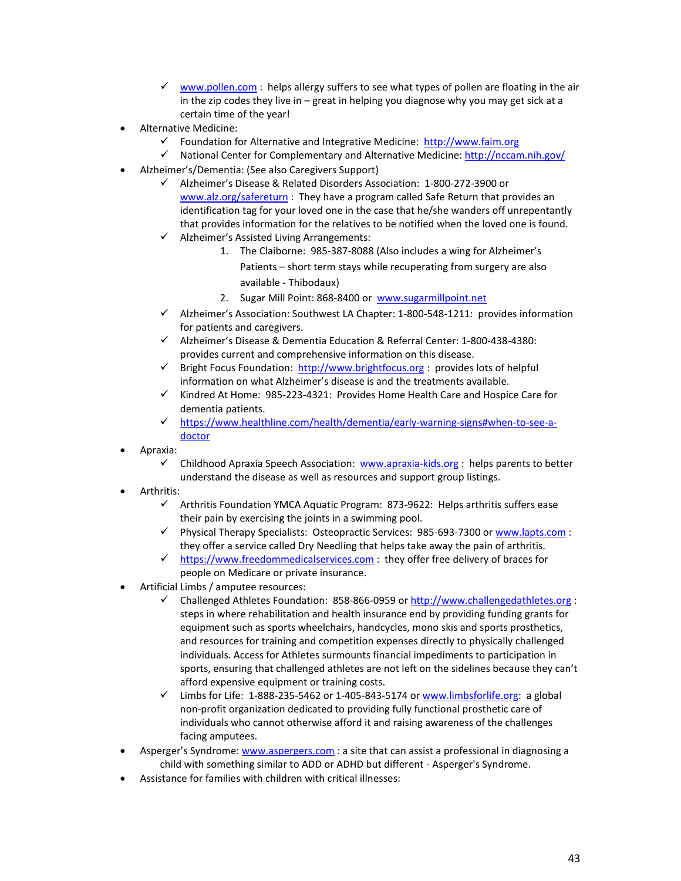- $\checkmark$  [www.pollen.com](http://www.pollen.com/) : helps allergy suffers to see what types of pollen are floating in the air in the zip codes they live in – great in helping you diagnose why you may get sick at a certain time of the year!
- Alternative Medicine:
	- Foundation for Alternative and Integrative Medicine: [http://www.faim.org](http://www.faim.org/)
	- $\checkmark$  National Center for Complementary and Alternative Medicine:<http://nccam.nih.gov/>
- Alzheimer's/Dementia: (See also Caregivers Support)
	- Alzheimer's Disease & Related Disorders Association: 1-800-272-3900 or [www.alz.org/safereturn](http://www.alz.org/safereturn) : They have a program called Safe Return that provides an identification tag for your loved one in the case that he/she wanders off unrepentantly that provides information for the relatives to be notified when the loved one is found.
	- $\checkmark$  Alzheimer's Assisted Living Arrangements:
		- 1. The Claiborne: 985-387-8088 (Also includes a wing for Alzheimer's Patients – short term stays while recuperating from surgery are also available - Thibodaux)
		- 2. Sugar Mill Point: 868-8400 or [www.sugarmillpoint.net](http://www.sugarmillpoint.net/)
	- $\checkmark$  Alzheimer's Association: Southwest LA Chapter: 1-800-548-1211: provides information for patients and caregivers.
	- $\checkmark$  Alzheimer's Disease & Dementia Education & Referral Center: 1-800-438-4380: provides current and comprehensive information on this disease.
	- Fight Focus Foundation: [http://www.brightfocus.org](http://www.brightfocus.org/) : provides lots of helpful information on what Alzheimer's disease is and the treatments available.
	- $\checkmark$  Kindred At Home: 985-223-4321: Provides Home Health Care and Hospice Care for dementia patients.
	- [https://www.healthline.com/health/dementia/early-warning-signs#when-to-see-a](https://www.healthline.com/health/dementia/early-warning-signs#when-to-see-a-doctor)[doctor](https://www.healthline.com/health/dementia/early-warning-signs#when-to-see-a-doctor)
- Apraxia:
	- $\checkmark$  Childhood Apraxia Speech Association: [www.apraxia-kids.org](http://www.apraxia-kids.org/) : helps parents to better understand the disease as well as resources and support group listings.
- Arthritis:
	- $\checkmark$  Arthritis Foundation YMCA Aquatic Program: 873-9622: Helps arthritis suffers ease their pain by exercising the joints in a swimming pool.
	- $\checkmark$  Physical Therapy Specialists: Osteopractic Services: 985-693-7300 o[r www.lapts.com](http://www.lapts.com/) : they offer a service called Dry Needling that helps take away the pain of arthritis.
	- $\checkmark$  [https://www.freedommedicalservices.com](https://www.freedommedicalservices.com/) : they offer free delivery of braces for people on Medicare or private insurance.
- Artificial Limbs / amputee resources:
	- Challenged Athletes Foundation: 858-866-0959 o[r http://www.challengedathletes.org](http://www.challengedathletes.org/) : steps in where rehabilitation and health insurance end by providing funding grants for equipment such as sports wheelchairs, handcycles, mono skis and sports prosthetics, and resources for training and competition expenses directly to physically challenged individuals. Access for Athletes surmounts financial impediments to participation in sports, ensuring that challenged athletes are not left on the sidelines because they can't afford expensive equipment or training costs.
	- $\checkmark$  Limbs for Life: 1-888-235-5462 or 1-405-843-5174 or [www.limbsforlife.org:](http://www.limbsforlife.org/) a global non-profit organization dedicated to providing fully functional prosthetic care of individuals who cannot otherwise afford it and raising awareness of the challenges facing amputees.
- Asperger's Syndrome: [www.aspergers.com](http://www.aspergers.com/) : a site that can assist a professional in diagnosing a child with something similar to ADD or ADHD but different - Asperger's Syndrome.
- Assistance for families with children with critical illnesses: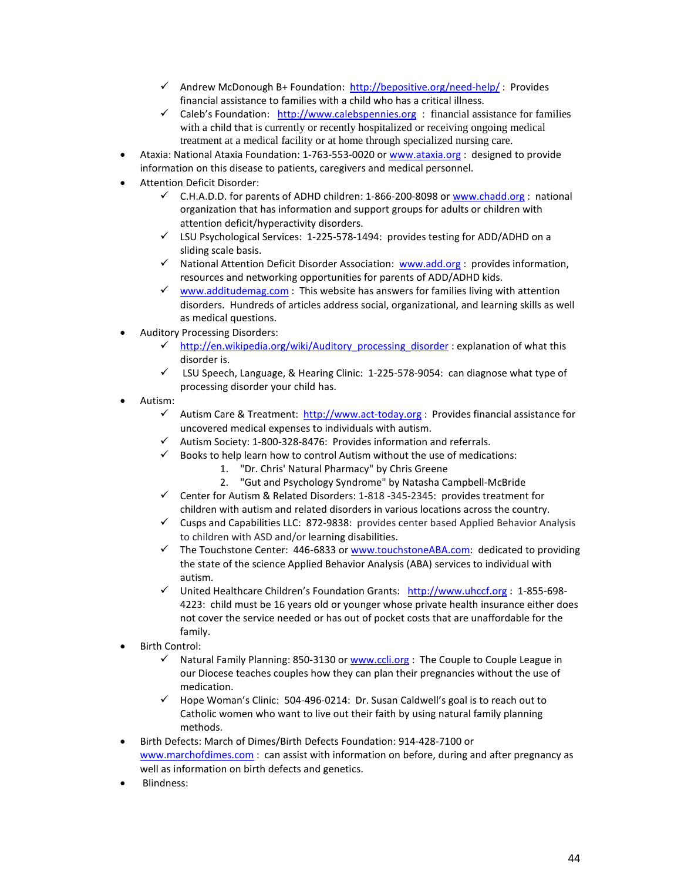- $\checkmark$  Andrew McDonough B+ Foundation: <http://bepositive.org/need-help/>: Provides financial assistance to families with a child who has a critical illness.
- $\checkmark$  Caleb's Foundation: [http://www.calebspennies.org](http://www.calebspennies.org/) : financial assistance for families with a child that is currently or recently hospitalized or receiving ongoing medical treatment at a medical facility or at home through specialized nursing care.
- Ataxia: National Ataxia Foundation: 1-763-553-0020 or [www.ataxia.org](http://www.ataxia.org/) : designed to provide information on this disease to patients, caregivers and medical personnel.
- Attention Deficit Disorder:
	- $\checkmark$  C.H.A.D.D. for parents of ADHD children: 1-866-200-8098 or [www.chadd.org](http://www.chadd.org/) : national organization that has information and support groups for adults or children with attention deficit/hyperactivity disorders.
	- LSU Psychological Services: 1-225-578-1494: provides testing for ADD/ADHD on a sliding scale basis.
	- $\checkmark$  National Attention Deficit Disorder Association: [www.add.org](http://www.add.org/) : provides information, resources and networking opportunities for parents of ADD/ADHD kids.
	- $\checkmark$  [www.additudemag.com](http://www.additudemag.com/) : This website has answers for families living with attention disorders. Hundreds of articles address social, organizational, and learning skills as well as medical questions.
- Auditory Processing Disorders:
	- $\checkmark$  [http://en.wikipedia.org/wiki/Auditory\\_processing\\_disorder](http://en.wikipedia.org/wiki/Auditory_processing_disorder) : explanation of what this disorder is.
	- $\checkmark$  LSU Speech, Language, & Hearing Clinic: 1-225-578-9054: can diagnose what type of processing disorder your child has.
- Autism:
	- $\checkmark$  Autism Care & Treatment: [http://www.act-today.org](http://www.act-today.org/) : Provides financial assistance for uncovered medical expenses to individuals with autism.
	- $\checkmark$  Autism Society: 1-800-328-8476: Provides information and referrals.
	- $\checkmark$  Books to help learn how to control Autism without the use of medications:
		- 1. "Dr. Chris' Natural Pharmacy" by Chris Greene
		- 2. "Gut and Psychology Syndrome" by Natasha Campbell-McBride
	- $\checkmark$  Center for Autism & Related Disorders: 1-818 -345-2345: provides treatment for children with autism and related disorders in various locations across the country.
	- $\checkmark$  Cusps and Capabilities LLC: 872-9838: provides center based Applied Behavior Analysis to children with ASD and/or learning disabilities.
	- $\checkmark$  The Touchstone Center: 446-6833 or [www.touchstoneABA.com:](http://www.touchstoneaba.com/) dedicated to providing the state of the science Applied Behavior Analysis (ABA) services to individual with autism.
	- $\checkmark$  United Healthcare Children's Foundation Grants: [http://www.uhccf.org](http://www.uhccf.org/) : 1-855-698-4223: child must be 16 years old or younger whose private health insurance either does not cover the service needed or has out of pocket costs that are unaffordable for the family.
- Birth Control:
	- $\checkmark$  Natural Family Planning: 850-3130 or [www.ccli.org](http://www.ccli.org/) : The Couple to Couple League in our Diocese teaches couples how they can plan their pregnancies without the use of medication.
	- $\checkmark$  Hope Woman's Clinic: 504-496-0214: Dr. Susan Caldwell's goal is to reach out to Catholic women who want to live out their faith by using natural family planning methods.
- Birth Defects: March of Dimes/Birth Defects Foundation: 914-428-7100 or [www.marchofdimes.com](http://www.marchofdimes.com/) : can assist with information on before, during and after pregnancy as well as information on birth defects and genetics.
- Blindness: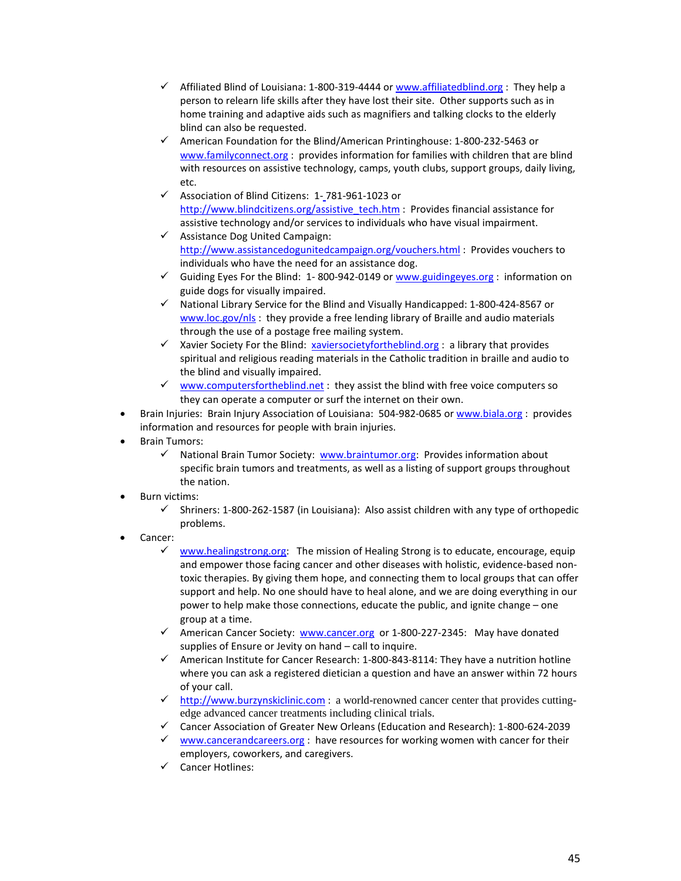- $\checkmark$  Affiliated Blind of Louisiana: 1-800-319-4444 or [www.affiliatedblind.org](http://www.affiliatedblind.org/) : They help a person to relearn life skills after they have lost their site. Other supports such as in home training and adaptive aids such as magnifiers and talking clocks to the elderly blind can also be requested.
- $\checkmark$  American Foundation for the Blind/American Printinghouse: 1-800-232-5463 or [www.familyconnect.org](http://www.familyconnect.org/) : provides information for families with children that are blind with resources on assistive technology, camps, youth clubs, support groups, daily living, etc.
- Association of Blind Citizens: 1- 781-961-1023 or [http://www.blindcitizens.org/assistive\\_tech.htm](http://www.blindcitizens.org/assistive_tech.htm) : Provides financial assistance for assistive technology and/or services to individuals who have visual impairment.
- $\checkmark$  Assistance Dog United Campaign: <http://www.assistancedogunitedcampaign.org/vouchers.html> : Provides vouchers to individuals who have the need for an assistance dog.
- $\checkmark$  Guiding Eyes For the Blind: 1-800-942-0149 or [www.guidingeyes.org](http://www.guidingeyes.org/) : information on guide dogs for visually impaired.
- $\checkmark$  National Library Service for the Blind and Visually Handicapped: 1-800-424-8567 or [www.loc.gov/nls](http://www.loc.gov/nls): they provide a free lending library of Braille and audio materials through the use of a postage free mailing system.
- $\checkmark$  Xavier Society For the Blind: [xaviersocietyfortheblind.org](http://xaviersocietyfortheblind.org/) : a library that provides spiritual and religious reading materials in the Catholic tradition in braille and audio to the blind and visually impaired.
- $\checkmark$  [www.computersfortheblind.net](http://www.computersfortheblind.net/): they assist the blind with free voice computers so they can operate a computer or surf the internet on their own.
- Brain Injuries: Brain Injury Association of Louisiana: 504-982-0685 o[r www.biala.org](http://www.biala.org/) : provides information and resources for people with brain injuries.
- Brain Tumors:
	- $\checkmark$  National Brain Tumor Society: [www.braintumor.org:](http://www.braintumor.org/) Provides information about specific brain tumors and treatments, as well as a listing of support groups throughout the nation.
- Burn victims:
	- $\checkmark$  Shriners: 1-800-262-1587 (in Louisiana): Also assist children with any type of orthopedic problems.
- Cancer:
	- [www.healingstrong.org:](http://www.healingstrong.org/) The mission of Healing Strong is to educate, encourage, equip and empower those facing cancer and other diseases with holistic, evidence-based nontoxic therapies. By giving them hope, and connecting them to local groups that can offer support and help. No one should have to heal alone, and we are doing everything in our power to help make those connections, educate the public, and ignite change – one group at a time.
	- $\checkmark$  American Cancer Society: [www.cancer.org](http://www.cancer.org/) or 1-800-227-2345: May have donated supplies of Ensure or Jevity on hand – call to inquire.
	- $\checkmark$  American Institute for Cancer Research: 1-800-843-8114: They have a nutrition hotline where you can ask a registered dietician a question and have an answer within 72 hours of your call.
	- $\checkmark$  [http://www.burzynskiclinic.com](http://www.burzynskiclinic.com/) : a world-renowned cancer center that provides cuttingedge advanced cancer treatments including clinical trials.
	- Cancer Association of Greater New Orleans (Education and Research): 1-800-624-2039
	- $\checkmark$  [www.cancerandcareers.org](http://www.cancerandcareers.org/) : have resources for working women with cancer for their employers, coworkers, and caregivers.
	- Cancer Hotlines: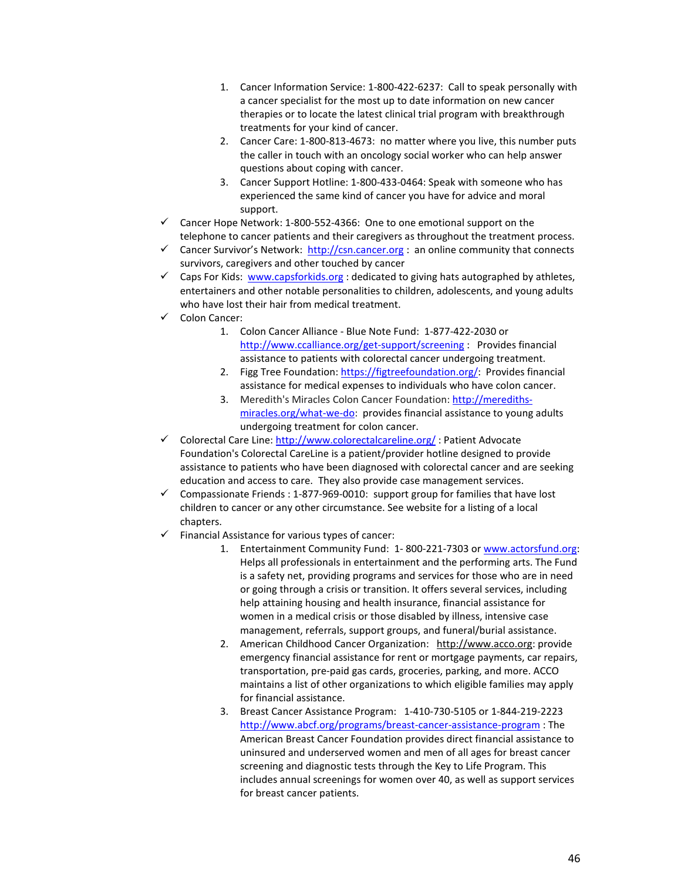- 1. Cancer Information Service: 1-800-422-6237: Call to speak personally with a cancer specialist for the most up to date information on new cancer therapies or to locate the latest clinical trial program with breakthrough treatments for your kind of cancer.
- 2. Cancer Care: 1-800-813-4673: no matter where you live, this number puts the caller in touch with an oncology social worker who can help answer questions about coping with cancer.
- 3. Cancer Support Hotline: 1-800-433-0464: Speak with someone who has experienced the same kind of cancer you have for advice and moral support.
- $\checkmark$  Cancer Hope Network: 1-800-552-4366: One to one emotional support on the telephone to cancer patients and their caregivers as throughout the treatment process.
- Cancer Survivor's Network: [http://csn.cancer.org](http://csn.cancer.org/) : an online community that connects survivors, caregivers and other touched by cancer
- $\checkmark$  Caps For Kids: [www.capsforkids.org](http://www.capsforkids.org/) : dedicated to giving hats autographed by athletes, entertainers and other notable personalities to children, adolescents, and young adults who have lost their hair from medical treatment.
- Colon Cancer:
	- 1. Colon Cancer Alliance Blue Note Fund: 1-877-422-2030 or <http://www.ccalliance.org/get-support/screening> : Provides financial assistance to patients with colorectal cancer undergoing treatment.
	- 2. Figg Tree Foundation: [https://figtreefoundation.org/:](https://figtreefoundation.org/) Provides financial assistance for medical expenses to individuals who have colon cancer.
	- 3. Meredith's Miracles Colon Cancer Foundation: [http://merediths](http://merediths-miracles.org/what-we-do)[miracles.org/what-we-do:](http://merediths-miracles.org/what-we-do) [provides financial assistance](http://www.meredithsmiraclesfoundation.org/index.php?option=com_content&view=article&id=12&Itemid=8) to young adults undergoing treatment for colon cancer.
- $\checkmark$  Colorectal Care Line:<http://www.colorectalcareline.org/> : Patient Advocate Foundation's Colorectal CareLine is a patient/provider hotline designed to provide assistance to patients who have been diagnosed with colorectal cancer and are seeking education and access to care. They also provide case management services.
- $\checkmark$  Compassionate Friends : 1-877-969-0010: support group for families that have lost children to cancer or any other circumstance. See website for a listing of a local chapters.
- $\checkmark$  Financial Assistance for various types of cancer:
	- 1. Entertainment Community Fund: 1- 800-221-7303 or [www.actorsfund.org:](http://www.actorsfund.org/) Helps all professionals in entertainment and the performing arts. The Fund is a safety net, providing programs and services for those who are in need or going through a crisis or transition. It offers several services, including help attaining housing and health insurance, financial assistance for women in a medical crisis or those disabled by illness, intensive case management, referrals, support groups, and funeral/burial assistance.
	- 2. American Childhood Cancer Organization: [http://www.acco.org:](http://www.acco.org/) provide emergency financial assistance for rent or mortgage payments, car repairs, transportation, pre-paid gas cards, groceries, parking, and more. ACCO maintains a list of other organizations to which eligible families may apply for financial assistance.
	- 3. Breast Cancer Assistance Program: 1-410-730-5105 or 1-844-219-2223 <http://www.abcf.org/programs/breast-cancer-assistance-program> : The American Breast Cancer Foundation provides direct financial assistance to uninsured and underserved women and men of all ages for breast cancer screening and diagnostic tests through the Key to Life Program. This includes annual screenings for women over 40, as well as support services for breast cancer patients.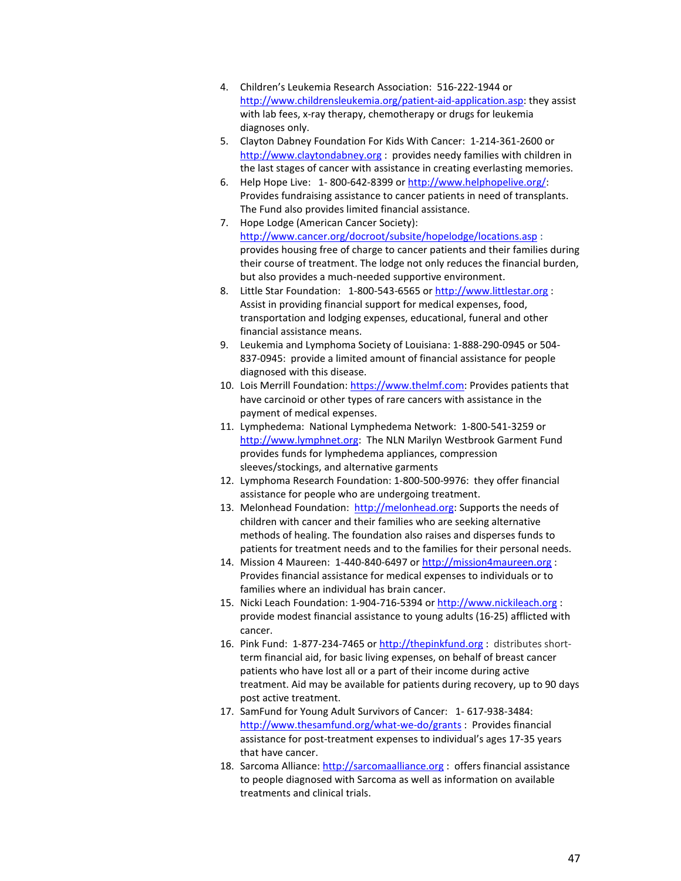- 4. Children's Leukemia Research Association: 516-222-1944 or [http://www.childrensleukemia.org/patient-aid-application.asp:](http://www.childrensleukemia.org/patient-aid-application.asp) they assist with lab fees, x-ray therapy, chemotherapy or drugs for leukemia diagnoses only.
- 5. Clayton Dabney Foundation For Kids With Cancer: 1-214-361-2600 or [http://www.claytondabney.org](http://www.claytondabney.org/) : provides needy families with children in the last stages of cancer with assistance in creating everlasting memories.
- 6. Help Hope Live: 1- 800-642-8399 or [http://www.helphopelive.org/:](http://www.helphopelive.org/) Provides fundraising assistance to cancer patients in need of transplants. The Fund also provides limited financial assistance.
- 7. Hope Lodge (American Cancer Society): <http://www.cancer.org/docroot/subsite/hopelodge/locations.asp> : provides housing free of charge to cancer patients and their families during their course of treatment. The lodge not only reduces the financial burden, but also provides a much-needed supportive environment.
- 8. Little Star Foundation: 1-800-543-6565 o[r http://www.littlestar.org](http://www.littlestar.org/) : Assist in providing financial support for medical expenses, food, transportation and lodging expenses, educational, funeral and other financial assistance means.
- 9. Leukemia and Lymphoma Society of Louisiana: 1-888-290-0945 or 504- 837-0945: provide a limited amount of financial assistance for people diagnosed with this disease.
- 10. Lois Merrill Foundation: [https://www.thelmf.com:](https://www.thelmf.com/) Provides patients that have carcinoid or other types of rare cancers with assistance in the payment of medical expenses.
- 11. Lymphedema: National Lymphedema Network: 1-800-541-3259 or [http://www.lymphnet.org:](http://www.lymphnet.org/) The NLN Marilyn Westbrook Garment Fund provides funds for lymphedema appliances, compression sleeves/stockings, and alternative garments
- 12. Lymphoma Research Foundation: 1-800-500-9976: they offer financial assistance for people who are undergoing treatment.
- 13. Melonhead Foundation: [http://melonhead.org:](http://melonhead.org/) Supports the needs of children with cancer and their families who are seeking alternative methods of healing. The foundation also raises and disperses funds to patients for treatment needs and to the families for their personal needs.
- 14. Mission 4 Maureen: 1-440-840-6497 or [http://mission4maureen.org](http://mission4maureen.org/) : Provides financial assistance for medical expenses to individuals or to families where an individual has brain cancer.
- 15. Nicki Leach Foundation: 1-904-716-5394 o[r http://www.nickileach.org](http://www.nickileach.org/) : provide modest financial assistance to young adults (16-25) afflicted with cancer.
- 16. Pink Fund: 1-877-234-7465 or [http://thepinkfund.org](http://thepinkfund.org/) : distributes shortterm financial aid, for basic living expenses, on behalf of breast cancer patients who have lost all or a part of their income during active treatment. Aid may be available for patients during recovery, up to 90 days post active treatment.
- 17. SamFund for Young Adult Survivors of Cancer: 1- 617-938-3484: <http://www.thesamfund.org/what-we-do/grants> : Provides financial assistance for post-treatment expenses to individual's ages 17-35 years that have cancer.
- 18. Sarcoma Alliance: [http://sarcomaalliance.org](http://sarcomaalliance.org/) : offers financial assistance to people diagnosed with Sarcoma as well as information on available treatments and clinical trials.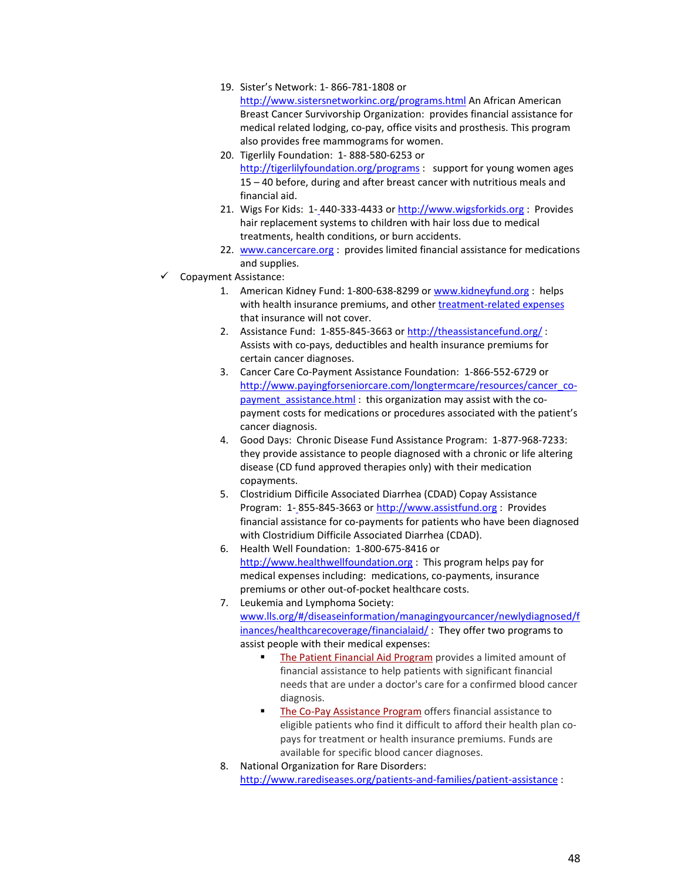19. Sister's Network: 1- 866-781-1808 or

<http://www.sistersnetworkinc.org/programs.html> An African American Breast Cancer Survivorship Organization: provides financial assistance for medical related lodging, co-pay, office visits and prosthesis. This program also provides free mammograms for women.

- 20. Tigerlily Foundation: 1- 888-580-6253 or <http://tigerlilyfoundation.org/programs> : support for young women ages 15 – 40 before, during and after breast cancer with nutritious meals and financial aid.
- 21. Wigs For Kids: 1- 440-333-4433 or [http://www.wigsforkids.org](http://www.wigsforkids.org/) : Provides hair replacement systems to children with hair loss due to medical treatments, health conditions, or burn accidents.
- 22. [www.cancercare.org](http://www.cancercare.org/) : provides limited financial assistance for medications and supplies.
- $\checkmark$  Copayment Assistance:
	- 1. American Kidney Fund: 1-800-638-8299 or [www.kidneyfund.org](http://www.kidneyfund.org/) : helps with health insurance premiums, and other [treatment-related expenses](http://www.kidneyfund.org/patient-grants/safety-net-grants/) that insurance will not cover.
	- 2. Assistance Fund: 1-855-845-3663 o[r http://theassistancefund.org/](http://theassistancefund.org/) : Assists with co-pays, deductibles and health insurance premiums for certain cancer diagnoses.
	- 3. Cancer Care Co-Payment Assistance Foundation: 1-866-552-6729 or [http://www.payingforseniorcare.com/longtermcare/resources/cancer\\_co](http://www.payingforseniorcare.com/longtermcare/resources/cancer_co-payment_assistance.html)payment assistance.html : this organization may assist with the copayment costs for medications or procedures associated with the patient's cancer diagnosis.
	- 4. Good Days: Chronic Disease Fund Assistance Program: 1-877-968-7233: they provide assistance to people diagnosed with a chronic or life altering disease (CD fund approved therapies only) with their medication copayments.
	- 5. Clostridium Difficile Associated Diarrhea (CDAD) Copay Assistance Program: 1- 855-845-3663 o[r http://www.assistfund.org](http://www.assistfund.org/) : Provides financial assistance for co-payments for patients who have been diagnosed with Clostridium Difficile Associated Diarrhea (CDAD).
	- 6. Health Well Foundation: 1-800-675-8416 or [http://www.healthwellfoundation.org](http://www.healthwellfoundation.org/) : This program helps pay for medical expenses including: medications, co-payments, insurance premiums or other out-of-pocket healthcare costs.
	- 7. Leukemia and Lymphoma Society: [www.lls.org/#/diseaseinformation/managingyourcancer/newlydiagnosed/f](http://www.lls.org/#/diseaseinformation/managingyourcancer/newlydiagnosed/finances/healthcarecoverage/financialaid/) [inances/healthcarecoverage/financialaid/](http://www.lls.org/#/diseaseinformation/managingyourcancer/newlydiagnosed/finances/healthcarecoverage/financialaid/) : They offer two programs to assist people with their medical expenses:
		- [The Patient Financial Aid Program](http://www.lls.org/diseaseinformation/getinformationsupport/financialmatters/patientfinancialaid/) provides a limited amount of financial assistance to help patients with significant financial needs that are under a doctor's care for a confirmed blood cancer diagnosis.
		- [The Co-Pay Assistance Program](http://www.lls.org/diseaseinformation/getinformationsupport/financialmatters/copayassistance/) offers financial assistance to eligible patients who find it difficult to afford their health plan copays for treatment or health insurance premiums. Funds are available for specific blood cancer diagnoses.
	- 8. National Organization for Rare Disorders:

<http://www.rarediseases.org/patients-and-families/patient-assistance> :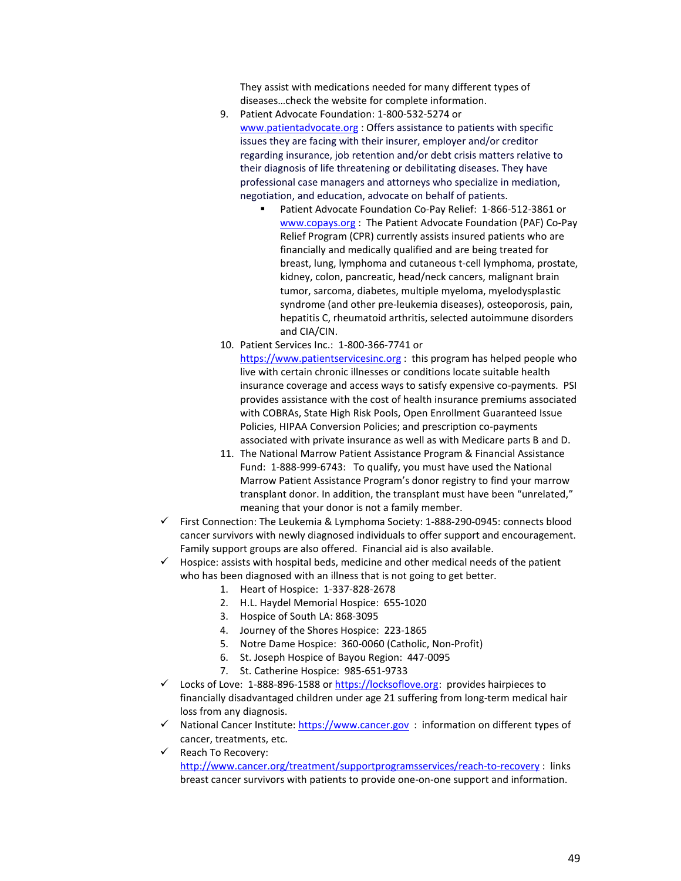They assist with medications needed for many different types of diseases…check the website for complete information.

- 9. Patient Advocate Foundation: 1-800-532-5274 or [www.patientadvocate.org](http://www.patientadvocate.org/) : Offers assistance to patients with specific issues they are facing with their insurer, employer and/or creditor regarding insurance, job retention and/or debt crisis matters relative to their diagnosis of life threatening or debilitating diseases. They have professional case managers and attorneys who specialize in mediation, negotiation, and education, advocate on behalf of patients.
	- Patient Advocate Foundation Co-Pay Relief: 1-866-512-3861 or [www.copays.org](http://www.copays.org/) : The Patient Advocate Foundation (PAF) Co-Pay Relief Program (CPR) currently assists insured patients who are financially and medically qualified and are being treated for breast, lung, lymphoma and cutaneous t-cell lymphoma, prostate, kidney, colon, pancreatic, head/neck cancers, malignant brain tumor, sarcoma, diabetes, multiple myeloma, myelodysplastic syndrome (and other pre-leukemia diseases), osteoporosis, pain, hepatitis C, rheumatoid arthritis, selected autoimmune disorders and CIA/CIN.
- 10. Patient Services Inc.: 1-800-366-7741 or

[https://www.patientservicesinc.org](https://www.patientservicesinc.org/) : this program has helped people who live with certain chronic illnesses or conditions locate suitable health insurance coverage and access ways to satisfy expensive co-payments. PSI provides assistance with the cost of health insurance premiums associated with COBRAs, State High Risk Pools, Open Enrollment Guaranteed Issue Policies, HIPAA Conversion Policies; and prescription co-payments associated with private insurance as well as with Medicare parts B and D.

- 11. The National Marrow Patient Assistance Program & Financial Assistance Fund: 1-888-999-6743: To qualify, you must have used the National Marrow Patient Assistance Program's donor registry to find your marrow transplant donor. In addition, the transplant must have been "unrelated," meaning that your donor is not a family member.
- $\checkmark$  First Connection: The Leukemia & Lymphoma Society: 1-888-290-0945: connects blood cancer survivors with newly diagnosed individuals to offer support and encouragement. Family support groups are also offered. Financial aid is also available.
- $\checkmark$  Hospice: assists with hospital beds, medicine and other medical needs of the patient who has been diagnosed with an illness that is not going to get better.
	- 1. Heart of Hospice: 1-337-828-2678
	- 2. H.L. Haydel Memorial Hospice: 655-1020
	- 3. Hospice of South LA: 868-3095
	- 4. Journey of the Shores Hospice: 223-1865
	- 5. Notre Dame Hospice: 360-0060 (Catholic, Non-Profit)
	- 6. St. Joseph Hospice of Bayou Region: 447-0095
	- 7. St. Catherine Hospice: 985-651-9733
- $\checkmark$  Locks of Love: 1-888-896-1588 o[r https://locksoflove.org:](https://locksoflove.org/) provides hairpieces to financially disadvantaged children under age 21 suffering from long-term medical hair loss from any diagnosis.
- $\checkmark$  National Cancer Institute: [https://www.cancer.gov](https://www.cancer.gov/) : information on different types of cancer, treatments, etc.
- $\checkmark$  Reach To Recovery: <http://www.cancer.org/treatment/supportprogramsservices/reach-to-recovery> : links breast cancer survivors with patients to provide one-on-one support and information.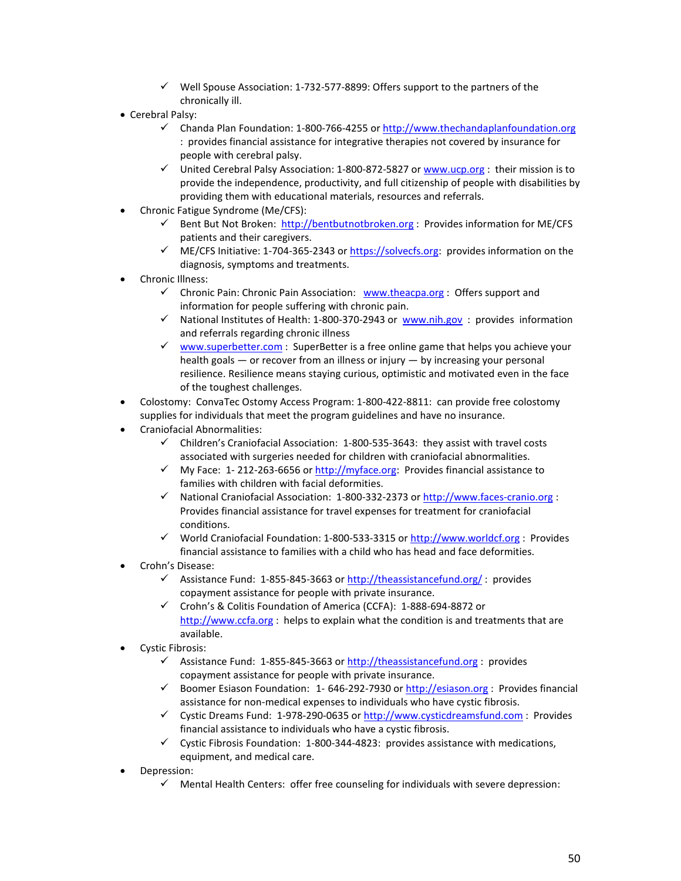- $\checkmark$  Well Spouse Association: 1-732-577-8899: Offers support to the partners of the chronically ill.
- Cerebral Palsy:
	- Chanda Plan Foundation: 1-800-766-4255 or  $\frac{http://www.thechandaplan foundation.org}{}$ : provides financial assistance for integrative therapies not covered by insurance for people with cerebral palsy.
	- $\checkmark$  United Cerebral Palsy Association: 1-800-872-5827 or [www.ucp.org](http://www.ucp.org/) : their mission is to provide the independence, productivity, and full citizenship of people with disabilities by providing them with educational materials, resources and referrals.
- Chronic Fatigue Syndrome (Me/CFS):
	- $\checkmark$  Bent But Not Broken: [http://bentbutnotbroken.org](http://bentbutnotbroken.org/) : Provides information for ME/CFS patients and their caregivers.
	- $\checkmark$  ME/CFS Initiative: 1-704-365-2343 or [https://solvecfs.org:](https://solvecfs.org/) provides information on the diagnosis, symptoms and treatments.
- Chronic Illness:
	- $\checkmark$  Chronic Pain: Chronic Pain Association: [www.theacpa.org](http://www.theacpa.org/) : Offers support and information for people suffering with chronic pain.
	- $\checkmark$  National Institutes of Health: 1-800-370-2943 or www.nih.gov: provides information and referrals regarding chronic illness
	- $\checkmark$  [www.superbetter.com](http://www.superbetter.com/) : SuperBetter is a free online game that helps you achieve your health goals — or recover from an illness or injury — by increasing your personal resilience. Resilience means staying curious, optimistic and motivated even in the face of the toughest challenges.
- Colostomy: ConvaTec Ostomy Access Program: 1-800-422-8811: can provide free colostomy supplies for individuals that meet the program guidelines and have no insurance.
- Craniofacial Abnormalities:
	- $\checkmark$  Children's Craniofacial Association: 1-800-535-3643: they assist with travel costs associated with surgeries needed for children with craniofacial abnormalities.
	- $\checkmark$  My Face: 1-212-263-6656 o[r http://myface.org:](http://myface.org/) Provides financial assistance to families with children with facial deformities.
	- $\checkmark$  National Craniofacial Association: 1-800-332-2373 o[r http://www.faces-cranio.org](http://www.faces-cranio.org/) : Provides financial assistance for travel expenses for treatment for craniofacial conditions.
	- √ World Craniofacial Foundation: 1-800-533-3315 or [http://www.worldcf.org](http://www.worldcf.org/) : Provides financial assistance to families with a child who has head and face deformities.
- Crohn's Disease:
	- $\checkmark$  Assistance Fund: 1-855-845-3663 o[r http://theassistancefund.org/](http://theassistancefund.org/): provides copayment assistance for people with private insurance.
	- Crohn's & Colitis Foundation of America (CCFA): 1-888-694-8872 or [http://www.ccfa.org](http://www.ccfa.org/) :helps to explain what the condition is and treatments that are available.
- Cystic Fibrosis:
	- $\checkmark$  Assistance Fund: 1-855-845-3663 o[r http://theassistancefund.org](http://theassistancefund.org/): provides copayment assistance for people with private insurance.
	- $\checkmark$  Boomer Esiason Foundation: 1-646-292-7930 or [http://esiason.org](http://esiason.org/) : Provides financial assistance for non-medical expenses to individuals who have cystic fibrosis.
	- Cystic Dreams Fund: 1-978-290-0635 or [http://www.cysticdreamsfund.com](http://www.cysticdreamsfund.com/) : Provides financial assistance to individuals who have a cystic fibrosis.
	- $\checkmark$  Cystic Fibrosis Foundation: 1-800-344-4823: provides assistance with medications, equipment, and medical care.
- Depression:
	- $\checkmark$  Mental Health Centers: offer free counseling for individuals with severe depression: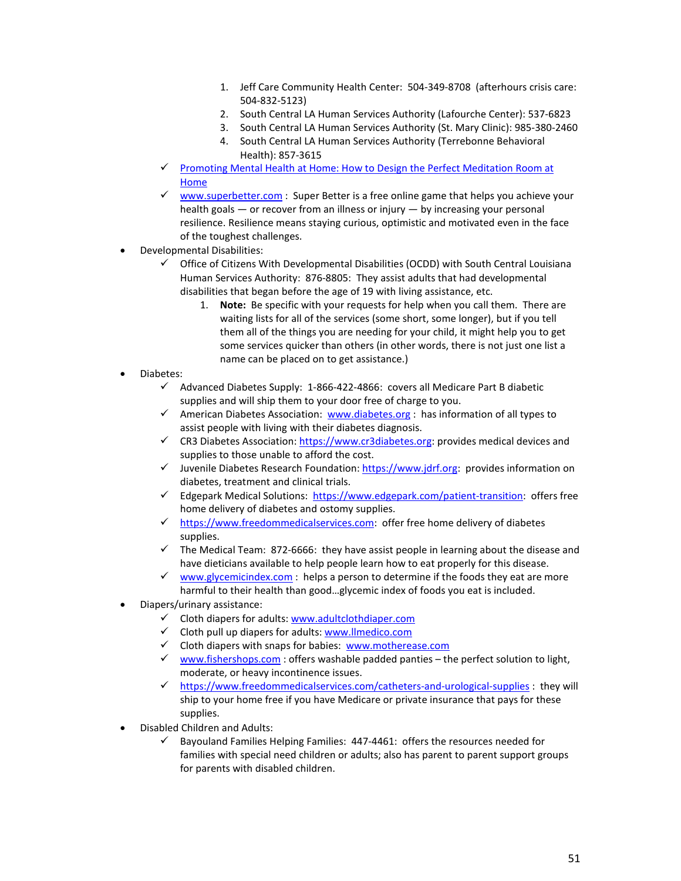- 1. Jeff Care Community Health Center: 504-349-8708 (afterhours crisis care: 504-832-5123)
- 2. South Central LA Human Services Authority (Lafourche Center): 537-6823
- 3. South Central LA Human Services Authority (St. Mary Clinic): 985-380-2460
- 4. South Central LA Human Services Authority (Terrebonne Behavioral Health): 857-3615
- Promoting Mental Health at Home: How to Design the Perfect Meditation Room at [Home](http://www.homeadvisor.com/r/meditation-room)
- $\checkmark$  [www.superbetter.com](http://www.superbetter.com/) : Super Better is a free online game that helps you achieve your health goals — or recover from an illness or injury — by increasing your personal resilience. Resilience means staying curious, optimistic and motivated even in the face of the toughest challenges.
- Developmental Disabilities:
	- $\checkmark$  Office of Citizens With Developmental Disabilities (OCDD) with South Central Louisiana Human Services Authority: 876-8805: They assist adults that had developmental disabilities that began before the age of 19 with living assistance, etc.
		- 1. **Note:** Be specific with your requests for help when you call them. There are waiting lists for all of the services (some short, some longer), but if you tell them all of the things you are needing for your child, it might help you to get some services quicker than others (in other words, there is not just one list a name can be placed on to get assistance.)
- Diabetes:
	- $\checkmark$  Advanced Diabetes Supply: 1-866-422-4866: covers all Medicare Part B diabetic supplies and will ship them to your door free of charge to you.
	- $\checkmark$  American Diabetes Association: [www.diabetes.org](http://www.diabetes.org/) : has information of all types to assist people with living with their diabetes diagnosis.
	- $\checkmark$  CR3 Diabetes Association[: https://www.cr3diabetes.org:](https://www.cr3diabetes.org/) provides medical devices and supplies to those unable to afford the cost.
	- Juvenile Diabetes Research Foundation: [https://www.jdrf.org:](https://www.jdrf.org/) provides information on diabetes, treatment and clinical trials.
	- Edgepark Medical Solutions: [https://www.edgepark.com/patient-transition:](https://www.edgepark.com/patient-transition) offers free home delivery of diabetes and ostomy supplies.
	- $\checkmark$  [https://www.freedommedicalservices.com:](https://www.freedommedicalservices.com/) offer free home delivery of diabetes supplies.
	- $\checkmark$  The Medical Team: 872-6666: they have assist people in learning about the disease and have dieticians available to help people learn how to eat properly for this disease.
	- $\checkmark$  [www.glycemicindex.com](http://www.glycemicindex.com/): helps a person to determine if the foods they eat are more harmful to their health than good…glycemic index of foods you eat is included.
- Diapers/urinary assistance:
	- $\checkmark$  Cloth diapers for adults: [www.adultclothdiaper.com](http://www.adultclothdiaper.com/)
	- $\checkmark$  Cloth pull up diapers for adults: [www.llmedico.com](http://www.llmedico.com/)
	- $\checkmark$  Cloth diapers with snaps for babies: [www.motherease.com](http://www.motherease.com/)
	- $\checkmark$  [www.fishershops.com](http://www.fishershops.com/) : offers washable padded panties the perfect solution to light, moderate, or heavy incontinence issues.
	- $\checkmark$  <https://www.freedommedicalservices.com/catheters-and-urological-supplies> : they will ship to your home free if you have Medicare or private insurance that pays for these supplies.
- Disabled Children and Adults:
	- $\checkmark$  Bayouland Families Helping Families: 447-4461: offers the resources needed for families with special need children or adults; also has parent to parent support groups for parents with disabled children.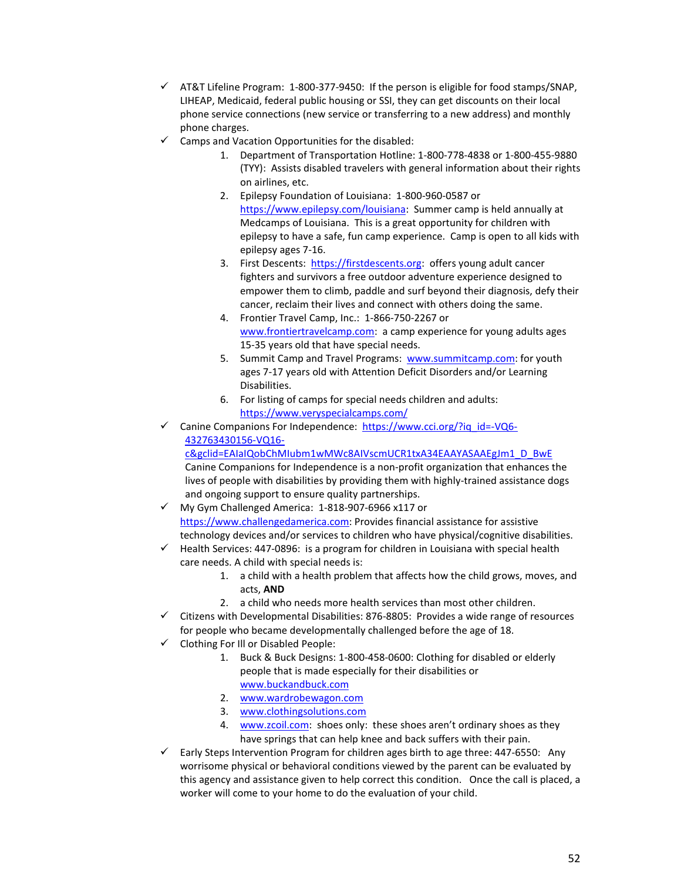- $\checkmark$  AT&T Lifeline Program: 1-800-377-9450: If the person is eligible for food stamps/SNAP, LIHEAP, Medicaid, federal public housing or SSI, they can get discounts on their local phone service connections (new service or transferring to a new address) and monthly phone charges.
- $\checkmark$  Camps and Vacation Opportunities for the disabled:
	- 1. Department of Transportation Hotline: 1-800-778-4838 or 1-800-455-9880 (TYY): Assists disabled travelers with general information about their rights on airlines, etc.
	- 2. Epilepsy Foundation of Louisiana: 1-800-960-0587 or [https://www.epilepsy.com/louisiana:](https://www.epilepsy.com/louisiana) Summer camp is held annually at Medcamps of Louisiana. This is a great opportunity for children with epilepsy to have a safe, fun camp experience. Camp is open to all kids with epilepsy ages 7-16.
	- 3. First Descents: [https://firstdescents.org:](https://firstdescents.org/) offers young adult cancer fighters and survivors a free outdoor adventure experience designed to empower them to climb, paddle and surf beyond their diagnosis, defy their cancer, reclaim their lives and connect with others doing the same.
	- 4. Frontier Travel Camp, Inc.: 1-866-750-2267 or [www.frontiertravelcamp.com:](http://www.frontiertravelcamp.com/) a camp experience for young adults ages 15-35 years old that have special needs.
	- 5. Summit Camp and Travel Programs: [www.summitcamp.com:](http://www.summitcamp.com/) for youth ages 7-17 years old with Attention Deficit Disorders and/or Learning Disabilities.
	- 6. For listing of camps for special needs children and adults: <https://www.veryspecialcamps.com/>
- $\checkmark$  Canine Companions For Independence: [https://www.cci.org/?iq\\_id=-VQ6-](https://www.cci.org/?iq_id=-VQ6-432763430156-VQ16-c&gclid=EAIaIQobChMIubm1wMWc8AIVscmUCR1txA34EAAYASAAEgJm1_D_BwE) [432763430156-VQ16-](https://www.cci.org/?iq_id=-VQ6-432763430156-VQ16-c&gclid=EAIaIQobChMIubm1wMWc8AIVscmUCR1txA34EAAYASAAEgJm1_D_BwE)

[c&gclid=EAIaIQobChMIubm1wMWc8AIVscmUCR1txA34EAAYASAAEgJm1\\_D\\_BwE](https://www.cci.org/?iq_id=-VQ6-432763430156-VQ16-c&gclid=EAIaIQobChMIubm1wMWc8AIVscmUCR1txA34EAAYASAAEgJm1_D_BwE) Canine Companions for Independence is a non-profit organization that enhances the lives of people with disabilities by providing them with highly-trained assistance dogs and ongoing support to ensure quality partnerships.

- $\checkmark$  My Gym Challenged America: 1-818-907-6966 x117 or [https://www.challengedamerica.com:](https://www.challengedamerica.com/) Provides financial assistance for assistive technology devices and/or services to children who have physical/cognitive disabilities.
- $\checkmark$  Health Services: 447-0896: is a program for children in Louisiana with special health care needs. A child with special needs is:
	- 1. a child with a health problem that affects how the child grows, moves, and acts, **AND**
	- 2. a child who needs more health services than most other children.
- $\checkmark$  Citizens with Developmental Disabilities: 876-8805: Provides a wide range of resources for people who became developmentally challenged before the age of 18.
- $\checkmark$  Clothing For III or Disabled People:
	- 1. Buck & Buck Designs: 1-800-458-0600: Clothing for disabled or elderly people that is made especially for their disabilities or [www.buckandbuck.com](http://www.buckandbuck.com/)
	- 2. [www.wardrobewagon.com](http://www.wardrobewagon.com/)
	- 3. [www.clothingsolutions.com](http://www.clothingsolutions.com/)
	- 4. [www.zcoil.com:](http://www.zcoil.com/) shoes only: these shoes aren't ordinary shoes as they have springs that can help knee and back suffers with their pain.
- $\checkmark$  Early Steps Intervention Program for children ages birth to age three: 447-6550: Any worrisome physical or behavioral conditions viewed by the parent can be evaluated by this agency and assistance given to help correct this condition. Once the call is placed, a worker will come to your home to do the evaluation of your child.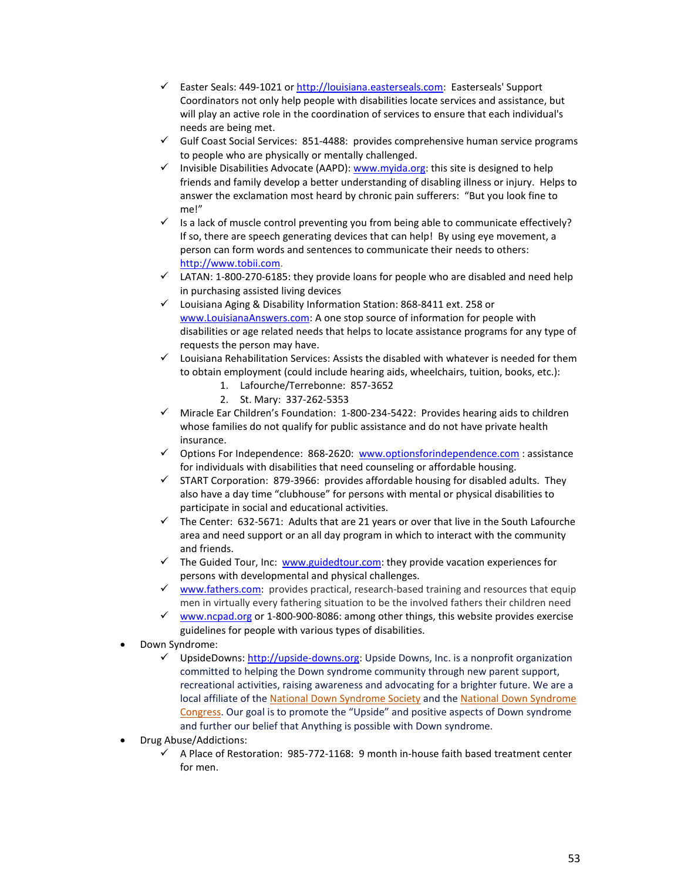- Easter Seals: 449-1021 or  $\frac{http://louisiana.easterseals.com}{http://louisiana.easterseals.com}$ : Easterseals' Support Coordinators not only help people with disabilities locate services and assistance, but will play an active role in the coordination of services to ensure that each individual's needs are being met.
- $\checkmark$  Gulf Coast Social Services: 851-4488: provides comprehensive human service programs to people who are physically or mentally challenged.
- $\checkmark$  Invisible Disabilities Advocate (AAPD): [www.myida.org:](http://www.myida.org/) this site is designed to help friends and family develop a better understanding of disabling illness or injury. Helps to answer the exclamation most heard by chronic pain sufferers: "But you look fine to me!"
- $\checkmark$  Is a lack of muscle control preventing you from being able to communicate effectively? If so, there are speech generating devices that can help! By using eye movement, a person can form words and sentences to communicate their needs to others: [http://www.tobii.com.](http://www.tobii.com/)
- $\checkmark$  LATAN: 1-800-270-6185: they provide loans for people who are disabled and need help in purchasing assisted living devices
- Louisiana Aging & Disability Information Station: 868-8411 ext. 258 or [www.LouisianaAnswers.com:](http://www.louisianaanswers.com/) A one stop source of information for people with disabilities or age related needs that helps to locate assistance programs for any type of requests the person may have.
- $\checkmark$  Louisiana Rehabilitation Services: Assists the disabled with whatever is needed for them to obtain employment (could include hearing aids, wheelchairs, tuition, books, etc.):
	- 1. Lafourche/Terrebonne: 857-3652
	- 2. St. Mary: 337-262-5353
- $\checkmark$  Miracle Ear Children's Foundation: 1-800-234-5422: Provides hearing aids to children whose families do not qualify for public assistance and do not have private health insurance.
- $\checkmark$  Options For Independence: 868-2620: [www.optionsforindependence.com](http://www.optionsforindependence.com/) : assistance for individuals with disabilities that need counseling or affordable housing.
- $\checkmark$  START Corporation: 879-3966: provides affordable housing for disabled adults. They also have a day time "clubhouse" for persons with mental or physical disabilities to participate in social and educational activities.
- $\checkmark$  The Center: 632-5671: Adults that are 21 years or over that live in the South Lafourche area and need support or an all day program in which to interact with the community and friends.
- $\checkmark$  The Guided Tour, Inc: [www.guidedtour.com:](http://www.guidedtour.com/) they provide vacation experiences for persons with developmental and physical challenges.
- $\checkmark$  [www.fathers.com:](http://www.fathers.com/) provides practical, research-based training and resources that equip men in virtually every fathering situation to be the involved fathers their children need
- $\checkmark$  [www.ncpad.org](http://www.ncpad.org/) or 1-800-900-8086: among other things, this website provides exercise guidelines for people with various types of disabilities.
- Down Syndrome:
	- $\checkmark$  UpsideDowns: [http://upside-downs.org:](http://upside-downs.org/) Upside Downs, Inc. is a nonprofit organization committed to helping the Down syndrome community through new parent support, recreational activities, raising awareness and advocating for a brighter future. We are a local affiliate of the [National Down Syndrome Society](http://www.ndss.org/) and the [National Down Syndrome](http://www.ndsccenter.org/)  [Congress.](http://www.ndsccenter.org/) Our goal is to promote the "Upside" and positive aspects of Down syndrome and further our belief that Anything is possible with Down syndrome.
- Drug Abuse/Addictions:
	- $\checkmark$  A Place of Restoration: 985-772-1168: 9 month in-house faith based treatment center for men.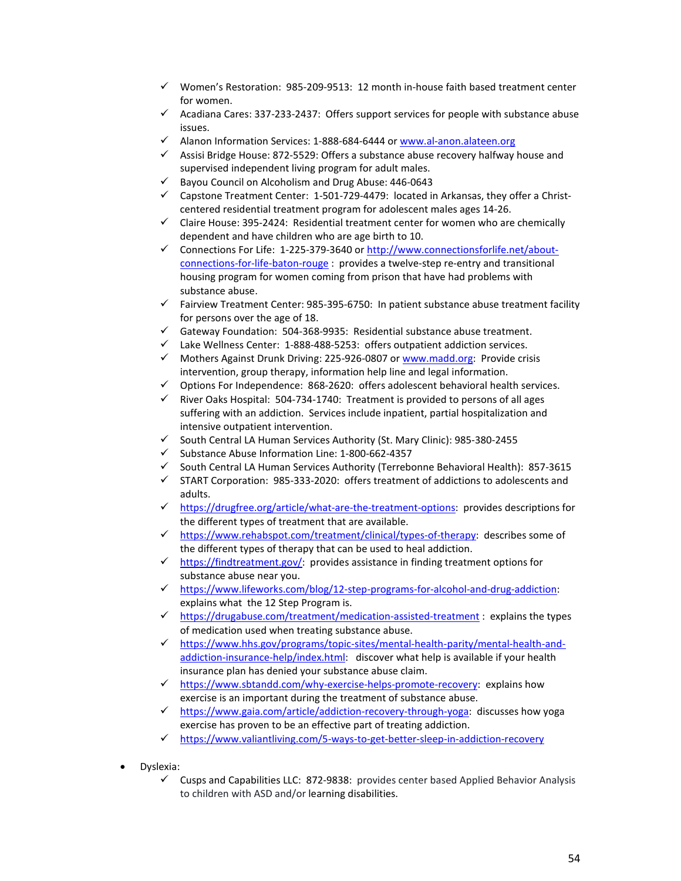- $\checkmark$  Women's Restoration: 985-209-9513: 12 month in-house faith based treatment center for women.
- $\checkmark$  Acadiana Cares: 337-233-2437: Offers support services for people with substance abuse issues.
- Alanon Information Services: 1-888-684-6444 or [www.al-anon.alateen.org](http://www.al-anon.alateen.org/)
- $\checkmark$  Assisi Bridge House: 872-5529: Offers a substance abuse recovery halfway house and supervised independent living program for adult males.
- Bayou Council on Alcoholism and Drug Abuse: 446-0643
- $\checkmark$  Capstone Treatment Center: 1-501-729-4479: located in Arkansas, they offer a Christcentered residential treatment program for adolescent males ages 14-26.
- $\checkmark$  Claire House: 395-2424: Residential treatment center for women who are chemically dependent and have children who are age birth to 10.
- Connections For Life:  $1-225-379-3640$  or [http://www.connectionsforlife.net/about](http://www.connectionsforlife.net/about-connections-for-life-baton-rouge)[connections-for-life-baton-rouge](http://www.connectionsforlife.net/about-connections-for-life-baton-rouge) : provides a twelve-step re-entry and transitional housing program for women coming from prison that have had problems with substance abuse.
- $\checkmark$  Fairview Treatment Center: 985-395-6750: In patient substance abuse treatment facility for persons over the age of 18.
- $\checkmark$  Gateway Foundation: 504-368-9935: Residential substance abuse treatment.
- $\checkmark$  Lake Wellness Center: 1-888-488-5253: offers outpatient addiction services.
- $\checkmark$  Mothers Against Drunk Driving: 225-926-0807 or [www.madd.org:](http://www.madd.org/) Provide crisis intervention, group therapy, information help line and legal information.
- $\checkmark$  Options For Independence: 868-2620: offers adolescent behavioral health services.
- $\checkmark$  River Oaks Hospital: 504-734-1740: Treatment is provided to persons of all ages suffering with an addiction. Services include inpatient, partial hospitalization and intensive outpatient intervention.
- $\checkmark$  South Central LA Human Services Authority (St. Mary Clinic): 985-380-2455
- $\checkmark$  Substance Abuse Information Line: 1-800-662-4357
- $\checkmark$  South Central LA Human Services Authority (Terrebonne Behavioral Health): 857-3615
- $\checkmark$  START Corporation: 985-333-2020: offers treatment of addictions to adolescents and adults.
- [https://drugfree.org/article/what-are-the-treatment-options:](https://drugfree.org/article/what-are-the-treatment-options) provides descriptions for the different types of treatment that are available.
- $\checkmark$  [https://www.rehabspot.com/treatment/clinical/types-of-therapy:](https://www.rehabspot.com/treatment/clinical/types-of-therapy) describes some of the different types of therapy that can be used to heal addiction.
- $\checkmark$  [https://findtreatment.gov/:](https://findtreatment.gov/) provides assistance in finding treatment options for substance abuse near you.
- [https://www.lifeworks.com/blog/12-step-programs-for-alcohol-and-drug-addiction:](https://www.lifeworks.com/blog/12-step-programs-for-alcohol-and-drug-addiction) explains what the 12 Step Program is.
- $\checkmark$  <https://drugabuse.com/treatment/medication-assisted-treatment> : explains the types of medication used when treating substance abuse.
- [https://www.hhs.gov/programs/topic-sites/mental-health-parity/mental-health-and](https://www.hhs.gov/programs/topic-sites/mental-health-parity/mental-health-and-addiction-insurance-help/index.html)[addiction-insurance-help/index.html:](https://www.hhs.gov/programs/topic-sites/mental-health-parity/mental-health-and-addiction-insurance-help/index.html) discover what help is available if your health insurance plan has denied your substance abuse claim.
- $\checkmark$  [https://www.sbtandd.com/why-exercise-helps-promote-recovery:](https://www.sbtandd.com/why-exercise-helps-promote-recovery) explains how exercise is an important during the treatment of substance abuse.
- $\checkmark$  [https://www.gaia.com/article/addiction-recovery-through-yoga:](https://www.gaia.com/article/addiction-recovery-through-yoga) discusses how yoga exercise has proven to be an effective part of treating addiction.
- <https://www.valiantliving.com/5-ways-to-get-better-sleep-in-addiction-recovery>
- Dyslexia:
	- $\checkmark$  Cusps and Capabilities LLC: 872-9838: provides center based Applied Behavior Analysis to children with ASD and/or learning disabilities.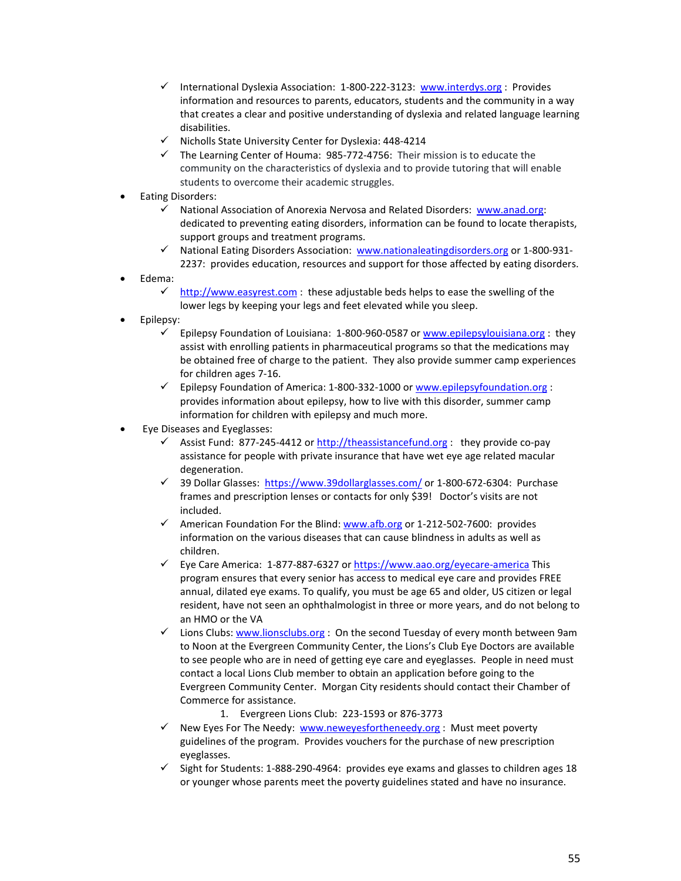- √ International Dyslexia Association: 1-800-222-3123: [www.interdys.org](http://www.interdys.org/) : Provides information and resources to parents, educators, students and the community in a way that creates a clear and positive understanding of dyslexia and related language learning disabilities.
- Nicholls State University Center for Dyslexia: 448-4214
- $\checkmark$  The Learning Center of Houma: 985-772-4756: Their mission is to educate the community on the characteristics of dyslexia and to provide tutoring that will enable students to overcome their academic struggles.
- Eating Disorders:
	- National Association of Anorexia Nervosa and Related Disorders: [www.anad.org:](http://www.anad.org/) dedicated to preventing eating disorders, information can be found to locate therapists, support groups and treatment programs.
	- √ National Eating Disorders Association: [www.nationaleatingdisorders.org](http://www.nationaleatingdisorders.org/) or 1-800-931-2237: provides education, resources and support for those affected by eating disorders.
- Edema:
	- [http://www.easyrest.com](http://www.easyrest.com/) : these adjustable beds helps to ease the swelling of the lower legs by keeping your legs and feet elevated while you sleep.
- Epilepsy:
	- $\checkmark$  Epilepsy Foundation of Louisiana: 1-800-960-0587 o[r www.epilepsylouisiana.org](http://www.epilepsylouisiana.org/) : they assist with enrolling patients in pharmaceutical programs so that the medications may be obtained free of charge to the patient. They also provide summer camp experiences for children ages 7-16.
	- $\checkmark$  Epilepsy Foundation of America: 1-800-332-1000 or [www.epilepsyfoundation.org](http://www.epilepsyfoundation.org/) : provides information about epilepsy, how to live with this disorder, summer camp information for children with epilepsy and much more.
- Eye Diseases and Eyeglasses:
	- $\checkmark$  Assist Fund: 877-245-4412 or [http://theassistancefund.org](http://theassistancefund.org/) : they provide co-pay assistance for people with private insurance that have wet eye age related macular degeneration.
	- √ 39 Dollar Glasses: <https://www.39dollarglasses.com/> or 1-800-672-6304: Purchase frames and prescription lenses or contacts for only \$39! Doctor's visits are not included.
	- $\checkmark$  American Foundation For the Blind: [www.afb.org](http://www.afb.org/) or 1-212-502-7600: provides information on the various diseases that can cause blindness in adults as well as children.
	- $\checkmark$  Eye Care America: 1-877-887-6327 o[r https://www.aao.org/eyecare-america](https://www.aao.org/eyecare-america) This program ensures that every senior has access to medical eye care and provides FREE annual, dilated eye exams. To qualify, you must be age 65 and older, US citizen or legal resident, have not seen an ophthalmologist in three or more years, and do not belong to an HMO or the VA
	- $\checkmark$  Lions Clubs: [www.lionsclubs.org](http://www.lionsclubs.org/) : On the second Tuesday of every month between 9am to Noon at the Evergreen Community Center, the Lions's Club Eye Doctors are available to see people who are in need of getting eye care and eyeglasses. People in need must contact a local Lions Club member to obtain an application before going to the Evergreen Community Center. Morgan City residents should contact their Chamber of Commerce for assistance.
		- 1. Evergreen Lions Club: 223-1593 or 876-3773
	- $\checkmark$  New Eyes For The Needy: [www.neweyesfortheneedy.org](http://www.neweyesfortheneedy.org/) : Must meet poverty guidelines of the program. Provides vouchers for the purchase of new prescription eyeglasses.
	- $\checkmark$  Sight for Students: 1-888-290-4964: provides eye exams and glasses to children ages 18 or younger whose parents meet the poverty guidelines stated and have no insurance.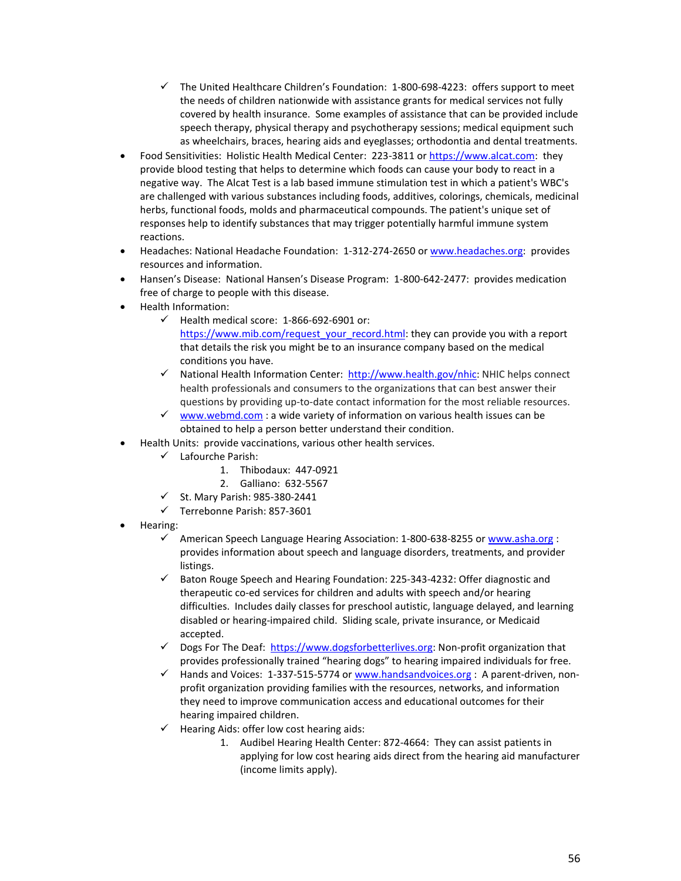- $\checkmark$  The United Healthcare Children's Foundation: 1-800-698-4223: offers support to meet the needs of children nationwide with assistance grants for medical services not fully covered by health insurance. Some examples of assistance that can be provided include speech therapy, physical therapy and psychotherapy sessions; medical equipment such as wheelchairs, braces, hearing aids and eyeglasses; orthodontia and dental treatments.
- Food Sensitivities: Holistic Health Medical Center: 223-3811 or [https://www.alcat.com:](https://www.alcat.com/) they provide blood testing that helps to determine which foods can cause your body to react in a negative way. The Alcat Test is a lab based immune stimulation test in which a patient's WBC's are challenged with various substances including foods, additives, colorings, chemicals, medicinal herbs, functional foods, molds and pharmaceutical compounds. The patient's unique set of responses help to identify substances that may trigger potentially harmful immune system reactions.
- Headaches: National Headache Foundation: 1-312-274-2650 or [www.headaches.org:](http://www.headaches.org/) provides resources and information.
- Hansen's Disease: National Hansen's Disease Program: 1-800-642-2477: provides medication free of charge to people with this disease.
- Health Information:
	- $\checkmark$  Health medical score: 1-866-692-6901 or: [https://www.mib.com/request\\_your\\_record.html:](https://www.mib.com/request_your_record.html) they can provide you with a report that details the risk you might be to an insurance company based on the medical conditions you have.
	- $\checkmark$  National Health Information Center: [http://www.health.gov/nhic:](http://www.health.gov/nhic) NHIC helps connect health professionals and consumers to the organizations that can best answer their questions by providing up-to-date contact information for the most reliable resources.
	- [www.webmd.com](http://www.webmd.com/) : a wide variety of information on various health issues can be obtained to help a person better understand their condition.
- Health Units: provide vaccinations, various other health services.
	- Lafourche Parish:
		- 1. Thibodaux: 447-0921
		- 2. Galliano: 632-5567
	- $\checkmark$  St. Mary Parish: 985-380-2441
	- $\checkmark$  Terrebonne Parish: 857-3601
- Hearing:
	- √ American Speech Language Hearing Association: 1-800-638-8255 or [www.asha.org](http://www.asha.org/) : provides information about speech and language disorders, treatments, and provider listings.
	- $\checkmark$  Baton Rouge Speech and Hearing Foundation: 225-343-4232: Offer diagnostic and therapeutic co-ed services for children and adults with speech and/or hearing difficulties. Includes daily classes for preschool autistic, language delayed, and learning disabled or hearing-impaired child. Sliding scale, private insurance, or Medicaid accepted.
	- $\checkmark$  Dogs For The Deaf: [https://www.dogsforbetterlives.org:](https://www.dogsforbetterlives.org/) Non-profit organization that provides professionally trained "hearing dogs" to hearing impaired individuals for free.
	- $\checkmark$  Hands and Voices: 1-337-515-5774 or [www.handsandvoices.org](http://www.handsandvoices.org/) : A parent-driven, nonprofit organization providing families with the resources, networks, and information they need to improve communication access and educational outcomes for their hearing impaired children.
	- $\checkmark$  Hearing Aids: offer low cost hearing aids:
		- 1. Audibel Hearing Health Center: 872-4664: They can assist patients in applying for low cost hearing aids direct from the hearing aid manufacturer (income limits apply).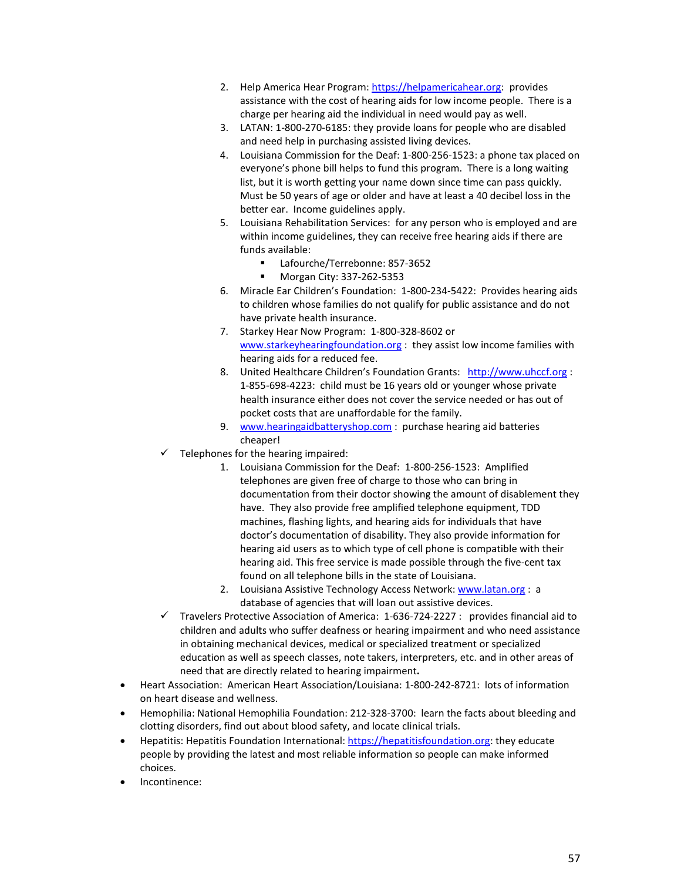- 2. Help America Hear Program: [https://helpamericahear.org:](https://helpamericahear.org/) provides assistance with the cost of hearing aids for low income people. There is a charge per hearing aid the individual in need would pay as well.
- 3. LATAN: 1-800-270-6185: they provide loans for people who are disabled and need help in purchasing assisted living devices.
- 4. Louisiana Commission for the Deaf: 1-800-256-1523: a phone tax placed on everyone's phone bill helps to fund this program. There is a long waiting list, but it is worth getting your name down since time can pass quickly. Must be 50 years of age or older and have at least a 40 decibel loss in the better ear. Income guidelines apply.
- 5. Louisiana Rehabilitation Services: for any person who is employed and are within income guidelines, they can receive free hearing aids if there are funds available:
	- Lafourche/Terrebonne: 857-3652
	- Morgan City: 337-262-5353
- 6. Miracle Ear Children's Foundation: 1-800-234-5422: Provides hearing aids to children whose families do not qualify for public assistance and do not have private health insurance.
- 7. Starkey Hear Now Program: 1-800-328-8602 or [www.starkeyhearingfoundation.org](http://www.starkeyhearingfoundation.org/) : they assist low income families with hearing aids for a reduced fee.
- 8. United Healthcare Children's Foundation Grants: [http://www.uhccf.org](http://www.uhccf.org/) : 1-855-698-4223: child must be 16 years old or younger whose private health insurance either does not cover the service needed or has out of pocket costs that are unaffordable for the family.
- 9. [www.hearingaidbatteryshop.com](http://www.hearingaidbatteryshop.com/): purchase hearing aid batteries cheaper!
- $\checkmark$  Telephones for the hearing impaired:
	- 1. Louisiana Commission for the Deaf: 1-800-256-1523: Amplified telephones are given free of charge to those who can bring in documentation from their doctor showing the amount of disablement they have. They also provide free amplified telephone equipment, TDD machines, flashing lights, and hearing aids for individuals that have doctor's documentation of disability. They also provide information for hearing aid users as to which type of cell phone is compatible with their hearing aid. This free service is made possible through the five-cent tax found on all telephone bills in the state of Louisiana.
	- 2. Louisiana Assistive Technology Access Network: [www.latan.org](http://www.latan.org/) : a database of agencies that will loan out assistive devices.
- $\checkmark$  Travelers Protective Association of America: 1-636-724-2227 : provides financial aid to children and adults who suffer deafness or hearing impairment and who need assistance in obtaining mechanical devices, medical or specialized treatment or specialized education as well as speech classes, note takers, interpreters, etc. and in other areas of need that are directly related to hearing impairment**.**
- Heart Association: American Heart Association/Louisiana: 1-800-242-8721: lots of information on heart disease and wellness.
- Hemophilia: National Hemophilia Foundation: 212-328-3700: learn the facts about bleeding and clotting disorders, find out about blood safety, and locate clinical trials.
- Hepatitis: Hepatitis Foundation International: [https://hepatitisfoundation.org:](https://hepatitisfoundation.org/) they educate people by providing the latest and most reliable information so people can make informed choices.
- Incontinence: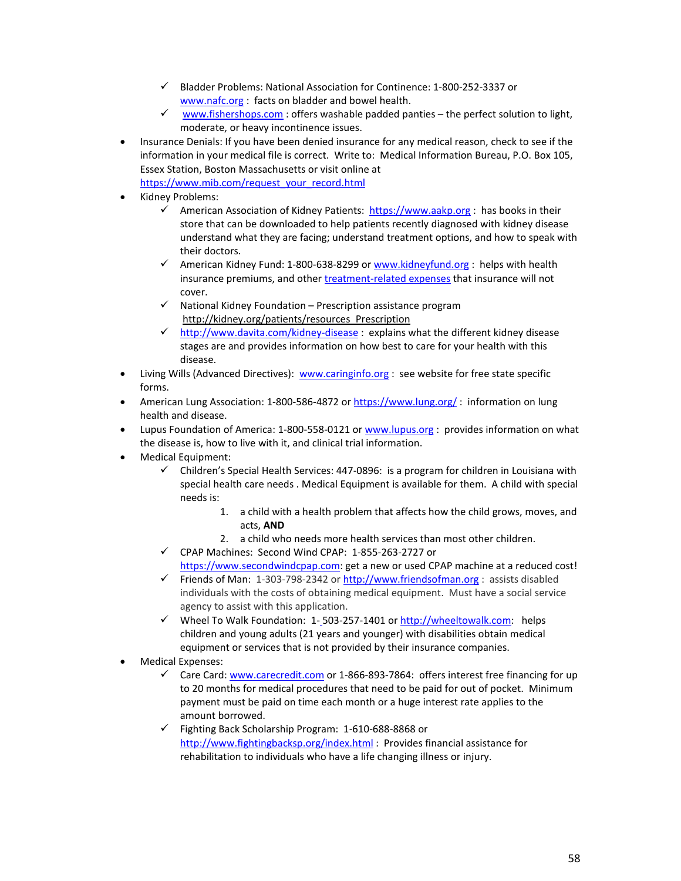- Bladder Problems: National Association for Continence: 1-800-252-3337 or [www.nafc.org](http://www.nafc.org/) : facts on bladder and bowel health.
- $\checkmark$  [www.fishershops.com](http://www.fishershops.com/): offers washable padded panties the perfect solution to light, moderate, or heavy incontinence issues.
- Insurance Denials: If you have been denied insurance for any medical reason, check to see if the information in your medical file is correct. Write to: Medical Information Bureau, P.O. Box 105, Essex Station, Boston Massachusetts or visit online at
	- [https://www.mib.com/request\\_your\\_record.html](https://www.mib.com/request_your_record.html)
- Kidney Problems:
	- American Association of Kidney Patients: [https://www.aakp.org](https://www.aakp.org/) : has books in their store that can be downloaded to help patients recently diagnosed with kidney disease understand what they are facing; understand treatment options, and how to speak with their doctors.
	- $\checkmark$  American Kidney Fund: 1-800-638-8299 or [www.kidneyfund.org](http://www.kidneyfund.org/) : helps with health insurance premiums, and other [treatment-related expenses](http://www.kidneyfund.org/patient-grants/safety-net-grants/) that insurance will not cover.
	- $\checkmark$  National Kidney Foundation Prescription assistance program [http://kidney.org/patients/resources\\_Prescription](http://kidney.org/patients/resources_Prescription)
	- $\checkmark$  <http://www.davita.com/kidney-disease> : explains what the different kidney disease stages are and provides information on how best to care for your health with this disease.
- Living Wills (Advanced Directives): [www.caringinfo.org](http://www.caringinfo.org/) : see website for free state specific forms.
- American Lung Association: 1-800-586-4872 or <https://www.lung.org/>: information on lung health and disease.
- Lupus Foundation of America: 1-800-558-0121 or [www.lupus.org](http://www.lupus.org/) : provides information on what the disease is, how to live with it, and clinical trial information.
- Medical Equipment:
	- $\checkmark$  Children's Special Health Services: 447-0896: is a program for children in Louisiana with special health care needs . Medical Equipment is available for them. A child with special needs is:
		- 1. a child with a health problem that affects how the child grows, moves, and acts, **AND**
		- 2. a child who needs more health services than most other children.
	- CPAP Machines: Second Wind CPAP: 1-855-263-2727 or [https://www.secondwindcpap.com:](https://www.secondwindcpap.com/) get a new or used CPAP machine at a reduced cost!
	- Friends of Man: 1-303-798-2342 o[r http://www.friendsofman.org](http://www.friendsofman.org/) : assists disabled individuals with the costs of obtaining medical equipment. Must have a social service agency to assist with this application.
	- $\checkmark$  Wheel To Walk Foundation: 1-503-257-1401 or [http://wheeltowalk.com:](http://wheeltowalk.com/) helps children and young adults (21 years and younger) with disabilities obtain medical equipment or services that is not provided by their insurance companies.
- Medical Expenses:
	- $\checkmark$  Care Card[: www.carecredit.com](http://www.carecredit.com/) or 1-866-893-7864: offers interest free financing for up to 20 months for medical procedures that need to be paid for out of pocket. Minimum payment must be paid on time each month or a huge interest rate applies to the amount borrowed.
	- Fighting Back Scholarship Program: 1-610-688-8868 or <http://www.fightingbacksp.org/index.html> : Provides financial assistance for rehabilitation to individuals who have a life changing illness or injury.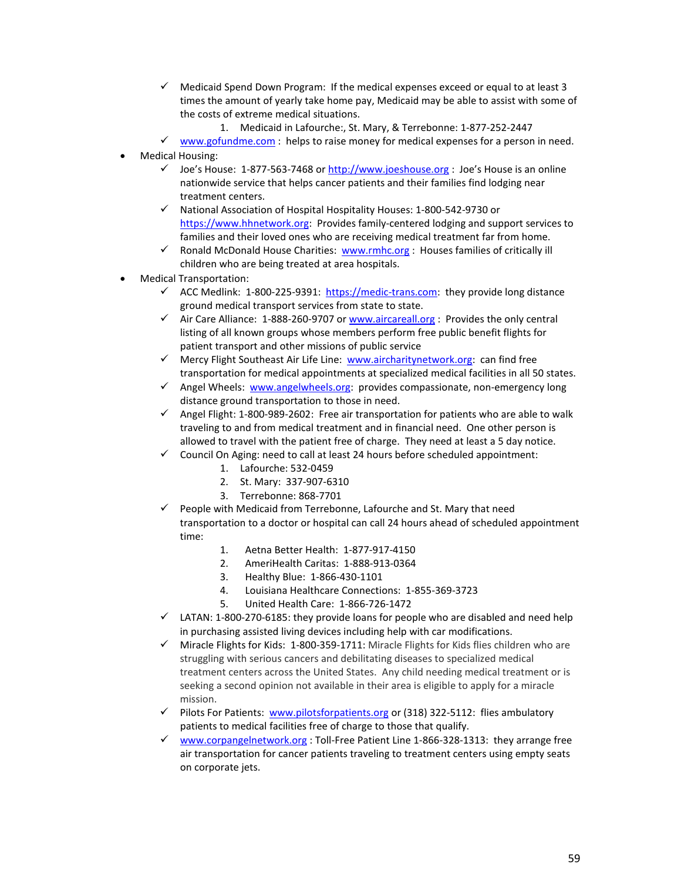- $\checkmark$  Medicaid Spend Down Program: If the medical expenses exceed or equal to at least 3 times the amount of yearly take home pay, Medicaid may be able to assist with some of the costs of extreme medical situations.
	- 1. Medicaid in Lafourche:, St. Mary, & Terrebonne: 1-877-252-2447
- $\checkmark$  [www.gofundme.com](http://www.gofundme.com/) : helps to raise money for medical expenses for a person in need.
- Medical Housing:
	- $\checkmark$  Joe's House: 1-877-563-7468 or [http://www.joeshouse.org](http://www.joeshouse.org/) : Joe's House is an online nationwide service that helps cancer patients and their families find lodging near treatment centers.
	- $\checkmark$  National Association of Hospital Hospitality Houses: 1-800-542-9730 or [https://www.hhnetwork.org:](https://www.hhnetwork.org/) Provides family-centered lodging and support services to families and their loved ones who are receiving medical treatment far from home.
	- $\checkmark$  Ronald McDonald House Charities: [www.rmhc.org](http://www.rmhc.org/) : Houses families of critically ill children who are being treated at area hospitals.
- Medical Transportation:
	- $\checkmark$  ACC Medlink: 1-800-225-9391: [https://medic-trans.com:](https://medic-trans.com/) they provide long distance ground medical transport services from state to state.
	- $\checkmark$  Air Care Alliance: 1-888-260-9707 or [www.aircareall.org](http://www.aircareall.org/) : Provides the only central listing of all known groups whose members perform free public benefit flights for patient transport and other missions of public service
	- $\checkmark$  Mercy Flight Southeast Air Life Line: [www.aircharitynetwork.org:](http://www.aircharitynetwork.org/) can find free transportation for medical appointments at specialized medical facilities in all 50 states.
	- $\checkmark$  Angel Wheels: [www.angelwheels.org:](http://www.angelwheels.org/) provides compassionate, non-emergency long distance ground transportation to those in need.
	- $\checkmark$  Angel Flight: 1-800-989-2602: Free air transportation for patients who are able to walk traveling to and from medical treatment and in financial need. One other person is allowed to travel with the patient free of charge. They need at least a 5 day notice.
	- $\checkmark$  Council On Aging: need to call at least 24 hours before scheduled appointment:
		- 1. Lafourche: 532-0459
		- 2. St. Mary: 337-907-6310
		- 3. Terrebonne: 868-7701
	- $\checkmark$  People with Medicaid from Terrebonne, Lafourche and St. Mary that need transportation to a doctor or hospital can call 24 hours ahead of scheduled appointment time:
		- 1. Aetna Better Health: 1-877-917-4150
		- 2. AmeriHealth Caritas: 1-888-913-0364
		- 3. Healthy Blue: 1-866-430-1101
		- 4. Louisiana Healthcare Connections: 1-855-369-3723
		- 5. United Health Care: 1-866-726-1472
	- $\checkmark$  LATAN: 1-800-270-6185: they provide loans for people who are disabled and need help in purchasing assisted living devices including help with car modifications.
	- $\checkmark$  Miracle Flights for Kids: 1-800-359-1711: Miracle Flights for Kids flies children who are struggling with serious cancers and debilitating diseases to specialized medical treatment centers across the United States. Any child needing medical treatment or is seeking a second opinion not available in their area is eligible to apply for a miracle mission.
	- $\checkmark$  Pilots For Patients: [www.pilotsforpatients.org](http://www.pilotsforpatients.org/) or (318) 322-5112: flies ambulatory patients to medical facilities free of charge to those that qualify.
	- $\checkmark$  [www.corpangelnetwork.org](http://www.corpangelnetwork.org/): Toll-Free Patient Line 1-866-328-1313: they arrange free air transportation for cancer patients traveling to treatment centers using empty seats on corporate jets.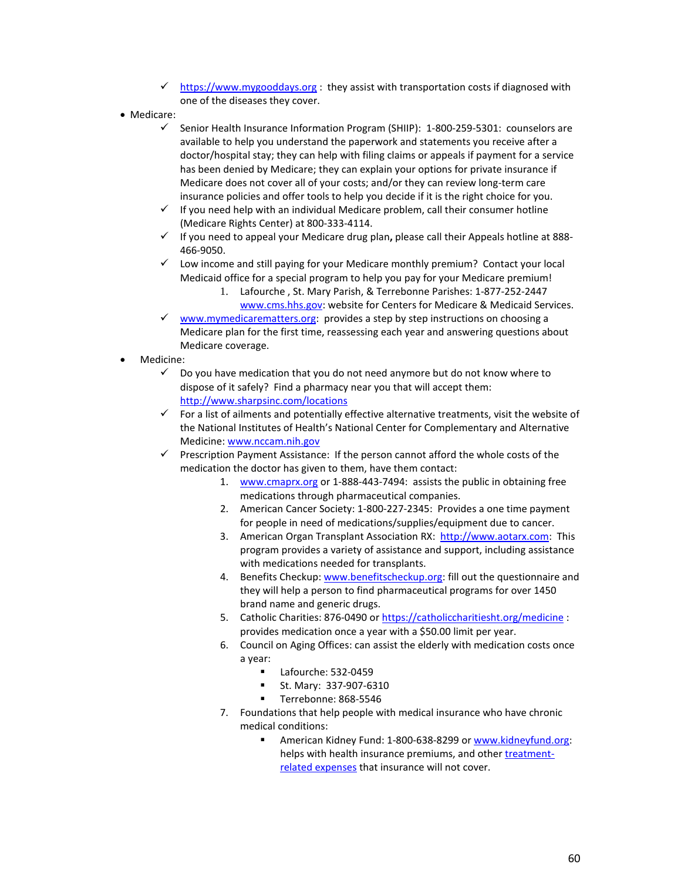- $\checkmark$  [https://www.mygooddays.org](https://www.mygooddays.org/) : they assist with transportation costs if diagnosed with one of the diseases they cover.
- Medicare:
	- Senior Health Insurance Information Program (SHIIP): 1-800-259-5301: counselors are available to help you understand the paperwork and statements you receive after a doctor/hospital stay; they can help with filing claims or appeals if payment for a service has been denied by Medicare; they can explain your options for private insurance if Medicare does not cover all of your costs; and/or they can review long-term care insurance policies and offer tools to help you decide if it is the right choice for you.
	- $\checkmark$  If you need help with an individual Medicare problem, call their consumer hotline (Medicare Rights Center) at 800-333-4114.
	- If you need to appeal your Medicare drug plan**,** please call their Appeals hotline at 888- 466-9050.
	- $\checkmark$  Low income and still paying for your Medicare monthly premium? Contact your local Medicaid office for a special program to help you pay for your Medicare premium!
		- 1. Lafourche , St. Mary Parish, & Terrebonne Parishes: 1-877-252-2447 [www.cms.hhs.gov:](http://www.cms.hhs.gov/) website for Centers for Medicare & Medicaid Services.
	- $\checkmark$  [www.mymedicarematters.org:](http://www.mymedicarematters.org/) provides a step by step instructions on choosing a Medicare plan for the first time, reassessing each year and answering questions about Medicare coverage.
- Medicine:
	- $\checkmark$  Do you have medication that you do not need anymore but do not know where to dispose of it safely? Find a pharmacy near you that will accept them: <http://www.sharpsinc.com/locations>
	- $\checkmark$  For a list of ailments and potentially effective alternative treatments, visit the website of the National Institutes of Health's National Center for Complementary and Alternative Medicine: [www.nccam.nih.gov](http://www.nccam.nih.gov/)
	- $\checkmark$  Prescription Payment Assistance: If the person cannot afford the whole costs of the medication the doctor has given to them, have them contact:
		- 1. [www.cmaprx.org](http://www.cmaprx.org/) or 1-888-443-7494: assists the public in obtaining free medications through pharmaceutical companies.
		- 2. American Cancer Society: 1-800-227-2345: Provides a one time payment for people in need of medications/supplies/equipment due to cancer.
		- 3. American Organ Transplant Association RX: [http://www.aotarx.com:](http://www.aotarx.com/) This program provides a variety of assistance and support, including assistance with medications needed for transplants.
		- 4. Benefits Checkup: [www.benefitscheckup.org:](http://www.benefitscheckup.org/) fill out the questionnaire and they will help a person to find pharmaceutical programs for over 1450 brand name and generic drugs.
		- 5. Catholic Charities: 876-0490 or <https://catholiccharitiesht.org/medicine> : provides medication once a year with a \$50.00 limit per year.
		- 6. Council on Aging Offices: can assist the elderly with medication costs once a year:
			- Lafourche: 532-0459
			- St. Mary: 337-907-6310
			- Terrebonne: 868-5546
		- 7. Foundations that help people with medical insurance who have chronic medical conditions:
			- American Kidney Fund: 1-800-638-8299 or [www.kidneyfund.org:](http://www.kidneyfund.org/) helps with health insurance premiums, and other [treatment](http://www.kidneyfund.org/patient-grants/safety-net-grants/)[related expenses](http://www.kidneyfund.org/patient-grants/safety-net-grants/) that insurance will not cover.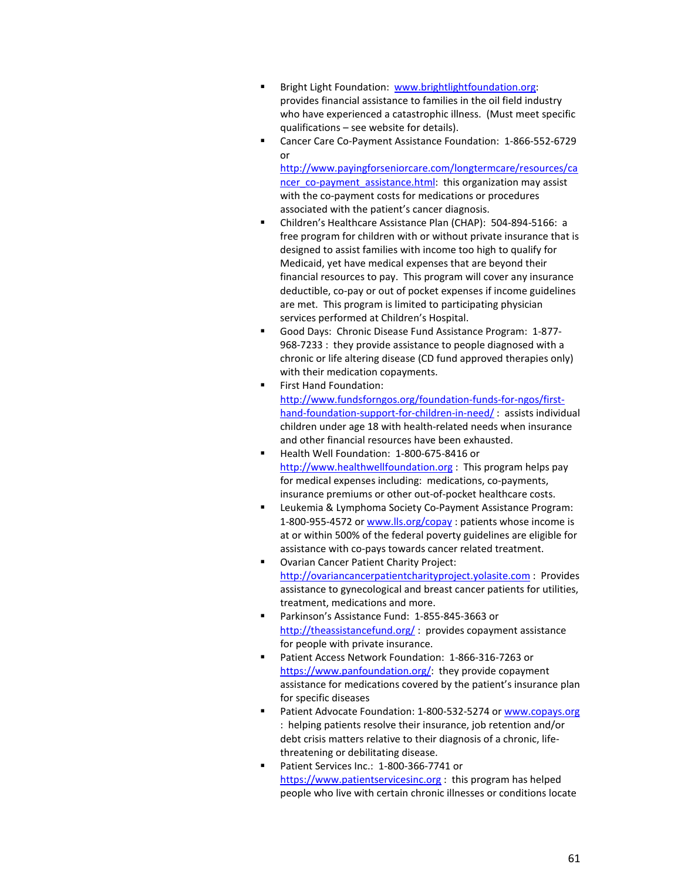- Bright Light Foundation: [www.brightlightfoundation.org:](http://www.brightlightfoundation.org/) provides financial assistance to families in the oil field industry who have experienced a catastrophic illness. (Must meet specific qualifications – see website for details).
- Cancer Care Co-Payment Assistance Foundation: 1-866-552-6729 or

[http://www.payingforseniorcare.com/longtermcare/resources/ca](http://www.payingforseniorcare.com/longtermcare/resources/cancer_co-payment_assistance.html) [ncer\\_co-payment\\_assistance.html:](http://www.payingforseniorcare.com/longtermcare/resources/cancer_co-payment_assistance.html) this organization may assist with the co-payment costs for medications or procedures associated with the patient's cancer diagnosis.

- Children's Healthcare Assistance Plan (CHAP): 504-894-5166: a free program for children with or without private insurance that is designed to assist families with income too high to qualify for Medicaid, yet have medical expenses that are beyond their financial resources to pay. This program will cover any insurance deductible, co-pay or out of pocket expenses if income guidelines are met. This program is limited to participating physician services performed at Children's Hospital.
- Good Days: Chronic Disease Fund Assistance Program: 1-877- 968-7233 : they provide assistance to people diagnosed with a chronic or life altering disease (CD fund approved therapies only) with their medication copayments.
- First Hand Foundation: [http://www.fundsforngos.org/foundation-funds-for-ngos/first](http://www.fundsforngos.org/foundation-funds-for-ngos/first-hand-foundation-support-for-children-in-need/)[hand-foundation-support-for-children-in-need/](http://www.fundsforngos.org/foundation-funds-for-ngos/first-hand-foundation-support-for-children-in-need/) : assists individual children under age 18 with health-related needs when insurance and other financial resources have been exhausted.
- Health Well Foundation: 1-800-675-8416 or [http://www.healthwellfoundation.org](http://www.healthwellfoundation.org/) : This program helps pay for medical expenses including: medications, co-payments, insurance premiums or other out-of-pocket healthcare costs.
- Leukemia & Lymphoma Society Co-Payment Assistance Program: 1-800-955-4572 or [www.lls.org/copay](http://www.lls.org/copay) : patients whose income is at or within 500% of the federal poverty guidelines are eligible for assistance with co-pays towards cancer related treatment.
- Ovarian Cancer Patient Charity Project: [http://ovariancancerpatientcharityproject.yolasite.com](http://ovariancancerpatientcharityproject.yolasite.com/) : Provides assistance to gynecological and breast cancer patients for utilities, treatment, medications and more.
- Parkinson's Assistance Fund: 1-855-845-3663 or <http://theassistancefund.org/>: provides copayment assistance for people with private insurance.
- Patient Access Network Foundation: 1-866-316-7263 or [https://www.panfoundation.org/:](https://www.panfoundation.org/) they provide copayment assistance for medications covered by the patient's insurance plan for specific diseases
- Patient Advocate Foundation: 1-800-532-5274 o[r www.copays.org](http://www.copays.org/) : helping patients resolve their insurance, job retention and/or debt crisis matters relative to their diagnosis of a chronic, lifethreatening or debilitating disease.
- Patient Services Inc.: 1-800-366-7741 or [https://www.patientservicesinc.org](https://www.patientservicesinc.org/) : this program has helped people who live with certain chronic illnesses or conditions locate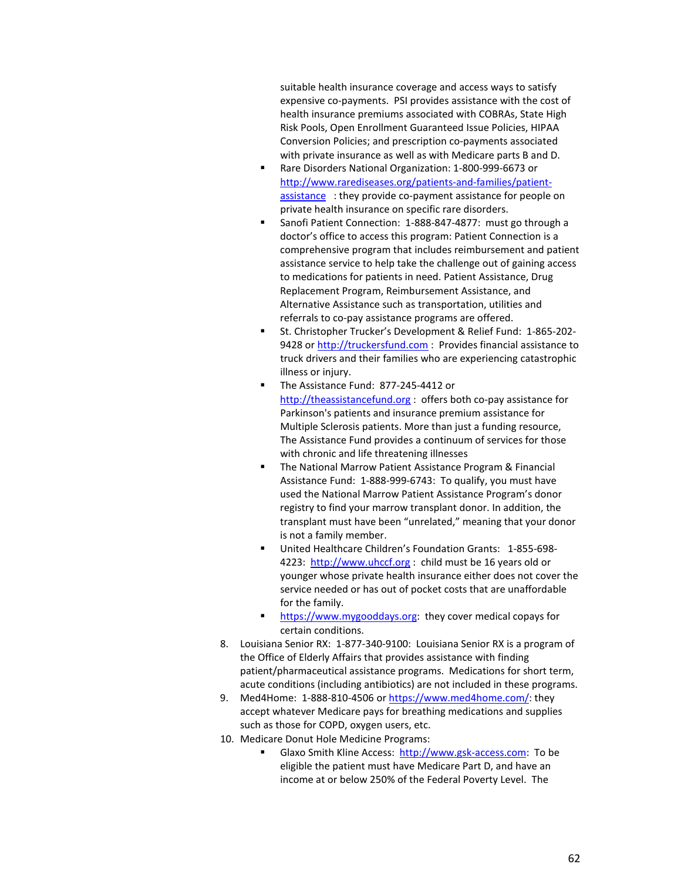suitable health insurance coverage and access ways to satisfy expensive co-payments. PSI provides assistance with the cost of health insurance premiums associated with COBRAs, State High Risk Pools, Open Enrollment Guaranteed Issue Policies, HIPAA Conversion Policies; and prescription co-payments associated with private insurance as well as with Medicare parts B and D.

- Rare Disorders National Organization: 1-800-999-6673 or [http://www.rarediseases.org/patients-and-families/patient](http://www.rarediseases.org/patients-and-families/patient-assistance)[assistance](http://www.rarediseases.org/patients-and-families/patient-assistance) : they provide co-payment assistance for people on private health insurance on specific rare disorders.
- Sanofi Patient Connection: 1-888-847-4877: must go through a doctor's office to access this program: Patient Connection is a comprehensive program that includes reimbursement and patient assistance service to help take the challenge out of gaining access to medications for patients in need. Patient Assistance, Drug Replacement Program, Reimbursement Assistance, and Alternative Assistance such as transportation, utilities and referrals to co-pay assistance programs are offered.
- St. Christopher Trucker's Development & Relief Fund: 1-865-202- 9428 o[r http://truckersfund.com](http://truckersfund.com/) : Provides financial assistance to truck drivers and their families who are experiencing catastrophic illness or injury.
- The Assistance Fund: 877-245-4412 or [http://theassistancefund.org](http://theassistancefund.org/) : offers both co-pay assistance for Parkinson's patients and insurance premium assistance for Multiple Sclerosis patients. More than just a funding resource, The Assistance Fund provides a continuum of services for those with chronic and life threatening illnesses
- **The National Marrow Patient Assistance Program & Financial** Assistance Fund: 1-888-999-6743: To qualify, you must have used the National Marrow Patient Assistance Program's donor registry to find your marrow transplant donor. In addition, the transplant must have been "unrelated," meaning that your donor is not a family member.
- United Healthcare Children's Foundation Grants: 1-855-698- 4223: [http://www.uhccf.org](http://www.uhccf.org/) : child must be 16 years old or younger whose private health insurance either does not cover the service needed or has out of pocket costs that are unaffordable for the family.
- **[https://www.mygooddays.org:](https://www.mygooddays.org/)** they cover medical copays for certain conditions.
- 8. Louisiana Senior RX: 1-877-340-9100: Louisiana Senior RX is a program of the Office of Elderly Affairs that provides assistance with finding patient/pharmaceutical assistance programs. Medications for short term, acute conditions (including antibiotics) are not included in these programs.
- 9. Med4Home: 1-888-810-4506 or [https://www.med4home.com/:](https://www.med4home.com/) they accept whatever Medicare pays for breathing medications and supplies such as those for COPD, oxygen users, etc.
- 10. Medicare Donut Hole Medicine Programs:
	- Glaxo Smith Kline Access: [http://www.gsk-access.com:](http://www.gsk-access.com/) To be eligible the patient must have Medicare Part D, and have an income at or below 250% of the Federal Poverty Level. The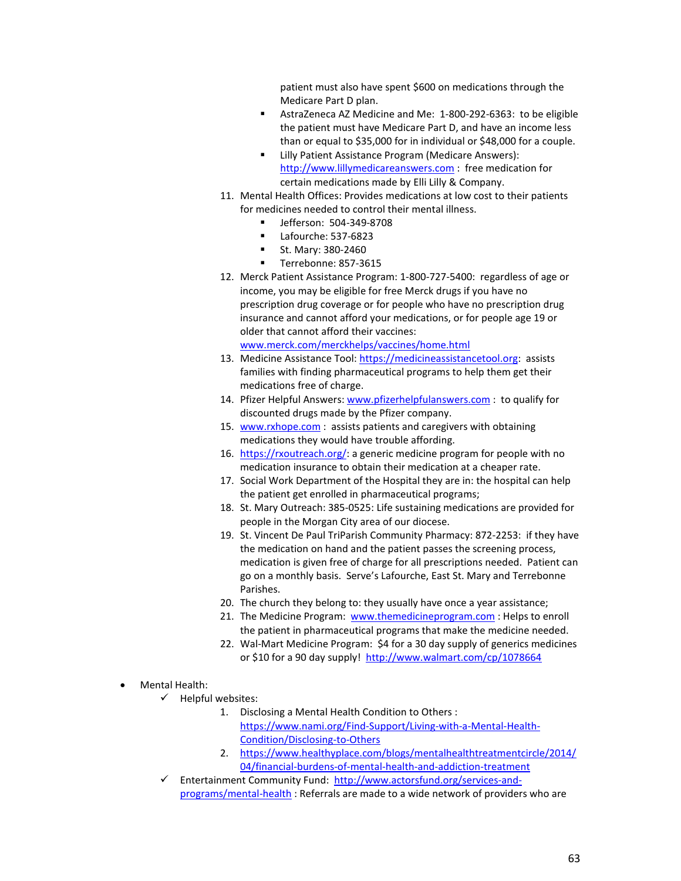patient must also have spent \$600 on medications through the Medicare Part D plan.

- AstraZeneca AZ Medicine and Me: 1-800-292-6363: to be eligible the patient must have Medicare Part D, and have an income less than or equal to \$35,000 for in individual or \$48,000 for a couple.
- **EXECT:** Lilly Patient Assistance Program (Medicare Answers): [http://www.lillymedicareanswers.com](http://www.lillymedicareanswers.com/) : free medication for certain medications made by Elli Lilly & Company.
- 11. Mental Health Offices: Provides medications at low cost to their patients for medicines needed to control their mental illness.
	- Jefferson: 504-349-8708
	- Lafourche: 537-6823
	- St. Mary: 380-2460
	- Terrebonne: 857-3615
- 12. Merck Patient Assistance Program: 1-800-727-5400: regardless of age or income, you may be eligible for free Merck drugs if you have no prescription drug coverage or for people who have no prescription drug insurance and cannot afford your medications, or for people age 19 or older that cannot afford their vaccines:

[www.merck.com/merckhelps/vaccines/home.html](http://www.merck.com/merckhelps/vaccines/home.html) 

- 13. Medicine Assistance Tool[: https://medicineassistancetool.org:](https://medicineassistancetool.org/) assists families with finding pharmaceutical programs to help them get their medications free of charge.
- 14. Pfizer Helpful Answers: [www.pfizerhelpfulanswers.com](http://www.pfizerhelpfulanswers.com/) : to qualify for discounted drugs made by the Pfizer company.
- 15. [www.rxhope.com](http://www.rxhope.com/) : assists patients and caregivers with obtaining medications they would have trouble affording.
- 16. [https://rxoutreach.org/:](https://rxoutreach.org/) a generic medicine program for people with no medication insurance to obtain their medication at a cheaper rate.
- 17. Social Work Department of the Hospital they are in: the hospital can help the patient get enrolled in pharmaceutical programs;
- 18. St. Mary Outreach: 385-0525: Life sustaining medications are provided for people in the Morgan City area of our diocese.
- 19. St. Vincent De Paul TriParish Community Pharmacy: 872-2253: if they have the medication on hand and the patient passes the screening process, medication is given free of charge for all prescriptions needed. Patient can go on a monthly basis. Serve's Lafourche, East St. Mary and Terrebonne Parishes.
- 20. The church they belong to: they usually have once a year assistance;
- 21. The Medicine Program: [www.themedicineprogram.com](http://www.themedicineprogram.com/): Helps to enroll the patient in pharmaceutical programs that make the medicine needed.
- 22. Wal-Mart Medicine Program: \$4 for a 30 day supply of generics medicines or \$10 for a 90 day supply! <http://www.walmart.com/cp/1078664>
- Mental Health:
	- $\checkmark$  Helpful websites:
		- 1. Disclosing a Mental Health Condition to Others : [https://www.nami.org/Find-Support/Living-with-a-Mental-Health-](https://www.nami.org/Find-Support/Living-with-a-Mental-Health-Condition/Disclosing-to-Others)[Condition/Disclosing-to-Others](https://www.nami.org/Find-Support/Living-with-a-Mental-Health-Condition/Disclosing-to-Others)
		- 2. [https://www.healthyplace.com/blogs/mentalhealthtreatmentcircle/2014/](https://www.healthyplace.com/blogs/mentalhealthtreatmentcircle/2014/04/financial-burdens-of-mental-health-and-addiction-treatment) [04/financial-burdens-of-mental-health-and-addiction-treatment](https://www.healthyplace.com/blogs/mentalhealthtreatmentcircle/2014/04/financial-burdens-of-mental-health-and-addiction-treatment)
	- Entertainment Community Fund: [http://www.actorsfund.org/services-and](http://www.actorsfund.org/services-and-programs/mental-health)[programs/mental-health](http://www.actorsfund.org/services-and-programs/mental-health) : Referrals are made to a wide network of providers who are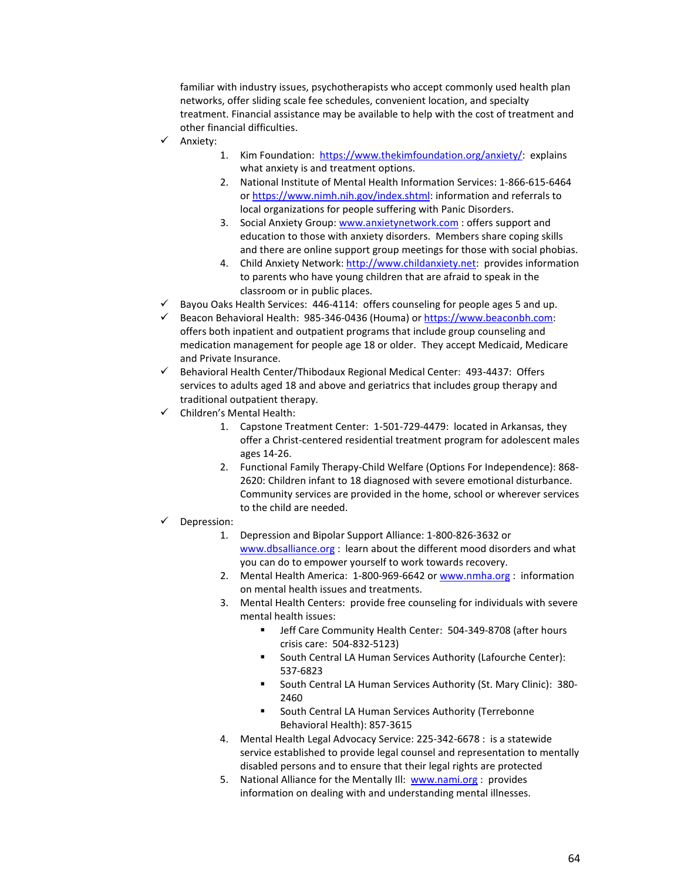familiar with industry issues, psychotherapists who accept commonly used health plan networks, offer sliding scale fee schedules, convenient location, and specialty treatment. Financial assistance may be available to help with the cost of treatment and other financial difficulties.

- $\checkmark$  Anxiety:
- 1. Kim Foundation: [https://www.thekimfoundation.org/anxiety/:](https://www.thekimfoundation.org/anxiety/) explains what anxiety is and treatment options.
- 2. National Institute of Mental Health Information Services: 1-866-615-6464 or [https://www.nimh.nih.gov/index.shtml:](https://www.nimh.nih.gov/index.shtml) information and referrals to local organizations for people suffering with Panic Disorders.
- 3. Social Anxiety Group: [www.anxietynetwork.com](http://www.anxietynetwork.com/) : offers support and education to those with anxiety disorders. Members share coping skills and there are online support group meetings for those with social phobias.
- 4. Child Anxiety Network[: http://www.childanxiety.net:](http://www.childanxiety.net/) provides information to parents who have young children that are afraid to speak in the classroom or in public places.
- $\checkmark$  Bayou Oaks Health Services: 446-4114: offers counseling for people ages 5 and up.
- Beacon Behavioral Health: 985-346-0436 (Houma) o[r https://www.beaconbh.com:](https://www.beaconbh.com/)  offers both inpatient and outpatient programs that include group counseling and medication management for people age 18 or older. They accept Medicaid, Medicare and Private Insurance.
- $\checkmark$  Behavioral Health Center/Thibodaux Regional Medical Center: 493-4437: Offers services to adults aged 18 and above and geriatrics that includes group therapy and traditional outpatient therapy.
- $\checkmark$  Children's Mental Health:
	- 1. Capstone Treatment Center: 1-501-729-4479: located in Arkansas, they offer a Christ-centered residential treatment program for adolescent males ages 14-26.
	- 2. Functional Family Therapy-Child Welfare (Options For Independence): 868- 2620: Children infant to 18 diagnosed with severe emotional disturbance. Community services are provided in the home, school or wherever services to the child are needed.

#### Depression:

- 1. Depression and Bipolar Support Alliance: 1-800-826-3632 or [www.dbsalliance.org](http://www.dbsalliance.org/) : learn about the different mood disorders and what you can do to empower yourself to work towards recovery.
- 2. Mental Health America: 1-800-969-6642 o[r www.nmha.org](http://www.nmha.org/) : information on mental health issues and treatments.
- 3. Mental Health Centers: provide free counseling for individuals with severe mental health issues:
	- Jeff Care Community Health Center: 504-349-8708 (after hours crisis care: 504-832-5123)
	- South Central LA Human Services Authority (Lafourche Center): 537-6823
	- **South Central LA Human Services Authority (St. Mary Clinic): 380-**2460
	- South Central LA Human Services Authority (Terrebonne Behavioral Health): 857-3615
- 4. Mental Health Legal Advocacy Service: 225-342-6678 : is a statewide service established to provide legal counsel and representation to mentally disabled persons and to ensure that their legal rights are protected
- 5. National Alliance for the Mentally Ill: [www.nami.org](http://www.nami.org/) : provides information on dealing with and understanding mental illnesses.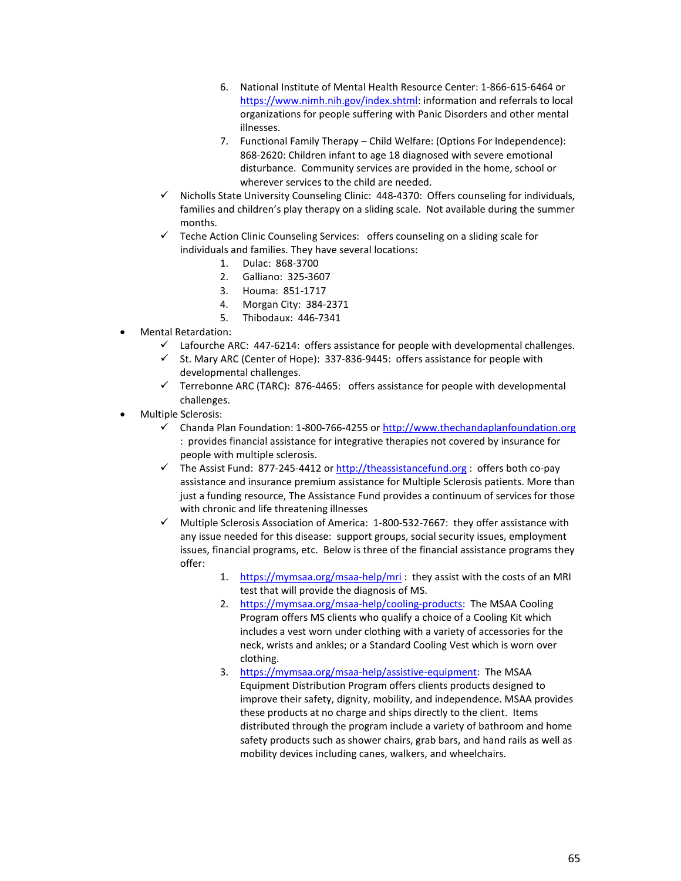- 6. National Institute of Mental Health Resource Center: 1-866-615-6464 or [https://www.nimh.nih.gov/index.shtml:](https://www.nimh.nih.gov/index.shtml) information and referrals to local organizations for people suffering with Panic Disorders and other mental illnesses.
- 7. Functional Family Therapy Child Welfare: (Options For Independence): 868-2620: Children infant to age 18 diagnosed with severe emotional disturbance. Community services are provided in the home, school or wherever services to the child are needed.
- $\checkmark$  Nicholls State University Counseling Clinic: 448-4370: Offers counseling for individuals, families and children's play therapy on a sliding scale. Not available during the summer months.
- $\checkmark$  Teche Action Clinic Counseling Services: offers counseling on a sliding scale for individuals and families. They have several locations:
	- 1. Dulac: 868-3700
	- 2. Galliano: 325-3607
	- 3. Houma: 851-1717
	- 4. Morgan City: 384-2371
	- 5. Thibodaux: 446-7341
- Mental Retardation:
	- $\checkmark$  Lafourche ARC: 447-6214: offers assistance for people with developmental challenges.
	- $\checkmark$  St. Mary ARC (Center of Hope): 337-836-9445: offers assistance for people with developmental challenges.
	- $\checkmark$  Terrebonne ARC (TARC): 876-4465: offers assistance for people with developmental challenges.
- Multiple Sclerosis:
	- $\checkmark$  Chanda Plan Foundation: 1-800-766-4255 o[r http://www.thechandaplanfoundation.org](http://www.thechandaplanfoundation.org/) : provides financial assistance for integrative therapies not covered by insurance for people with multiple sclerosis.
	- $\checkmark$  The Assist Fund: 877-245-4412 o[r http://theassistancefund.org](http://theassistancefund.org/) : offers both co-pay assistance and insurance premium assistance for Multiple Sclerosis patients. More than just a funding resource, The Assistance Fund provides a continuum of services for those with chronic and life threatening illnesses
	- $\checkmark$  Multiple Sclerosis Association of America: 1-800-532-7667: they offer assistance with any issue needed for this disease: support groups, social security issues, employment issues, financial programs, etc. Below is three of the financial assistance programs they offer:
		- 1. <https://mymsaa.org/msaa-help/mri> : they assist with the costs of an MRI test that will provide the diagnosis of MS.
		- 2. [https://mymsaa.org/msaa-help/cooling-products:](https://mymsaa.org/msaa-help/cooling-products) The MSAA Cooling Program offers MS clients who qualify a choice of a Cooling Kit which includes a vest worn under clothing with a variety of accessories for the neck, wrists and ankles; or a Standard Cooling Vest which is worn over clothing.
		- 3. [https://mymsaa.org/msaa-help/assistive-equipment:](https://mymsaa.org/msaa-help/assistive-equipment) The MSAA Equipment Distribution Program offers clients products designed to improve their safety, dignity, mobility, and independence. MSAA provides these products at no charge and ships directly to the client. Items distributed through the program include a variety of bathroom and home safety products such as shower chairs, grab bars, and hand rails as well as mobility devices including canes, walkers, and wheelchairs.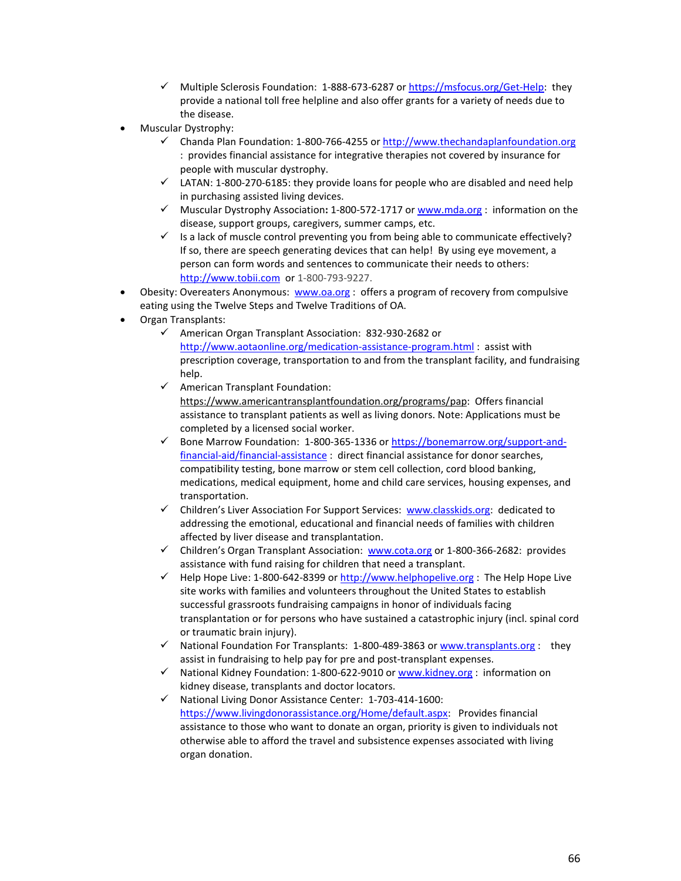- $\checkmark$  Multiple Sclerosis Foundation: 1-888-673-6287 or [https://msfocus.org/Get-Help:](https://msfocus.org/Get-Help) they provide a national toll free helpline and also offer grants for a variety of needs due to the disease.
- Muscular Dystrophy:
	- Chanda Plan Foundation: 1-800-766-4255 o[r http://www.thechandaplanfoundation.org](http://www.thechandaplanfoundation.org/) : provides financial assistance for integrative therapies not covered by insurance for people with muscular dystrophy.
	- $\checkmark$  LATAN: 1-800-270-6185: they provide loans for people who are disabled and need help in purchasing assisted living devices.
	- Muscular Dystrophy Association**:** 1-800-572-1717 o[r www.mda.org](http://www.mda.org/) : information on the disease, support groups, caregivers, summer camps, etc.
	- $\checkmark$  Is a lack of muscle control preventing you from being able to communicate effectively? If so, there are speech generating devices that can help! By using eye movement, a person can form words and sentences to communicate their needs to others: [http://www.tobii.com](http://www.tobii.com/) or 1-800-793-9227.
- Obesity: Overeaters Anonymous: [www.oa.org](http://www.oa.org/) : offers a program of recovery from compulsive eating using the [Twelve Steps](http://www.oa.org/new-to-oa/twelve-steps.php) and [Twelve Traditions](http://www.oa.org/new-to-oa/twelve-traditions.php) of OA.
- Organ Transplants:
	- $\checkmark$  American Organ Transplant Association: 832-930-2682 or <http://www.aotaonline.org/medication-assistance-program.html> : assist with prescription coverage, transportation to and from the transplant facility, and fundraising help.
	- $\checkmark$  American Transplant Foundation: [https://www.americantransplantfoundation.org/programs/pap:](https://www.americantransplantfoundation.org/programs/pap) Offers financial assistance to transplant patients as well as living donors. Note: Applications must be completed by a licensed social worker.
	- $\checkmark$  Bone Marrow Foundation: 1-800-365-1336 or [https://bonemarrow.org/support-and](https://bonemarrow.org/support-and-financial-aid/financial-assistance)[financial-aid/financial-assistance](https://bonemarrow.org/support-and-financial-aid/financial-assistance) : direct financial assistance for donor searches, compatibility testing, bone marrow or stem cell collection, cord blood banking, medications, medical equipment, home and child care services, housing expenses, and transportation.
	- $\checkmark$  Children's Liver Association For Support Services: [www.classkids.org:](http://www.classkids.org/) dedicated to addressing the emotional, educational and financial needs of families with children affected by liver disease and transplantation.
	- $\checkmark$  Children's Organ Transplant Association: [www.cota.org](http://www.cota.org/) or 1-800-366-2682: provides assistance with fund raising for children that need a transplant.
	- $\checkmark$  Help Hope Live: 1-800-642-8399 or [http://www.helphopelive.org](http://www.helphopelive.org/) : The Help Hope Live site works with families and volunteers throughout the United States to establish successful grassroots fundraising campaigns in honor of individuals facing transplantation or for persons who have sustained a catastrophic injury (incl. spinal cord or traumatic brain injury).
	- $\checkmark$  National Foundation For Transplants: 1-800-489-3863 or [www.transplants.org](http://www.transplants.org/) : they assist in fundraising to help pay for pre and post-transplant expenses.
	- $\checkmark$  National Kidney Foundation: 1-800-622-9010 or [www.kidney.org](http://www.kidney.org/) : information on kidney disease, transplants and doctor locators.
	- $\checkmark$  National Living Donor Assistance Center: 1-703-414-1600: [https://www.livingdonorassistance.org/Home/default.aspx:](https://www.livingdonorassistance.org/Home/default.aspx) Provides financial assistance to those who want to donate an organ, priority is given to individuals not otherwise able to afford the travel and subsistence expenses associated with living organ donation.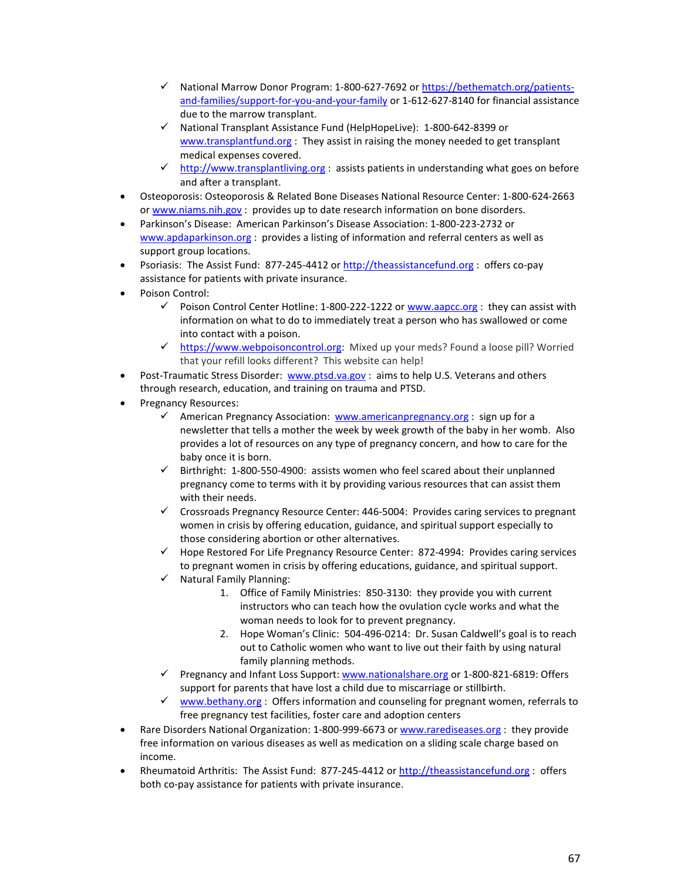- √ National Marrow Donor Program: 1-800-627-7692 o[r https://bethematch.org/patients](https://bethematch.org/patients-and-families/support-for-you-and-your-family)[and-families/support-for-you-and-your-family](https://bethematch.org/patients-and-families/support-for-you-and-your-family) or 1-612-627-8140 for financial assistance due to the marrow transplant.
- $\checkmark$  National Transplant Assistance Fund (HelpHopeLive): 1-800-642-8399 or [www.transplantfund.org](http://www.transplantfund.org/) : They assist in raising the money needed to get transplant medical expenses covered.
- $\checkmark$  [http://www.transplantliving.org](http://www.transplantliving.org/) : assists patients in understanding what goes on before and after a transplant.
- Osteoporosis: Osteoporosis & Related Bone Diseases National Resource Center: 1-800-624-2663 or [www.niams.nih.gov](http://www.niams.nih.gov/) : provides up to date research information on bone disorders.
- Parkinson's Disease: American Parkinson's Disease Association: 1-800-223-2732 or [www.apdaparkinson.org](http://www.apdaparkinson.org/) : provides a listing of information and referral centers as well as support group locations.
- Psoriasis: The Assist Fund: 877-245-4412 o[r http://theassistancefund.org](http://theassistancefund.org/) : offers co-pay assistance for patients with private insurance.
- Poison Control:
	- $\checkmark$  Poison Control Center Hotline: 1-800-222-1222 o[r www.aapcc.org](http://www.aapcc.org/) : they can assist with information on what to do to immediately treat a person who has swallowed or come into contact with a poison.
	- ← [https://www.webpoisoncontrol.org:](https://www.webpoisoncontrol.org/) Mixed up your meds? Found a loose pill? Worried that your refill looks different? This website can help!
- Post-Traumatic Stress Disorder: [www.ptsd.va.gov](http://www.ptsd.va.gov/) : aims to help U.S. Veterans and others through research, education, and training on trauma and PTSD.
- Pregnancy Resources:
	- $\checkmark$  American Pregnancy Association: [www.americanpregnancy.org](http://www.americanpregnancy.org/) : sign up for a newsletter that tells a mother the week by week growth of the baby in her womb. Also provides a lot of resources on any type of pregnancy concern, and how to care for the baby once it is born.
	- $\checkmark$  Birthright: 1-800-550-4900: assists women who feel scared about their unplanned pregnancy come to terms with it by providing various resources that can assist them with their needs.
	- $\checkmark$  Crossroads Pregnancy Resource Center: 446-5004: Provides caring services to pregnant women in crisis by offering education, guidance, and spiritual support especially to those considering abortion or other alternatives.
	- $\checkmark$  Hope Restored For Life Pregnancy Resource Center: 872-4994: Provides caring services to pregnant women in crisis by offering educations, guidance, and spiritual support.
	- $\checkmark$  Natural Family Planning:
		- 1. Office of Family Ministries: 850-3130: they provide you with current instructors who can teach how the ovulation cycle works and what the woman needs to look for to prevent pregnancy.
		- 2. Hope Woman's Clinic: 504-496-0214: Dr. Susan Caldwell's goal is to reach out to Catholic women who want to live out their faith by using natural family planning methods.
	- $\checkmark$  Pregnancy and Infant Loss Support: [www.nationalshare.org](http://www.nationalshare.org/) or 1-800-821-6819: Offers support for parents that have lost a child due to miscarriage or stillbirth.
	- $\checkmark$  [www.bethany.org](http://www.bethany.org/) : Offers information and counseling for pregnant women, referrals to free pregnancy test facilities, foster care and adoption centers
- Rare Disorders National Organization: 1-800-999-6673 or [www.rarediseases.org](http://www.rarediseases.org/) : they provide free information on various diseases as well as medication on a sliding scale charge based on income.
- Rheumatoid Arthritis: The Assist Fund: 877-245-4412 or [http://theassistancefund.org](http://theassistancefund.org/) : offers both co-pay assistance for patients with private insurance.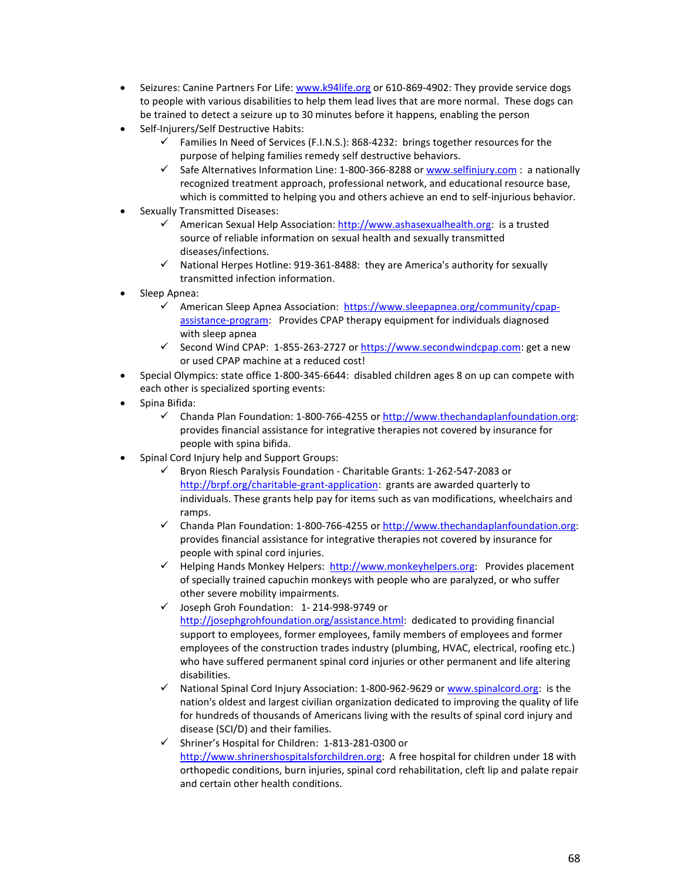- Seizures: Canine Partners For Life: [www.k94life.org](http://www.k94life.org/) or 610-869-4902: They provide service dogs to people with various disabilities to help them lead lives that are more normal. These dogs can be trained to detect a seizure up to 30 minutes before it happens, enabling the person
- Self-Injurers/Self Destructive Habits:
	- $\checkmark$  Families In Need of Services (F.I.N.S.): 868-4232: brings together resources for the purpose of helping families remedy self destructive behaviors.
	- $\checkmark$  Safe Alternatives Information Line: 1-800-366-8288 o[r www.selfinjury.com](http://www.selfinjury.com/) : a nationally recognized treatment approach, professional network, and educational resource base, which is committed to helping you and others achieve an end to self-injurious behavior.
- Sexually Transmitted Diseases:
	- American Sexual Help Association: [http://www.ashasexualhealth.org:](http://www.ashasexualhealth.org/) is a trusted source of reliable information on sexual health and sexually transmitted diseases/infections.
	- $\checkmark$  National Herpes Hotline: 919-361-8488: they are America's authority for sexually transmitted infection information.
- Sleep Apnea:
	- $\checkmark$  American Sleep Apnea Association: [https://www.sleepapnea.org/community/cpap](https://www.sleepapnea.org/community/cpap-assistance-program)[assistance-program:](https://www.sleepapnea.org/community/cpap-assistance-program) Provides CPAP therapy equipment for individuals diagnosed with sleep apnea
	- Gecond Wind CPAP: 1-855-263-2727 o[r https://www.secondwindcpap.com:](https://www.secondwindcpap.com/) get a new or used CPAP machine at a reduced cost!
- Special Olympics: state office 1-800-345-6644: disabled children ages 8 on up can compete with each other is specialized sporting events:
- Spina Bifida:
	- $\checkmark$  Chanda Plan Foundation: 1-800-766-4255 o[r http://www.thechandaplanfoundation.org:](http://www.thechandaplanfoundation.org/) provides financial assistance for integrative therapies not covered by insurance for people with spina bifida.
- Spinal Cord Injury help and Support Groups:
	- Bryon Riesch Paralysis Foundation Charitable Grants: 1-262-547-2083 or [http://brpf.org/charitable-grant-application:](http://brpf.org/charitable-grant-application) grants are awarded quarterly to individuals. These grants help pay for items such as van modifications, wheelchairs and ramps.
	- $\checkmark$  Chanda Plan Foundation: 1-800-766-4255 o[r http://www.thechandaplanfoundation.org:](http://www.thechandaplanfoundation.org/) provides financial assistance for integrative therapies not covered by insurance for people with spinal cord injuries.
	- $\checkmark$  Helping Hands Monkey Helpers: [http://www.monkeyhelpers.org:](http://www.monkeyhelpers.org/) Provides placement of specially trained capuchin monkeys with people who are paralyzed, or who suffer other severe mobility impairments.
	- Joseph Groh Foundation: 1- 214-998-9749 or [http://josephgrohfoundation.org/assistance.html:](http://josephgrohfoundation.org/assistance.html) dedicated to providing financial support to employees, former employees, family members of employees and former employees of the construction trades industry (plumbing, HVAC, electrical, roofing etc.) who have suffered permanent spinal cord injuries or other permanent and life altering disabilities.
	- $\checkmark$  National Spinal Cord Injury Association: 1-800-962-9629 or [www.spinalcord.org:](http://www.spinalcord.org/) is the nation's oldest and largest civilian organization dedicated to improving the quality of life for hundreds of thousands of Americans living with the results of spinal cord injury and disease (SCI/D) and their families.
	- Shriner's Hospital for Children: 1-813-281-0300 or [http://www.shrinershospitalsforchildren.org:](http://www.shrinershospitalsforchildren.org/) A free hospital for children under 18 with orthopedic conditions, burn injuries, spinal cord rehabilitation, cleft lip and palate repair and certain other health conditions.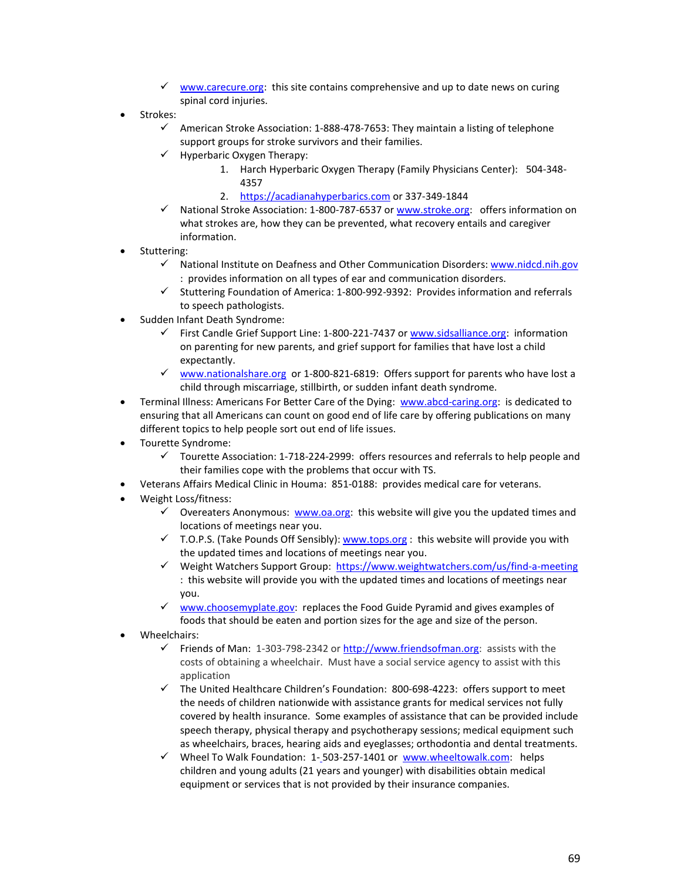- $\checkmark$  [www.carecure.org:](http://www.carecure.org/) this site contains comprehensive and up to date news on curing spinal cord injuries.
- Strokes:
	- $\checkmark$  American Stroke Association: 1-888-478-7653: They maintain a listing of telephone support groups for stroke survivors and their families.
	- $\checkmark$  Hyperbaric Oxygen Therapy:
		- 1. Harch Hyperbaric Oxygen Therapy (Family Physicians Center): 504-348- 4357
		- 2. [https://acadianahyperbarics.com](https://acadianahyperbarics.com/) or 337-349-1844
	- $\checkmark$  National Stroke Association: 1-800-787-6537 or [www.stroke.org:](http://www.stroke.org/) offers information on what strokes are, how they can be prevented, what recovery entails and caregiver information.
- Stuttering:
	- $\checkmark$  National Institute on Deafness and Other Communication Disorders: [www.nidcd.nih.gov](http://www.nidcd.nih.gov/) : provides information on all types of ear and communication disorders.
	- $\checkmark$  Stuttering Foundation of America: 1-800-992-9392: Provides information and referrals to speech pathologists.
- Sudden Infant Death Syndrome:
	- $\checkmark$  First Candle Grief Support Line: 1-800-221-7437 or [www.sidsalliance.org:](http://www.sidsalliance.org/) information on parenting for new parents, and grief support for families that have lost a child expectantly.
	- $\checkmark$  [www.nationalshare.org](http://www.nationalshare.org/) or 1-800-821-6819: Offers support for parents who have lost a child through miscarriage, stillbirth, or sudden infant death syndrome.
- Terminal Illness: Americans For Better Care of the Dying: [www.abcd-caring.org:](http://www.abcd-caring.org/) is dedicated to ensuring that all Americans can count on good end of life care by offering publications on many different topics to help people sort out end of life issues.
- Tourette Syndrome:
	- $\checkmark$  Tourette Association: 1-718-224-2999: offers resources and referrals to help people and their families cope with the problems that occur with TS.
- Veterans Affairs Medical Clinic in Houma: 851-0188: provides medical care for veterans.
- Weight Loss/fitness:
	- $\checkmark$  Overeaters Anonymous: [www.oa.org:](http://www.oa.org/) this website will give you the updated times and locations of meetings near you.
	- $\checkmark$  T.O.P.S. (Take Pounds Off Sensibly)[: www.tops.org](http://www.tops.org/) : this website will provide you with the updated times and locations of meetings near you.
	- Weight Watchers Support Group:<https://www.weightwatchers.com/us/find-a-meeting> : this website will provide you with the updated times and locations of meetings near you.
	- $\checkmark$  [www.choosemyplate.gov:](http://www.choosemyplate.gov/) replaces the Food Guide Pyramid and gives examples of foods that should be eaten and portion sizes for the age and size of the person.
- Wheelchairs:
	- Friends of Man:  $1-303-798-2342$  o[r http://www.friendsofman.org:](http://www.friendsofman.org/) assists with the costs of obtaining a wheelchair. Must have a social service agency to assist with this application
	- $\checkmark$  The United Healthcare Children's Foundation: 800-698-4223: offers support to meet the needs of children nationwide with assistance grants for medical services not fully covered by health insurance. Some examples of assistance that can be provided include speech therapy, physical therapy and psychotherapy sessions; medical equipment such as wheelchairs, braces, hearing aids and eyeglasses; orthodontia and dental treatments.
	- √ Wheel To Walk Foundation: 1-503-257-1401 or [www.wheeltowalk.com:](http://www.wheeltowalk.com/) helps children and young adults (21 years and younger) with disabilities obtain medical equipment or services that is not provided by their insurance companies.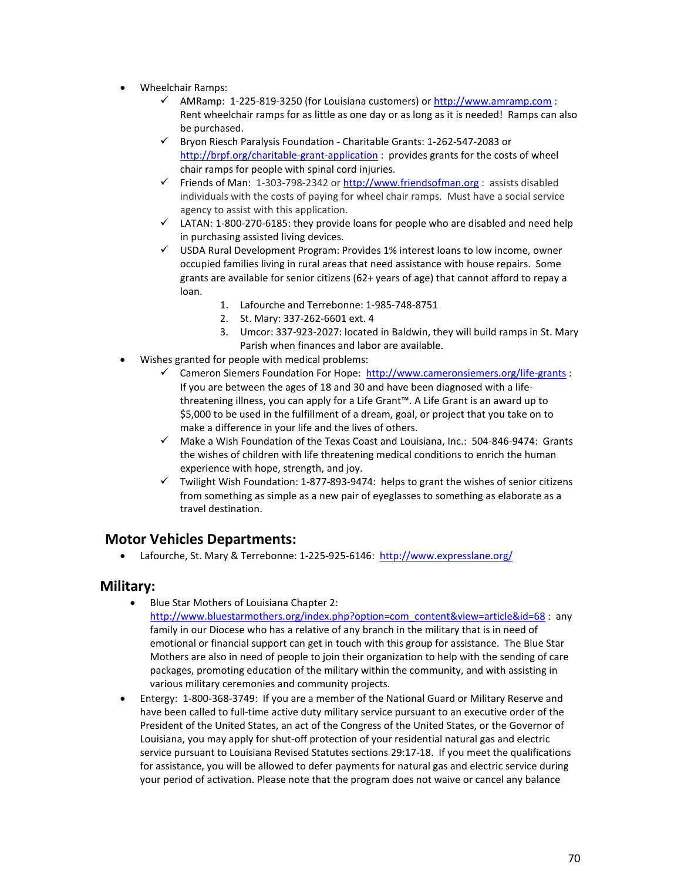- Wheelchair Ramps:
	- $\checkmark$  AMRamp: 1-225-819-3250 (for Louisiana customers) or [http://www.amramp.com](http://www.amramp.com/) : Rent wheelchair ramps for as little as one day or as long as it is needed! Ramps can also be purchased.
	- Bryon Riesch Paralysis Foundation Charitable Grants: 1-262-547-2083 or <http://brpf.org/charitable-grant-application> : provides grants for the costs of wheel chair ramps for people with spinal cord injuries.
	- Friends of Man: 1-303-798-2342 o[r http://www.friendsofman.org](http://www.friendsofman.org/) : assists disabled individuals with the costs of paying for wheel chair ramps. Must have a social service agency to assist with this application.
	- $\checkmark$  LATAN: 1-800-270-6185: they provide loans for people who are disabled and need help in purchasing assisted living devices.
	- USDA Rural Development Program: Provides 1% interest loans to low income, owner occupied families living in rural areas that need assistance with house repairs. Some grants are available for senior citizens (62+ years of age) that cannot afford to repay a loan.
		- 1. Lafourche and Terrebonne: 1-985-748-8751
		- 2. St. Mary: 337-262-6601 ext. 4
		- 3. Umcor: 337-923-2027: located in Baldwin, they will build ramps in St. Mary Parish when finances and labor are available.
- Wishes granted for people with medical problems:
	- Cameron Siemers Foundation For Hope: <http://www.cameronsiemers.org/life-grants> : If you are between the ages of 18 and 30 and have been diagnosed with a lifethreatening illness, you can apply for a Life Grant™. A Life Grant is an award up to \$5,000 to be used in the fulfillment of a dream, goal, or project that you take on to make a difference in your life and the lives of others.
	- $\checkmark$  Make a Wish Foundation of the Texas Coast and Louisiana, Inc.: 504-846-9474: Grants the wishes of children with life threatening medical conditions to enrich the human experience with hope, strength, and joy.
	- $\checkmark$  Twilight Wish Foundation: 1-877-893-9474: helps to grant the wishes of senior citizens from something as simple as a new pair of eyeglasses to something as elaborate as a travel destination.

### **Motor Vehicles Departments:**

• Lafourche, St. Mary & Terrebonne: 1-225-925-6146:<http://www.expresslane.org/>

### **Military:**

• Blue Star Mothers of Louisiana Chapter 2:

[http://www.bluestarmothers.org/index.php?option=com\\_content&view=article&id=68](http://www.bluestarmothers.org/index.php?option=com_content&view=article&id=68) : any family in our Diocese who has a relative of any branch in the military that is in need of emotional or financial support can get in touch with this group for assistance. The Blue Star Mothers are also in need of people to join their organization to help with the sending of care packages, promoting education of the military within the community, and with assisting in various military ceremonies and community projects.

• Entergy: 1-800-368-3749: If you are a member of the National Guard or Military Reserve and have been called to full-time active duty military service pursuant to an executive order of the President of the United States, an act of the Congress of the United States, or the Governor of Louisiana, you may apply for shut-off protection of your residential natural gas and electric service pursuant to Louisiana Revised Statutes sections 29:17-18. If you meet the qualifications for assistance, you will be allowed to defer payments for natural gas and electric service during your period of activation. Please note that the program does not waive or cancel any balance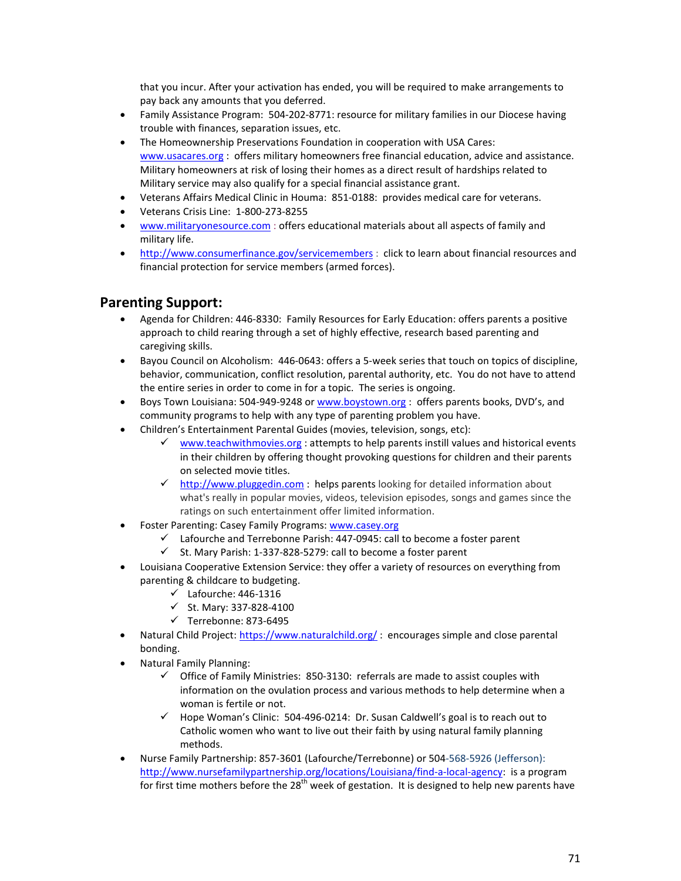that you incur. After your activation has ended, you will be required to make arrangements to pay back any amounts that you deferred.

- Family Assistance Program: 504-202-8771: resource for military families in our Diocese having trouble with finances, separation issues, etc.
- The Homeownership Preservations Foundation in cooperation with USA Cares: [www.usacares.org](http://www.usacares.org/) : offers military homeowners free financial education, advice and assistance. Military homeowners at risk of losing their homes as a direct result of hardships related to Military service may also qualify for a special financial assistance grant.
- Veterans Affairs Medical Clinic in Houma: 851-0188: provides medical care for veterans.
- Veterans Crisis Line: 1-800-273-8255
- [www.militaryonesource.com](http://www.militaryonesource.com/) : offers educational materials about all aspects of family and military life.
- <http://www.consumerfinance.gov/servicemembers> : click to learn about financial resources and financial protection for service members (armed forces).

## **Parenting Support:**

- Agenda for Children: 446-8330: Family Resources for Early Education: offers parents a positive approach to child rearing through a set of highly effective, research based parenting and caregiving skills.
- Bayou Council on Alcoholism: 446-0643: offers a 5-week series that touch on topics of discipline, behavior, communication, conflict resolution, parental authority, etc. You do not have to attend the entire series in order to come in for a topic. The series is ongoing.
- Boys Town Louisiana: 504-949-9248 or [www.boystown.org](http://www.boystown.org/) : offers parents books, DVD's, and community programs to help with any type of parenting problem you have.
- Children's Entertainment Parental Guides (movies, television, songs, etc):
	- [www.teachwithmovies.org](http://www.teachwithmovies.org/) : attempts to help parents instill values and historical events in their children by offering thought provoking questions for children and their parents on selected movie titles.
	- $\checkmark$  [http://www.pluggedin.com](http://www.pluggedin.com/) : helps parents looking for detailed information about what's really in popular movies, videos, television episodes, songs and games since the ratings on such entertainment offer limited information.
- Foster Parenting: Casey Family Programs[: www.casey.org](http://www.casey.org/)
	- $\checkmark$  Lafourche and Terrebonne Parish: 447-0945: call to become a foster parent
	- $\checkmark$  St. Mary Parish: 1-337-828-5279: call to become a foster parent
- Louisiana Cooperative Extension Service: they offer a variety of resources on everything from parenting & childcare to budgeting.
	- $\checkmark$  Lafourche: 446-1316
	- $\checkmark$  St. Mary: 337-828-4100
	- $\checkmark$  Terrebonne: 873-6495
- Natural Child Project: <https://www.naturalchild.org/>: encourages simple and close parental bonding.
- Natural Family Planning:
	- $\checkmark$  Office of Family Ministries: 850-3130: referrals are made to assist couples with information on the ovulation process and various methods to help determine when a woman is fertile or not.
	- $\checkmark$  Hope Woman's Clinic: 504-496-0214: Dr. Susan Caldwell's goal is to reach out to Catholic women who want to live out their faith by using natural family planning methods.
- Nurse Family Partnership: 857-3601 (Lafourche/Terrebonne) or 504-568-5926 (Jefferson): [http://www.nursefamilypartnership.org/locations/Louisiana/find-a-local-agency:](http://www.nursefamilypartnership.org/locations/Louisiana/find-a-local-agency) is a program for first time mothers before the 28<sup>th</sup> week of gestation. It is designed to help new parents have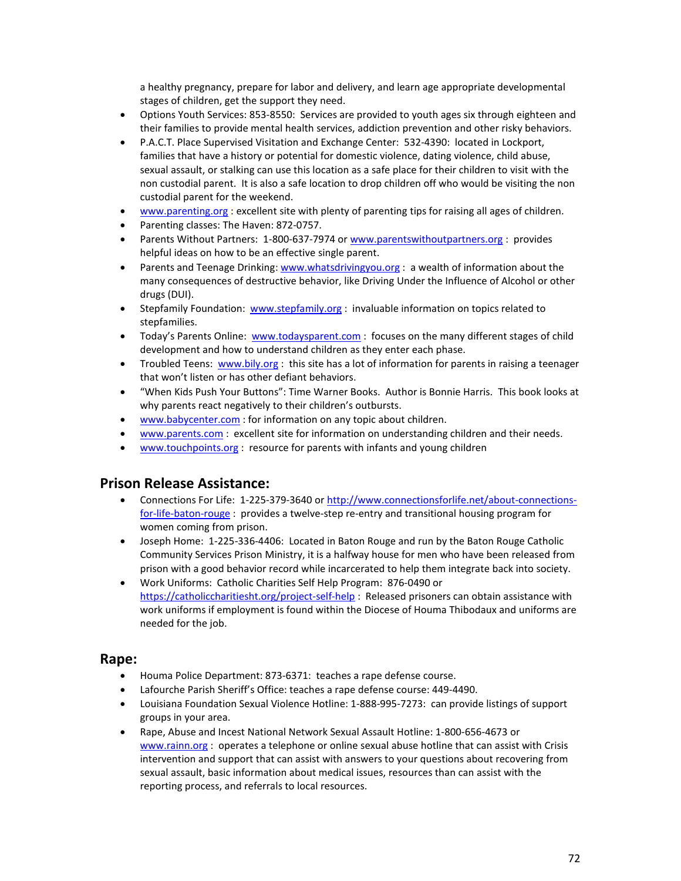a healthy pregnancy, prepare for labor and delivery, and learn age appropriate developmental stages of children, get the support they need.

- Options Youth Services: 853-8550: Services are provided to youth ages six through eighteen and their families to provide mental health services, addiction prevention and other risky behaviors.
- P.A.C.T. Place Supervised Visitation and Exchange Center: 532-4390: located in Lockport, families that have a history or potential for domestic violence, dating violence, child abuse, sexual assault, or stalking can use this location as a safe place for their children to visit with the non custodial parent. It is also a safe location to drop children off who would be visiting the non custodial parent for the weekend.
- [www.parenting.org](http://www.parenting.org/) : excellent site with plenty of parenting tips for raising all ages of children.
- Parenting classes: The Haven: 872-0757.
- Parents Without Partners: 1-800-637-7974 or [www.parentswithoutpartners.org](http://www.parentswithoutpartners.org/) : provides helpful ideas on how to be an effective single parent.
- Parents and Teenage Drinking: [www.whatsdrivingyou.org](http://www.whatsdrivingyou.org/) : a wealth of information about the many consequences of destructive behavior, like Driving Under the Influence of Alcohol or other drugs (DUI).
- Stepfamily Foundation: [www.stepfamily.org](http://www.stepfamily.org/) : invaluable information on topics related to stepfamilies.
- Today's Parents Online: [www.todaysparent.com](http://www.todaysparent.com/): focuses on the many different stages of child development and how to understand children as they enter each phase.
- Troubled Teens: [www.bily.org](http://www.bily.org/): this site has a lot of information for parents in raising a teenager that won't listen or has other defiant behaviors.
- "When Kids Push Your Buttons": Time Warner Books. Author is Bonnie Harris. This book looks at why parents react negatively to their children's outbursts.
- [www.babycenter.com](http://www.babycenter.com/) : for information on any topic about children.
- [www.parents.com](http://www.parents.com/) : excellent site for information on understanding children and their needs.
- [www.touchpoints.org](http://www.touchpoints.org/) : resource for parents with infants and young children

### **Prison Release Assistance:**

- Connections For Life: 1-225-379-3640 or [http://www.connectionsforlife.net/about-connections](http://www.connectionsforlife.net/about-connections-for-life-baton-rouge)[for-life-baton-rouge](http://www.connectionsforlife.net/about-connections-for-life-baton-rouge) : provides a twelve-step re-entry and transitional housing program for women coming from prison.
- Joseph Home: 1-225-336-4406: Located in Baton Rouge and run by the Baton Rouge Catholic Community Services Prison Ministry, it is a halfway house for men who have been released from prison with a good behavior record while incarcerated to help them integrate back into society.
- Work Uniforms: Catholic Charities Self Help Program: 876-0490 or <https://catholiccharitiesht.org/project-self-help> : Released prisoners can obtain assistance with work uniforms if employment is found within the Diocese of Houma Thibodaux and uniforms are needed for the job.

### **Rape:**

- Houma Police Department: 873-6371: teaches a rape defense course.
- Lafourche Parish Sheriff's Office: teaches a rape defense course: 449-4490.
- Louisiana Foundation Sexual Violence Hotline: 1-888-995-7273: can provide listings of support groups in your area.
- Rape, Abuse and Incest National Network Sexual Assault Hotline: 1-800-656-4673 or [www.rainn.org](http://www.rainn.org/) : operates a telephone or online sexual abuse hotline that can assist with Crisis intervention and support that can assist with answers to your questions about recovering from sexual assault, basic information about medical issues, resources than can assist with the reporting process, and referrals to local resources.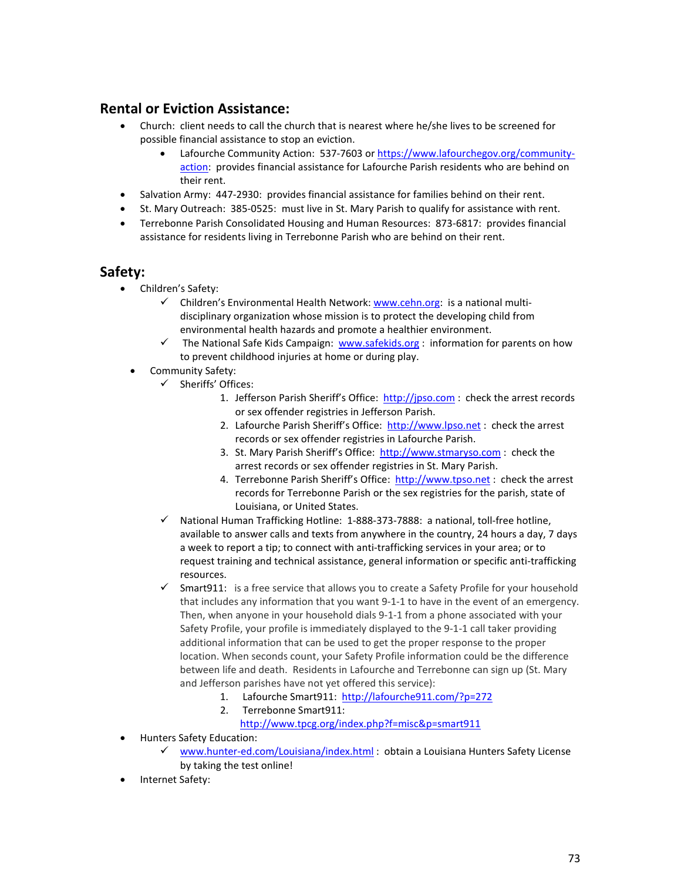## **Rental or Eviction Assistance:**

- Church: client needs to call the church that is nearest where he/she lives to be screened for possible financial assistance to stop an eviction.
	- Lafourche Community Action: 537-7603 or [https://www.lafourchegov.org/community](https://www.lafourchegov.org/community-action)[action:](https://www.lafourchegov.org/community-action) provides financial assistance for Lafourche Parish residents who are behind on their rent.
- Salvation Army: 447-2930: provides financial assistance for families behind on their rent.
- St. Mary Outreach: 385-0525: must live in St. Mary Parish to qualify for assistance with rent.
- Terrebonne Parish Consolidated Housing and Human Resources: 873-6817: provides financial assistance for residents living in Terrebonne Parish who are behind on their rent.

### **Safety:**

- Children's Safety:
	- $\checkmark$  Children's Environmental Health Network: [www.cehn.org:](http://www.cehn.org/) is a national multidisciplinary organization whose mission is to protect the developing child from environmental health hazards and promote a healthier environment.
	- $\checkmark$  The National Safe Kids Campaign: [www.safekids.org](http://www.safekids.org/) : information for parents on how to prevent childhood injuries at home or during play.
	- Community Safety:
		- Sheriffs' Offices:
			- 1. Jefferson Parish Sheriff's Office: [http://jpso.com](http://jpso.com/) : check the arrest records or sex offender registries in Jefferson Parish.
			- 2. Lafourche Parish Sheriff's Office: [http://www.lpso.net](http://www.lpso.net/) : check the arrest records or sex offender registries in Lafourche Parish.
			- 3. St. Mary Parish Sheriff's Office: [http://www.stmaryso.com](http://www.stmaryso.com/) : check the arrest records or sex offender registries in St. Mary Parish.
			- 4. Terrebonne Parish Sheriff's Office: [http://www.tpso.net](http://www.tpso.net/) : check the arrest records for Terrebonne Parish or the sex registries for the parish, state of Louisiana, or United States.
		- $\checkmark$  National Human Trafficking Hotline: 1-888-373-7888: a national, toll-free hotline, available to answer calls and texts from anywhere in the country, 24 hours a day, 7 days a week to [report a tip;](http://www.polarisproject.org/what-we-do/national-human-trafficking-hotline/report-a-tip) t[o connect with anti-trafficking services in your area;](http://www.polarisproject.org/state-map) or to [request training and technical assistance,](http://www.polarisproject.org/what-we-do/national-human-trafficking-hotline/access-training/request-a-training) [general information](http://www.polarisproject.org/resources/overview) or [specific anti-trafficking](http://www.polarisproject.org/resources/resources-by-topic)  [resources.](http://www.polarisproject.org/resources/resources-by-topic)
		- $\checkmark$  Smart911: is a free service that allows you to create a Safety Profile for your household that includes any information that you want 9-1-1 to have in the event of an emergency. Then, when anyone in your household dials 9-1-1 from a phone associated with your Safety Profile, your profile is immediately displayed to the 9-1-1 call taker providing additional information that can be used to get the proper response to the proper location. When seconds count, your Safety Profile information could be the difference between life and death. Residents in Lafourche and Terrebonne can sign up (St. Mary and Jefferson parishes have not yet offered this service):
			- 1. Lafourche Smart911:<http://lafourche911.com/?p=272>
			- 2. Terrebonne Smart911:
				- <http://www.tpcg.org/index.php?f=misc&p=smart911>
- Hunters Safety Education:
	- [www.hunter-ed.com/Louisiana/index.html](http://www.hunter-ed.com/Louisiana/index.html) : obtain a Louisiana Hunters Safety License by taking the test online!
- Internet Safety: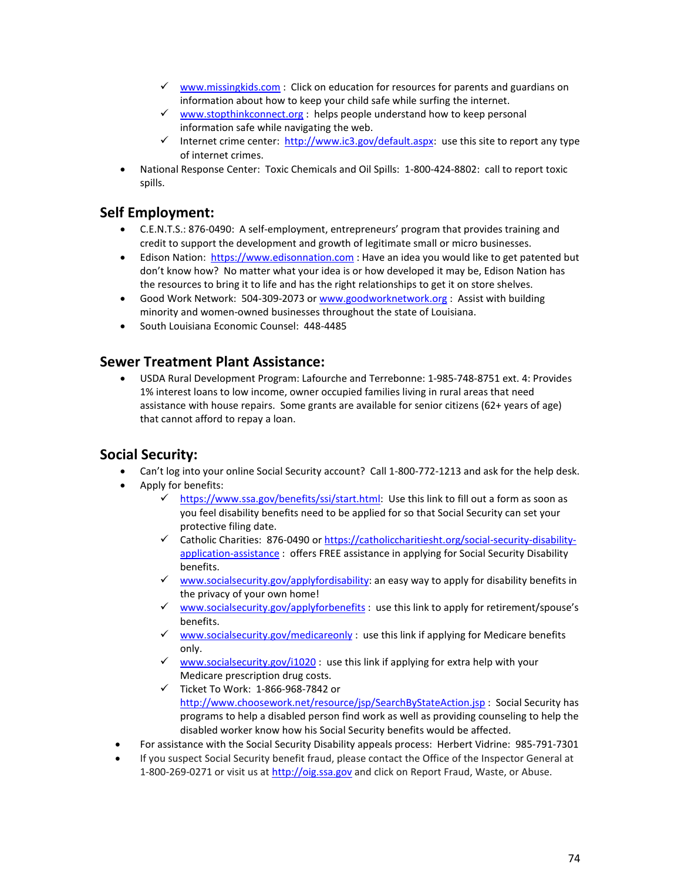- $\checkmark$  [www.missingkids.com](http://www.missingkids.com/) : Click on education for resources for parents and guardians on information about how to keep your child safe while surfing the internet.
- $\checkmark$  [www.stopthinkconnect.org](http://www.stopthinkconnect.org/) : helps people understand how to keep personal information safe while navigating the web.
- Internet crime center: [http://www.ic3.gov/default.aspx:](http://www.ic3.gov/default.aspx) use this site to report any type of internet crimes.
- National Response Center: Toxic Chemicals and Oil Spills: 1-800-424-8802: call to report toxic spills.

### **Self Employment:**

- C.E.N.T.S.: 876-0490: A self-employment, entrepreneurs' program that provides training and credit to support the development and growth of legitimate small or micro businesses.
- Edison Nation: [https://www.edisonnation.com](https://www.edisonnation.com/) : Have an idea you would like to get patented but don't know how? No matter what your idea is or how developed it may be, Edison Nation has the resources to bring it to life and has the right relationships to get it on store shelves.
- Good Work Network: 504-309-2073 or [www.goodworknetwork.org](http://www.goodworknetwork.org/) : Assist with building minority and women-owned businesses throughout the state of Louisiana.
- South Louisiana Economic Counsel: 448-4485

### **Sewer Treatment Plant Assistance:**

• USDA Rural Development Program: Lafourche and Terrebonne: 1-985-748-8751 ext. 4: Provides 1% interest loans to low income, owner occupied families living in rural areas that need assistance with house repairs. Some grants are available for senior citizens (62+ years of age) that cannot afford to repay a loan.

### **Social Security:**

- Can't log into your online Social Security account? Call 1-800-772-1213 and ask for the help desk.
- Apply for benefits:
	- $\checkmark$  [https://www.ssa.gov/benefits/ssi/start.html:](https://www.ssa.gov/benefits/ssi/start.html) Use this link to fill out a form as soon as you feel disability benefits need to be applied for so that Social Security can set your protective filing date.
	- Catholic Charities: 876-0490 or [https://catholiccharitiesht.org/social-security-disability](https://catholiccharitiesht.org/social-security-disability-application-assistance)[application-assistance](https://catholiccharitiesht.org/social-security-disability-application-assistance) : offers FREE assistance in applying for Social Security Disability benefits.
	- [www.socialsecurity.gov/applyfordisability:](http://www.socialsecurity.gov/applyfordisability) an easy way to apply for disability benefits in the privacy of your own home!
	- $\checkmark$  [www.socialsecurity.gov/applyforbenefits](http://www.socialsecurity.gov/applyforbenefits) : use this link to apply for retirement/spouse's benefits.
	- $\checkmark$  [www.socialsecurity.gov/medicareonly](http://www.socialsecurity.gov/medicareonly) : use this link if applying for Medicare benefits only.
	- [www.socialsecurity.gov/i1020](http://www.socialsecurity.gov/i1020) : use this link if applying for extra help with your Medicare prescription drug costs.
	- $\checkmark$  Ticket To Work: 1-866-968-7842 or
		- <http://www.choosework.net/resource/jsp/SearchByStateAction.jsp> : Social Security has programs to help a disabled person find work as well as providing counseling to help the disabled worker know how his Social Security benefits would be affected.
- For assistance with the Social Security Disability appeals process: Herbert Vidrine: 985-791-7301
- If you suspect Social Security benefit fraud, please contact the Office of the Inspector General at 1-800-269-0271 or visit us a[t http://oig.ssa.gov](http://oig.ssa.gov/) and click on Report Fraud, Waste, or Abuse.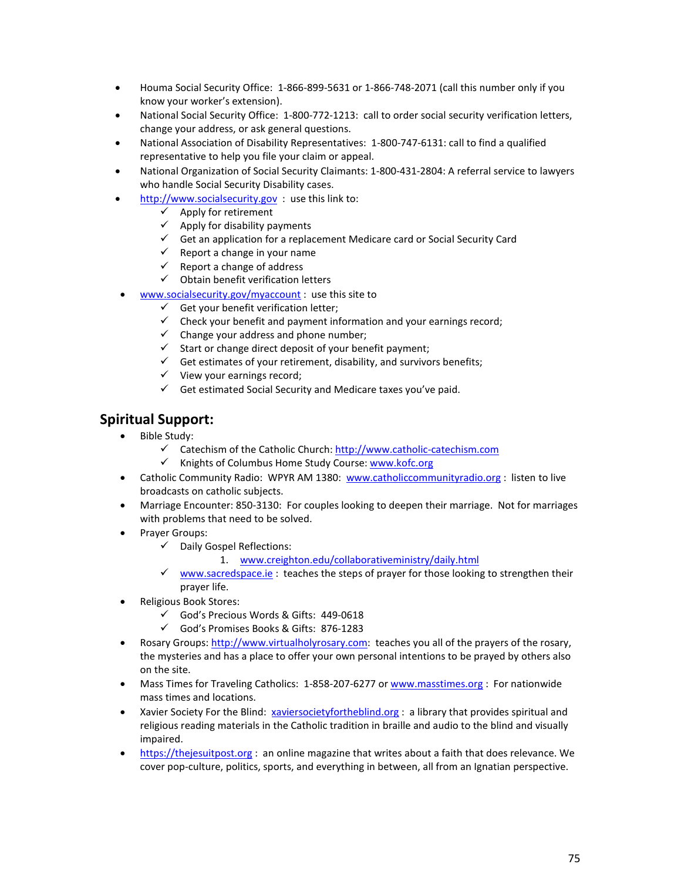- Houma Social Security Office: 1-866-899-5631 or 1-866-748-2071 (call this number only if you know your worker's extension).
- National Social Security Office: 1-800-772-1213: call to order social security verification letters, change your address, or ask general questions.
- National Association of Disability Representatives: 1-800-747-6131: call to find a qualified representative to help you file your claim or appeal.
- National Organization of Social Security Claimants: 1-800-431-2804: A referral service to lawyers who handle Social Security Disability cases.
- [http://www.socialsecurity.gov](http://www.socialsecurity.gov/) : use this link to:
	- $\checkmark$  Apply for retirement
	- $\checkmark$  Apply for disability payments
	- $\checkmark$  Get an application for a replacement Medicare card or Social Security Card
	- $\checkmark$  Report a change in your name
	- $\checkmark$  Report a change of address
	- $\checkmark$  Obtain benefit verification letters
- [www.socialsecurity.gov/myaccount](http://www.socialsecurity.gov/myaccount) : use this site to
	- $\checkmark$  Get you[r benefit verification letter;](http://www.socialsecurity.gov/hlp/mySSA/df-beve.htm)
	- $\checkmark$  Check your benefit and payment information and your earnings record;
	- $\checkmark$  [Change your address a](http://www.socialsecurity.gov/hlp/mySSA/df-changeaddress.htm)nd phone number;
	- $\checkmark$  [Start or change direct deposit](http://www.socialsecurity.gov/hlp/mySSA/df-directdeposit.htm) of your benefit payment;
	- $\checkmark$  Get estimates of your retirement, disability, and survivors benefits;
	- $\checkmark$  View your earnings record;
	- $\checkmark$  Get estimated Social Security and Medicare taxes you've paid.

### **Spiritual Support:**

- Bible Study:
	- $\checkmark$  Catechism of the Catholic Church[: http://www.catholic-catechism.com](http://www.catholic-catechism.com/)
	- √ Knights of Columbus Home Study Course: [www.kofc.org](http://www.kofc.org/)
- Catholic Community Radio: WPYR AM 1380: [www.catholiccommunityradio.org](http://www.catholiccommunityradio.org/) : listen to live broadcasts on catholic subjects.
- Marriage Encounter: 850-3130: For couples looking to deepen their marriage. Not for marriages with problems that need to be solved.
- Prayer Groups:
	- $\checkmark$  Daily Gospel Reflections:
		- 1. [www.creighton.edu/collaborativeministry/daily.html](http://www.creighton.edu/collaborativeministry/daily.html)
	- $\checkmark$  [www.sacredspace.ie](http://www.sacredspace.ie/): teaches the steps of prayer for those looking to strengthen their prayer life.
- Religious Book Stores:
	- God's Precious Words & Gifts: 449-0618
	- God's Promises Books & Gifts: 876-1283
- Rosary Groups: [http://www.virtualholyrosary.com:](http://www.virtualholyrosary.com/) teaches you all of the prayers of the rosary, the mysteries and has a place to offer your own personal intentions to be prayed by others also on the site.
- Mass Times for Traveling Catholics: 1-858-207-6277 o[r www.masstimes.org](http://www.masstimes.org/) : For nationwide mass times and locations.
- Xavier Society For the Blind: [xaviersocietyfortheblind.org](http://xaviersocietyfortheblind.org/) : a library that provides spiritual and religious reading materials in the Catholic tradition in braille and audio to the blind and visually impaired.
- [https://thejesuitpost.org](https://thejesuitpost.org/) : an online magazine that writes about a faith that does relevance. We cover pop-culture, politics, sports, and everything in between, all from an Ignatian perspective.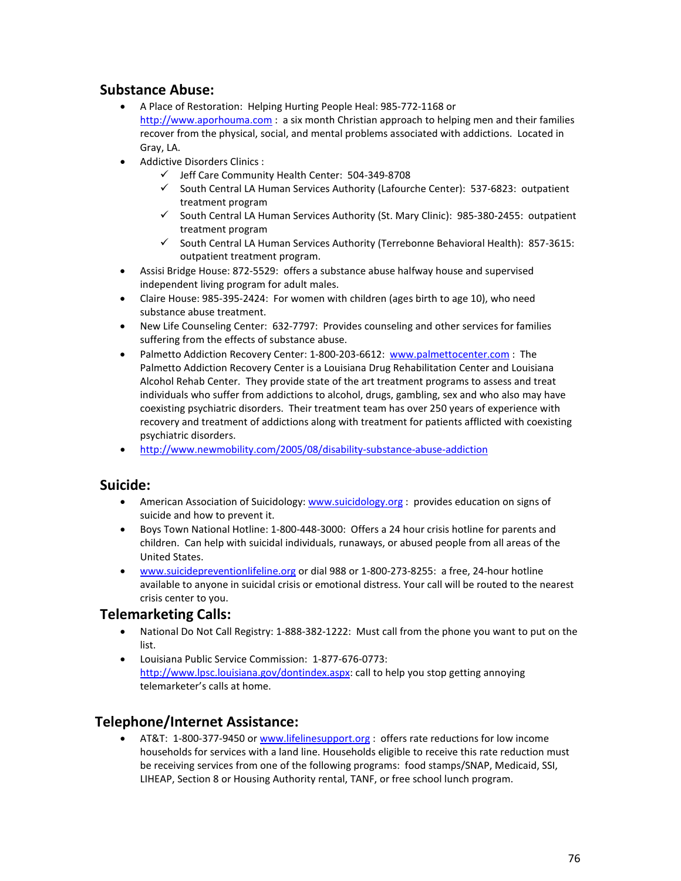## **Substance Abuse:**

- A Place of Restoration: Helping Hurting People Heal: 985-772-1168 or [http://www.aporhouma.com](http://www.aporhouma.com/) : a six month Christian approach to helping men and their families recover from the physical, social, and mental problems associated with addictions. Located in Gray, LA.
- Addictive Disorders Clinics :
	- $\checkmark$  Jeff Care Community Health Center: 504-349-8708
	- $\checkmark$  South Central LA Human Services Authority (Lafourche Center): 537-6823: outpatient treatment program
	- $\checkmark$  South Central LA Human Services Authority (St. Mary Clinic): 985-380-2455: outpatient treatment program
	- $\checkmark$  South Central LA Human Services Authority (Terrebonne Behavioral Health): 857-3615: outpatient treatment program.
- Assisi Bridge House: 872-5529: offers a substance abuse halfway house and supervised independent living program for adult males.
- Claire House: 985-395-2424: For women with children (ages birth to age 10), who need substance abuse treatment.
- New Life Counseling Center: 632-7797: Provides counseling and other services for families suffering from the effects of substance abuse.
- Palmetto Addiction Recovery Center: 1-800-203-6612: [www.palmettocenter.com](http://www.palmettocenter.com/) : The Palmetto Addiction Recovery Center is a Louisiana Drug Rehabilitation Center and Louisiana Alcohol Rehab Center. They provide state of the art treatment programs to assess and treat individuals who suffer from addictions to alcohol, drugs, gambling, sex and who also may have coexisting psychiatric disorders. Their treatment team has over 250 years of experience with recovery and treatment of addictions along with treatment for patients afflicted with coexisting psychiatric disorders.
- <http://www.newmobility.com/2005/08/disability-substance-abuse-addiction>

### **Suicide:**

- American Association of Suicidology: [www.suicidology.org](http://www.suicidology.org/) : provides education on signs of suicide and how to prevent it.
- Boys Town National Hotline: 1-800-448-3000: Offers a 24 hour crisis hotline for parents and children. Can help with suicidal individuals, runaways, or abused people from all areas of the United States.
- [www.suicidepreventionlifeline.org](http://www.suicidepreventionlifeline.org/) or dial 988 or 1-800-273-8255: a free, 24-hour hotline available to anyone in suicidal crisis or emotional distress. Your call will be routed to the nearest crisis center to you.

### **Telemarketing Calls:**

- National Do Not Call Registry: 1-888-382-1222: Must call from the phone you want to put on the list.
- Louisiana Public Service Commission: 1-877-676-0773: [http://www.lpsc.louisiana.gov/dontindex.aspx:](http://www.lpsc.louisiana.gov/dontindex.aspx) call to help you stop getting annoying telemarketer's calls at home.

## **Telephone/Internet Assistance:**

• AT&T: 1-800-377-9450 or [www.lifelinesupport.org](http://www.lifelinesupport.org/) : offers rate reductions for low income households for services with a land line. Households eligible to receive this rate reduction must be receiving services from one of the following programs: food stamps/SNAP, Medicaid, SSI, LIHEAP, Section 8 or Housing Authority rental, TANF, or free school lunch program.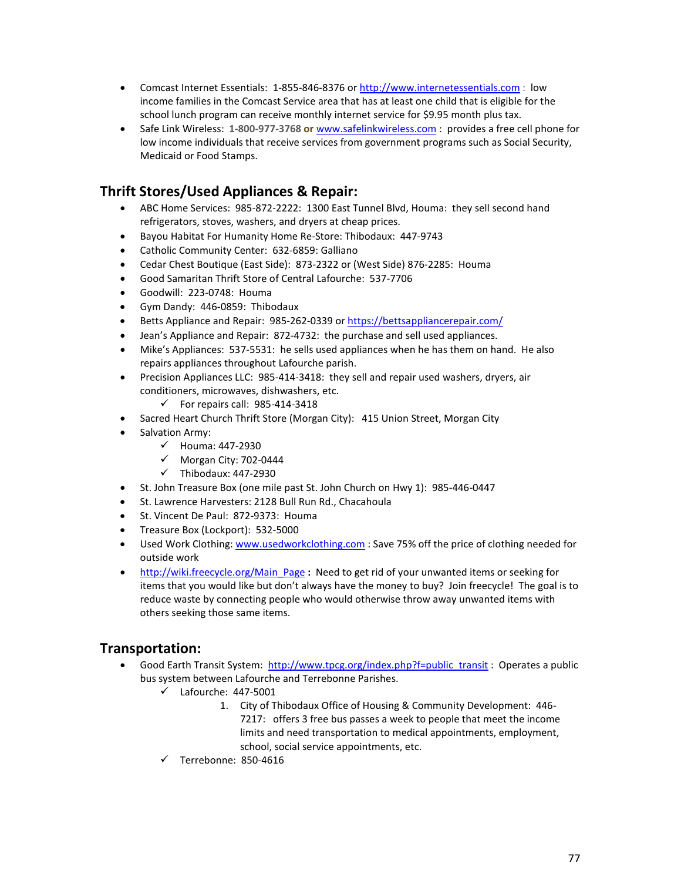- Comcast Internet Essentials: 1-855-846-8376 or [http://www.internetessentials.com](http://www.internetessentials.com/) : low income families in the Comcast Service area that has at least one child that is eligible for the school lunch program can receive monthly internet service for \$9.95 month plus tax.
- Safe Link Wireless: **1-800-977-3768 or** [www.safelinkwireless.com](http://www.safelinkwireless.com/) : provides a free cell phone for low income individuals that receive services from government programs such as Social Security, Medicaid or Food Stamps.

# **Thrift Stores/Used Appliances & Repair:**

- ABC Home Services: 985-872-2222: 1300 East Tunnel Blvd, Houma: they sell second hand refrigerators, stoves, washers, and dryers at cheap prices.
- Bayou Habitat For Humanity Home Re-Store: Thibodaux: 447-9743
- Catholic Community Center: 632-6859: Galliano
- Cedar Chest Boutique (East Side): 873-2322 or (West Side) 876-2285: Houma
- Good Samaritan Thrift Store of Central Lafourche: 537-7706
- Goodwill: 223-0748: Houma
- Gym Dandy: 446-0859: Thibodaux
- Betts Appliance and Repair: 985-262-0339 or<https://bettsappliancerepair.com/>
- Jean's Appliance and Repair: 872-4732: the purchase and sell used appliances.
- Mike's Appliances: 537-5531: he sells used appliances when he has them on hand. He also repairs appliances throughout Lafourche parish.
- Precision Appliances LLC: 985-414-3418: they sell and repair used washers, dryers, air conditioners, microwaves, dishwashers, etc.
	- $\checkmark$  For repairs call: 985-414-3418
- Sacred Heart Church Thrift Store (Morgan City): 415 Union Street, Morgan City
- Salvation Army:
	- $\checkmark$  Houma: 447-2930
	- $\checkmark$  Morgan City: 702-0444
	- $\checkmark$  Thibodaux: 447-2930
- St. John Treasure Box (one mile past St. John Church on Hwy 1): 985-446-0447
- St. Lawrence Harvesters: 2128 Bull Run Rd., Chacahoula
- St. Vincent De Paul: 872-9373: Houma
- Treasure Box (Lockport): 532-5000
- Used Work Clothing: [www.usedworkclothing.com](http://www.usedworkclothing.com/): Save 75% off the price of clothing needed for outside work
- [http://wiki.freecycle.org/Main\\_Page](http://wiki.freecycle.org/Main_Page) **:** Need to get rid of your unwanted items or seeking for items that you would like but don't always have the money to buy? Join freecycle!The goal is to reduce waste by connecting people who would otherwise throw away unwanted items with others seeking those same items.

## **Transportation:**

- Good Earth Transit System: [http://www.tpcg.org/index.php?f=public\\_transit](http://www.tpcg.org/index.php?f=public_transit) : Operates a public bus system between Lafourche and Terrebonne Parishes.
	- $\checkmark$  Lafourche: 447-5001
		- 1. City of Thibodaux Office of Housing & Community Development: 446- 7217: offers 3 free bus passes a week to people that meet the income limits and need transportation to medical appointments, employment, school, social service appointments, etc.
	- $\checkmark$  Terrebonne: 850-4616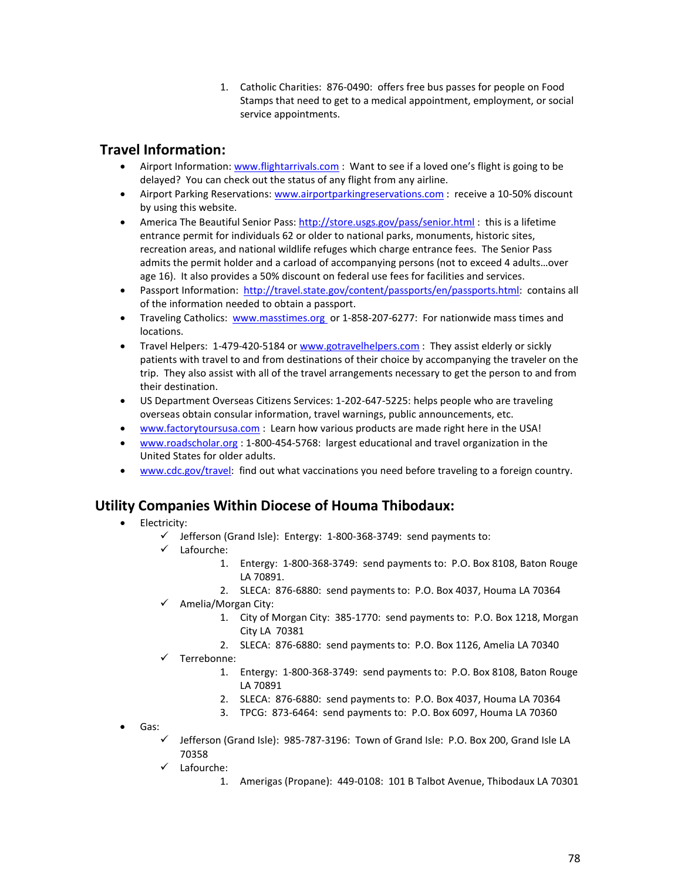1. Catholic Charities: 876-0490: offers free bus passes for people on Food Stamps that need to get to a medical appointment, employment, or social service appointments.

# **Travel Information:**

- Airport Information[: www.flightarrivals.com](http://www.flightarrivals.com/) : Want to see if a loved one's flight is going to be delayed? You can check out the status of any flight from any airline.
- Airport Parking Reservations: [www.airportparkingreservations.com](http://www.airportparkingreservations.com/) : receive a 10-50% discount by using this website.
- America The Beautiful Senior Pass:<http://store.usgs.gov/pass/senior.html> : this is a lifetime entrance permit for individuals 62 or older to national parks, monuments, historic sites, recreation areas, and national wildlife refuges which charge entrance fees. The Senior Pass admits the permit holder and a carload of accompanying persons (not to exceed 4 adults…over age 16). It also provides a 50% discount on federal use fees for facilities and services.
- Passport Information: [http://travel.state.gov/content/passports/en/passports.html:](http://travel.state.gov/content/passports/en/passports.html) contains all of the information needed to obtain a passport.
- Traveling Catholics: [www.masstimes.org](http://www.masstimes.org/) or 1-858-207-6277: For nationwide mass times and locations.
- Travel Helpers: 1-479-420-5184 o[r www.gotravelhelpers.com](http://www.gotravelhelpers.com/) : They assist elderly or sickly patients with travel to and from destinations of their choice by accompanying the traveler on the trip. They also assist with all of the travel arrangements necessary to get the person to and from their destination.
- US Department Overseas Citizens Services: 1-202-647-5225: helps people who are traveling overseas obtain consular information, travel warnings, public announcements, etc.
- [www.factorytoursusa.com](http://www.factorytoursusa.com/) : Learn how various products are made right here in the USA!
- [www.roadscholar.org](http://www.roadscholar.org/) : 1-800-454-5768: largest educational and travel organization in the United States for older adults.
- [www.cdc.gov/travel:](http://www.cdc.gov/travel) find out what vaccinations you need before traveling to a foreign country.

## **Utility Companies Within Diocese of Houma Thibodaux:**

#### • Electricity:

- $\checkmark$  Jefferson (Grand Isle): Entergy: 1-800-368-3749: send payments to:
- Lafourche:
	- 1. Entergy: 1-800-368-3749: send payments to: P.O. Box 8108, Baton Rouge LA 70891.
	- 2. SLECA: 876-6880: send payments to: P.O. Box 4037, Houma LA 70364
- $\checkmark$  Amelia/Morgan City:
	- 1. City of Morgan City: 385-1770: send payments to: P.O. Box 1218, Morgan City LA 70381
	- 2. SLECA: 876-6880: send payments to: P.O. Box 1126, Amelia LA 70340
- Terrebonne:
	- 1. Entergy: 1-800-368-3749: send payments to: P.O. Box 8108, Baton Rouge LA 70891
	- 2. SLECA: 876-6880: send payments to: P.O. Box 4037, Houma LA 70364
	- 3. TPCG: 873-6464: send payments to: P.O. Box 6097, Houma LA 70360
- Gas:
	- $\checkmark$  Jefferson (Grand Isle): 985-787-3196: Town of Grand Isle: P.O. Box 200, Grand Isle LA 70358
	- Lafourche:
		- 1. Amerigas (Propane): 449-0108: 101 B Talbot Avenue, Thibodaux LA 70301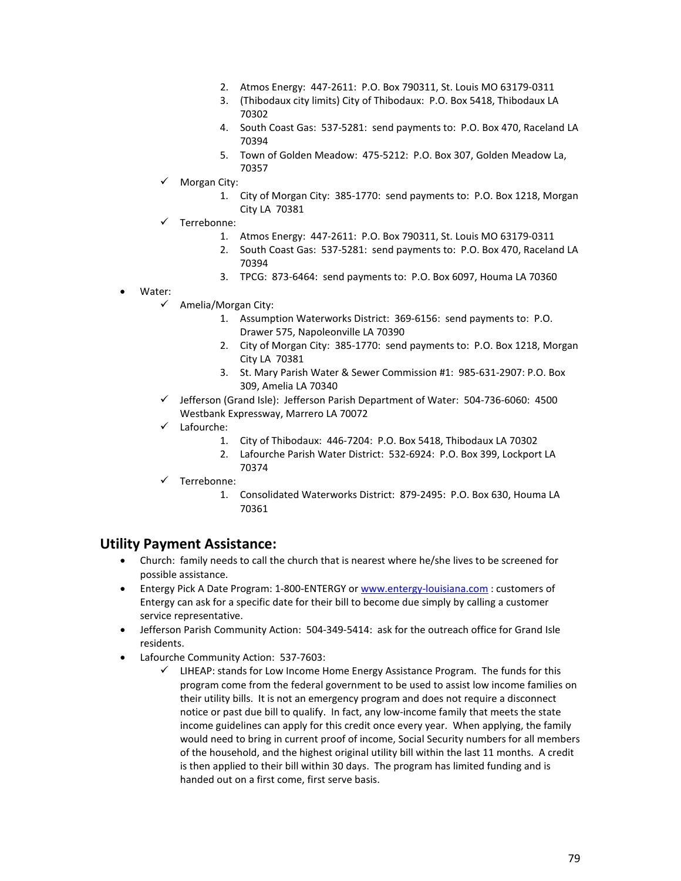- 2. Atmos Energy: 447-2611: P.O. Box 790311, St. Louis MO 63179-0311
- 3. (Thibodaux city limits) City of Thibodaux: P.O. Box 5418, Thibodaux LA 70302
- 4. South Coast Gas: 537-5281: send payments to: P.O. Box 470, Raceland LA 70394
- 5. Town of Golden Meadow: 475-5212: P.O. Box 307, Golden Meadow La, 70357
- Morgan City:
	- 1. City of Morgan City: 385-1770: send payments to: P.O. Box 1218, Morgan City LA 70381
- Terrebonne:
	- 1. Atmos Energy: 447-2611: P.O. Box 790311, St. Louis MO 63179-0311
	- 2. South Coast Gas: 537-5281: send payments to: P.O. Box 470, Raceland LA 70394
	- 3. TPCG: 873-6464: send payments to: P.O. Box 6097, Houma LA 70360
- Water:
	- Amelia/Morgan City:
		- 1. Assumption Waterworks District: 369-6156: send payments to: P.O. Drawer 575, Napoleonville LA 70390
		- 2. City of Morgan City: 385-1770: send payments to: P.O. Box 1218, Morgan City LA 70381
		- 3. St. Mary Parish Water & Sewer Commission #1: 985-631-2907: P.O. Box 309, Amelia LA 70340
	- $\checkmark$  Jefferson (Grand Isle): Jefferson Parish Department of Water: 504-736-6060: 4500 Westbank Expressway, Marrero LA 70072
	- Lafourche:
		- 1. City of Thibodaux: 446-7204: P.O. Box 5418, Thibodaux LA 70302
		- 2. Lafourche Parish Water District: 532-6924: P.O. Box 399, Lockport LA 70374
	- Terrebonne:
		- 1. Consolidated Waterworks District: 879-2495: P.O. Box 630, Houma LA 70361

### **Utility Payment Assistance:**

- Church: family needs to call the church that is nearest where he/she lives to be screened for possible assistance.
- Entergy Pick A Date Program: 1-800-ENTERGY o[r www.entergy-louisiana.com](http://www.entergy-louisiana.com/): customers of Entergy can ask for a specific date for their bill to become due simply by calling a customer service representative.
- Jefferson Parish Community Action: 504-349-5414: ask for the outreach office for Grand Isle residents.
- Lafourche Community Action: 537-7603:
	- $\checkmark$  LIHEAP: stands for Low Income Home Energy Assistance Program. The funds for this program come from the federal government to be used to assist low income families on their utility bills. It is not an emergency program and does not require a disconnect notice or past due bill to qualify. In fact, any low-income family that meets the state income guidelines can apply for this credit once every year. When applying, the family would need to bring in current proof of income, Social Security numbers for all members of the household, and the highest original utility bill within the last 11 months. A credit is then applied to their bill within 30 days. The program has limited funding and is handed out on a first come, first serve basis.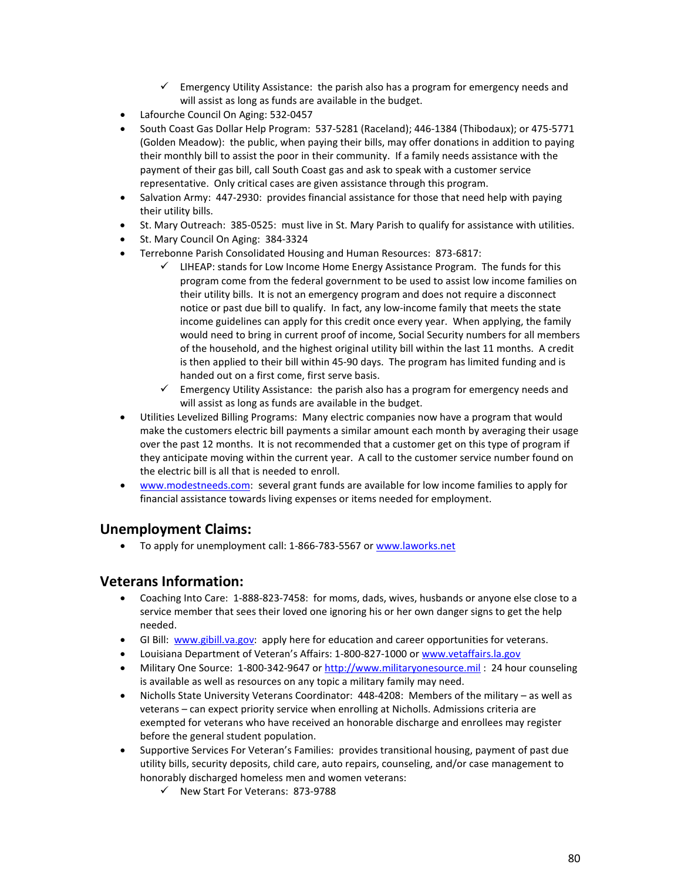- $\checkmark$  Emergency Utility Assistance: the parish also has a program for emergency needs and will assist as long as funds are available in the budget.
- Lafourche Council On Aging: 532-0457
- South Coast Gas Dollar Help Program: 537-5281 (Raceland); 446-1384 (Thibodaux); or 475-5771 (Golden Meadow): the public, when paying their bills, may offer donations in addition to paying their monthly bill to assist the poor in their community. If a family needs assistance with the payment of their gas bill, call South Coast gas and ask to speak with a customer service representative. Only critical cases are given assistance through this program.
- Salvation Army: 447-2930: provides financial assistance for those that need help with paying their utility bills.
- St. Mary Outreach: 385-0525: must live in St. Mary Parish to qualify for assistance with utilities.
- St. Mary Council On Aging: 384-3324
- Terrebonne Parish Consolidated Housing and Human Resources: 873-6817:
	- $\checkmark$  LIHEAP: stands for Low Income Home Energy Assistance Program. The funds for this program come from the federal government to be used to assist low income families on their utility bills. It is not an emergency program and does not require a disconnect notice or past due bill to qualify. In fact, any low-income family that meets the state income guidelines can apply for this credit once every year. When applying, the family would need to bring in current proof of income, Social Security numbers for all members of the household, and the highest original utility bill within the last 11 months. A credit is then applied to their bill within 45-90 days. The program has limited funding and is handed out on a first come, first serve basis.
	- $\checkmark$  Emergency Utility Assistance: the parish also has a program for emergency needs and will assist as long as funds are available in the budget.
- Utilities Levelized Billing Programs: Many electric companies now have a program that would make the customers electric bill payments a similar amount each month by averaging their usage over the past 12 months. It is not recommended that a customer get on this type of program if they anticipate moving within the current year. A call to the customer service number found on the electric bill is all that is needed to enroll.
- [www.modestneeds.com:](http://www.modestneeds.com/) several grant funds are available for low income families to apply for financial assistance towards living expenses or items needed for employment.

### **Unemployment Claims:**

• To apply for unemployment call: 1-866-783-5567 or [www.laworks.net](http://www.laworks.net/)

### **Veterans Information:**

- Coaching Into Care: 1-888-823-7458: for moms, dads, wives, husbands or anyone else close to a service member that sees their loved one ignoring his or her own danger signs to get the help needed.
- GI Bill: [www.gibill.va.gov:](http://www.gibill.va.gov/) apply here for education and career opportunities for veterans.
- Louisiana Department of Veteran's Affairs: 1-800-827-1000 o[r www.vetaffairs.la.gov](http://www.vetaffairs.la.gov/)
- Military One Source: 1-800-342-9647 or [http://www.militaryonesource.mil](http://www.militaryonesource.mil/): 24 hour counseling is available as well as resources on any topic a military family may need.
- Nicholls State University Veterans Coordinator: 448-4208: Members of the military as well as veterans – can expect priority service when enrolling at Nicholls. Admissions criteria are exempted for veterans who have received an honorable discharge and enrollees may register before the general student population.
- Supportive Services For Veteran's Families: provides transitional housing, payment of past due utility bills, security deposits, child care, auto repairs, counseling, and/or case management to honorably discharged homeless men and women veterans:
	- $\checkmark$  New Start For Veterans: 873-9788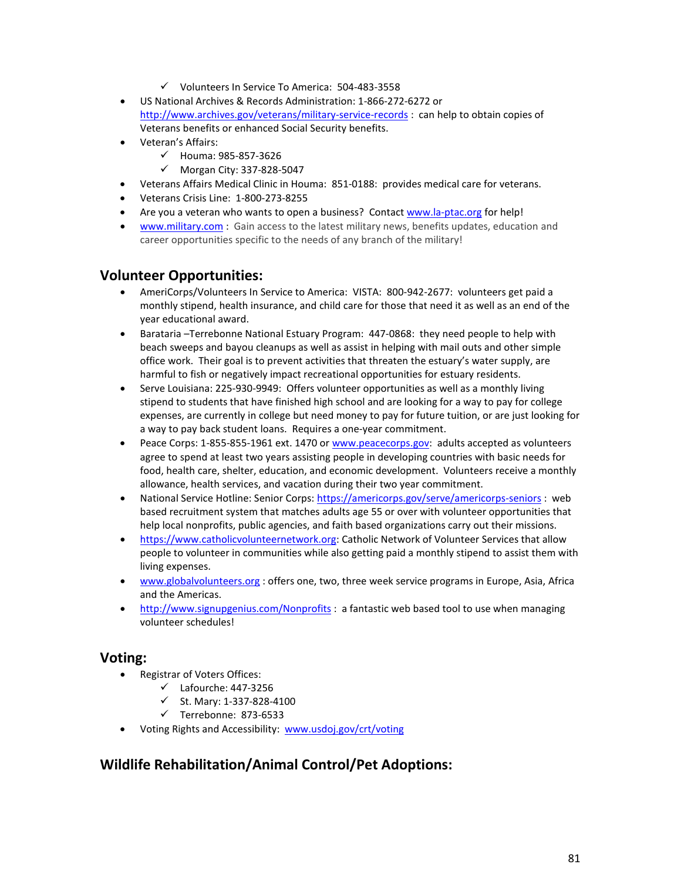- $\checkmark$  Volunteers In Service To America: 504-483-3558
- US National Archives & Records Administration: 1-866-272-6272 or <http://www.archives.gov/veterans/military-service-records> : can help to obtain copies of Veterans benefits or enhanced Social Security benefits.
- Veteran's Affairs:
	- $V$  Houma: 985-857-3626
	- $\nu$  Morgan City: 337-828-5047
- Veterans Affairs Medical Clinic in Houma: 851-0188: provides medical care for veterans.
- Veterans Crisis Line: 1-800-273-8255
- Are you a veteran who wants to open a business? Contact [www.la-ptac.org](http://www.la-ptac.org/) for help!
- [www.military.com](http://www.military.com/) : Gain access to the latest military news, benefits updates, education and career opportunities specific to the needs of any branch of the military!

#### **Volunteer Opportunities:**

- AmeriCorps/Volunteers In Service to America: VISTA: 800-942-2677: volunteers get paid a monthly stipend, health insurance, and child care for those that need it as well as an end of the year educational award.
- Barataria –Terrebonne National Estuary Program: 447-0868: they need people to help with beach sweeps and bayou cleanups as well as assist in helping with mail outs and other simple office work. Their goal is to prevent activities that threaten the estuary's water supply, are harmful to fish or negatively impact recreational opportunities for estuary residents.
- Serve Louisiana: 225-930-9949: Offers volunteer opportunities as well as a monthly living stipend to students that have finished high school and are looking for a way to pay for college expenses, are currently in college but need money to pay for future tuition, or are just looking for a way to pay back student loans. Requires a one-year commitment.
- Peace Corps: 1-855-855-1961 ext. 1470 or [www.peacecorps.gov:](http://www.peacecorps.gov/) adults accepted as volunteers agree to spend at least two years assisting people in developing countries with basic needs for food, health care, shelter, education, and economic development. Volunteers receive a monthly allowance, health services, and vacation during their two year commitment.
- National Service Hotline: Senior Corps: <https://americorps.gov/serve/americorps-seniors> : web based recruitment system that matches adults age 55 or over with volunteer opportunities that help local nonprofits, public agencies, and faith based organizations carry out their missions.
- [https://www.catholicvolunteernetwork.org:](https://www.catholicvolunteernetwork.org/) Catholic Network of Volunteer Services that allow people to volunteer in communities while also getting paid a monthly stipend to assist them with living expenses.
- [www.globalvolunteers.org](http://www.globalvolunteers.org/) : offers one, two, three week service programs in Europe, Asia, Africa and the Americas.
- <http://www.signupgenius.com/Nonprofits> : a fantastic web based tool to use when managing volunteer schedules!

#### **Voting:**

- Registrar of Voters Offices:
	- $\checkmark$  Lafourche: 447-3256
	- $\checkmark$  St. Mary: 1-337-828-4100
	- $\checkmark$  Terrebonne: 873-6533
- Voting Rights and Accessibility: [www.usdoj.gov/crt/voting](http://www.usdoj.gov/crt/voting)

## **Wildlife Rehabilitation/Animal Control/Pet Adoptions:**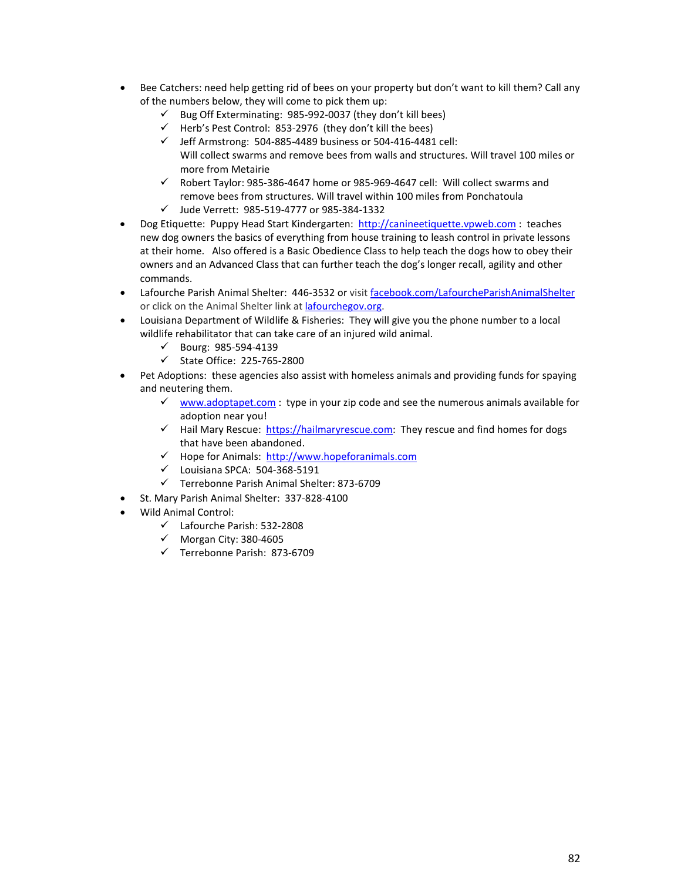- Bee Catchers: need help getting rid of bees on your property but don't want to kill them? Call any of the numbers below, they will come to pick them up:
	- $\checkmark$  Bug Off Exterminating: 985-992-0037 (they don't kill bees)
	- $\checkmark$  Herb's Pest Control: 853-2976 (they don't kill the bees)
	- $\checkmark$  Jeff Armstrong: 504-885-4489 business or 504-416-4481 cell: Will collect swarms and remove bees from walls and structures. Will travel 100 miles or more from Metairie
	- $\checkmark$  Robert Taylor: 985-386-4647 home or 985-969-4647 cell: Will collect swarms and remove bees from structures. Will travel within 100 miles from Ponchatoula
	- Jude Verrett: 985-519-4777 or 985-384-1332
- Dog Etiquette: Puppy Head Start Kindergarten: [http://canineetiquette.vpweb.com](http://canineetiquette.vpweb.com/) : teaches new dog owners the basics of everything from house training to leash control in private lessons at their home. Also offered is a Basic Obedience Class to help teach the dogs how to obey their owners and an Advanced Class that can further teach the dog's longer recall, agility and other commands.
- Lafourche Parish Animal Shelter: 446-3532 or visit [facebook.com/LafourcheParishAnimalShelter](http://facebook.com/LafourcheParishAnimalShelter) or click on the Animal Shelter link a[t lafourchegov.org.](http://lafourchegov.org/)
- Louisiana Department of Wildlife & Fisheries: They will give you the phone number to a local wildlife rehabilitator that can take care of an injured wild animal.
	- $\checkmark$  Bourg: 985-594-4139
	- $\checkmark$  State Office: 225-765-2800
- Pet Adoptions: these agencies also assist with homeless animals and providing funds for spaying and neutering them.
	- $\checkmark$  [www.adoptapet.com](http://www.adoptapet.com/) : type in your zip code and see the numerous animals available for adoption near you!
	- $\checkmark$  Hail Mary Rescue: https://hailmaryrescue.com</u>: They rescue and find homes for dogs that have been abandoned.
	- $\checkmark$  Hope for Animals: [http://www.hopeforanimals.com](http://www.hopeforanimals.com/)
	- $\checkmark$  Louisiana SPCA: 504-368-5191
	- Terrebonne Parish Animal Shelter: 873-6709
- St. Mary Parish Animal Shelter: 337-828-4100
- Wild Animal Control:
	- Lafourche Parish: 532-2808
	- $\checkmark$  Morgan City: 380-4605
	- Terrebonne Parish: 873-6709